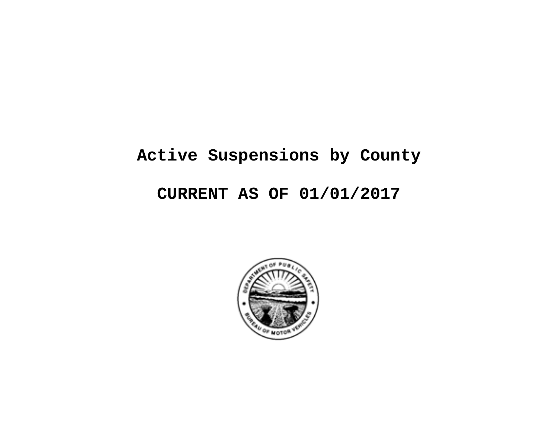# **Active Suspensions by County**

## **CURRENT AS OF 01/01/2017**

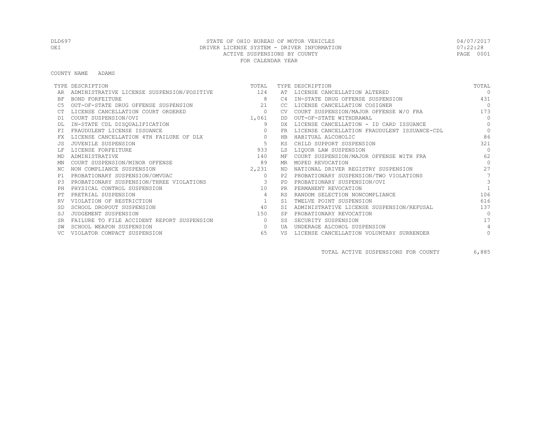COUNTY NAME ADAMS

|           | TYPE DESCRIPTION                               | TOTAL          |           | TYPE DESCRIPTION                             | TOTAL     |
|-----------|------------------------------------------------|----------------|-----------|----------------------------------------------|-----------|
|           | ADMINISTRATIVE LICENSE SUSPENSION/POSITIVE 124 |                | AT        | LICENSE CANCELLATION ALTERED                 | $\Omega$  |
| BF        | BOND FORFEITURE                                | -8             | C4        | IN-STATE DRUG OFFENSE SUSPENSION             | 431       |
|           | OUT-OF-STATE DRUG OFFENSE SUSPENSION           | 2.1            | -CC.      | LICENSE CANCELLATION COSIGNER                | $\bigcap$ |
|           | LICENSE CANCELLATION COURT ORDERED             | $\circ$        | CV.       | COURT SUSPENSION/MAJOR OFFENSE W/O FRA       | 173       |
| D1        | COURT SUSPENSION/OVI                           | 1,061          | DD        | OUT-OF-STATE WITHDRAWAL                      | $\Omega$  |
|           | IN-STATE CDL DISQUALIFICATION                  | 9              | DX.       | LICENSE CANCELLATION - ID CARD ISSUANCE      | $\Omega$  |
| FT        | FRAUDULENT LICENSE ISSUANCE                    | $\circ$        | FR.       | LICENSE CANCELLATION FRAUDULENT ISSUANCE-CDL | $\Omega$  |
|           | LICENSE CANCELLATION 4TH FAILURE OF DLX        | $\circ$        | HB        | HABITUAL ALCOHOLIC                           | 86        |
|           | JUVENILE SUSPENSION                            | 5              | ΚS        | CHILD SUPPORT SUSPENSION                     | 321       |
|           | LICENSE FORFEITURE                             | 933            | LS        | LIQUOR LAW SUSPENSION                        | $\Omega$  |
| MD        | ADMINISTRATIVE                                 | 140            | МF        | COURT SUSPENSION/MAJOR OFFENSE WITH FRA      | 62        |
| MN        | COURT SUSPENSION/MINOR OFFENSE                 | 89             | MR        | MOPED REVOCATION                             | $\bigcap$ |
| NC.       | NON COMPLIANCE SUSPENSION                      | 2,231          | ND        | NATIONAL DRIVER REGISTRY SUSPENSION          | 27        |
| P1        | PROBATIONARY SUSPENSION/OMVUAC                 | $\circ$        | P2        | PROBATIONARY SUSPENSION/TWO VIOLATIONS       |           |
| P3        | PROBATIONARY SUSPENSION/THREE VIOLATIONS       | $\sim$ 3       | PD.       | PROBATIONARY SUSPENSION/OVI                  | 3         |
| PH        | PHYSICAL CONTROL SUSPENSION                    | 10             | PR.       | PERMANENT REVOCATION                         |           |
|           | PRETRIAL SUSPENSION                            | $\overline{4}$ | <b>RS</b> | RANDOM SELECTION NONCOMPLIANCE               | 106       |
|           | VIOLATION OF RESTRICTION                       |                | S1        | TWELVE POINT SUSPENSION                      | 616       |
|           | SCHOOL DROPOUT SUSPENSION                      | 40             | <b>ST</b> | ADMINISTRATIVE LICENSE SUSPENSION/REFUSAL    | 137       |
| SJ        | JUDGEMENT SUSPENSION                           | 150            | <b>SP</b> | PROBATIONARY REVOCATION                      | $\bigcap$ |
| <b>SR</b> | FAILURE TO FILE ACCIDENT REPORT SUSPENSION     | $\Omega$       | SS        | SECURITY SUSPENSION                          | 17        |
|           | SCHOOL WEAPON SUSPENSION                       | $\Omega$       | UA        | UNDERAGE ALCOHOL SUSPENSION                  | 4         |
|           | VIOLATOR COMPACT SUSPENSION                    | 65             | VS        | LICENSE CANCELLATION VOLUNTARY SURRENDER     | $\circ$   |

TOTAL ACTIVE SUSPENSIONS FOR COUNTY 6,885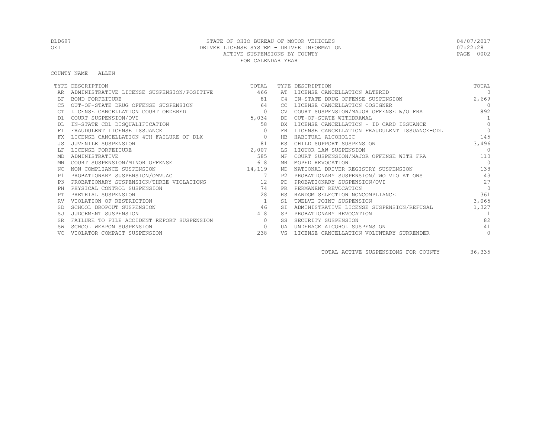COUNTY NAME ALLEN

|           | TYPE DESCRIPTION                           | TOTAL          |                | TYPE DESCRIPTION                             | TOTAL          |
|-----------|--------------------------------------------|----------------|----------------|----------------------------------------------|----------------|
|           | ADMINISTRATIVE LICENSE SUSPENSION/POSITIVE | 466            |                | AT LICENSE CANCELLATION ALTERED              | $\Omega$       |
| ΒF        | <b>BOND FORFEITURE</b>                     | 81             | C <sub>4</sub> | IN-STATE DRUG OFFENSE SUSPENSION             | 2,669          |
| C5        | OUT-OF-STATE DRUG OFFENSE SUSPENSION       | 64             | CC.            | LICENSE CANCELLATION COSIGNER                | $\overline{0}$ |
|           | LICENSE CANCELLATION COURT ORDERED         | $\circ$        | <b>CV</b>      | COURT SUSPENSION/MAJOR OFFENSE W/O FRA       | 892            |
| D1        | COURT SUSPENSION/OVI                       | 5,034          | DD             | OUT-OF-STATE WITHDRAWAL                      | $\overline{1}$ |
|           | IN-STATE CDL DISQUALIFICATION              | 58             | DX             | LICENSE CANCELLATION - ID CARD ISSUANCE      | $\Omega$       |
| <b>FT</b> | FRAUDULENT LICENSE ISSUANCE                |                | <b>FR</b>      | LICENSE CANCELLATION FRAUDULENT ISSUANCE-CDL | $\Omega$       |
| FX        | LICENSE CANCELLATION 4TH FAILURE OF DLX    | $\Omega$       | <b>HB</b>      | HABITUAL ALCOHOLIC                           | 145            |
| .JS       | JUVENILE SUSPENSION                        | 81             | ΚS             | CHILD SUPPORT SUSPENSION                     | 3,496          |
|           | LICENSE FORFEITURE                         | 2,007          | LS             | LIQUOR LAW SUSPENSION                        | $\Omega$       |
| MD        | ADMINISTRATIVE                             | 585            | МF             | COURT SUSPENSION/MAJOR OFFENSE WITH FRA      | 110            |
| ΜN        | COURT SUSPENSION/MINOR OFFENSE             | 618            | MR             | MOPED REVOCATION                             | $\bigcap$      |
| NC.       | NON COMPLIANCE SUSPENSION                  | 14,119         | ND             | NATIONAL DRIVER REGISTRY SUSPENSION          | 138            |
| P1        | PROBATIONARY SUSPENSION/OMVUAC             | $\overline{7}$ | P2.            | PROBATIONARY SUSPENSION/TWO VIOLATIONS       | 43             |
| P3        | PROBATIONARY SUSPENSION/THREE VIOLATIONS   | 12             | PD             | PROBATIONARY SUSPENSION/OVI                  | 27             |
| PH        | PHYSICAL CONTROL SUSPENSION                | 74             | <b>PR</b>      | PERMANENT REVOCATION                         | $\Omega$       |
| PТ        | PRETRIAL SUSPENSION                        | 28             | <b>RS</b>      | RANDOM SELECTION NONCOMPLIANCE               | 361            |
|           | VIOLATION OF RESTRICTION                   | 1              | S1             | TWELVE POINT SUSPENSION                      | 3,065          |
| -SD       | SCHOOL DROPOUT SUSPENSION                  | 46             | <b>ST</b>      | ADMINISTRATIVE LICENSE SUSPENSION/REFUSAL    | 1,327          |
| SJ        | JUDGEMENT SUSPENSION                       | 418            | <b>SP</b>      | PROBATIONARY REVOCATION                      |                |
| <b>SR</b> | FAILURE TO FILE ACCIDENT REPORT SUSPENSION | $\bigcirc$     | SS             | SECURITY SUSPENSION                          | 82             |
|           | SCHOOL WEAPON SUSPENSION                   | $\circ$        | <b>TJA</b>     | UNDERAGE ALCOHOL SUSPENSION                  | 41             |
|           | VIOLATOR COMPACT SUSPENSION                | 238            | VS             | LICENSE CANCELLATION VOLUNTARY SURRENDER     | $\circ$        |

TOTAL ACTIVE SUSPENSIONS FOR COUNTY 36,335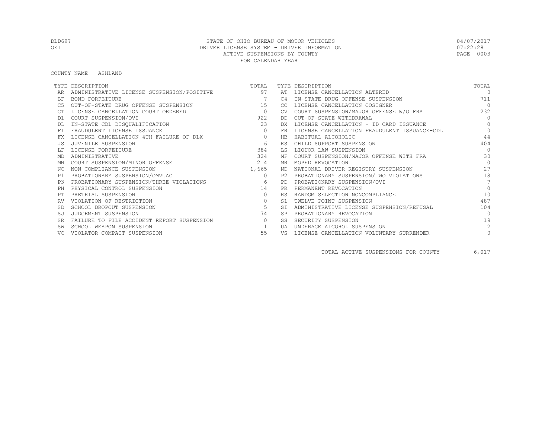#### COUNTY NAME ASHLAND

|                | TYPE DESCRIPTION                           | TOTAL          |           | TYPE DESCRIPTION                             | TOTAL          |
|----------------|--------------------------------------------|----------------|-----------|----------------------------------------------|----------------|
|                | ADMINISTRATIVE LICENSE SUSPENSION/POSITIVE | 97             |           | AT LICENSE CANCELLATION ALTERED              | $\cap$         |
| BF             | BOND FORFEITURE                            | $\overline{7}$ | C4        | IN-STATE DRUG OFFENSE SUSPENSION             | 711            |
|                | OUT-OF-STATE DRUG OFFENSE SUSPENSION       | 15             | CC.       | LICENSE CANCELLATION COSIGNER                | $\bigcap$      |
|                | LICENSE CANCELLATION COURT ORDERED         | $\overline{0}$ | <b>CV</b> | COURT SUSPENSION/MAJOR OFFENSE W/O FRA       | 232            |
| D1             | COURT SUSPENSION/OVI                       | 922            | DD.       | OUT-OF-STATE WITHDRAWAL                      | $\Omega$       |
|                | IN-STATE CDL DISQUALIFICATION              | 23             | DX.       | LICENSE CANCELLATION - ID CARD ISSUANCE      | $\Omega$       |
|                | FRAUDULENT LICENSE ISSUANCE                | $\circ$        | FR        | LICENSE CANCELLATION FRAUDULENT ISSUANCE-CDL | $\Omega$       |
| FX             | LICENSE CANCELLATION 4TH FAILURE OF DLX    | $\circ$        | HB        | HABITUAL ALCOHOLIC                           | 44             |
|                | JUVENILE SUSPENSION                        | 6              | КS        | CHILD SUPPORT SUSPENSION                     | 404            |
|                | LICENSE FORFEITURE                         | 384            | LS        | LIQUOR LAW SUSPENSION                        | $\bigcap$      |
| MD             | ADMINISTRATIVE                             | 324            | МF        | COURT SUSPENSION/MAJOR OFFENSE WITH FRA      | 30             |
| MN             | COURT SUSPENSION/MINOR OFFENSE             | 214            | MR        | MOPED REVOCATION                             | $\Omega$       |
| NC.            | NON COMPLIANCE SUSPENSION                  | 1,665          | ND.       | NATIONAL DRIVER REGISTRY SUSPENSION          | 27             |
| P1             | PROBATIONARY SUSPENSION/OMVUAC             | $\circ$        | P2        | PROBATIONARY SUSPENSION/TWO VIOLATIONS       | 18             |
| P <sub>3</sub> | PROBATIONARY SUSPENSION/THREE VIOLATIONS   | 6              | PD.       | PROBATIONARY SUSPENSION/OVI                  | $\overline{7}$ |
| PH             | PHYSICAL CONTROL SUSPENSION                | 14             | <b>PR</b> | PERMANENT REVOCATION                         | $\Omega$       |
|                | PRETRIAL SUSPENSION                        | 10             | <b>RS</b> | RANDOM SELECTION NONCOMPLIANCE               | 110            |
| RV             | VIOLATION OF RESTRICTION                   | $\mathbf{0}$   | S1        | TWELVE POINT SUSPENSION                      | 487            |
|                | SCHOOL DROPOUT SUSPENSION                  | 5              | <b>ST</b> | ADMINISTRATIVE LICENSE SUSPENSION/REFUSAL    | 104            |
| SJ             | JUDGEMENT SUSPENSION                       | 74             | <b>SP</b> | PROBATIONARY REVOCATION                      | $\bigcap$      |
| <b>SR</b>      | FAILURE TO FILE ACCIDENT REPORT SUSPENSION | $\Omega$       | SS        | SECURITY SUSPENSION                          | 19             |
|                | SCHOOL WEAPON SUSPENSION                   |                | UA        | UNDERAGE ALCOHOL SUSPENSION                  | $\mathfrak{D}$ |
|                | VIOLATOR COMPACT SUSPENSION                | 55             | VS        | LICENSE CANCELLATION VOLUNTARY SURRENDER     | $\mathbf{0}$   |

TOTAL ACTIVE SUSPENSIONS FOR COUNTY 6,017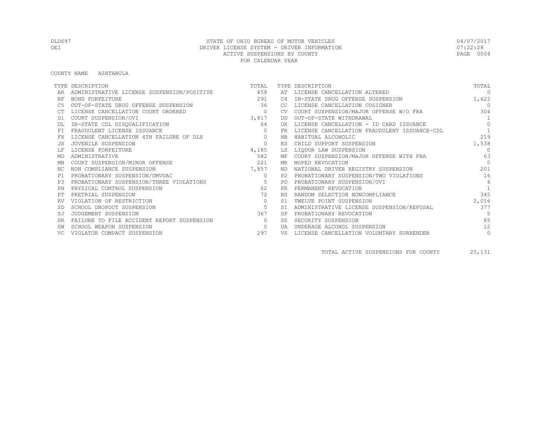#### COUNTY NAME ASHTABULA

|           | TYPE DESCRIPTION                           | TOTAL          |                | TYPE DESCRIPTION                             | TOTAL          |
|-----------|--------------------------------------------|----------------|----------------|----------------------------------------------|----------------|
|           | ADMINISTRATIVE LICENSE SUSPENSION/POSITIVE | 458            |                | AT LICENSE CANCELLATION ALTERED              | $\Omega$       |
| ΒF        | <b>BOND FORFEITURE</b>                     | 291            | C <sub>4</sub> | IN-STATE DRUG OFFENSE SUSPENSION             | 1,622          |
| C5        | OUT-OF-STATE DRUG OFFENSE SUSPENSION       | 36             | CC             | LICENSE CANCELLATION COSIGNER                | $\overline{0}$ |
|           | LICENSE CANCELLATION COURT ORDERED         | $\overline{0}$ | CV.            | COURT SUSPENSION/MAJOR OFFENSE W/O FRA       | 304            |
| D1        | COURT SUSPENSION/OVI                       | 3,817          | DD             | OUT-OF-STATE WITHDRAWAL                      | $\overline{1}$ |
|           | IN-STATE CDL DISQUALIFICATION              | 64             |                | LICENSE CANCELLATION - ID CARD ISSUANCE      | $\Omega$       |
| <b>FT</b> | FRAUDULENT LICENSE ISSUANCE                |                | FR             | LICENSE CANCELLATION FRAUDULENT ISSUANCE-CDL |                |
| FX        | LICENSE CANCELLATION 4TH FAILURE OF DLX    | $\Omega$       | HB             | HABITUAL ALCOHOLIC                           | 219            |
| .JS       | JUVENILE SUSPENSION                        | $\Omega$       | ΚS             | CHILD SUPPORT SUSPENSION                     | 1,538          |
|           | LICENSE FORFEITURE                         | 4,185          | LS             | LIQUOR LAW SUSPENSION                        | $\Omega$       |
| MD        | ADMINISTRATIVE                             | 582            | МF             | COURT SUSPENSION/MAJOR OFFENSE WITH FRA      | 63             |
| ΜN        | COURT SUSPENSION/MINOR OFFENSE             | 221            | MR             | MOPED REVOCATION                             | $\Omega$       |
| NC.       | NON COMPLIANCE SUSPENSION                  | 7,857          | ND             | NATIONAL DRIVER REGISTRY SUSPENSION          | 201            |
| P1        | PROBATIONARY SUSPENSION/OMVUAC             | $\circ$        | P2.            | PROBATIONARY SUSPENSION/TWO VIOLATIONS       | 16             |
| P3        | PROBATIONARY SUSPENSION/THREE VIOLATIONS   | 5              | PD             | PROBATIONARY SUSPENSION/OVI                  | $6^{\circ}$    |
| PH        | PHYSICAL CONTROL SUSPENSION                | 62             | PR             | PERMANENT REVOCATION                         |                |
| PТ        | PRETRIAL SUSPENSION                        | 72             | <b>RS</b>      | RANDOM SELECTION NONCOMPLIANCE               | 345            |
|           | VIOLATION OF RESTRICTION                   | $\circ$        | S1             | TWELVE POINT SUSPENSION                      | 2,016          |
| -SD       | SCHOOL DROPOUT SUSPENSION                  | 5              | <b>ST</b>      | ADMINISTRATIVE LICENSE SUSPENSION/REFUSAL    | 377            |
| SJ        | JUDGEMENT SUSPENSION                       | 367            |                | PROBATIONARY REVOCATION                      |                |
| <b>SR</b> | FAILURE TO FILE ACCIDENT REPORT SUSPENSION | $\Omega$       | SS             | SECURITY SUSPENSION                          | 85             |
|           | SCHOOL WEAPON SUSPENSION                   | $\circ$        | <b>TJA</b>     | UNDERAGE ALCOHOL SUSPENSION                  | 12             |
|           | VIOLATOR COMPACT SUSPENSION                | 297            | VS             | LICENSE CANCELLATION VOLUNTARY SURRENDER     | $\circ$        |

TOTAL ACTIVE SUSPENSIONS FOR COUNTY 25,131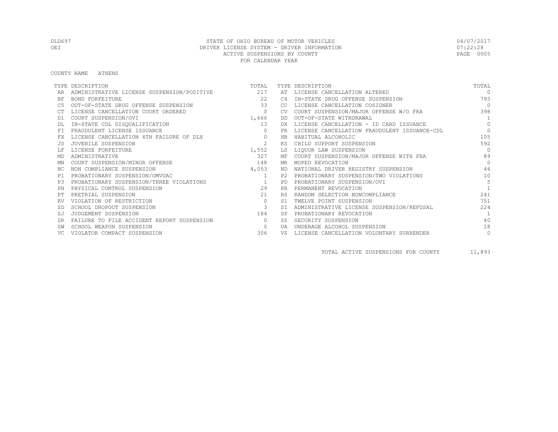COUNTY NAME ATHENS

|           | TYPE DESCRIPTION                               | TOTAL          |           | TYPE DESCRIPTION                             | TOTAL          |
|-----------|------------------------------------------------|----------------|-----------|----------------------------------------------|----------------|
|           | ADMINISTRATIVE LICENSE SUSPENSION/POSITIVE 217 |                | AT        | LICENSE CANCELLATION ALTERED                 | $\Omega$       |
| BF        | <b>BOND FORFEITURE</b>                         | 22             | C4        | IN-STATE DRUG OFFENSE SUSPENSION             | 793            |
|           | OUT-OF-STATE DRUG OFFENSE SUSPENSION           | 33             | CC.       | LICENSE CANCELLATION COSIGNER                | $\bigcap$      |
|           | LICENSE CANCELLATION COURT ORDERED             | $\circ$        | <b>CV</b> | COURT SUSPENSION/MAJOR OFFENSE W/O FRA       | 398            |
| D1        | COURT SUSPENSION/OVI                           | 1,666          | DD        | OUT-OF-STATE WITHDRAWAL                      | $\overline{1}$ |
|           | IN-STATE CDL DISQUALIFICATION                  | 13             | DX        | LICENSE CANCELLATION - ID CARD ISSUANCE      | $\Omega$       |
| FT.       | FRAUDULENT LICENSE ISSUANCE                    | $\Omega$       | FR.       | LICENSE CANCELLATION FRAUDULENT ISSUANCE-CDL | $\Omega$       |
|           | LICENSE CANCELLATION 4TH FAILURE OF DLX        | $\circ$        | HB        | HABITUAL ALCOHOLIC                           | 105            |
|           | JUVENILE SUSPENSION                            | 2              | КS        | CHILD SUPPORT SUSPENSION                     | 592            |
|           | LICENSE FORFEITURE                             | 1,552          | LS        | LIQUOR LAW SUSPENSION                        | $\Omega$       |
| MD        | ADMINISTRATIVE                                 | 327            | МF        | COURT SUSPENSION/MAJOR OFFENSE WITH FRA      | 89             |
| ΜN        | COURT SUSPENSION/MINOR OFFENSE                 | 148            | MR.       | MOPED REVOCATION                             | $\bigcap$      |
| NC.       | NON COMPLIANCE SUSPENSION                      | 4,053          | ND.       | NATIONAL DRIVER REGISTRY SUSPENSION          | 46             |
| P1        | PROBATIONARY SUSPENSION/OMVUAC                 | <sup>1</sup>   | P2.       | PROBATIONARY SUSPENSION/TWO VIOLATIONS       | 10             |
| P3        | PROBATIONARY SUSPENSION/THREE VIOLATIONS       | $\overline{1}$ | <b>PD</b> | PROBATIONARY SUSPENSION/OVI                  | 5              |
| PH        | PHYSICAL CONTROL SUSPENSION                    | 29             | <b>PR</b> | PERMANENT REVOCATION                         |                |
|           | PRETRIAL SUSPENSION                            | 21             | <b>RS</b> | RANDOM SELECTION NONCOMPLIANCE               | 241            |
|           | VIOLATION OF RESTRICTION                       | $\circ$        | S1        | TWELVE POINT SUSPENSION                      | 751            |
|           | SCHOOL DROPOUT SUSPENSION                      | $\mathbf{3}$   | <b>ST</b> | ADMINISTRATIVE LICENSE SUSPENSION/REFUSAL    | 224            |
| SJ        | JUDGEMENT SUSPENSION                           | 184            | <b>SP</b> | PROBATIONARY REVOCATION                      | $\overline{1}$ |
| <b>SR</b> | FAILURE TO FILE ACCIDENT REPORT SUSPENSION     | $\bigcirc$     | SS.       | SECURITY SUSPENSION                          | 40             |
|           | SCHOOL WEAPON SUSPENSION                       | $\circ$        | <b>UA</b> | UNDERAGE ALCOHOL SUSPENSION                  | 18             |
|           | VIOLATOR COMPACT SUSPENSION                    | 306            | VS        | LICENSE CANCELLATION VOLUNTARY SURRENDER     | $\circ$        |

TOTAL ACTIVE SUSPENSIONS FOR COUNTY 11,893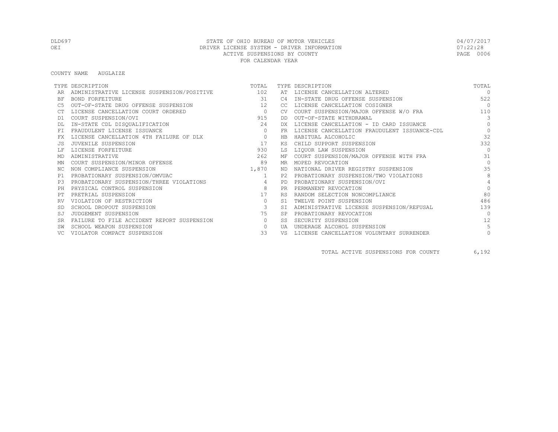#### COUNTY NAME AUGLAIZE

|           | TYPE DESCRIPTION                               | TOTAL                   |           | TYPE DESCRIPTION                             | TOTAL          |
|-----------|------------------------------------------------|-------------------------|-----------|----------------------------------------------|----------------|
|           | ADMINISTRATIVE LICENSE SUSPENSION/POSITIVE 102 |                         | AT        | LICENSE CANCELLATION ALTERED                 | $\bigcap$      |
| ΒF        | BOND FORFEITURE                                | 31                      | C4        | IN-STATE DRUG OFFENSE SUSPENSION             | 522            |
| C5        | OUT-OF-STATE DRUG OFFENSE SUSPENSION           | 12                      | CC        | LICENSE CANCELLATION COSIGNER                | $\bigcap$      |
|           | LICENSE CANCELLATION COURT ORDERED             | $\overline{0}$          | CV.       | COURT SUSPENSION/MAJOR OFFENSE W/O FRA       | 110            |
| D1        | COURT SUSPENSION/OVI                           | 915                     | DD.       | OUT-OF-STATE WITHDRAWAL                      | 3              |
|           | IN-STATE CDL DISQUALIFICATION                  | 24                      | DX.       | LICENSE CANCELLATION - ID CARD ISSUANCE      | $\Omega$       |
| FT        | FRAUDULENT LICENSE ISSUANCE                    | $\Omega$                | <b>FR</b> | LICENSE CANCELLATION FRAUDULENT ISSUANCE-CDL | $\circ$        |
| FX        | LICENSE CANCELLATION 4TH FAILURE OF DLX        | $\circ$                 | HB        | HABITUAL ALCOHOLIC                           | 32             |
|           | JUVENILE SUSPENSION                            | 17                      | ΚS        | CHILD SUPPORT SUSPENSION                     | 332            |
|           | LICENSE FORFEITURE                             | 930                     | LS        | LIQUOR LAW SUSPENSION                        | $\Omega$       |
| MD        | ADMINISTRATIVE                                 | 262                     | МF        | COURT SUSPENSION/MAJOR OFFENSE WITH FRA      | 31             |
| MN        | COURT SUSPENSION/MINOR OFFENSE                 | 89                      | MR        | MOPED REVOCATION                             | $\Omega$       |
| NC.       | NON COMPLIANCE SUSPENSION                      | 1,870                   | ND        | NATIONAL DRIVER REGISTRY SUSPENSION          | 35             |
| P1        | PROBATIONARY SUSPENSION/OMVUAC                 | 1                       | P2.       | PROBATIONARY SUSPENSION/TWO VIOLATIONS       | 8              |
| P3        | PROBATIONARY SUSPENSION/THREE VIOLATIONS       | 4                       | <b>PD</b> | PROBATIONARY SUSPENSION/OVI                  | $\overline{4}$ |
| PH        | PHYSICAL CONTROL SUSPENSION                    | 8                       | <b>PR</b> | PERMANENT REVOCATION                         | $\Omega$       |
|           | PRETRIAL SUSPENSION                            | 17                      | <b>RS</b> | RANDOM SELECTION NONCOMPLIANCE               | 80             |
| RV        | VIOLATION OF RESTRICTION                       | $\circ$                 | S1        | TWELVE POINT SUSPENSION                      | 486            |
|           | SCHOOL DROPOUT SUSPENSION                      | $\overline{\mathbf{3}}$ | <b>ST</b> | ADMINISTRATIVE LICENSE SUSPENSION/REFUSAL    | 139            |
| SJ        | JUDGEMENT SUSPENSION                           | 75                      | <b>SP</b> | PROBATIONARY REVOCATION                      | $\bigcap$      |
| <b>SR</b> | FAILURE TO FILE ACCIDENT REPORT SUSPENSION     | $\circ$                 | SS        | SECURITY SUSPENSION                          | 12             |
|           | SCHOOL WEAPON SUSPENSION                       | $\Omega$                | UA        | UNDERAGE ALCOHOL SUSPENSION                  | 5              |
|           | VIOLATOR COMPACT SUSPENSION                    | 33                      | VS        | LICENSE CANCELLATION VOLUNTARY SURRENDER     | $\circ$        |

TOTAL ACTIVE SUSPENSIONS FOR COUNTY 6,192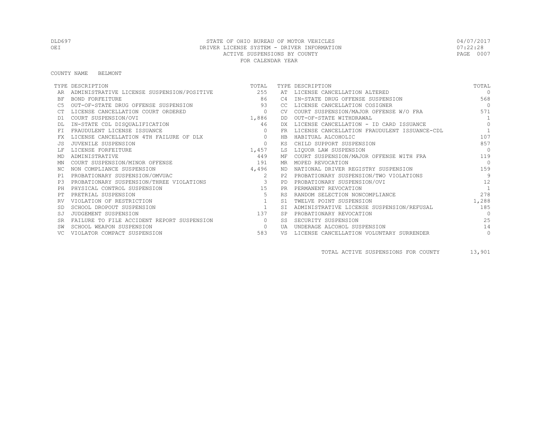COUNTY NAME BELMONT

|           | TYPE DESCRIPTION                               | TOTAL          |            | TYPE DESCRIPTION                             | TOTAL          |
|-----------|------------------------------------------------|----------------|------------|----------------------------------------------|----------------|
|           | ADMINISTRATIVE LICENSE SUSPENSION/POSITIVE 255 |                | AT         | LICENSE CANCELLATION ALTERED                 | $\Omega$       |
| BF        | <b>BOND FORFEITURE</b>                         | 86             | C4         | IN-STATE DRUG OFFENSE SUSPENSION             | 568            |
|           | OUT-OF-STATE DRUG OFFENSE SUSPENSION           | 93             | CC.        | LICENSE CANCELLATION COSIGNER                | $\overline{0}$ |
|           | LICENSE CANCELLATION COURT ORDERED             | $\circ$        | <b>CV</b>  | COURT SUSPENSION/MAJOR OFFENSE W/O FRA       | 571            |
| D1        | COURT SUSPENSION/OVI                           | 1,886          | DD.        | OUT-OF-STATE WITHDRAWAL                      | $\overline{1}$ |
|           | IN-STATE CDL DISQUALIFICATION                  | 46             | DX.        | LICENSE CANCELLATION - ID CARD ISSUANCE      | $\Omega$       |
| FT.       | FRAUDULENT LICENSE ISSUANCE                    | $\Omega$       | FR         | LICENSE CANCELLATION FRAUDULENT ISSUANCE-CDL | $\overline{1}$ |
|           | LICENSE CANCELLATION 4TH FAILURE OF DLX        | $\circ$        | HB         | HABITUAL ALCOHOLIC                           | 107            |
|           | JUVENILE SUSPENSION                            | $\mathbf{0}$   | ΚS         | CHILD SUPPORT SUSPENSION                     | 857            |
|           | LICENSE FORFEITURE                             | 1,457          | LS         | LIQUOR LAW SUSPENSION                        | $\bigcap$      |
| MD        | ADMINISTRATIVE                                 | 449            | МF         | COURT SUSPENSION/MAJOR OFFENSE WITH FRA      | 119            |
| ΜN        | COURT SUSPENSION/MINOR OFFENSE                 | 191            | MR.        | MOPED REVOCATION                             | $\bigcap$      |
| NC.       | NON COMPLIANCE SUSPENSION                      | 4,496          | ND.        | NATIONAL DRIVER REGISTRY SUSPENSION          | 159            |
| P1        | PROBATIONARY SUSPENSION/OMVUAC                 | 2              | P2.        | PROBATIONARY SUSPENSION/TWO VIOLATIONS       | 9              |
| P3        | PROBATIONARY SUSPENSION/THREE VIOLATIONS       |                | PD.        | PROBATIONARY SUSPENSION/OVI                  | 12             |
| PH        | PHYSICAL CONTROL SUSPENSION                    | 15             | <b>PR</b>  | PERMANENT REVOCATION                         | $\overline{1}$ |
|           | PRETRIAL SUSPENSION                            | 5              | <b>RS</b>  | RANDOM SELECTION NONCOMPLIANCE               | 278            |
|           | VIOLATION OF RESTRICTION                       |                | S1         | TWELVE POINT SUSPENSION                      | 1,288          |
|           | SCHOOL DROPOUT SUSPENSION                      | $\overline{1}$ | <b>ST</b>  | ADMINISTRATIVE LICENSE SUSPENSION/REFUSAL    | 185            |
| SJ        | JUDGEMENT SUSPENSION                           | 137            | <b>SP</b>  | PROBATIONARY REVOCATION                      | $\bigcap$      |
| <b>SR</b> | FAILURE TO FILE ACCIDENT REPORT SUSPENSION     | $\Omega$       | SS.        | SECURITY SUSPENSION                          | 25             |
|           | SCHOOL WEAPON SUSPENSION                       | $\circ$        | <b>TJA</b> | UNDERAGE ALCOHOL SUSPENSION                  | 14             |
|           | VIOLATOR COMPACT SUSPENSION                    | 583            | VS         | LICENSE CANCELLATION VOLUNTARY SURRENDER     | $\circ$        |

TOTAL ACTIVE SUSPENSIONS FOR COUNTY 13,901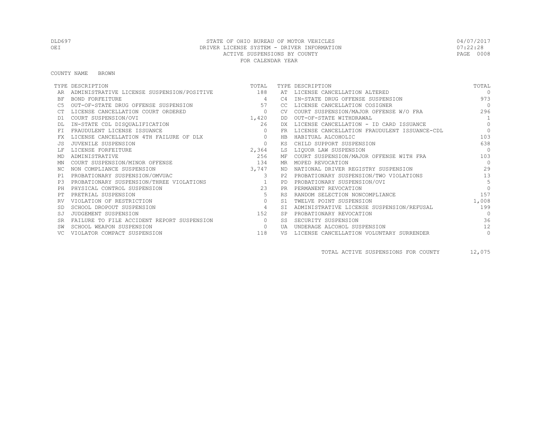COUNTY NAME BROWN

|           | TYPE DESCRIPTION                               | TOTAL          |            | TYPE DESCRIPTION                             | TOTAL          |
|-----------|------------------------------------------------|----------------|------------|----------------------------------------------|----------------|
|           | ADMINISTRATIVE LICENSE SUSPENSION/POSITIVE 188 |                |            | AT LICENSE CANCELLATION ALTERED              | $\Omega$       |
| BF        | BOND FORFEITURE                                | 4              | C4         | IN-STATE DRUG OFFENSE SUSPENSION             | 973            |
|           | OUT-OF-STATE DRUG OFFENSE SUSPENSION           | 57             | CC.        | LICENSE CANCELLATION COSIGNER                | $\bigcap$      |
|           | LICENSE CANCELLATION COURT ORDERED             | $\circ$        | <b>CV</b>  | COURT SUSPENSION/MAJOR OFFENSE W/O FRA       | 296            |
| D1        | COURT SUSPENSION/OVI                           | 1,420          | DD         | OUT-OF-STATE WITHDRAWAL                      | $\overline{1}$ |
|           | IN-STATE CDL DISQUALIFICATION                  | 26             | DX.        | LICENSE CANCELLATION - ID CARD ISSUANCE      | $\Omega$       |
| FT.       | FRAUDULENT LICENSE ISSUANCE                    | $\Omega$       | FR.        | LICENSE CANCELLATION FRAUDULENT ISSUANCE-CDL | $\Omega$       |
|           | LICENSE CANCELLATION 4TH FAILURE OF DLX        | $\circ$        | HB         | HABITUAL ALCOHOLIC                           | 103            |
|           | JUVENILE SUSPENSION                            | $\circ$        | КS         | CHILD SUPPORT SUSPENSION                     | 638            |
|           | LICENSE FORFEITURE                             | 2,364          | LS         | LIQUOR LAW SUSPENSION                        | $\bigcap$      |
| MD        | ADMINISTRATIVE                                 | 256            | МF         | COURT SUSPENSION/MAJOR OFFENSE WITH FRA      | 103            |
| ΜN        | COURT SUSPENSION/MINOR OFFENSE                 | 134            | MR.        | MOPED REVOCATION                             | $\bigcap$      |
| NC.       | NON COMPLIANCE SUSPENSION                      | 3,747          | ND.        | NATIONAL DRIVER REGISTRY SUSPENSION          | 29             |
| P1        | PROBATIONARY SUSPENSION/OMVUAC                 | $\mathbf{3}$   | P2         | PROBATIONARY SUSPENSION/TWO VIOLATIONS       | 13             |
| P3        | PROBATIONARY SUSPENSION/THREE VIOLATIONS       |                | <b>PD</b>  | PROBATIONARY SUSPENSION/OVI                  | 5              |
| PH        | PHYSICAL CONTROL SUSPENSION                    | 23             | <b>PR</b>  | PERMANENT REVOCATION                         | $\Omega$       |
|           | PRETRIAL SUSPENSION                            | 5              | <b>RS</b>  | RANDOM SELECTION NONCOMPLIANCE               | 157            |
|           | VIOLATION OF RESTRICTION                       | $\circ$        | S1         | TWELVE POINT SUSPENSION                      | 1,008          |
|           | SCHOOL DROPOUT SUSPENSION                      | $\overline{4}$ | <b>ST</b>  | ADMINISTRATIVE LICENSE SUSPENSION/REFUSAL    | 199            |
| SJ        | JUDGEMENT SUSPENSION                           | 152            | <b>SP</b>  | PROBATIONARY REVOCATION                      | $\Omega$       |
| <b>SR</b> | FAILURE TO FILE ACCIDENT REPORT SUSPENSION     | $\bigcirc$     | SS.        | SECURITY SUSPENSION                          | 36             |
|           | SCHOOL WEAPON SUSPENSION                       | $\circ$        | <b>TJA</b> | UNDERAGE ALCOHOL SUSPENSION                  | 12             |
|           | VIOLATOR COMPACT SUSPENSION                    | 118            | VS         | LICENSE CANCELLATION VOLUNTARY SURRENDER     | $\circ$        |

TOTAL ACTIVE SUSPENSIONS FOR COUNTY 12,075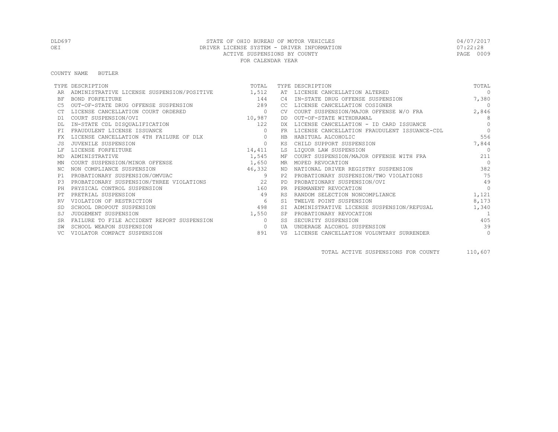#### COUNTY NAME BUTLER

|           | TYPE DESCRIPTION                                 | TOTAL        |           | TYPE DESCRIPTION                             | TOTAL     |
|-----------|--------------------------------------------------|--------------|-----------|----------------------------------------------|-----------|
|           | ADMINISTRATIVE LICENSE SUSPENSION/POSITIVE 1,512 |              | AT        | LICENSE CANCELLATION ALTERED                 | $\cap$    |
| <b>BF</b> | BOND FORFEITURE                                  | 144          |           | IN-STATE DRUG OFFENSE SUSPENSION             | 7,380     |
| C5        | OUT-OF-STATE DRUG OFFENSE SUSPENSION             | 289          | CC        | LICENSE CANCELLATION COSIGNER                | $\Omega$  |
|           | LICENSE CANCELLATION COURT ORDERED               | $\mathbf{0}$ |           | COURT SUSPENSION/MAJOR OFFENSE W/O FRA       | 2,846     |
| D1        | COURT SUSPENSION/OVI                             | 10,987       | DD        | OUT-OF-STATE WITHDRAWAL                      | 8         |
|           | IN-STATE CDL DISQUALIFICATION                    | 122          | DX.       | LICENSE CANCELLATION - ID CARD ISSUANCE      | $\bigcap$ |
| FT.       | FRAUDULENT LICENSE ISSUANCE                      | $\Omega$     | FR.       | LICENSE CANCELLATION FRAUDULENT ISSUANCE-CDL | $\Omega$  |
| FX        | LICENSE CANCELLATION 4TH FAILURE OF DLX          | $\mathbf{0}$ | HB        | HABITUAL ALCOHOLIC                           | 556       |
|           | JUVENILE SUSPENSION                              | $\mathbf{0}$ | KS        | CHILD SUPPORT SUSPENSION                     | 7,844     |
|           | LICENSE FORFEITURE                               | 14,411       | LS        | LIOUOR LAW SUSPENSION                        | $\cap$    |
| MD        | ADMINISTRATIVE                                   | 1,545        |           | MF COURT SUSPENSION/MAJOR OFFENSE WITH FRA   | 211       |
| ΜN        | COURT SUSPENSION/MINOR OFFENSE                   | 1,650        |           | MR MOPED REVOCATION                          | $\bigcap$ |
| ΝC        | NON COMPLIANCE SUSPENSION                        | 46,332       | ND.       | NATIONAL DRIVER REGISTRY SUSPENSION          | 382       |
| P1        | PROBATIONARY SUSPENSION/OMVUAC                   | 9            | P2.       | PROBATIONARY SUSPENSION/TWO VIOLATIONS       | 75        |
| P.3       | PROBATIONARY SUSPENSION/THREE VIOLATIONS         | 22           | PD.       | PROBATIONARY SUSPENSION/OVI                  | 49        |
| PH        | PHYSICAL CONTROL SUSPENSION                      | 160          | <b>PR</b> | PERMANENT REVOCATION                         | $\Omega$  |
|           | PRETRIAL SUSPENSION                              | 49           | <b>RS</b> | RANDOM SELECTION NONCOMPLIANCE               | 1,121     |
| RV        | VIOLATION OF RESTRICTION                         | 6            | S1        | TWELVE POINT SUSPENSION                      | 8,173     |
|           | SCHOOL DROPOUT SUSPENSION                        | 498          | SI        | ADMINISTRATIVE LICENSE SUSPENSION/REFUSAL    | 1,340     |
| SJ        | JUDGEMENT SUSPENSION                             | 1,550        | SP        | PROBATIONARY REVOCATION                      |           |
| <b>SR</b> | FAILURE TO FILE ACCIDENT REPORT SUSPENSION       | $\Omega$     | SS        | SECURITY SUSPENSION                          | 405       |
|           | SCHOOL WEAPON SUSPENSION                         | $\Omega$     | UA        | UNDERAGE ALCOHOL SUSPENSION                  | 39        |
|           | VIOLATOR COMPACT SUSPENSION                      | 891          | VS        | LICENSE CANCELLATION VOLUNTARY SURRENDER     | $\circ$   |

TOTAL ACTIVE SUSPENSIONS FOR COUNTY 110,607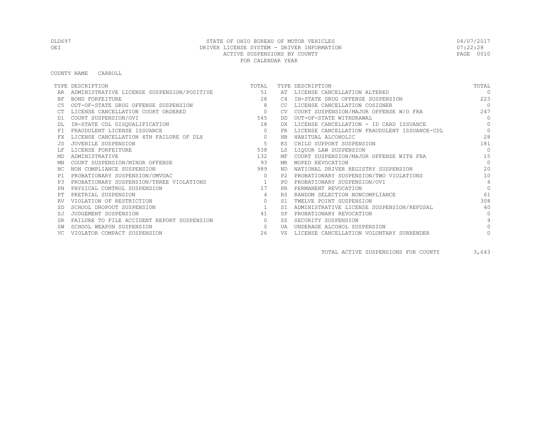COUNTY NAME CARROLL

|           | TYPE DESCRIPTION                           | TOTAL          |                | TYPE DESCRIPTION                             | TOTAL          |
|-----------|--------------------------------------------|----------------|----------------|----------------------------------------------|----------------|
|           | ADMINISTRATIVE LICENSE SUSPENSION/POSITIVE | 51             | AT             | LICENSE CANCELLATION ALTERED                 | $\Omega$       |
| BF        | BOND FORFEITURE                            | 2.8            | C <sub>4</sub> | IN-STATE DRUG OFFENSE SUSPENSION             | 223            |
|           | OUT-OF-STATE DRUG OFFENSE SUSPENSION       | 8              | CC.            | LICENSE CANCELLATION COSIGNER                | $\bigcap$      |
|           | LICENSE CANCELLATION COURT ORDERED         | $\overline{0}$ | CV.            | COURT SUSPENSION/MAJOR OFFENSE W/O FRA       | 247            |
| D1        | COURT SUSPENSION/OVI                       | 545            | DD             | OUT-OF-STATE WITHDRAWAL                      | $\Omega$       |
|           | IN-STATE CDL DISQUALIFICATION              | 18             | DX             | LICENSE CANCELLATION - ID CARD ISSUANCE      | $\Omega$       |
| FT.       | FRAUDULENT LICENSE ISSUANCE                | $\Omega$       | FR.            | LICENSE CANCELLATION FRAUDULENT ISSUANCE-CDL | $\Omega$       |
|           | LICENSE CANCELLATION 4TH FAILURE OF DLX    | $\circ$        | HB             | HABITUAL ALCOHOLIC                           | 28             |
|           | JUVENILE SUSPENSION                        | 5              | ΚS             | CHILD SUPPORT SUSPENSION                     | 181            |
|           | LICENSE FORFEITURE                         | 538            | LS             | LIQUOR LAW SUSPENSION                        | $\Omega$       |
| MD        | ADMINISTRATIVE                             | 132            | МF             | COURT SUSPENSION/MAJOR OFFENSE WITH FRA      | 15             |
| ΜN        | COURT SUSPENSION/MINOR OFFENSE             | 93             | MR.            | MOPED REVOCATION                             | $\Omega$       |
| NC.       | NON COMPLIANCE SUSPENSION                  | 989            | ND.            | NATIONAL DRIVER REGISTRY SUSPENSION          | 20             |
| P1        | PROBATIONARY SUSPENSION/OMVUAC             | $\Omega$       | P2.            | PROBATIONARY SUSPENSION/TWO VIOLATIONS       | 10             |
| P3        | PROBATIONARY SUSPENSION/THREE VIOLATIONS   |                | <b>PD</b>      | PROBATIONARY SUSPENSION/OVI                  | $\overline{4}$ |
| PH        | PHYSICAL CONTROL SUSPENSION                | 17             | <b>PR</b>      | PERMANENT REVOCATION                         | $\Omega$       |
|           | PRETRIAL SUSPENSION                        | 4              | <b>RS</b>      | RANDOM SELECTION NONCOMPLIANCE               | 61             |
|           | VIOLATION OF RESTRICTION                   | $\circ$        | S1             | TWELVE POINT SUSPENSION                      | 308            |
|           | SCHOOL DROPOUT SUSPENSION                  | 1              | <b>ST</b>      | ADMINISTRATIVE LICENSE SUSPENSION/REFUSAL    | 40             |
| SJ        | JUDGEMENT SUSPENSION                       | 41             | <b>SP</b>      | PROBATIONARY REVOCATION                      | $\bigcap$      |
| <b>SR</b> | FAILURE TO FILE ACCIDENT REPORT SUSPENSION | $\circ$        | SS.            | SECURITY SUSPENSION                          | $\mathsf{Q}$   |
|           | SCHOOL WEAPON SUSPENSION                   | $\circ$        | UA             | UNDERAGE ALCOHOL SUSPENSION                  |                |
|           | VIOLATOR COMPACT SUSPENSION                | 26             | VS             | LICENSE CANCELLATION VOLUNTARY SURRENDER     |                |

TOTAL ACTIVE SUSPENSIONS FOR COUNTY 3,643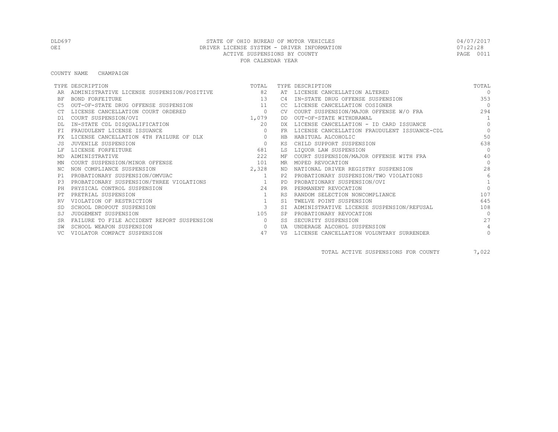#### COUNTY NAME CHAMPAIGN

|           | TYPE DESCRIPTION                           | TOTAL                   |           | TYPE DESCRIPTION                             | TOTAL           |
|-----------|--------------------------------------------|-------------------------|-----------|----------------------------------------------|-----------------|
|           | ADMINISTRATIVE LICENSE SUSPENSION/POSITIVE | 82                      | AT        | LICENSE CANCELLATION ALTERED                 | $\Omega$        |
| <b>BF</b> | BOND FORFEITURE                            | 1.3                     | C4        | IN-STATE DRUG OFFENSE SUSPENSION             | 353             |
|           | OUT-OF-STATE DRUG OFFENSE SUSPENSION       | 11                      | CC.       | LICENSE CANCELLATION COSIGNER                | $\bigcirc$      |
|           | LICENSE CANCELLATION COURT ORDERED         | $\circ$                 | CV.       | COURT SUSPENSION/MAJOR OFFENSE W/O FRA       | 294             |
| D1        | COURT SUSPENSION/OVI                       | 1,079                   | DD        | OUT-OF-STATE WITHDRAWAL                      | 1               |
|           | IN-STATE CDL DISQUALIFICATION              | 20                      | DX.       | LICENSE CANCELLATION - ID CARD ISSUANCE      | $\Omega$        |
|           | FRAUDULENT LICENSE ISSUANCE                | $\Omega$                | FR        | LICENSE CANCELLATION FRAUDULENT ISSUANCE-CDL | $\Omega$        |
|           | LICENSE CANCELLATION 4TH FAILURE OF DLX    | $\circ$                 | <b>HB</b> | HABITUAL ALCOHOLIC                           | 50              |
|           | JUVENILE SUSPENSION                        | $\mathbf{0}$            | ΚS        | CHILD SUPPORT SUSPENSION                     | 638             |
|           | LICENSE FORFEITURE                         | 681                     | T.S       | LIQUOR LAW SUSPENSION                        | $\Omega$        |
| MD        | ADMINISTRATIVE                             | 222                     | ΜF        | COURT SUSPENSION/MAJOR OFFENSE WITH FRA      | 40              |
| ΜN        | COURT SUSPENSION/MINOR OFFENSE             | 101                     | MR        | MOPED REVOCATION                             | $\bigcap$       |
| NC.       | NON COMPLIANCE SUSPENSION                  | 2,328                   | ND.       | NATIONAL DRIVER REGISTRY SUSPENSION          | 28              |
| P1        | PROBATIONARY SUSPENSION/OMVUAC             | $\overline{1}$          | P2.       | PROBATIONARY SUSPENSION/TWO VIOLATIONS       | $6\overline{6}$ |
| P3        | PROBATIONARY SUSPENSION/THREE VIOLATIONS   | $\mathbf{1}$            | <b>PD</b> | PROBATIONARY SUSPENSION/OVI                  | $\mathbf{1}$    |
|           | PHYSICAL CONTROL SUSPENSION                | 2.4                     | <b>PR</b> | PERMANENT REVOCATION                         | $\Omega$        |
|           | PRETRIAL SUSPENSION                        |                         | <b>RS</b> | RANDOM SELECTION NONCOMPLIANCE               | 107             |
|           | VIOLATION OF RESTRICTION                   | 1                       | S1        | TWELVE POINT SUSPENSION                      | 645             |
|           | SCHOOL DROPOUT SUSPENSION                  | $\overline{\mathbf{3}}$ | ST.       | ADMINISTRATIVE LICENSE SUSPENSION/REFUSAL    | 108             |
| SJ        | JUDGEMENT SUSPENSION                       | 105                     | <b>SP</b> | PROBATIONARY REVOCATION                      | $\Omega$        |
| <b>SR</b> | FAILURE TO FILE ACCIDENT REPORT SUSPENSION | $\circ$                 | SS        | SECURITY SUSPENSION                          | 27              |
|           | SCHOOL WEAPON SUSPENSION                   | $\circ$                 | UA        | UNDERAGE ALCOHOL SUSPENSION                  | 4               |
|           | VIOLATOR COMPACT SUSPENSION                | 47                      | VS        | LICENSE CANCELLATION VOLUNTARY SURRENDER     | $\circ$         |

TOTAL ACTIVE SUSPENSIONS FOR COUNTY 7,022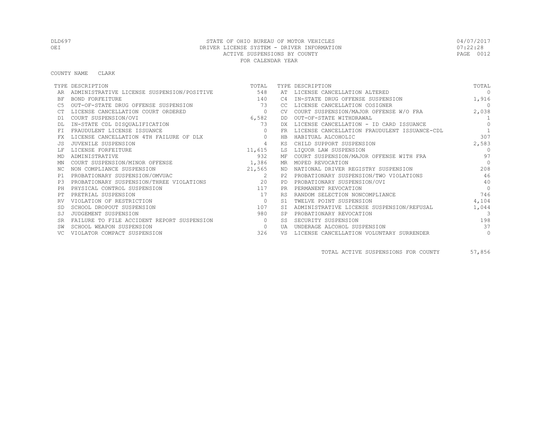COUNTY NAME CLARK

|           | TYPE DESCRIPTION                           | TOTAL          |                | TYPE DESCRIPTION                             | TOTAL          |
|-----------|--------------------------------------------|----------------|----------------|----------------------------------------------|----------------|
|           | ADMINISTRATIVE LICENSE SUSPENSION/POSITIVE | 548            | AT             | LICENSE CANCELLATION ALTERED                 | $\Omega$       |
| BF        | BOND FORFEITURE                            | 140            | C4             | IN-STATE DRUG OFFENSE SUSPENSION             | 1,916          |
|           | OUT-OF-STATE DRUG OFFENSE SUSPENSION       | 73             | CC.            | LICENSE CANCELLATION COSIGNER                | $\overline{0}$ |
|           | LICENSE CANCELLATION COURT ORDERED         | $\circ$        | CV.            | COURT SUSPENSION/MAJOR OFFENSE W/O FRA       | 2,038          |
| D1        | COURT SUSPENSION/OVI                       | 6,582          | DD             | OUT-OF-STATE WITHDRAWAL                      | 1              |
|           | IN-STATE CDL DISQUALIFICATION              | 73             | DX.            | LICENSE CANCELLATION - ID CARD ISSUANCE      | $\Omega$       |
| FT.       | FRAUDULENT LICENSE ISSUANCE                | $\Omega$       | FR.            | LICENSE CANCELLATION FRAUDULENT ISSUANCE-CDL |                |
| FX        | LICENSE CANCELLATION 4TH FAILURE OF DLX    | $\mathbf{0}$   | HB             | HABITUAL ALCOHOLIC                           | 307            |
| .JS       | JUVENILE SUSPENSION                        | $\overline{4}$ | KS             | CHILD SUPPORT SUSPENSION                     | 2,583          |
|           | LICENSE FORFEITURE                         | 11,615         | LS             | LIQUOR LAW SUSPENSION                        | $\Omega$       |
| MD        | ADMINISTRATIVE                             | 932            | MF             | COURT SUSPENSION/MAJOR OFFENSE WITH FRA      | 97             |
| ΜN        | COURT SUSPENSION/MINOR OFFENSE             | 1,386          | MR             | MOPED REVOCATION                             | $\bigcap$      |
| NC.       | NON COMPLIANCE SUSPENSION                  | 21,565         | ND             | NATIONAL DRIVER REGISTRY SUSPENSION          | 208            |
| P1        | PROBATIONARY SUSPENSION/OMVUAC             | 2              | P2             | PROBATIONARY SUSPENSION/TWO VIOLATIONS       | 46             |
| P3        | PROBATIONARY SUSPENSION/THREE VIOLATIONS   | $\sim$ 20      | <b>PD</b>      | PROBATIONARY SUSPENSION/OVI                  | 40             |
| PH        | PHYSICAL CONTROL SUSPENSION                | 117            |                | PERMANENT REVOCATION                         | $\Omega$       |
| PТ        | PRETRIAL SUSPENSION                        | 17             | <b>RS</b>      | RANDOM SELECTION NONCOMPLIANCE               | 746            |
|           | VIOLATION OF RESTRICTION                   | $\Omega$       | S <sub>1</sub> | TWELVE POINT SUSPENSION                      | 4,104          |
|           | SCHOOL DROPOUT SUSPENSION                  | 107            |                | ADMINISTRATIVE LICENSE SUSPENSION/REFUSAL    | 1,044          |
| SJ        | JUDGEMENT SUSPENSION                       | 980            |                | PROBATIONARY REVOCATION                      | 3              |
| <b>SR</b> | FAILURE TO FILE ACCIDENT REPORT SUSPENSION | $\Omega$       | SS             | SECURITY SUSPENSION                          | 198            |
|           | SCHOOL WEAPON SUSPENSION                   | $\circ$        | UA             | UNDERAGE ALCOHOL SUSPENSION                  | 37             |
|           | VIOLATOR COMPACT SUSPENSION                | 326            | VS             | LICENSE CANCELLATION VOLUNTARY SURRENDER     | $\circ$        |

TOTAL ACTIVE SUSPENSIONS FOR COUNTY 57,856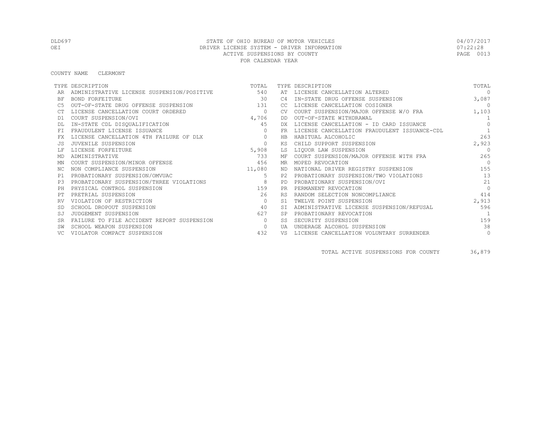#### COUNTY NAME CLERMONT

|           | TYPE DESCRIPTION                           | TOTAL                    |                | TYPE DESCRIPTION                             | TOTAL          |
|-----------|--------------------------------------------|--------------------------|----------------|----------------------------------------------|----------------|
|           | ADMINISTRATIVE LICENSE SUSPENSION/POSITIVE | 540                      | AT             | LICENSE CANCELLATION ALTERED                 | $\Omega$       |
| BF        | BOND FORFEITURE                            | 30                       | C4             | IN-STATE DRUG OFFENSE SUSPENSION             | 3,087          |
|           | OUT-OF-STATE DRUG OFFENSE SUSPENSION       | 131                      | CC.            | LICENSE CANCELLATION COSIGNER                | $\overline{0}$ |
|           | LICENSE CANCELLATION COURT ORDERED         | $\overline{\phantom{0}}$ | <b>CV</b>      | COURT SUSPENSION/MAJOR OFFENSE W/O FRA       | 1,103          |
| D1        | COURT SUSPENSION/OVI                       | 4,706                    | DD             | OUT-OF-STATE WITHDRAWAL                      | $\overline{1}$ |
|           | IN-STATE CDL DISQUALIFICATION              | 45                       | DX.            | LICENSE CANCELLATION - ID CARD ISSUANCE      | $\Omega$       |
| FT.       | FRAUDULENT LICENSE ISSUANCE                | $\Omega$                 | FR             | LICENSE CANCELLATION FRAUDULENT ISSUANCE-CDL | $\overline{1}$ |
| FX        | LICENSE CANCELLATION 4TH FAILURE OF DLX    | $\circ$                  | HB             | HABITUAL ALCOHOLIC                           | 263            |
|           | JUVENILE SUSPENSION                        | $\mathbf{0}$             | КS             | CHILD SUPPORT SUSPENSION                     | 2,923          |
|           | LICENSE FORFEITURE                         | 5,908                    | LS             | LIQUOR LAW SUSPENSION                        | $\Omega$       |
| MD        | ADMINISTRATIVE                             | 733                      | МF             | COURT SUSPENSION/MAJOR OFFENSE WITH FRA      | 265            |
| ΜN        | COURT SUSPENSION/MINOR OFFENSE             | 456                      | MR             | MOPED REVOCATION                             | $\bigcap$      |
| NC.       | NON COMPLIANCE SUSPENSION                  | 11,080                   | ND.            | NATIONAL DRIVER REGISTRY SUSPENSION          | 155            |
| P1        | PROBATIONARY SUSPENSION/OMVUAC             | 5                        | P <sub>2</sub> | PROBATIONARY SUSPENSION/TWO VIOLATIONS       | 13             |
| P3        | PROBATIONARY SUSPENSION/THREE VIOLATIONS   | $\sim$ 8                 | <b>PD</b>      | PROBATIONARY SUSPENSION/OVI                  | 21             |
| PH        | PHYSICAL CONTROL SUSPENSION                | 159                      | <b>PR</b>      | PERMANENT REVOCATION                         | $\Omega$       |
| PТ        | PRETRIAL SUSPENSION                        | 26                       | <b>RS</b>      | RANDOM SELECTION NONCOMPLIANCE               | 414            |
|           | VIOLATION OF RESTRICTION                   | $\mathbf{0}$             | S1             | TWELVE POINT SUSPENSION                      | 2,913          |
|           | SCHOOL DROPOUT SUSPENSION                  | 40                       | <b>ST</b>      | ADMINISTRATIVE LICENSE SUSPENSION/REFUSAL    | 596            |
| SJ        | JUDGEMENT SUSPENSION                       | 627                      |                | PROBATIONARY REVOCATION                      | $\overline{1}$ |
| <b>SR</b> | FAILURE TO FILE ACCIDENT REPORT SUSPENSION | $\Omega$                 | SS.            | SECURITY SUSPENSION                          | 159            |
|           | SCHOOL WEAPON SUSPENSION                   | $\circ$                  | <b>TJA</b>     | UNDERAGE ALCOHOL SUSPENSION                  | 38             |
|           | VIOLATOR COMPACT SUSPENSION                | 432                      | VS             | LICENSE CANCELLATION VOLUNTARY SURRENDER     | $\mathbf{0}$   |

TOTAL ACTIVE SUSPENSIONS FOR COUNTY 36,879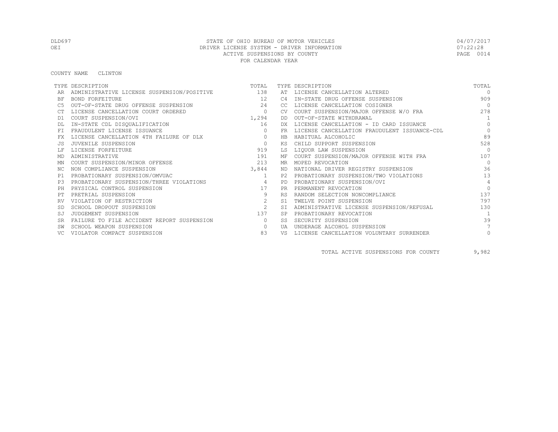COUNTY NAME CLINTON

|           | TYPE DESCRIPTION                               | TOTAL          |           | TYPE DESCRIPTION                             | TOTAL          |
|-----------|------------------------------------------------|----------------|-----------|----------------------------------------------|----------------|
|           | ADMINISTRATIVE LICENSE SUSPENSION/POSITIVE 138 |                |           | AT LICENSE CANCELLATION ALTERED              | $\Omega$       |
| BF        | BOND FORFEITURE                                | 12             | C4        | IN-STATE DRUG OFFENSE SUSPENSION             | 909            |
|           | OUT-OF-STATE DRUG OFFENSE SUSPENSION           | 2.4            | CC.       | LICENSE CANCELLATION COSIGNER                | $\bigcirc$     |
|           | LICENSE CANCELLATION COURT ORDERED             | $\overline{0}$ | <b>CV</b> | COURT SUSPENSION/MAJOR OFFENSE W/O FRA       | 278            |
| D1        | COURT SUSPENSION/OVI                           | 1,294          | DD        | OUT-OF-STATE WITHDRAWAL                      | $\overline{1}$ |
|           | IN-STATE CDL DISQUALIFICATION                  | 16             | DX.       | LICENSE CANCELLATION - ID CARD ISSUANCE      | $\Omega$       |
| FT.       | FRAUDULENT LICENSE ISSUANCE                    | $\Omega$       | FR        | LICENSE CANCELLATION FRAUDULENT ISSUANCE-CDL | $\Omega$       |
|           | LICENSE CANCELLATION 4TH FAILURE OF DLX        | $\circ$        | HB        | HABITUAL ALCOHOLIC                           | 89             |
|           | JUVENILE SUSPENSION                            | $\Omega$       | ΚS        | CHILD SUPPORT SUSPENSION                     | 528            |
|           | LICENSE FORFEITURE                             | 919            | LS        | LIQUOR LAW SUSPENSION                        | $\bigcap$      |
| MD        | ADMINISTRATIVE                                 | 191            | МF        | COURT SUSPENSION/MAJOR OFFENSE WITH FRA      | 107            |
| ΜN        | COURT SUSPENSION/MINOR OFFENSE                 | 213            | MR        | MOPED REVOCATION                             | $\Omega$       |
| NC.       | NON COMPLIANCE SUSPENSION                      | 3,844          | ND.       | NATIONAL DRIVER REGISTRY SUSPENSION          | 36             |
| P1        | PROBATIONARY SUSPENSION/OMVUAC                 | 1              | P2.       | PROBATIONARY SUSPENSION/TWO VIOLATIONS       | 13             |
| P3        | PROBATIONARY SUSPENSION/THREE VIOLATIONS       | $\sim$ 4       | <b>PD</b> | PROBATIONARY SUSPENSION/OVI                  | $\overline{4}$ |
| PH        | PHYSICAL CONTROL SUSPENSION                    | 17             | <b>PR</b> | PERMANENT REVOCATION                         | $\Omega$       |
|           | PRETRIAL SUSPENSION                            | 9              | <b>RS</b> | RANDOM SELECTION NONCOMPLIANCE               | 137            |
|           | VIOLATION OF RESTRICTION                       | 2              | S1        | TWELVE POINT SUSPENSION                      | 797            |
|           | SCHOOL DROPOUT SUSPENSION                      | 2              | <b>ST</b> | ADMINISTRATIVE LICENSE SUSPENSION/REFUSAL    | 130            |
| SJ        | JUDGEMENT SUSPENSION                           | 137            |           | PROBATIONARY REVOCATION                      | $\overline{1}$ |
| <b>SR</b> | FAILURE TO FILE ACCIDENT REPORT SUSPENSION     | $\circ$        | SS.       | SECURITY SUSPENSION                          | 39             |
|           | SCHOOL WEAPON SUSPENSION                       | $\circ$        | UA        | UNDERAGE ALCOHOL SUSPENSION                  |                |
|           | VIOLATOR COMPACT SUSPENSION                    | 83             | VS        | LICENSE CANCELLATION VOLUNTARY SURRENDER     | $\circ$        |

TOTAL ACTIVE SUSPENSIONS FOR COUNTY 9,982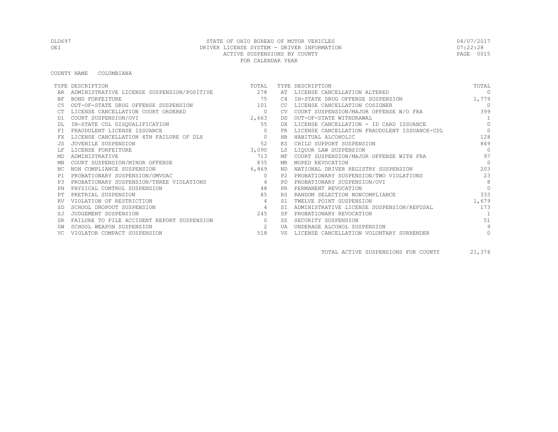#### COUNTY NAME COLUMBIANA

|           | TYPE DESCRIPTION                           | TOTAL          |           | TYPE DESCRIPTION                             | TOTAL          |
|-----------|--------------------------------------------|----------------|-----------|----------------------------------------------|----------------|
|           | ADMINISTRATIVE LICENSE SUSPENSION/POSITIVE | 278            | AT        | LICENSE CANCELLATION ALTERED                 | $\Omega$       |
| ΒF        | BOND FORFEITURE                            | 75             | C4        | IN-STATE DRUG OFFENSE SUSPENSION             | 1,779          |
| C5        | OUT-OF-STATE DRUG OFFENSE SUSPENSION       | 101            | CC        | LICENSE CANCELLATION COSIGNER                | $\Omega$       |
|           | LICENSE CANCELLATION COURT ORDERED         | $\circ$        | CV.       | COURT SUSPENSION/MAJOR OFFENSE W/O FRA       | 399            |
| D1        | COURT SUSPENSION/OVI                       | 2,663          | DD        | OUT-OF-STATE WITHDRAWAL                      | 1              |
|           | IN-STATE CDL DISQUALIFICATION              | 55             | DX.       | LICENSE CANCELLATION - ID CARD ISSUANCE      | $\Omega$       |
| FT.       | FRAUDULENT LICENSE ISSUANCE                | $\mathbf{0}$   | FR        | LICENSE CANCELLATION FRAUDULENT ISSUANCE-CDL | $\Omega$       |
| FX        | LICENSE CANCELLATION 4TH FAILURE OF DLX    | $\circ$        | HB        | HABITUAL ALCOHOLIC                           | 128            |
|           | JUVENILE SUSPENSION                        | 52             | ΚS        | CHILD SUPPORT SUSPENSION                     | 849            |
|           | LICENSE FORFEITURE                         | 3,090          | LS        | LIQUOR LAW SUSPENSION                        | $\Omega$       |
| MD        | ADMINISTRATIVE                             | 713            |           | MF COURT SUSPENSION/MAJOR OFFENSE WITH FRA   | 97             |
| ΜN        | COURT SUSPENSION/MINOR OFFENSE             | 835            | MR.       | MOPED REVOCATION                             | $\bigcap$      |
| ΝC        | NON COMPLIANCE SUSPENSION                  | 6,869          | ND.       | NATIONAL DRIVER REGISTRY SUSPENSION          | 203            |
| P1        | PROBATIONARY SUSPENSION/OMVUAC             | $\Omega$       | P2.       | PROBATIONARY SUSPENSION/TWO VIOLATIONS       | 23             |
| P.3       | PROBATIONARY SUSPENSION/THREE VIOLATIONS   | $\overline{4}$ | <b>PD</b> | PROBATIONARY SUSPENSION/OVI                  | 8              |
| PH        | PHYSICAL CONTROL SUSPENSION                | 48             | <b>PR</b> | PERMANENT REVOCATION                         | $\Omega$       |
|           | PRETRIAL SUSPENSION                        | 85             | <b>RS</b> | RANDOM SELECTION NONCOMPLIANCE               | 333            |
|           | VIOLATION OF RESTRICTION                   | 4              | S1        | TWELVE POINT SUSPENSION                      | 1,679          |
|           | SCHOOL DROPOUT SUSPENSION                  | $\overline{4}$ | ST.       | ADMINISTRATIVE LICENSE SUSPENSION/REFUSAL    | 173            |
| SJ        | JUDGEMENT SUSPENSION                       | 245            |           | PROBATIONARY REVOCATION                      | $\overline{1}$ |
| <b>SR</b> | FAILURE TO FILE ACCIDENT REPORT SUSPENSION | $\circ$        | SS        | SECURITY SUSPENSION                          | 51             |
|           | SCHOOL WEAPON SUSPENSION                   | 2              | UA        | UNDERAGE ALCOHOL SUSPENSION                  | 9              |
|           | VIOLATOR COMPACT SUSPENSION                | 518            | VS        | LICENSE CANCELLATION VOLUNTARY SURRENDER     | $\circ$        |

TOTAL ACTIVE SUSPENSIONS FOR COUNTY 21,374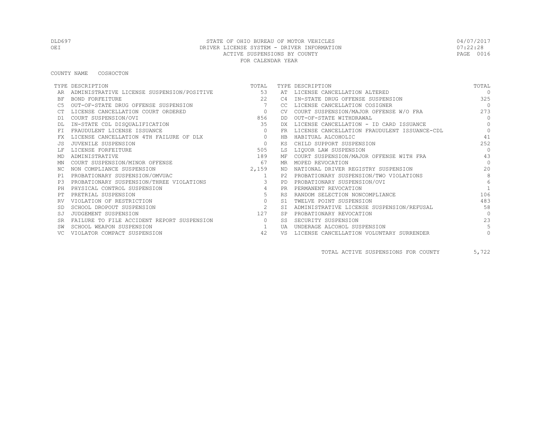COUNTY NAME COSHOCTON

|           | TYPE DESCRIPTION                           | TOTAL          |                | TYPE DESCRIPTION                             | TOTAL            |
|-----------|--------------------------------------------|----------------|----------------|----------------------------------------------|------------------|
|           | ADMINISTRATIVE LICENSE SUSPENSION/POSITIVE | 53             |                | AT LICENSE CANCELLATION ALTERED              | $\Omega$         |
| BF        | BOND FORFEITURE                            | 2.2            | C4             | IN-STATE DRUG OFFENSE SUSPENSION             | 325              |
|           | OUT-OF-STATE DRUG OFFENSE SUSPENSION       | 7              | CC.            | LICENSE CANCELLATION COSIGNER                | $\overline{0}$   |
|           | LICENSE CANCELLATION COURT ORDERED         | $\overline{0}$ | <b>CV</b>      | COURT SUSPENSION/MAJOR OFFENSE W/O FRA       | 273              |
| D1        | COURT SUSPENSION/OVI                       | 856            | DD             | OUT-OF-STATE WITHDRAWAL                      | $\Omega$         |
|           | IN-STATE CDL DISQUALIFICATION              | 35             | DX             | LICENSE CANCELLATION - ID CARD ISSUANCE      | $\Omega$         |
| FT.       | FRAUDULENT LICENSE ISSUANCE                | $\Omega$       | FR.            | LICENSE CANCELLATION FRAUDULENT ISSUANCE-CDL | $\Omega$         |
|           | LICENSE CANCELLATION 4TH FAILURE OF DLX    | $\circ$        | HB             | HABITUAL ALCOHOLIC                           | 41               |
|           | JUVENILE SUSPENSION                        | $\Omega$       | ΚS             | CHILD SUPPORT SUSPENSION                     | 2.52             |
|           | LICENSE FORFEITURE                         | 505            | LS             | LIQUOR LAW SUSPENSION                        | $\Omega$         |
| MD        | ADMINISTRATIVE                             | 189            | МF             | COURT SUSPENSION/MAJOR OFFENSE WITH FRA      | 43               |
| ΜN        | COURT SUSPENSION/MINOR OFFENSE             | 67             | MR             | MOPED REVOCATION                             | $\bigcap$        |
| NC.       | NON COMPLIANCE SUSPENSION                  | 2,159          | ND.            | NATIONAL DRIVER REGISTRY SUSPENSION          | 20               |
| P1        | PROBATIONARY SUSPENSION/OMVUAC             | 1              | P <sub>2</sub> | PROBATIONARY SUSPENSION/TWO VIOLATIONS       | 8                |
| P3        | PROBATIONARY SUSPENSION/THREE VIOLATIONS   | $\mathbf{3}$   | PD.            | PROBATIONARY SUSPENSION/OVI                  | $6 \overline{6}$ |
| PH        | PHYSICAL CONTROL SUSPENSION                |                | <b>PR</b>      | PERMANENT REVOCATION                         |                  |
|           | PRETRIAL SUSPENSION                        | 5              | <b>RS</b>      | RANDOM SELECTION NONCOMPLIANCE               | 106              |
|           | VIOLATION OF RESTRICTION                   | $\circ$        | S1             | TWELVE POINT SUSPENSION                      | 483              |
|           | SCHOOL DROPOUT SUSPENSION                  | 2              | ST.            | ADMINISTRATIVE LICENSE SUSPENSION/REFUSAL    | 58               |
| SJ        | JUDGEMENT SUSPENSION                       | 127            | <b>SP</b>      | PROBATIONARY REVOCATION                      | $\Omega$         |
| <b>SR</b> | FAILURE TO FILE ACCIDENT REPORT SUSPENSION | $\Omega$       | SS             | SECURITY SUSPENSION                          | 23               |
|           | SCHOOL WEAPON SUSPENSION                   |                | UA             | UNDERAGE ALCOHOL SUSPENSION                  | 5                |
|           | VIOLATOR COMPACT SUSPENSION                | 42             | VS             | LICENSE CANCELLATION VOLUNTARY SURRENDER     | $\circ$          |

TOTAL ACTIVE SUSPENSIONS FOR COUNTY 5,722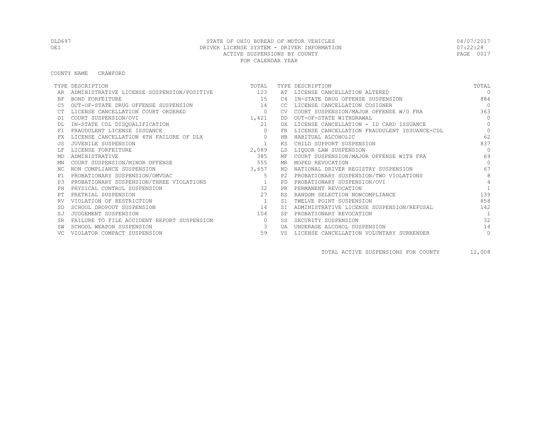#### COUNTY NAME CRAWFORD

|           | TYPE DESCRIPTION                               | TOTAL          |                | TYPE DESCRIPTION                             | TOTAL          |
|-----------|------------------------------------------------|----------------|----------------|----------------------------------------------|----------------|
|           | ADMINISTRATIVE LICENSE SUSPENSION/POSITIVE 123 |                | AT             | LICENSE CANCELLATION ALTERED                 | $\cap$         |
| <b>BF</b> | BOND FORFEITURE                                | 15             | C <sub>4</sub> | IN-STATE DRUG OFFENSE SUSPENSION             | 884            |
|           | OUT-OF-STATE DRUG OFFENSE SUSPENSION           | 14             | CC.            | LICENSE CANCELLATION COSIGNER                | $\bigcap$      |
|           | LICENSE CANCELLATION COURT ORDERED             | $\circ$        |                | COURT SUSPENSION/MAJOR OFFENSE W/O FRA       | 363            |
| D1        | COURT SUSPENSION/OVI                           | 1,421          | DD.            | OUT-OF-STATE WITHDRAWAL                      | $\bigcap$      |
|           | IN-STATE CDL DISQUALIFICATION                  | 21             | DX             | LICENSE CANCELLATION - ID CARD ISSUANCE      | $\Omega$       |
|           | FRAUDULENT LICENSE ISSUANCE                    | $\Omega$       | FR             | LICENSE CANCELLATION FRAUDULENT ISSUANCE-CDL | $\Omega$       |
|           | LICENSE CANCELLATION 4TH FAILURE OF DLX        | $\circ$        | HB             | HABITUAL ALCOHOLIC                           | 62             |
|           | JUVENILE SUSPENSION                            |                | KS             | CHILD SUPPORT SUSPENSION                     | 837            |
|           | LICENSE FORFEITURE                             | 2,089          | LS             | LIOUOR LAW SUSPENSION                        | $\bigcap$      |
| MD        | ADMINISTRATIVE                                 | 385            | ΜF             | COURT SUSPENSION/MAJOR OFFENSE WITH FRA      | 69             |
| ΜN        | COURT SUSPENSION/MINOR OFFENSE                 | 555            | MR             | MOPED REVOCATION                             | $\bigcap$      |
| ΝC        | NON COMPLIANCE SUSPENSION                      | 3,657          | ND.            | NATIONAL DRIVER REGISTRY SUSPENSION          | 67             |
| P1        | PROBATIONARY SUSPENSION/OMVUAC                 | $5^{\circ}$    | P2.            | PROBATIONARY SUSPENSION/TWO VIOLATIONS       | 8              |
| P3        | PROBATIONARY SUSPENSION/THREE VIOLATIONS       |                | PD             | PROBATIONARY SUSPENSION/OVI                  | $\overline{4}$ |
|           | PHYSICAL CONTROL SUSPENSION                    | 32             | <b>PR</b>      | PERMANENT REVOCATION                         |                |
|           | PRETRIAL SUSPENSION                            | 2.7            | <b>RS</b>      | RANDOM SELECTION NONCOMPLIANCE               | 139            |
|           | VIOLATION OF RESTRICTION                       | $\overline{1}$ | S1             | TWELVE POINT SUSPENSION                      | 858            |
|           | SCHOOL DROPOUT SUSPENSION                      | 14             | <b>ST</b>      | ADMINISTRATIVE LICENSE SUSPENSION/REFUSAL    | 142            |
| SJ        | JUDGEMENT SUSPENSION                           | 104            | <b>SP</b>      | PROBATIONARY REVOCATION                      |                |
| <b>SR</b> | FAILURE TO FILE ACCIDENT REPORT SUSPENSION     | $\circ$        | SS             | SECURITY SUSPENSION                          | 32             |
|           | SCHOOL WEAPON SUSPENSION                       | 3              | UA             | UNDERAGE ALCOHOL SUSPENSION                  | 14             |
|           | VIOLATOR COMPACT SUSPENSION                    | 59             | VS             | LICENSE CANCELLATION VOLUNTARY SURRENDER     | $\circ$        |

TOTAL ACTIVE SUSPENSIONS FOR COUNTY 12,008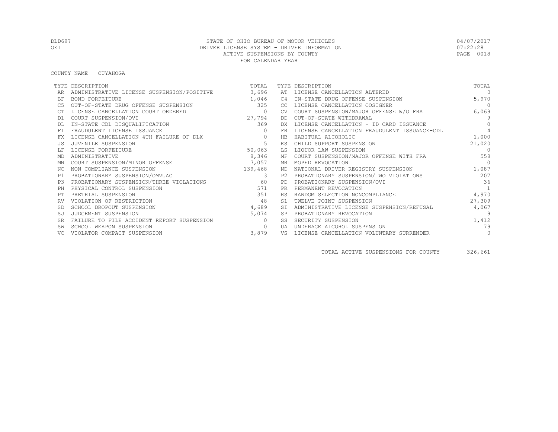COUNTY NAME CUYAHOGA

|                | TYPE DESCRIPTION                           | TOTAL          |           | TYPE DESCRIPTION                             | TOTAL          |
|----------------|--------------------------------------------|----------------|-----------|----------------------------------------------|----------------|
|                | ADMINISTRATIVE LICENSE SUSPENSION/POSITIVE | 3,696          | AT        | LICENSE CANCELLATION ALTERED                 | $\Omega$       |
| ΒF             | <b>BOND FORFEITURE</b>                     | 1,046          | C4        | IN-STATE DRUG OFFENSE SUSPENSION             | 5,970          |
| C5             | OUT-OF-STATE DRUG OFFENSE SUSPENSION       | 325            | CC.       | LICENSE CANCELLATION COSIGNER                | $\Omega$       |
|                | LICENSE CANCELLATION COURT ORDERED         | $\circ$        | CV.       | COURT SUSPENSION/MAJOR OFFENSE W/O FRA       | 6,069          |
| D1             | COURT SUSPENSION/OVI                       | 27,794         | DD        | OUT-OF-STATE WITHDRAWAL                      | 9              |
|                | IN-STATE CDL DISQUALIFICATION              | 369            | DX.       | LICENSE CANCELLATION - ID CARD ISSUANCE      | $\bigcap$      |
| FT.            | FRAUDULENT LICENSE ISSUANCE                |                | FR.       | LICENSE CANCELLATION FRAUDULENT ISSUANCE-CDL | $\overline{4}$ |
| FX.            | LICENSE CANCELLATION 4TH FAILURE OF DLX    | $\circ$        | HB        | HABITUAL ALCOHOLIC                           | 1,000          |
| .JS            | JUVENILE SUSPENSION                        | 15             | ΚS        | CHILD SUPPORT SUSPENSION                     | 21,020         |
|                | LICENSE FORFEITURE                         | 50,063         | LS        | LIQUOR LAW SUSPENSION                        | $\Omega$       |
| MD             | ADMINISTRATIVE                             | 8,346          | МF        | COURT SUSPENSION/MAJOR OFFENSE WITH FRA      | 558            |
| ΜN             | COURT SUSPENSION/MINOR OFFENSE             | 7,057          | MR        | MOPED REVOCATION                             | $\bigcap$      |
| ΝC             | NON COMPLIANCE SUSPENSION                  | 139,468        | ND        | NATIONAL DRIVER REGISTRY SUSPENSION          | 1,087          |
| P1             | PROBATIONARY SUSPENSION/OMVUAC             | $\overline{3}$ | P2        | PROBATIONARY SUSPENSION/TWO VIOLATIONS       | 207            |
| P <sub>3</sub> | PROBATIONARY SUSPENSION/THREE VIOLATIONS   | 60             | PD.       | PROBATIONARY SUSPENSION/OVI                  | 36             |
| PH             | PHYSICAL CONTROL SUSPENSION                | 571            | <b>PR</b> | PERMANENT REVOCATION                         | 1              |
| PТ             | PRETRIAL SUSPENSION                        | 351            | <b>RS</b> | RANDOM SELECTION NONCOMPLIANCE               | 4,970          |
| RV             | VIOLATION OF RESTRICTION                   | 48             |           | TWELVE POINT SUSPENSION                      | 27,309         |
|                | SCHOOL DROPOUT SUSPENSION                  | 4,689          | SI        | ADMINISTRATIVE LICENSE SUSPENSION/REFUSAL    | 4,067          |
|                | JUDGEMENT SUSPENSION                       | 5,074          | SP        | PROBATIONARY REVOCATION                      | -9             |
|                | FAILURE TO FILE ACCIDENT REPORT SUSPENSION | $\Omega$       | SS        | SECURITY SUSPENSION                          | 1,412          |
| SW             | SCHOOL WEAPON SUSPENSION                   | $\Omega$       | tja       | UNDERAGE ALCOHOL SUSPENSION                  | 79             |
| VC.            | VIOLATOR COMPACT SUSPENSION                | 3,879          | VS        | LICENSE CANCELLATION VOLUNTARY SURRENDER     | $\circ$        |

TOTAL ACTIVE SUSPENSIONS FOR COUNTY 326,661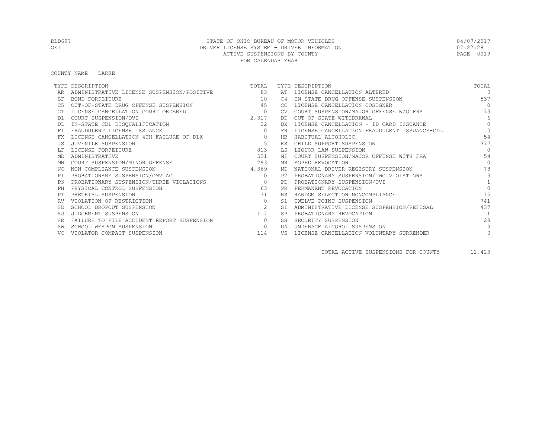#### COUNTY NAME DARKE

|           | TYPE DESCRIPTION                           | TOTAL    |                | TYPE DESCRIPTION                             | TOTAL     |
|-----------|--------------------------------------------|----------|----------------|----------------------------------------------|-----------|
|           | ADMINISTRATIVE LICENSE SUSPENSION/POSITIVE | 83       |                | AT LICENSE CANCELLATION ALTERED              | $\cap$    |
| ΒF        | BOND FORFEITURE                            | 10       | C <sub>4</sub> | IN-STATE DRUG OFFENSE SUSPENSION             | 537       |
| C5        | OUT-OF-STATE DRUG OFFENSE SUSPENSION       | 45       | CC             | LICENSE CANCELLATION COSIGNER                | $\bigcap$ |
|           | LICENSE CANCELLATION COURT ORDERED         | $\circ$  | <b>CV</b>      | COURT SUSPENSION/MAJOR OFFENSE W/O FRA       | 173       |
| D1        | COURT SUSPENSION/OVI                       | 2,317    | DD             | OUT-OF-STATE WITHDRAWAL                      | 6         |
|           | IN-STATE CDL DISQUALIFICATION              | 22       | DX.            | LICENSE CANCELLATION - ID CARD ISSUANCE      | $\bigcap$ |
| FT        | FRAUDULENT LICENSE ISSUANCE                | $\Omega$ | FR             | LICENSE CANCELLATION FRAUDULENT ISSUANCE-CDL | $\Omega$  |
| FX        | LICENSE CANCELLATION 4TH FAILURE OF DLX    | $\circ$  | HB             | HABITUAL ALCOHOLIC                           | 54        |
|           | JUVENILE SUSPENSION                        | 5        | КS             | CHILD SUPPORT SUSPENSION                     | 377       |
|           | LICENSE FORFEITURE                         | 813      | LS             | LIQUOR LAW SUSPENSION                        | $\Omega$  |
| MD        | ADMINISTRATIVE                             | 531      | МF             | COURT SUSPENSION/MAJOR OFFENSE WITH FRA      | 54        |
| MN        | COURT SUSPENSION/MINOR OFFENSE             | 293      | MR             | MOPED REVOCATION                             | $\Omega$  |
| NC.       | NON COMPLIANCE SUSPENSION                  | 4,369    | ND.            | NATIONAL DRIVER REGISTRY SUSPENSION          | 78        |
| P1        | PROBATIONARY SUSPENSION/OMVUAC             | $\circ$  | P2.            | PROBATIONARY SUSPENSION/TWO VIOLATIONS       | 3         |
| P.3       | PROBATIONARY SUSPENSION/THREE VIOLATIONS   | $\circ$  | PD             | PROBATIONARY SUSPENSION/OVI                  |           |
| PH        | PHYSICAL CONTROL SUSPENSION                | 63       | <b>PR</b>      | PERMANENT REVOCATION                         |           |
|           | PRETRIAL SUSPENSION                        | 31       | <b>RS</b>      | RANDOM SELECTION NONCOMPLIANCE               | 115       |
| RV        | VIOLATION OF RESTRICTION                   | $\circ$  | S1             | TWELVE POINT SUSPENSION                      | 741       |
| -SD       | SCHOOL DROPOUT SUSPENSION                  | 2        | <b>ST</b>      | ADMINISTRATIVE LICENSE SUSPENSION/REFUSAL    | 437       |
| SJ        | JUDGEMENT SUSPENSION                       | 117      | <b>SP</b>      | PROBATIONARY REVOCATION                      |           |
| <b>SR</b> | FAILURE TO FILE ACCIDENT REPORT SUSPENSION | $\Omega$ | SS             | SECURITY SUSPENSION                          | 28        |
|           | SCHOOL WEAPON SUSPENSION                   | $\Omega$ | UA             | UNDERAGE ALCOHOL SUSPENSION                  | 3         |
|           | VIOLATOR COMPACT SUSPENSION                | 114      | VS             | LICENSE CANCELLATION VOLUNTARY SURRENDER     | $\circ$   |

TOTAL ACTIVE SUSPENSIONS FOR COUNTY 11,423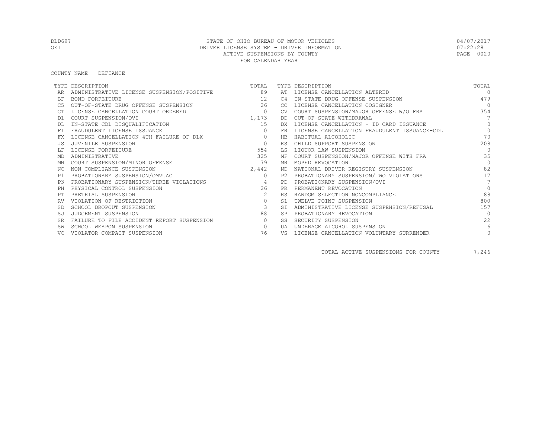#### COUNTY NAME DEFIANCE

|           | TYPE DESCRIPTION                           | TOTAL          |                | TYPE DESCRIPTION                             | TOTAL           |
|-----------|--------------------------------------------|----------------|----------------|----------------------------------------------|-----------------|
|           | ADMINISTRATIVE LICENSE SUSPENSION/POSITIVE | 89             | AT             | LICENSE CANCELLATION ALTERED                 | $\Omega$        |
| BF        | BOND FORFEITURE                            | 12             | C <sub>4</sub> | IN-STATE DRUG OFFENSE SUSPENSION             | 479             |
|           | OUT-OF-STATE DRUG OFFENSE SUSPENSION       | 26             | CC.            | LICENSE CANCELLATION COSIGNER                | $\overline{0}$  |
|           | LICENSE CANCELLATION COURT ORDERED         | $\circ$        | <b>CV</b>      | COURT SUSPENSION/MAJOR OFFENSE W/O FRA       | 354             |
| D1        | COURT SUSPENSION/OVI                       | 1,173          | DD             | OUT-OF-STATE WITHDRAWAL                      | $7\overline{ }$ |
|           | IN-STATE CDL DISQUALIFICATION              | 15             | DX.            | LICENSE CANCELLATION - ID CARD ISSUANCE      | $\Omega$        |
| FT        | FRAUDULENT LICENSE ISSUANCE                | $\Omega$       | FR             | LICENSE CANCELLATION FRAUDULENT ISSUANCE-CDL | $\Omega$        |
| FX        | LICENSE CANCELLATION 4TH FAILURE OF DLX    | $\circ$        | <b>HB</b>      | HABITUAL ALCOHOLIC                           | 70              |
| .JS       | JUVENILE SUSPENSION                        | $\circ$        | ΚS             | CHILD SUPPORT SUSPENSION                     | 208             |
|           | LICENSE FORFEITURE                         | 554            | LS             | LIQUOR LAW SUSPENSION                        | $\Omega$        |
| MD        | ADMINISTRATIVE                             | 325            | МF             | COURT SUSPENSION/MAJOR OFFENSE WITH FRA      | 35              |
| ΜN        | COURT SUSPENSION/MINOR OFFENSE             | 79             | MR.            | MOPED REVOCATION                             | $\Omega$        |
| NC.       | NON COMPLIANCE SUSPENSION                  | 2,442          | ND             | NATIONAL DRIVER REGISTRY SUSPENSION          | 82              |
| P1        | PROBATIONARY SUSPENSION/OMVUAC             | $\circ$        | P2.            | PROBATIONARY SUSPENSION/TWO VIOLATIONS       | 17              |
| P3        | PROBATIONARY SUSPENSION/THREE VIOLATIONS   | $\overline{4}$ | <b>PD</b>      | PROBATIONARY SUSPENSION/OVI                  | $\overline{7}$  |
| PH        | PHYSICAL CONTROL SUSPENSION                | 26             | <b>PR</b>      | PERMANENT REVOCATION                         | $\Omega$        |
|           | PRETRIAL SUSPENSION                        | 2              | <b>RS</b>      | RANDOM SELECTION NONCOMPLIANCE               | 88              |
|           | VIOLATION OF RESTRICTION                   | $\circ$        | S1             | TWELVE POINT SUSPENSION                      | 800             |
| <b>SD</b> | SCHOOL DROPOUT SUSPENSION                  | $\mathbf{3}$   | <b>ST</b>      | ADMINISTRATIVE LICENSE SUSPENSION/REFUSAL    | 157             |
|           | JUDGEMENT SUSPENSION                       | 88             | <b>SP</b>      | PROBATIONARY REVOCATION                      | $\Omega$        |
| <b>SR</b> | FAILURE TO FILE ACCIDENT REPORT SUSPENSION | $\circ$        | SS.            | SECURITY SUSPENSION                          | 22              |
|           | SCHOOL WEAPON SUSPENSION                   | $\circ$        | UA             | UNDERAGE ALCOHOL SUSPENSION                  | 6               |
|           | VIOLATOR COMPACT SUSPENSION                | 76             | VS             | LICENSE CANCELLATION VOLUNTARY SURRENDER     | $\circ$         |

TOTAL ACTIVE SUSPENSIONS FOR COUNTY 7,246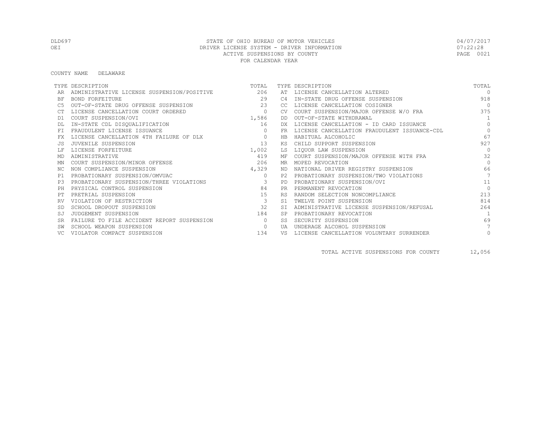COUNTY NAME DELAWARE

|           | TYPE DESCRIPTION                           | TOTAL                    |           | TYPE DESCRIPTION                             | TOTAL          |
|-----------|--------------------------------------------|--------------------------|-----------|----------------------------------------------|----------------|
|           | ADMINISTRATIVE LICENSE SUSPENSION/POSITIVE | 206                      |           | AT LICENSE CANCELLATION ALTERED              | $\Omega$       |
| ΒF        | BOND FORFEITURE                            | 29                       | C4        | IN-STATE DRUG OFFENSE SUSPENSION             | 918            |
| C5        | OUT-OF-STATE DRUG OFFENSE SUSPENSION       | 23                       | CC.       | LICENSE CANCELLATION COSIGNER                | $\overline{0}$ |
|           | LICENSE CANCELLATION COURT ORDERED         | $\overline{0}$           | <b>CV</b> | COURT SUSPENSION/MAJOR OFFENSE W/O FRA       | 375            |
| D1        | COURT SUSPENSION/OVI                       | 1,586                    | DD        | OUT-OF-STATE WITHDRAWAL                      | $\overline{1}$ |
|           | IN-STATE CDL DISQUALIFICATION              | 16                       | DX        | LICENSE CANCELLATION - ID CARD ISSUANCE      | $\Omega$       |
| <b>FT</b> | FRAUDULENT LICENSE ISSUANCE                | $\circ$                  | <b>FR</b> | LICENSE CANCELLATION FRAUDULENT ISSUANCE-CDL | $\circ$        |
| FX        | LICENSE CANCELLATION 4TH FAILURE OF DLX    | $\circ$                  | <b>HB</b> | HABITUAL ALCOHOLIC                           | 67             |
| .JS       | JUVENILE SUSPENSION                        | 13                       | ΚS        | CHILD SUPPORT SUSPENSION                     | 927            |
|           | LICENSE FORFEITURE                         | 1,002                    | LS        | LIQUOR LAW SUSPENSION                        | $\Omega$       |
| MD        | ADMINISTRATIVE                             | 419                      | МF        | COURT SUSPENSION/MAJOR OFFENSE WITH FRA      | 32             |
| ΜN        | COURT SUSPENSION/MINOR OFFENSE             | 206                      | MR.       | MOPED REVOCATION                             | $\Omega$       |
| NC.       | NON COMPLIANCE SUSPENSION                  | 4,329                    | ND.       | NATIONAL DRIVER REGISTRY SUSPENSION          | 66             |
| P1        | PROBATIONARY SUSPENSION/OMVUAC             | $\circ$                  | P2.       | PROBATIONARY SUSPENSION/TWO VIOLATIONS       | 7              |
| P3        | PROBATIONARY SUSPENSION/THREE VIOLATIONS   | $\overline{\mathbf{3}}$  | PD        | PROBATIONARY SUSPENSION/OVI                  | 11             |
| PH        | PHYSICAL CONTROL SUSPENSION                | 84                       | <b>PR</b> | PERMANENT REVOCATION                         | $\Omega$       |
| PТ        | PRETRIAL SUSPENSION                        | 15                       | <b>RS</b> | RANDOM SELECTION NONCOMPLIANCE               | 213            |
|           | VIOLATION OF RESTRICTION                   | $\overline{\phantom{a}}$ | S1        | TWELVE POINT SUSPENSION                      | 814            |
| -SD       | SCHOOL DROPOUT SUSPENSION                  | 32                       |           | ADMINISTRATIVE LICENSE SUSPENSION/REFUSAL    | 264            |
| SJ        | JUDGEMENT SUSPENSION                       | 184                      | <b>SP</b> | PROBATIONARY REVOCATION                      | $\overline{1}$ |
| <b>SR</b> | FAILURE TO FILE ACCIDENT REPORT SUSPENSION | $\Omega$                 | SS.       | SECURITY SUSPENSION                          | 69             |
|           | SCHOOL WEAPON SUSPENSION                   | $\circ$                  | UA        | UNDERAGE ALCOHOL SUSPENSION                  |                |
|           | VIOLATOR COMPACT SUSPENSION                | 134                      | VS        | LICENSE CANCELLATION VOLUNTARY SURRENDER     | $\circ$        |

TOTAL ACTIVE SUSPENSIONS FOR COUNTY 12,056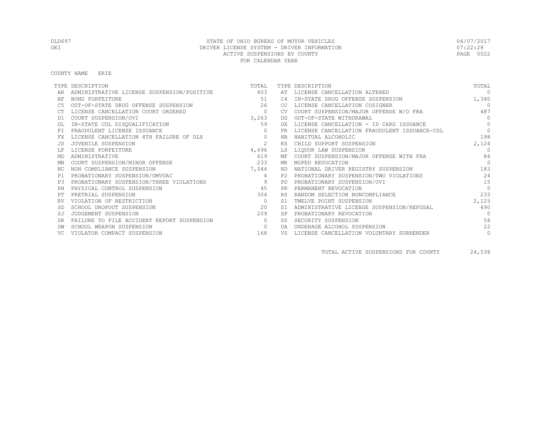#### COUNTY NAME ERIE

|           | TYPE DESCRIPTION                           | TOTAL        |           | TYPE DESCRIPTION                             | TOTAL        |
|-----------|--------------------------------------------|--------------|-----------|----------------------------------------------|--------------|
|           | ADMINISTRATIVE LICENSE SUSPENSION/POSITIVE | 403          | AT        | LICENSE CANCELLATION ALTERED                 | $\Omega$     |
| BF        | BOND FORFEITURE                            | 51           | C4        | IN-STATE DRUG OFFENSE SUSPENSION             | 1,340        |
|           | OUT-OF-STATE DRUG OFFENSE SUSPENSION       | 26           | CC        | LICENSE CANCELLATION COSIGNER                | $\cap$       |
|           | LICENSE CANCELLATION COURT ORDERED         | $\circ$      | CV.       | COURT SUSPENSION/MAJOR OFFENSE W/O FRA       | 487          |
| D1        | COURT SUSPENSION/OVI                       | 3,263        | DD.       | OUT-OF-STATE WITHDRAWAL                      | $\Omega$     |
|           | IN-STATE CDL DISQUALIFICATION              | 59           | DX.       | LICENSE CANCELLATION - ID CARD ISSUANCE      | $\Omega$     |
| FT.       | FRAUDULENT LICENSE ISSUANCE                | $\Omega$     | FR        | LICENSE CANCELLATION FRAUDULENT ISSUANCE-CDL | $\bigcap$    |
| FX        | LICENSE CANCELLATION 4TH FAILURE OF DLX    | $\mathbf{0}$ | HB        | HABITUAL ALCOHOLIC                           | 198          |
|           | JUVENILE SUSPENSION                        | 2            | KS        | CHILD SUPPORT SUSPENSION                     | 2,124        |
|           | LICENSE FORFEITURE                         | 4,696        | LS        | LIQUOR LAW SUSPENSION                        | $\cap$       |
| MD        | ADMINISTRATIVE                             | 619          | МF        | COURT SUSPENSION/MAJOR OFFENSE WITH FRA      | 84           |
| MN        | COURT SUSPENSION/MINOR OFFENSE             | 233          | MR        | MOPED REVOCATION                             | $\cap$       |
| NC.       | NON COMPLIANCE SUSPENSION                  | 7,044        | ND.       | NATIONAL DRIVER REGISTRY SUSPENSION          | 183          |
| P1        | PROBATIONARY SUSPENSION/OMVUAC             | 4            | P2.       | PROBATIONARY SUSPENSION/TWO VIOLATIONS       | 24           |
| P3        | PROBATIONARY SUSPENSION/THREE VIOLATIONS   | 9            | PD.       | PROBATIONARY SUSPENSION/OVI                  | 1.5          |
| PH        | PHYSICAL CONTROL SUSPENSION                | 45           | <b>PR</b> | PERMANENT REVOCATION                         | $\Omega$     |
|           | PRETRIAL SUSPENSION                        | 304          | <b>RS</b> | RANDOM SELECTION NONCOMPLIANCE               | 233          |
|           | VIOLATION OF RESTRICTION                   | $\circ$      | S1        | TWELVE POINT SUSPENSION                      | 2,125        |
|           | SCHOOL DROPOUT SUSPENSION                  | 2.0          | <b>ST</b> | ADMINISTRATIVE LICENSE SUSPENSION/REFUSAL    | 490          |
|           | JUDGEMENT SUSPENSION                       | 209          | <b>SP</b> | PROBATIONARY REVOCATION                      | $\bigcap$    |
| <b>SR</b> | FAILURE TO FILE ACCIDENT REPORT SUSPENSION | $\Omega$     | SS        | SECURITY SUSPENSION                          | 58           |
|           | SCHOOL WEAPON SUSPENSION                   | $\mathbf{0}$ | UA        | UNDERAGE ALCOHOL SUSPENSION                  | 22           |
|           | VIOLATOR COMPACT SUSPENSION                | 168          | VS        | LICENSE CANCELLATION VOLUNTARY SURRENDER     | $\mathbf{0}$ |

TOTAL ACTIVE SUSPENSIONS FOR COUNTY 24,538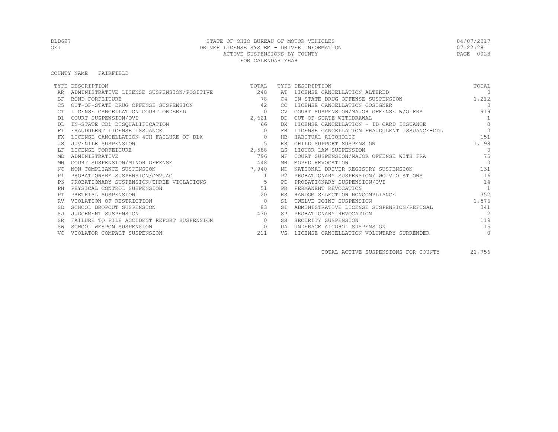#### COUNTY NAME FAIRFIELD

|           | TYPE DESCRIPTION                           | TOTAL          |           | TYPE DESCRIPTION                             | TOTAL          |
|-----------|--------------------------------------------|----------------|-----------|----------------------------------------------|----------------|
|           | ADMINISTRATIVE LICENSE SUSPENSION/POSITIVE | 248            | AT        | LICENSE CANCELLATION ALTERED                 | $\Omega$       |
| BF        | BOND FORFEITURE                            | 78             | C4        | IN-STATE DRUG OFFENSE SUSPENSION             | 1,212          |
|           | OUT-OF-STATE DRUG OFFENSE SUSPENSION       | 42             | CC.       | LICENSE CANCELLATION COSIGNER                | $\bigcap$      |
|           | LICENSE CANCELLATION COURT ORDERED         | $\circ$        | CV.       | COURT SUSPENSION/MAJOR OFFENSE W/O FRA       | 919            |
| D1        | COURT SUSPENSION/OVI                       | 2,621          | DD.       | OUT-OF-STATE WITHDRAWAL                      | $\overline{1}$ |
|           | IN-STATE CDL DISQUALIFICATION              | 66             | DX.       | LICENSE CANCELLATION - ID CARD ISSUANCE      | $\Omega$       |
| FT.       | FRAUDULENT LICENSE ISSUANCE                | $\Omega$       | FR        | LICENSE CANCELLATION FRAUDULENT ISSUANCE-CDL | $\cap$         |
| FX        | LICENSE CANCELLATION 4TH FAILURE OF DLX    | $\circ$        | HB        | HABITUAL ALCOHOLIC                           | 151            |
|           | JUVENILE SUSPENSION                        | 5              | КS        | CHILD SUPPORT SUSPENSION                     | 1,198          |
|           | LICENSE FORFEITURE                         | 2,588          | LS        | LIQUOR LAW SUSPENSION                        | $\Omega$       |
| MD        | ADMINISTRATIVE                             | 796            | МF        | COURT SUSPENSION/MAJOR OFFENSE WITH FRA      | 75             |
| ΜN        | COURT SUSPENSION/MINOR OFFENSE             | 448            | MR.       | MOPED REVOCATION                             | $\Omega$       |
| ΝC        | NON COMPLIANCE SUSPENSION                  | 7,940          | ND.       | NATIONAL DRIVER REGISTRY SUSPENSION          | 131            |
| P1        | PROBATIONARY SUSPENSION/OMVUAC             | $\overline{1}$ | P2.       | PROBATIONARY SUSPENSION/TWO VIOLATIONS       | 16             |
| P3        | PROBATIONARY SUSPENSION/THREE VIOLATIONS   | - 5            | PD.       | PROBATIONARY SUSPENSION/OVI                  | 14             |
| PH        | PHYSICAL CONTROL SUSPENSION                | 51             | <b>PR</b> | PERMANENT REVOCATION                         | 1              |
|           | PRETRIAL SUSPENSION                        | 20             | <b>RS</b> | RANDOM SELECTION NONCOMPLIANCE               | 352            |
|           | VIOLATION OF RESTRICTION                   | $\circ$        | S1        | TWELVE POINT SUSPENSION                      | 1,576          |
|           | SCHOOL DROPOUT SUSPENSION                  | 83             |           | ADMINISTRATIVE LICENSE SUSPENSION/REFUSAL    | 341            |
| SJ        | JUDGEMENT SUSPENSION                       | 430            |           | PROBATIONARY REVOCATION                      | $\overline{2}$ |
| <b>SR</b> | FAILURE TO FILE ACCIDENT REPORT SUSPENSION | $\Omega$       | SS        | SECURITY SUSPENSION                          | 119            |
|           | SCHOOL WEAPON SUSPENSION                   | $\circ$        | UA        | UNDERAGE ALCOHOL SUSPENSION                  | 15             |
|           | VIOLATOR COMPACT SUSPENSION                | 211            | VS        | LICENSE CANCELLATION VOLUNTARY SURRENDER     | $\circ$        |

TOTAL ACTIVE SUSPENSIONS FOR COUNTY 21,756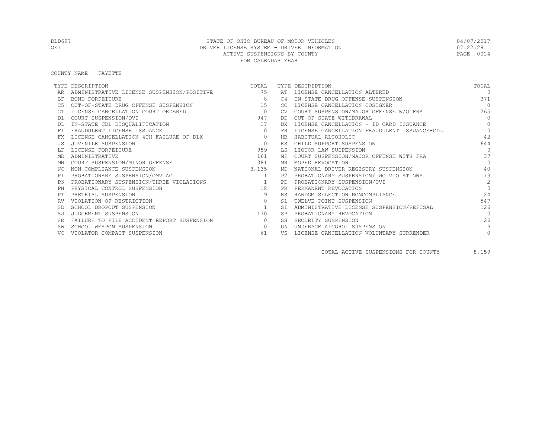#### COUNTY NAME FAYETTE

|           | TYPE DESCRIPTION                           | TOTAL          |           | TYPE DESCRIPTION                             | TOTAL          |
|-----------|--------------------------------------------|----------------|-----------|----------------------------------------------|----------------|
|           | ADMINISTRATIVE LICENSE SUSPENSION/POSITIVE | 75             | AT        | LICENSE CANCELLATION ALTERED                 | $\cap$         |
| <b>BF</b> | BOND FORFEITURE                            | 8              | C4        | IN-STATE DRUG OFFENSE SUSPENSION             | 371            |
| C5        | OUT-OF-STATE DRUG OFFENSE SUSPENSION       | 15             | CC        | LICENSE CANCELLATION COSIGNER                | $\bigcap$      |
|           | LICENSE CANCELLATION COURT ORDERED         | $\circ$        | CV.       | COURT SUSPENSION/MAJOR OFFENSE W/O FRA       | 265            |
| D1        | COURT SUSPENSION/OVI                       | 947            | DD.       | OUT-OF-STATE WITHDRAWAL                      | $\Omega$       |
|           | IN-STATE CDL DISQUALIFICATION              | 17             | DX.       | LICENSE CANCELLATION - ID CARD ISSUANCE      | $\bigcap$      |
| FT.       | FRAUDULENT LICENSE ISSUANCE                | $\Omega$       | FR        | LICENSE CANCELLATION FRAUDULENT ISSUANCE-CDL | $\Omega$       |
|           | LICENSE CANCELLATION 4TH FAILURE OF DLX    | $\circ$        | HB        | HABITUAL ALCOHOLIC                           | 42             |
|           | JUVENILE SUSPENSION                        | $\circ$        | ΚS        | CHILD SUPPORT SUSPENSION                     | 644            |
|           | LICENSE FORFEITURE                         | 959            | LS        | LIQUOR LAW SUSPENSION                        | $\Omega$       |
| MD        | ADMINISTRATIVE                             | 161            | МF        | COURT SUSPENSION/MAJOR OFFENSE WITH FRA      | 37             |
| ΜN        | COURT SUSPENSION/MINOR OFFENSE             | 381            | MR        | MOPED REVOCATION                             | $\bigcap$      |
| ΝC        | NON COMPLIANCE SUSPENSION                  | 3,135          | ND        | NATIONAL DRIVER REGISTRY SUSPENSION          | 40             |
| P1        | PROBATIONARY SUSPENSION/OMVUAC             | $\overline{1}$ | P2.       | PROBATIONARY SUSPENSION/TWO VIOLATIONS       | 13             |
| P.3       | PROBATIONARY SUSPENSION/THREE VIOLATIONS   |                | PD        | PROBATIONARY SUSPENSION/OVI                  | $\mathfrak{D}$ |
|           | PHYSICAL CONTROL SUSPENSION                | 18             | <b>PR</b> | PERMANENT REVOCATION                         | $\bigcap$      |
|           | PRETRIAL SUSPENSION                        | 9              | <b>RS</b> | RANDOM SELECTION NONCOMPLIANCE               | 124            |
|           | VIOLATION OF RESTRICTION                   | $\circ$        | S1        | TWELVE POINT SUSPENSION                      | 547            |
|           | SCHOOL DROPOUT SUSPENSION                  | $\mathbf{1}$   | <b>ST</b> | ADMINISTRATIVE LICENSE SUSPENSION/REFUSAL    | 126            |
| SJ        | JUDGEMENT SUSPENSION                       | 130            | <b>SP</b> | PROBATIONARY REVOCATION                      | $\bigcap$      |
| <b>SR</b> | FAILURE TO FILE ACCIDENT REPORT SUSPENSION | $\circ$        | SS        | SECURITY SUSPENSION                          | 26             |
|           | SCHOOL WEAPON SUSPENSION                   | $\circ$        | UA        | UNDERAGE ALCOHOL SUSPENSION                  | 3              |
|           | VIOLATOR COMPACT SUSPENSION                | 61             | VS        | LICENSE CANCELLATION VOLUNTARY SURRENDER     | $\circ$        |

TOTAL ACTIVE SUSPENSIONS FOR COUNTY 8,159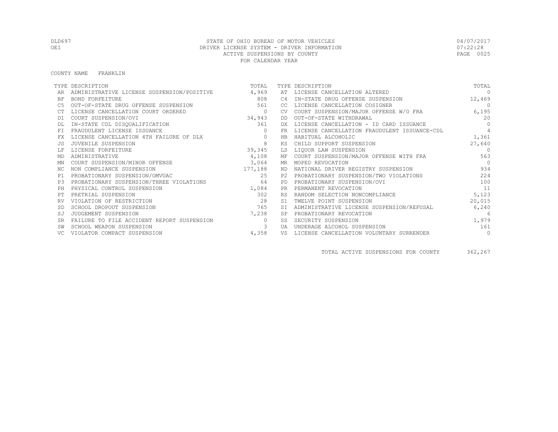#### COUNTY NAME FRANKLIN

|           | TYPE DESCRIPTION                           | TOTAL    |           | TYPE DESCRIPTION                             | TOTAL           |
|-----------|--------------------------------------------|----------|-----------|----------------------------------------------|-----------------|
|           | ADMINISTRATIVE LICENSE SUSPENSION/POSITIVE | 4,969    | AT        | LICENSE CANCELLATION ALTERED                 | $\Omega$        |
| ΒF        | BOND FORFEITURE                            | 808      | C4        | IN-STATE DRUG OFFENSE SUSPENSION             | 12,469          |
| C5        | OUT-OF-STATE DRUG OFFENSE SUSPENSION       | 561      | CC.       | LICENSE CANCELLATION COSIGNER                | $\circ$         |
|           | LICENSE CANCELLATION COURT ORDERED         | $\circ$  | CV.       | COURT SUSPENSION/MAJOR OFFENSE W/O FRA       | 6,195           |
| D1        | COURT SUSPENSION/OVI                       | 34,943   | DD        | OUT-OF-STATE WITHDRAWAL                      | 20              |
|           | IN-STATE CDL DISQUALIFICATION              | 361      | DX.       | LICENSE CANCELLATION - ID CARD ISSUANCE      | $\Omega$        |
| FT.       | FRAUDULENT LICENSE ISSUANCE                | $\circ$  | <b>FR</b> | LICENSE CANCELLATION FRAUDULENT ISSUANCE-CDL | $\overline{4}$  |
| FX        | LICENSE CANCELLATION 4TH FAILURE OF DLX    | $\circ$  | HB        | HABITUAL ALCOHOLIC                           | 1,361           |
|           | JUVENILE SUSPENSION                        | 8        | ΚS        | CHILD SUPPORT SUSPENSION                     | 27,640          |
|           | LICENSE FORFEITURE                         | 39,345   | LS        | LIOUOR LAW SUSPENSION                        | $\bigcirc$      |
| MD        | ADMINISTRATIVE                             | 4,108    |           | MF COURT SUSPENSION/MAJOR OFFENSE WITH FRA   | 563             |
| ΜN        | COURT SUSPENSION/MINOR OFFENSE             | 3,064    |           | MR MOPED REVOCATION                          | $\bigcap$       |
| ΝC        | NON COMPLIANCE SUSPENSION                  | 177,188  |           | ND NATIONAL DRIVER REGISTRY SUSPENSION       | 934             |
| P1        | PROBATIONARY SUSPENSION/OMVUAC             | 2.5      | P2.       | PROBATIONARY SUSPENSION/TWO VIOLATIONS       | 224             |
| P.3       | PROBATIONARY SUSPENSION/THREE VIOLATIONS   | 64       | <b>PD</b> | PROBATIONARY SUSPENSION/OVI                  | 100             |
| PH        | PHYSICAL CONTROL SUSPENSION                | 1,084    | <b>PR</b> | PERMANENT REVOCATION                         | 11              |
|           | PRETRIAL SUSPENSION                        | 302      | <b>RS</b> | RANDOM SELECTION NONCOMPLIANCE               | 5,123           |
| RV        | VIOLATION OF RESTRICTION                   | 28       | S1        | TWELVE POINT SUSPENSION                      | 20,015          |
|           | SCHOOL DROPOUT SUSPENSION                  | 765      | ST.       | ADMINISTRATIVE LICENSE SUSPENSION/REFUSAL    | 6,240           |
| SJ        | JUDGEMENT SUSPENSION                       | 7,238    | <b>SP</b> | PROBATIONARY REVOCATION                      | $6\overline{6}$ |
| <b>SR</b> | FAILURE TO FILE ACCIDENT REPORT SUSPENSION | $\Omega$ | SS        | SECURITY SUSPENSION                          | 1,979           |
|           | SCHOOL WEAPON SUSPENSION                   | 3        | UA        | UNDERAGE ALCOHOL SUSPENSION                  | 161             |
| VC.       | VIOLATOR COMPACT SUSPENSION                | 4,358    | VS        | LICENSE CANCELLATION VOLUNTARY SURRENDER     | $\circ$         |

TOTAL ACTIVE SUSPENSIONS FOR COUNTY 362,267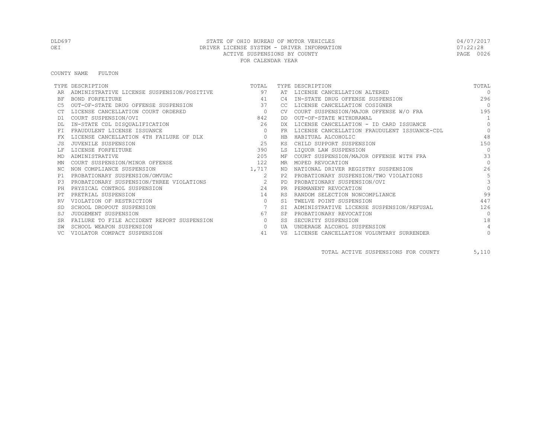#### COUNTY NAME FULTON

|           | TYPE DESCRIPTION                           | TOTAL                                                                                                                                                                                                                                                                                                                              |            | TYPE DESCRIPTION                             | TOTAL      |
|-----------|--------------------------------------------|------------------------------------------------------------------------------------------------------------------------------------------------------------------------------------------------------------------------------------------------------------------------------------------------------------------------------------|------------|----------------------------------------------|------------|
|           | ADMINISTRATIVE LICENSE SUSPENSION/POSITIVE | 97                                                                                                                                                                                                                                                                                                                                 | AT         | LICENSE CANCELLATION ALTERED                 | $\bigcap$  |
| ΒF        | BOND FORFEITURE                            | 41                                                                                                                                                                                                                                                                                                                                 | C4         | IN-STATE DRUG OFFENSE SUSPENSION             | 296        |
| C5        | OUT-OF-STATE DRUG OFFENSE SUSPENSION       | 37                                                                                                                                                                                                                                                                                                                                 | CC         | LICENSE CANCELLATION COSIGNER                | $\bigcirc$ |
|           | LICENSE CANCELLATION COURT ORDERED         | $\overline{a}$ and $\overline{a}$ and $\overline{a}$ and $\overline{a}$ and $\overline{a}$ and $\overline{a}$ and $\overline{a}$ and $\overline{a}$ and $\overline{a}$ and $\overline{a}$ and $\overline{a}$ and $\overline{a}$ and $\overline{a}$ and $\overline{a}$ and $\overline{a}$ and $\overline{a}$ and $\overline{a}$ and | CV.        | COURT SUSPENSION/MAJOR OFFENSE W/O FRA       | 195        |
| D1        | COURT SUSPENSION/OVI                       | 842                                                                                                                                                                                                                                                                                                                                | DD.        | OUT-OF-STATE WITHDRAWAL                      |            |
|           | IN-STATE CDL DISQUALIFICATION              | 26                                                                                                                                                                                                                                                                                                                                 | DX.        | LICENSE CANCELLATION - ID CARD ISSUANCE      | $\Omega$   |
| FT        | FRAUDULENT LICENSE ISSUANCE                | $\Omega$                                                                                                                                                                                                                                                                                                                           | <b>FR</b>  | LICENSE CANCELLATION FRAUDULENT ISSUANCE-CDL | $\Omega$   |
| FX        | LICENSE CANCELLATION 4TH FAILURE OF DLX    | $\circ$                                                                                                                                                                                                                                                                                                                            | HB         | HABITUAL ALCOHOLIC                           | 48         |
|           | JUVENILE SUSPENSION                        | 25                                                                                                                                                                                                                                                                                                                                 | ΚS         | CHILD SUPPORT SUSPENSION                     | 150        |
|           | LICENSE FORFEITURE                         | 390                                                                                                                                                                                                                                                                                                                                | LS         | LIQUOR LAW SUSPENSION                        | $\Omega$   |
| MD        | ADMINISTRATIVE                             | 205                                                                                                                                                                                                                                                                                                                                | МF         | COURT SUSPENSION/MAJOR OFFENSE WITH FRA      | 33         |
| MN        | COURT SUSPENSION/MINOR OFFENSE             | 122                                                                                                                                                                                                                                                                                                                                | MR         | MOPED REVOCATION                             | $\bigcap$  |
| NC.       | NON COMPLIANCE SUSPENSION                  | 1,717                                                                                                                                                                                                                                                                                                                              | ND         | NATIONAL DRIVER REGISTRY SUSPENSION          | 26         |
| P1        | PROBATIONARY SUSPENSION/OMVUAC             | 2                                                                                                                                                                                                                                                                                                                                  | P2.        | PROBATIONARY SUSPENSION/TWO VIOLATIONS       | 5          |
| P.3       | PROBATIONARY SUSPENSION/THREE VIOLATIONS   | $\overline{2}$                                                                                                                                                                                                                                                                                                                     | PD         | PROBATIONARY SUSPENSION/OVI                  | 3          |
| PH        | PHYSICAL CONTROL SUSPENSION                | 2.4                                                                                                                                                                                                                                                                                                                                | <b>PR</b>  | PERMANENT REVOCATION                         | $\Omega$   |
|           | PRETRIAL SUSPENSION                        | 14                                                                                                                                                                                                                                                                                                                                 | <b>RS</b>  | RANDOM SELECTION NONCOMPLIANCE               | 99         |
| RV        | VIOLATION OF RESTRICTION                   | $\circ$                                                                                                                                                                                                                                                                                                                            | S1         | TWELVE POINT SUSPENSION                      | 447        |
|           | SCHOOL DROPOUT SUSPENSION                  |                                                                                                                                                                                                                                                                                                                                    | <b>ST</b>  | ADMINISTRATIVE LICENSE SUSPENSION/REFUSAL    | 126        |
| SJ        | JUDGEMENT SUSPENSION                       | 67                                                                                                                                                                                                                                                                                                                                 | <b>SP</b>  | PROBATIONARY REVOCATION                      | $\Omega$   |
| <b>SR</b> | FAILURE TO FILE ACCIDENT REPORT SUSPENSION | $\circ$                                                                                                                                                                                                                                                                                                                            | SS         | SECURITY SUSPENSION                          | 18         |
|           | SCHOOL WEAPON SUSPENSION                   | $\Omega$                                                                                                                                                                                                                                                                                                                           | <b>TJA</b> | UNDERAGE ALCOHOL SUSPENSION                  | 4          |
|           | VIOLATOR COMPACT SUSPENSION                | 41                                                                                                                                                                                                                                                                                                                                 | VS         | LICENSE CANCELLATION VOLUNTARY SURRENDER     | $\circ$    |

TOTAL ACTIVE SUSPENSIONS FOR COUNTY 5,110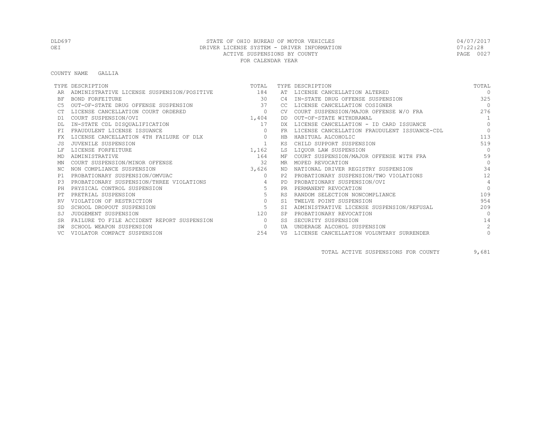#### COUNTY NAME GALLIA

|                | TYPE DESCRIPTION                               | TOTAL          |           | TYPE DESCRIPTION                             | TOTAL          |
|----------------|------------------------------------------------|----------------|-----------|----------------------------------------------|----------------|
|                | ADMINISTRATIVE LICENSE SUSPENSION/POSITIVE 184 |                | AT        | LICENSE CANCELLATION ALTERED                 | $\cap$         |
| BF             | BOND FORFEITURE                                | 30             | C4        | IN-STATE DRUG OFFENSE SUSPENSION             | 325            |
|                | OUT-OF-STATE DRUG OFFENSE SUSPENSION           | 37             | CC.       | LICENSE CANCELLATION COSIGNER                | $\bigcap$      |
|                | LICENSE CANCELLATION COURT ORDERED             | $\circ$        |           | COURT SUSPENSION/MAJOR OFFENSE W/O FRA       | 276            |
| D1             | COURT SUSPENSION/OVI                           | 1,404          | DD        | OUT-OF-STATE WITHDRAWAL                      | $\overline{1}$ |
|                | IN-STATE CDL DISQUALIFICATION                  | 17             | DX.       | LICENSE CANCELLATION - ID CARD ISSUANCE      | $\Omega$       |
|                | FRAUDULENT LICENSE ISSUANCE                    | $\Omega$       | FR        | LICENSE CANCELLATION FRAUDULENT ISSUANCE-CDL | $\bigcap$      |
| FX             | LICENSE CANCELLATION 4TH FAILURE OF DLX        | $\circ$        | HB        | HABITUAL ALCOHOLIC                           | 113            |
|                | JUVENILE SUSPENSION                            |                | ΚS        | CHILD SUPPORT SUSPENSION                     | 519            |
|                | LICENSE FORFEITURE                             | 1,162          | LS        | LIOUOR LAW SUSPENSION                        | $\Omega$       |
| MD             | ADMINISTRATIVE                                 | 164            | MF        | COURT SUSPENSION/MAJOR OFFENSE WITH FRA      | 59             |
| MN             | COURT SUSPENSION/MINOR OFFENSE                 | 32             | MR        | MOPED REVOCATION                             | $\bigcap$      |
| NC.            | NON COMPLIANCE SUSPENSION                      | 3,626          | ND.       | NATIONAL DRIVER REGISTRY SUSPENSION          | 34             |
| P1             | PROBATIONARY SUSPENSION/OMVUAC                 | $\Omega$       | P2.       | PROBATIONARY SUSPENSION/TWO VIOLATIONS       | 12             |
| P <sub>3</sub> | PROBATIONARY SUSPENSION/THREE VIOLATIONS       | $\overline{4}$ | PD.       | PROBATIONARY SUSPENSION/OVI                  | $\overline{4}$ |
| PH             | PHYSICAL CONTROL SUSPENSION                    | 5              | PR.       | PERMANENT REVOCATION                         | $\Omega$       |
|                | PRETRIAL SUSPENSION                            | 5              | <b>RS</b> | RANDOM SELECTION NONCOMPLIANCE               | 109            |
| RV             | VIOLATION OF RESTRICTION                       | $\circ$        | .S1       | TWELVE POINT SUSPENSION                      | 954            |
|                | SCHOOL DROPOUT SUSPENSION                      | 5              | <b>ST</b> | ADMINISTRATIVE LICENSE SUSPENSION/REFUSAL    | 209            |
| SJ             | JUDGEMENT SUSPENSION                           | 120            | <b>SP</b> | PROBATIONARY REVOCATION                      | $\bigcap$      |
| <b>SR</b>      | FAILURE TO FILE ACCIDENT REPORT SUSPENSION     | $\Omega$       | SS        | SECURITY SUSPENSION                          | 14             |
|                | SCHOOL WEAPON SUSPENSION                       | $\circ$        | UA        | UNDERAGE ALCOHOL SUSPENSION                  | $\mathfrak{D}$ |
|                | VIOLATOR COMPACT SUSPENSION                    | 254            | VS        | LICENSE CANCELLATION VOLUNTARY SURRENDER     | $\circ$        |

TOTAL ACTIVE SUSPENSIONS FOR COUNTY 9,681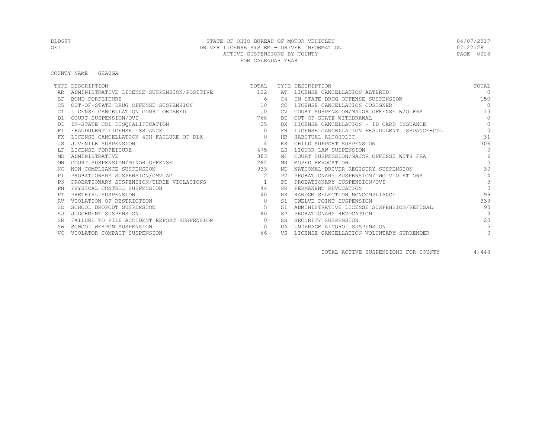COUNTY NAME GEAUGA

|           | TYPE DESCRIPTION                               | TOTAL          |           | TYPE DESCRIPTION                             | TOTAL           |
|-----------|------------------------------------------------|----------------|-----------|----------------------------------------------|-----------------|
|           | ADMINISTRATIVE LICENSE SUSPENSION/POSITIVE 122 |                |           | AT LICENSE CANCELLATION ALTERED              | $\Omega$        |
| BF        | BOND FORFEITURE                                | 6              | C4        | IN-STATE DRUG OFFENSE SUSPENSION             | 150             |
|           | OUT-OF-STATE DRUG OFFENSE SUSPENSION           | 10             | CC.       | LICENSE CANCELLATION COSIGNER                | $\overline{0}$  |
|           | LICENSE CANCELLATION COURT ORDERED             | $\overline{0}$ | <b>CV</b> | COURT SUSPENSION/MAJOR OFFENSE W/O FRA       | 113             |
| D1        | COURT SUSPENSION/OVI                           | 768            | DD        | OUT-OF-STATE WITHDRAWAL                      | $\Omega$        |
|           | IN-STATE CDL DISQUALIFICATION                  | 25             | DX        | LICENSE CANCELLATION - ID CARD ISSUANCE      | $\Omega$        |
| FT.       | FRAUDULENT LICENSE ISSUANCE                    | $\Omega$       | FR.       | LICENSE CANCELLATION FRAUDULENT ISSUANCE-CDL | $\Omega$        |
|           | LICENSE CANCELLATION 4TH FAILURE OF DLX        | $\circ$        | HB        | HABITUAL ALCOHOLIC                           | 31              |
|           | JUVENILE SUSPENSION                            | $\overline{4}$ | KS        | CHILD SUPPORT SUSPENSION                     | 306             |
|           | LICENSE FORFEITURE                             | 475            | LS        | LIQUOR LAW SUSPENSION                        | $\bigcap$       |
| MD        | ADMINISTRATIVE                                 | 383            | МF        | COURT SUSPENSION/MAJOR OFFENSE WITH FRA      | $6\overline{6}$ |
| ΜN        | COURT SUSPENSION/MINOR OFFENSE                 | 282            | MR        | MOPED REVOCATION                             | $\bigcap$       |
| NC.       | NON COMPLIANCE SUSPENSION                      | 933            | ND.       | NATIONAL DRIVER REGISTRY SUSPENSION          | 30              |
| P1        | PROBATIONARY SUSPENSION/OMVUAC                 | $2^{1}$        | P2.       | PROBATIONARY SUSPENSION/TWO VIOLATIONS       | $\overline{4}$  |
| P3        | PROBATIONARY SUSPENSION/THREE VIOLATIONS       | $\sim$ 1       | <b>PD</b> | PROBATIONARY SUSPENSION/OVI                  | $\mathcal{E}$   |
| PH        | PHYSICAL CONTROL SUSPENSION                    | 44             | <b>PR</b> | PERMANENT REVOCATION                         | $\Omega$        |
|           | PRETRIAL SUSPENSION                            | 40             | <b>RS</b> | RANDOM SELECTION NONCOMPLIANCE               | 99              |
|           | VIOLATION OF RESTRICTION                       | $\circ$        | S1        | TWELVE POINT SUSPENSION                      | 339             |
|           | SCHOOL DROPOUT SUSPENSION                      | -5             | <b>ST</b> | ADMINISTRATIVE LICENSE SUSPENSION/REFUSAL    | 90              |
| SJ        | JUDGEMENT SUSPENSION                           | 80             |           | PROBATIONARY REVOCATION                      | $\mathcal{R}$   |
| <b>SR</b> | FAILURE TO FILE ACCIDENT REPORT SUSPENSION     | $\circ$        | SS.       | SECURITY SUSPENSION                          | 23              |
|           | SCHOOL WEAPON SUSPENSION                       | $\circ$        | UA        | UNDERAGE ALCOHOL SUSPENSION                  |                 |
|           | VIOLATOR COMPACT SUSPENSION                    | 66             | VS        | LICENSE CANCELLATION VOLUNTARY SURRENDER     | $\circ$         |

TOTAL ACTIVE SUSPENSIONS FOR COUNTY 4,448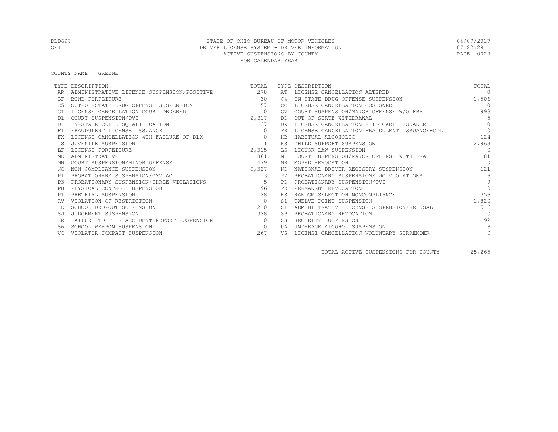COUNTY NAME GREENE

|           | TYPE DESCRIPTION                               | TOTAL          |           | TYPE DESCRIPTION                             | TOTAL          |
|-----------|------------------------------------------------|----------------|-----------|----------------------------------------------|----------------|
|           | ADMINISTRATIVE LICENSE SUSPENSION/POSITIVE 278 |                | AT        | LICENSE CANCELLATION ALTERED                 | $\Omega$       |
| <b>BF</b> | BOND FORFEITURE                                | 30             | C4        | IN-STATE DRUG OFFENSE SUSPENSION             | 1,506          |
| C5        | OUT-OF-STATE DRUG OFFENSE SUSPENSION           | 57             | CC.       | LICENSE CANCELLATION COSIGNER                | $\overline{0}$ |
|           | LICENSE CANCELLATION COURT ORDERED             | $\circ$        |           | COURT SUSPENSION/MAJOR OFFENSE W/O FRA       | 993            |
| D1        | COURT SUSPENSION/OVI                           | 2,317          | DD        | OUT-OF-STATE WITHDRAWAL                      | $\overline{5}$ |
|           | IN-STATE CDL DISQUALIFICATION                  | 37             | DX        | LICENSE CANCELLATION - ID CARD ISSUANCE      | $\Omega$       |
|           | FRAUDULENT LICENSE ISSUANCE                    |                | FR        | LICENSE CANCELLATION FRAUDULENT ISSUANCE-CDL | $\Omega$       |
| FX        | LICENSE CANCELLATION 4TH FAILURE OF DLX        | $\circ$        | HB        | HABITUAL ALCOHOLIC                           | 124            |
|           | JUVENILE SUSPENSION                            |                | ΚS        | CHILD SUPPORT SUSPENSION                     | 2,963          |
|           | LICENSE FORFEITURE                             | 2,315          | LS        | LIQUOR LAW SUSPENSION                        | $\Omega$       |
| MD        | ADMINISTRATIVE                                 | 861            | МF        | COURT SUSPENSION/MAJOR OFFENSE WITH FRA      | 81             |
| ΜN        | COURT SUSPENSION/MINOR OFFENSE                 | 479            | MR        | MOPED REVOCATION                             | $\bigcap$      |
| NC.       | NON COMPLIANCE SUSPENSION                      | 9,327          | ND.       | NATIONAL DRIVER REGISTRY SUSPENSION          | 121            |
| P1        | PROBATIONARY SUSPENSION/OMVUAC                 | 3              | P2        | PROBATIONARY SUSPENSION/TWO VIOLATIONS       | 19             |
| P3        | PROBATIONARY SUSPENSION/THREE VIOLATIONS       | 5 <sup>5</sup> | PD        | PROBATIONARY SUSPENSION/OVI                  | 9              |
| PH        | PHYSICAL CONTROL SUSPENSION                    | 96             | PR.       | PERMANENT REVOCATION                         | $\Omega$       |
| PТ        | PRETRIAL SUSPENSION                            | 2.8            | <b>RS</b> | RANDOM SELECTION NONCOMPLIANCE               | 359            |
|           | VIOLATION OF RESTRICTION                       | $\overline{0}$ | S1        | TWELVE POINT SUSPENSION                      | 1,820          |
| -SD       | SCHOOL DROPOUT SUSPENSION                      | 210            |           | ADMINISTRATIVE LICENSE SUSPENSION/REFUSAL    | 516            |
| SJ        | JUDGEMENT SUSPENSION                           | 328            |           | PROBATIONARY REVOCATION                      | $\bigcap$      |
| <b>SR</b> | FAILURE TO FILE ACCIDENT REPORT SUSPENSION     | $\Omega$       | SS        | SECURITY SUSPENSION                          | 92             |
|           | SCHOOL WEAPON SUSPENSION                       | $\circ$        | UA        | UNDERAGE ALCOHOL SUSPENSION                  | 18             |
|           | VIOLATOR COMPACT SUSPENSION                    | 267            | VS        | LICENSE CANCELLATION VOLUNTARY SURRENDER     | $\circ$        |

TOTAL ACTIVE SUSPENSIONS FOR COUNTY 25,265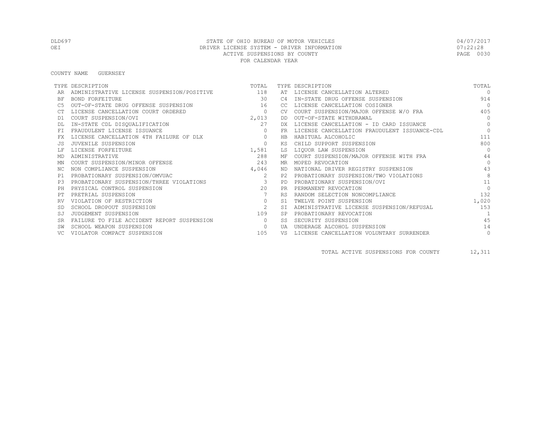COUNTY NAME GUERNSEY

|           | TYPE DESCRIPTION                               | TOTAL          |           | TYPE DESCRIPTION                             | TOTAL      |
|-----------|------------------------------------------------|----------------|-----------|----------------------------------------------|------------|
|           | ADMINISTRATIVE LICENSE SUSPENSION/POSITIVE 118 |                |           | AT LICENSE CANCELLATION ALTERED              | $\cap$     |
| ΒF        | BOND FORFEITURE                                | 30             | C4        | IN-STATE DRUG OFFENSE SUSPENSION             | 914        |
| C5        | OUT-OF-STATE DRUG OFFENSE SUSPENSION           | 16             | CC.       | LICENSE CANCELLATION COSIGNER                | $\bigcirc$ |
|           | LICENSE CANCELLATION COURT ORDERED             | $\overline{0}$ | <b>CV</b> | COURT SUSPENSION/MAJOR OFFENSE W/O FRA       | 405        |
| D1        | COURT SUSPENSION/OVI                           | 2,013          | DD        | OUT-OF-STATE WITHDRAWAL                      | $\Omega$   |
|           | IN-STATE CDL DISQUALIFICATION                  | 27             | DX.       | LICENSE CANCELLATION - ID CARD ISSUANCE      | $\Omega$   |
| <b>FT</b> | FRAUDULENT LICENSE ISSUANCE                    | $\Omega$       | <b>FR</b> | LICENSE CANCELLATION FRAUDULENT ISSUANCE-CDL | $\Omega$   |
| FX        | LICENSE CANCELLATION 4TH FAILURE OF DLX        | $\Omega$       | <b>HB</b> | HABITUAL ALCOHOLIC                           | 111        |
| .JS       | JUVENILE SUSPENSION                            | $\Omega$       | ΚS        | CHILD SUPPORT SUSPENSION                     | 800        |
|           | LICENSE FORFEITURE                             | 1,581          | LS        | LIQUOR LAW SUSPENSION                        | $\Omega$   |
| MD        | ADMINISTRATIVE                                 | 288            | МF        | COURT SUSPENSION/MAJOR OFFENSE WITH FRA      | 44         |
| ΜN        | COURT SUSPENSION/MINOR OFFENSE                 | 243            | MR        | MOPED REVOCATION                             | $\Omega$   |
| NC.       | NON COMPLIANCE SUSPENSION                      | 4,046          | ND        | NATIONAL DRIVER REGISTRY SUSPENSION          | 43         |
| P1        | PROBATIONARY SUSPENSION/OMVUAC                 | 2              | P2.       | PROBATIONARY SUSPENSION/TWO VIOLATIONS       | 8          |
| P3        | PROBATIONARY SUSPENSION/THREE VIOLATIONS       |                | PD        | PROBATIONARY SUSPENSION/OVI                  | 11         |
| PH        | PHYSICAL CONTROL SUSPENSION                    | 2.0            | <b>PR</b> | PERMANENT REVOCATION                         | $\bigcap$  |
| PТ        | PRETRIAL SUSPENSION                            |                | <b>RS</b> | RANDOM SELECTION NONCOMPLIANCE               | 132        |
|           | VIOLATION OF RESTRICTION                       | $\circ$        | S1        | TWELVE POINT SUSPENSION                      | 1,020      |
| <b>SD</b> | SCHOOL DROPOUT SUSPENSION                      | 2              | <b>ST</b> | ADMINISTRATIVE LICENSE SUSPENSION/REFUSAL    | 153        |
| SJ        | JUDGEMENT SUSPENSION                           | 109            | <b>SP</b> | PROBATIONARY REVOCATION                      |            |
| <b>SR</b> | FAILURE TO FILE ACCIDENT REPORT SUSPENSION     | $\bigcirc$     | SS        | SECURITY SUSPENSION                          | 4.5        |
|           | SCHOOL WEAPON SUSPENSION                       | $\circ$        | tja       | UNDERAGE ALCOHOL SUSPENSION                  | 14         |
|           | VIOLATOR COMPACT SUSPENSION                    | 105            | VS        | LICENSE CANCELLATION VOLUNTARY SURRENDER     | $\circ$    |

TOTAL ACTIVE SUSPENSIONS FOR COUNTY 12,311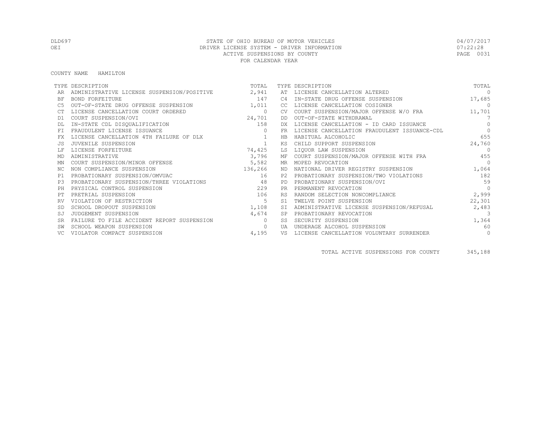COUNTY NAME HAMILTON

|                | TYPE DESCRIPTION                           | TOTAL    |                | TYPE DESCRIPTION                             | TOTAL     |
|----------------|--------------------------------------------|----------|----------------|----------------------------------------------|-----------|
|                | ADMINISTRATIVE LICENSE SUSPENSION/POSITIVE | 2,941    | AT             | LICENSE CANCELLATION ALTERED                 | $\Omega$  |
| ΒF             | <b>BOND FORFEITURE</b>                     | 147      | C4             | IN-STATE DRUG OFFENSE SUSPENSION             | 17,685    |
| C5             | OUT-OF-STATE DRUG OFFENSE SUSPENSION       | 1,011    | CC             | LICENSE CANCELLATION COSIGNER                | $\Omega$  |
|                | LICENSE CANCELLATION COURT ORDERED         | $\circ$  | CV.            | COURT SUSPENSION/MAJOR OFFENSE W/O FRA       | 11,701    |
| D1             | COURT SUSPENSION/OVI                       | 24,701   | DD             | OUT-OF-STATE WITHDRAWAL                      | 7         |
|                | IN-STATE CDL DISQUALIFICATION              | 158      | DX.            | LICENSE CANCELLATION - ID CARD ISSUANCE      | $\bigcap$ |
| FT.            | FRAUDULENT LICENSE ISSUANCE                |          | FR.            | LICENSE CANCELLATION FRAUDULENT ISSUANCE-CDL | $\bigcap$ |
| FX.            | LICENSE CANCELLATION 4TH FAILURE OF DLX    |          | HB             | HABITUAL ALCOHOLIC                           | 655       |
| .JS            | JUVENILE SUSPENSION                        |          | ΚS             | CHILD SUPPORT SUSPENSION                     | 24,760    |
|                | LICENSE FORFEITURE                         | 74,425   | LS             | LIQUOR LAW SUSPENSION                        | $\Omega$  |
| MD             | ADMINISTRATIVE                             | 3,796    | МF             | COURT SUSPENSION/MAJOR OFFENSE WITH FRA      | 455       |
| ΜN             | COURT SUSPENSION/MINOR OFFENSE             | 5,582    | MR             | MOPED REVOCATION                             | $\bigcap$ |
| ΝC             | NON COMPLIANCE SUSPENSION                  | 136,266  | ND             | NATIONAL DRIVER REGISTRY SUSPENSION          | 1,064     |
| P1             | PROBATIONARY SUSPENSION/OMVUAC             | 16       | P <sub>2</sub> | PROBATIONARY SUSPENSION/TWO VIOLATIONS       | 182       |
| P <sub>3</sub> | PROBATIONARY SUSPENSION/THREE VIOLATIONS   | 48       | PD.            | PROBATIONARY SUSPENSION/OVI                  | 59        |
| PH             | PHYSICAL CONTROL SUSPENSION                | 229      | <b>PR</b>      | PERMANENT REVOCATION                         | $\Omega$  |
| PТ             | PRETRIAL SUSPENSION                        | 106      | <b>RS</b>      | RANDOM SELECTION NONCOMPLIANCE               | 2,999     |
| RV             | VIOLATION OF RESTRICTION                   | 5        | S <sub>1</sub> | TWELVE POINT SUSPENSION                      | 22,301    |
|                | SCHOOL DROPOUT SUSPENSION                  | 1,108    | SI             | ADMINISTRATIVE LICENSE SUSPENSION/REFUSAL    | 2,483     |
|                | JUDGEMENT SUSPENSION                       | 4,674    | SP             | PROBATIONARY REVOCATION                      | -3        |
|                | FAILURE TO FILE ACCIDENT REPORT SUSPENSION | $\Omega$ | SS             | SECURITY SUSPENSION                          | 1,364     |
| SW             | SCHOOL WEAPON SUSPENSION                   | $\Omega$ | TJ A           | UNDERAGE ALCOHOL SUSPENSION                  | 60        |
| VC.            | VIOLATOR COMPACT SUSPENSION                | 4,195    | VS             | LICENSE CANCELLATION VOLUNTARY SURRENDER     | $\circ$   |

TOTAL ACTIVE SUSPENSIONS FOR COUNTY 345,188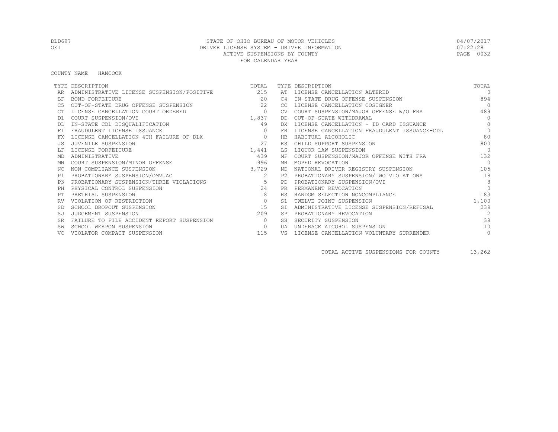#### COUNTY NAME HANCOCK

|           | TYPE DESCRIPTION                           | TOTAL        |                | TYPE DESCRIPTION                             | TOTAL          |
|-----------|--------------------------------------------|--------------|----------------|----------------------------------------------|----------------|
|           | ADMINISTRATIVE LICENSE SUSPENSION/POSITIVE | 215          | AT             | LICENSE CANCELLATION ALTERED                 | $\Omega$       |
| ΒF        | BOND FORFEITURE                            | 20           | C <sub>4</sub> | IN-STATE DRUG OFFENSE SUSPENSION             | 894            |
| C5        | OUT-OF-STATE DRUG OFFENSE SUSPENSION       | 22           | CC             | LICENSE CANCELLATION COSIGNER                | $\bigcap$      |
|           | LICENSE CANCELLATION COURT ORDERED         | $\circ$      | CV.            | COURT SUSPENSION/MAJOR OFFENSE W/O FRA       | 489            |
| D1        | COURT SUSPENSION/OVI                       | 1,837        | DD             | OUT-OF-STATE WITHDRAWAL                      | $\Omega$       |
|           | IN-STATE CDL DISQUALIFICATION              | 49           | DX.            | LICENSE CANCELLATION - ID CARD ISSUANCE      | $\Omega$       |
| FT.       | FRAUDULENT LICENSE ISSUANCE                | $\mathbf{0}$ | <b>FR</b>      | LICENSE CANCELLATION FRAUDULENT ISSUANCE-CDL | $\circ$        |
| FX        | LICENSE CANCELLATION 4TH FAILURE OF DLX    | $\circ$      | HB             | HABITUAL ALCOHOLIC                           | 80             |
|           | JUVENILE SUSPENSION                        | 27           | ΚS             | CHILD SUPPORT SUSPENSION                     | 800            |
|           | LICENSE FORFEITURE                         | 1,441        | LS             | LIOUOR LAW SUSPENSION                        | $\bigcap$      |
| MD        | ADMINISTRATIVE                             | 439          |                | MF COURT SUSPENSION/MAJOR OFFENSE WITH FRA   | 132            |
| ΜN        | COURT SUSPENSION/MINOR OFFENSE             | 996          | MR.            | MOPED REVOCATION                             | $\bigcirc$     |
| ΝC        | NON COMPLIANCE SUSPENSION                  | 3,729        |                | ND NATIONAL DRIVER REGISTRY SUSPENSION       | 105            |
| P1        | PROBATIONARY SUSPENSION/OMVUAC             | 2            |                | P2 PROBATIONARY SUSPENSION/TWO VIOLATIONS    | 18             |
| P.3       | PROBATIONARY SUSPENSION/THREE VIOLATIONS   | 5            | PD             | PROBATIONARY SUSPENSION/OVI                  | 8              |
| PH        | PHYSICAL CONTROL SUSPENSION                | 2.4          | <b>PR</b>      | PERMANENT REVOCATION                         | $\Omega$       |
|           | PRETRIAL SUSPENSION                        | 18           | <b>RS</b>      | RANDOM SELECTION NONCOMPLIANCE               | 183            |
|           | VIOLATION OF RESTRICTION                   | $\circ$      | S1             | TWELVE POINT SUSPENSION                      | 1,100          |
|           | SCHOOL DROPOUT SUSPENSION                  | 15           | ST.            | ADMINISTRATIVE LICENSE SUSPENSION/REFUSAL    | 239            |
| SJ        | JUDGEMENT SUSPENSION                       | 209          |                | PROBATIONARY REVOCATION                      | $\mathfrak{D}$ |
| <b>SR</b> | FAILURE TO FILE ACCIDENT REPORT SUSPENSION | $\circ$      | SS             | SECURITY SUSPENSION                          | 39             |
|           | SCHOOL WEAPON SUSPENSION                   | $\circ$      | UA             | UNDERAGE ALCOHOL SUSPENSION                  | 10             |
|           | VIOLATOR COMPACT SUSPENSION                | 115          | VS             | LICENSE CANCELLATION VOLUNTARY SURRENDER     | $\circ$        |

TOTAL ACTIVE SUSPENSIONS FOR COUNTY 13,262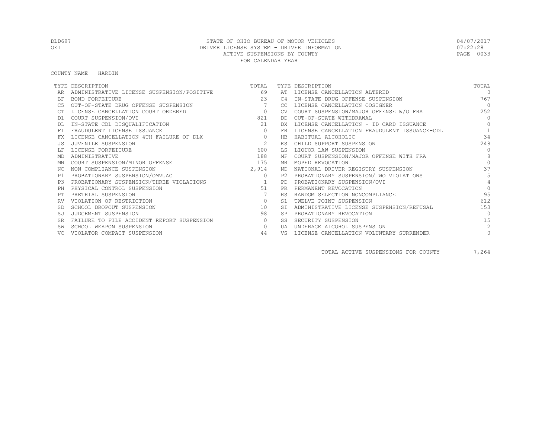#### COUNTY NAME HARDIN

|           | TYPE DESCRIPTION                           | TOTAL          |                | TYPE DESCRIPTION                             | TOTAL          |
|-----------|--------------------------------------------|----------------|----------------|----------------------------------------------|----------------|
|           | ADMINISTRATIVE LICENSE SUSPENSION/POSITIVE | 69             | AT             | LICENSE CANCELLATION ALTERED                 | $\cap$         |
| BF        | BOND FORFEITURE                            | 23             | C <sub>4</sub> | IN-STATE DRUG OFFENSE SUSPENSION             | 767            |
|           | OUT-OF-STATE DRUG OFFENSE SUSPENSION       | 7              | CC.            | LICENSE CANCELLATION COSIGNER                | $\bigcirc$     |
|           | LICENSE CANCELLATION COURT ORDERED         | $\overline{0}$ | <b>CV</b>      | COURT SUSPENSION/MAJOR OFFENSE W/O FRA       | 252            |
| D1        | COURT SUSPENSION/OVI                       | 821            | DD.            | OUT-OF-STATE WITHDRAWAL                      | $\bigcap$      |
|           | IN-STATE CDL DISQUALIFICATION              | 21             | DX.            | LICENSE CANCELLATION - ID CARD ISSUANCE      | $\Omega$       |
|           | FRAUDULENT LICENSE ISSUANCE                | $\circ$        | FR             | LICENSE CANCELLATION FRAUDULENT ISSUANCE-CDL |                |
| FX        | LICENSE CANCELLATION 4TH FAILURE OF DLX    | $\circ$        | HB             | HABITUAL ALCOHOLIC                           | 34             |
|           | JUVENILE SUSPENSION                        | 2              | КS             | CHILD SUPPORT SUSPENSION                     | 248            |
|           | LICENSE FORFEITURE                         | 600            | LS             | LIQUOR LAW SUSPENSION                        | $\bigcap$      |
| MD        | ADMINISTRATIVE                             | 188            | МF             | COURT SUSPENSION/MAJOR OFFENSE WITH FRA      | 8              |
| MN        | COURT SUSPENSION/MINOR OFFENSE             | 175            | MR             | MOPED REVOCATION                             | $\cap$         |
| NC.       | NON COMPLIANCE SUSPENSION                  | 2,914          | ND.            | NATIONAL DRIVER REGISTRY SUSPENSION          | 37             |
| P1        | PROBATIONARY SUSPENSION/OMVUAC             | $\circ$        | P2             | PROBATIONARY SUSPENSION/TWO VIOLATIONS       |                |
| P3        | PROBATIONARY SUSPENSION/THREE VIOLATIONS   |                | PD             | PROBATIONARY SUSPENSION/OVI                  |                |
| PH        | PHYSICAL CONTROL SUSPENSION                | 51             | <b>PR</b>      | PERMANENT REVOCATION                         | $\Omega$       |
|           | PRETRIAL SUSPENSION                        |                | <b>RS</b>      | RANDOM SELECTION NONCOMPLIANCE               | 95             |
| RV        | VIOLATION OF RESTRICTION                   | $\circ$        | S1             | TWELVE POINT SUSPENSION                      | 612            |
|           | SCHOOL DROPOUT SUSPENSION                  | 10             | <b>ST</b>      | ADMINISTRATIVE LICENSE SUSPENSION/REFUSAL    | 153            |
| SJ        | JUDGEMENT SUSPENSION                       | 98             | <b>SP</b>      | PROBATIONARY REVOCATION                      | $\bigcap$      |
| <b>SR</b> | FAILURE TO FILE ACCIDENT REPORT SUSPENSION | $\circ$        | SS             | SECURITY SUSPENSION                          | 15             |
|           | SCHOOL WEAPON SUSPENSION                   | $\Omega$       | UA             | UNDERAGE ALCOHOL SUSPENSION                  | $\mathfrak{D}$ |
|           | VIOLATOR COMPACT SUSPENSION                | 44             | VS             | LICENSE CANCELLATION VOLUNTARY SURRENDER     | $\mathbf{0}$   |

TOTAL ACTIVE SUSPENSIONS FOR COUNTY 7,264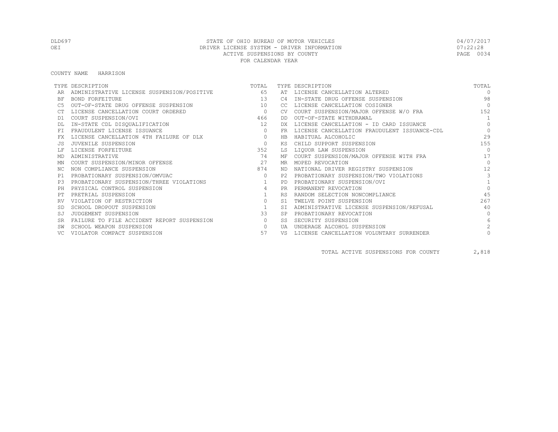#### COUNTY NAME HARRISON

|           | TYPE DESCRIPTION                           | TOTAL          |                | TYPE DESCRIPTION                             | TOTAL           |
|-----------|--------------------------------------------|----------------|----------------|----------------------------------------------|-----------------|
|           | ADMINISTRATIVE LICENSE SUSPENSION/POSITIVE | 65             |                | AT LICENSE CANCELLATION ALTERED              | $\Omega$        |
| BF        | BOND FORFEITURE                            | 13             | C4             | IN-STATE DRUG OFFENSE SUSPENSION             | 98              |
|           | OUT-OF-STATE DRUG OFFENSE SUSPENSION       | 10             | CC.            | LICENSE CANCELLATION COSIGNER                | $\bigcap$       |
|           | LICENSE CANCELLATION COURT ORDERED         | $\overline{0}$ | CV.            | COURT SUSPENSION/MAJOR OFFENSE W/O FRA       | 152             |
| D1        | COURT SUSPENSION/OVI                       | 466            | DD.            | OUT-OF-STATE WITHDRAWAL                      | $\overline{1}$  |
|           | IN-STATE CDL DISQUALIFICATION              | 12             | DX             | LICENSE CANCELLATION - ID CARD ISSUANCE      | $\Omega$        |
| FT.       | FRAUDULENT LICENSE ISSUANCE                | $\Omega$       | FR.            | LICENSE CANCELLATION FRAUDULENT ISSUANCE-CDL | $\Omega$        |
|           | LICENSE CANCELLATION 4TH FAILURE OF DLX    | $\circ$        | HB             | HABITUAL ALCOHOLIC                           | 29              |
|           | JUVENILE SUSPENSION                        | $\Omega$       | ΚS             | CHILD SUPPORT SUSPENSION                     | 155             |
|           | LICENSE FORFEITURE                         | 352            | LS             | LIQUOR LAW SUSPENSION                        | $\Omega$        |
| MD        | ADMINISTRATIVE                             | 74             | МF             | COURT SUSPENSION/MAJOR OFFENSE WITH FRA      | 17              |
| ΜN        | COURT SUSPENSION/MINOR OFFENSE             | 27             | MR             | MOPED REVOCATION                             | $\bigcap$       |
| NC.       | NON COMPLIANCE SUSPENSION                  | 874            | ND.            | NATIONAL DRIVER REGISTRY SUSPENSION          | 12              |
| P1        | PROBATIONARY SUSPENSION/OMVUAC             | $\circ$        | P2.            | PROBATIONARY SUSPENSION/TWO VIOLATIONS       | 3               |
| P3        | PROBATIONARY SUSPENSION/THREE VIOLATIONS   | 1              | PD.            | PROBATIONARY SUSPENSION/OVI                  |                 |
| PH        | PHYSICAL CONTROL SUSPENSION                | $\overline{4}$ | <b>PR</b>      | PERMANENT REVOCATION                         | $\Omega$        |
|           | PRETRIAL SUSPENSION                        |                | <b>RS</b>      | RANDOM SELECTION NONCOMPLIANCE               | 4.5             |
|           | VIOLATION OF RESTRICTION                   | $\circ$        | S <sub>1</sub> | TWELVE POINT SUSPENSION                      | 267             |
|           | SCHOOL DROPOUT SUSPENSION                  | $\overline{1}$ | <b>ST</b>      | ADMINISTRATIVE LICENSE SUSPENSION/REFUSAL    | 40              |
| SJ        | JUDGEMENT SUSPENSION                       | 33             | <b>SP</b>      | PROBATIONARY REVOCATION                      | $\cap$          |
| <b>SR</b> | FAILURE TO FILE ACCIDENT REPORT SUSPENSION | $\circ$        | SS.            | SECURITY SUSPENSION                          | $6\overline{6}$ |
|           | SCHOOL WEAPON SUSPENSION                   | $\circ$        | UA             | UNDERAGE ALCOHOL SUSPENSION                  | $\mathcal{L}$   |
|           | VIOLATOR COMPACT SUSPENSION                | 57             | VS             | LICENSE CANCELLATION VOLUNTARY SURRENDER     |                 |

TOTAL ACTIVE SUSPENSIONS FOR COUNTY 2,818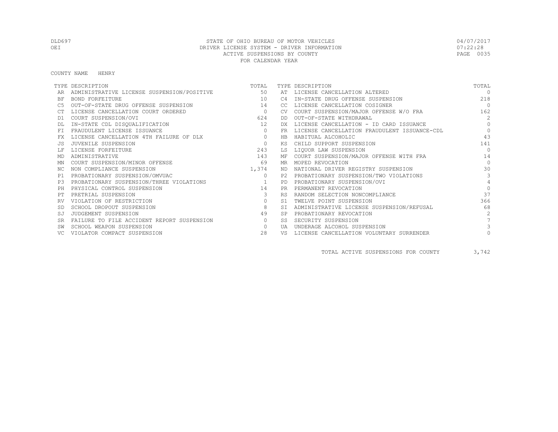COUNTY NAME HENRY

|           | TYPE DESCRIPTION                           | TOTAL          |           | TYPE DESCRIPTION                             | TOTAL          |
|-----------|--------------------------------------------|----------------|-----------|----------------------------------------------|----------------|
|           | ADMINISTRATIVE LICENSE SUSPENSION/POSITIVE | 50             |           | AT LICENSE CANCELLATION ALTERED              | $\Omega$       |
| BF        | BOND FORFEITURE                            | 10             | C4        | IN-STATE DRUG OFFENSE SUSPENSION             | 218            |
|           | OUT-OF-STATE DRUG OFFENSE SUSPENSION       | 14             | CC.       | LICENSE CANCELLATION COSIGNER                | $\Omega$       |
|           | LICENSE CANCELLATION COURT ORDERED         | $\overline{0}$ | CV.       | COURT SUSPENSION/MAJOR OFFENSE W/O FRA       | 162            |
| D1        | COURT SUSPENSION/OVI                       | 624            | DD.       | OUT-OF-STATE WITHDRAWAL                      | $\mathcal{L}$  |
|           | IN-STATE CDL DISQUALIFICATION              | 12             | DX        | LICENSE CANCELLATION - ID CARD ISSUANCE      | $\Omega$       |
| FT.       | FRAUDULENT LICENSE ISSUANCE                | $\Omega$       | FR.       | LICENSE CANCELLATION FRAUDULENT ISSUANCE-CDL | $\Omega$       |
|           | LICENSE CANCELLATION 4TH FAILURE OF DLX    | $\circ$        | HB        | HABITUAL ALCOHOLIC                           | 43             |
|           | JUVENILE SUSPENSION                        | $\Omega$       | ΚS        | CHILD SUPPORT SUSPENSION                     | 141            |
|           | LICENSE FORFEITURE                         | 243            | LS        | LIQUOR LAW SUSPENSION                        | $\Omega$       |
| MD        | ADMINISTRATIVE                             | 143            | МF        | COURT SUSPENSION/MAJOR OFFENSE WITH FRA      | 14             |
| ΜN        | COURT SUSPENSION/MINOR OFFENSE             | 69             | MR        | MOPED REVOCATION                             | $\Omega$       |
| NC.       | NON COMPLIANCE SUSPENSION                  | 1,374          | ND.       | NATIONAL DRIVER REGISTRY SUSPENSION          | 30             |
| P1        | PROBATIONARY SUSPENSION/OMVUAC             | $\Omega$       | P2.       | PROBATIONARY SUSPENSION/TWO VIOLATIONS       | 3              |
| P3        | PROBATIONARY SUSPENSION/THREE VIOLATIONS   | $\sim$ 1       | <b>PD</b> | PROBATIONARY SUSPENSION/OVI                  | $\overline{4}$ |
| PH        | PHYSICAL CONTROL SUSPENSION                | 14             | <b>PR</b> | PERMANENT REVOCATION                         | $\Omega$       |
|           | PRETRIAL SUSPENSION                        | 3              | <b>RS</b> | RANDOM SELECTION NONCOMPLIANCE               | 37             |
|           | VIOLATION OF RESTRICTION                   | $\circ$        | S1        | TWELVE POINT SUSPENSION                      | 366            |
|           | SCHOOL DROPOUT SUSPENSION                  | 8              | <b>ST</b> | ADMINISTRATIVE LICENSE SUSPENSION/REFUSAL    | 68             |
| SJ        | JUDGEMENT SUSPENSION                       | 49             | <b>SP</b> | PROBATIONARY REVOCATION                      | $\mathcal{L}$  |
| <b>SR</b> | FAILURE TO FILE ACCIDENT REPORT SUSPENSION | $\circ$        | SS.       | SECURITY SUSPENSION                          |                |
|           | SCHOOL WEAPON SUSPENSION                   | $\circ$        | UA        | UNDERAGE ALCOHOL SUSPENSION                  |                |
|           | VIOLATOR COMPACT SUSPENSION                | 28             | VS        | LICENSE CANCELLATION VOLUNTARY SURRENDER     |                |

TOTAL ACTIVE SUSPENSIONS FOR COUNTY 3,742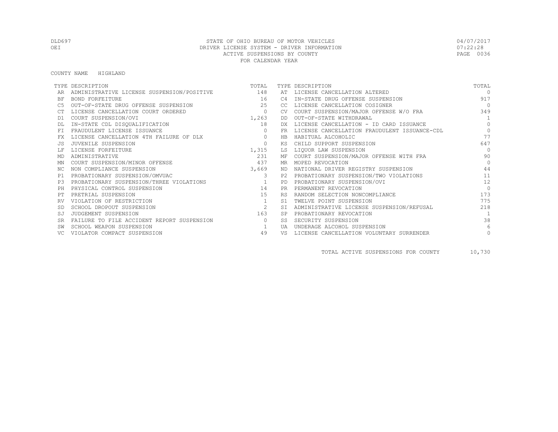COUNTY NAME HIGHLAND

|           | TYPE DESCRIPTION                           | TOTAL    |           | TYPE DESCRIPTION                             | TOTAL      |
|-----------|--------------------------------------------|----------|-----------|----------------------------------------------|------------|
|           | ADMINISTRATIVE LICENSE SUSPENSION/POSITIVE | 148      | AT        | LICENSE CANCELLATION ALTERED                 | $\cap$     |
| BF        | BOND FORFEITURE                            | 16       | C4        | IN-STATE DRUG OFFENSE SUSPENSION             | 917        |
|           | OUT-OF-STATE DRUG OFFENSE SUSPENSION       | 25       | CC        | LICENSE CANCELLATION COSIGNER                | $\bigcirc$ |
|           | LICENSE CANCELLATION COURT ORDERED         | $\circ$  |           | COURT SUSPENSION/MAJOR OFFENSE W/O FRA       | 349        |
| D1        | COURT SUSPENSION/OVI                       | 1,263    | DD        | OUT-OF-STATE WITHDRAWAL                      |            |
|           | IN-STATE CDL DISQUALIFICATION              | 18       | DX        | LICENSE CANCELLATION - ID CARD ISSUANCE      | $\Omega$   |
|           | FRAUDULENT LICENSE ISSUANCE                | $\Omega$ | FR        | LICENSE CANCELLATION FRAUDULENT ISSUANCE-CDL | $\Omega$   |
| FX        | LICENSE CANCELLATION 4TH FAILURE OF DLX    | $\Omega$ | <b>HB</b> | HABITUAL ALCOHOLIC                           | 77         |
| JS.       | JUVENILE SUSPENSION                        | $\circ$  | KS        | CHILD SUPPORT SUSPENSION                     | 647        |
|           | LICENSE FORFEITURE                         | 1,315    | LS        | LIQUOR LAW SUSPENSION                        | $\bigcap$  |
| MD        | ADMINISTRATIVE                             | 231      | МF        | COURT SUSPENSION/MAJOR OFFENSE WITH FRA      | 90         |
| MN        | COURT SUSPENSION/MINOR OFFENSE             | 437      | MR        | MOPED REVOCATION                             | $\bigcap$  |
| NC.       | NON COMPLIANCE SUSPENSION                  | 3,669    | ND        | NATIONAL DRIVER REGISTRY SUSPENSION          | 44         |
| P1        | PROBATIONARY SUSPENSION/OMVUAC             | 3        | P2.       | PROBATIONARY SUSPENSION/TWO VIOLATIONS       | 11         |
| P3        | PROBATIONARY SUSPENSION/THREE VIOLATIONS   |          | <b>PD</b> | PROBATIONARY SUSPENSION/OVI                  | 12         |
| PH        | PHYSICAL CONTROL SUSPENSION                | 14       | <b>PR</b> | PERMANENT REVOCATION                         | $\Omega$   |
|           | PRETRIAL SUSPENSION                        | 15       | <b>RS</b> | RANDOM SELECTION NONCOMPLIANCE               | 173        |
| RV        | VIOLATION OF RESTRICTION                   | 1        | S1        | TWELVE POINT SUSPENSION                      | 775        |
| <b>SD</b> | SCHOOL DROPOUT SUSPENSION                  | 2        | <b>ST</b> | ADMINISTRATIVE LICENSE SUSPENSION/REFUSAL    | 218        |
|           | JUDGEMENT SUSPENSION                       | 163      | <b>SP</b> | PROBATIONARY REVOCATION                      |            |
| SR        | FAILURE TO FILE ACCIDENT REPORT SUSPENSION | $\Omega$ | SS        | SECURITY SUSPENSION                          | 38         |
|           | SCHOOL WEAPON SUSPENSION                   |          | UA        | UNDERAGE ALCOHOL SUSPENSION                  | 6          |
|           | VIOLATOR COMPACT SUSPENSION                | 49       | VS        | LICENSE CANCELLATION VOLUNTARY SURRENDER     | $\circ$    |

TOTAL ACTIVE SUSPENSIONS FOR COUNTY 10,730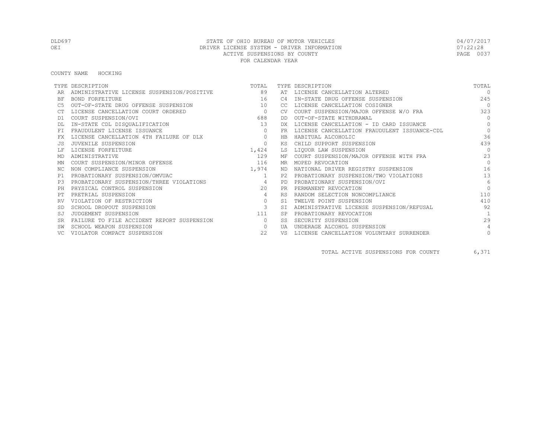#### COUNTY NAME HOCKING

|           | TYPE DESCRIPTION                           | TOTAL          |           | TYPE DESCRIPTION                             | TOTAL          |
|-----------|--------------------------------------------|----------------|-----------|----------------------------------------------|----------------|
|           | ADMINISTRATIVE LICENSE SUSPENSION/POSITIVE | 89             | AT        | LICENSE CANCELLATION ALTERED                 | $\Omega$       |
| <b>BF</b> | <b>BOND FORFEITURE</b>                     | 16             | C4        | IN-STATE DRUG OFFENSE SUSPENSION             | 245            |
|           | OUT-OF-STATE DRUG OFFENSE SUSPENSION       | 10             | CC.       | LICENSE CANCELLATION COSIGNER                | $\bigcirc$     |
|           | LICENSE CANCELLATION COURT ORDERED         | $\overline{0}$ | CV.       | COURT SUSPENSION/MAJOR OFFENSE W/O FRA       | 323            |
| D1        | COURT SUSPENSION/OVI                       | 688            | DD.       | OUT-OF-STATE WITHDRAWAL                      | $\Omega$       |
|           | IN-STATE CDL DISQUALIFICATION              | 13             | DX.       | LICENSE CANCELLATION - ID CARD ISSUANCE      | $\Omega$       |
|           | FRAUDULENT LICENSE ISSUANCE                | $\Omega$       | FR        | LICENSE CANCELLATION FRAUDULENT ISSUANCE-CDL | $\Omega$       |
|           | LICENSE CANCELLATION 4TH FAILURE OF DLX    | $\circ$        | HB.       | HABITUAL ALCOHOLIC                           | 36             |
|           | JUVENILE SUSPENSION                        | $\circ$        | KS        | CHILD SUPPORT SUSPENSION                     | 439            |
|           | LICENSE FORFEITURE                         | 1,424          | LS        | LIOUOR LAW SUSPENSION                        | $\Omega$       |
| MD        | ADMINISTRATIVE                             | 129            | ΜF        | COURT SUSPENSION/MAJOR OFFENSE WITH FRA      | 23             |
| ΜN        | COURT SUSPENSION/MINOR OFFENSE             | 116            | MR        | MOPED REVOCATION                             | $\Omega$       |
| NC.       | NON COMPLIANCE SUSPENSION                  | 1,974          | ND.       | NATIONAL DRIVER REGISTRY SUSPENSION          | 16             |
| P1        | PROBATIONARY SUSPENSION/OMVUAC             | $\overline{1}$ | P2.       | PROBATIONARY SUSPENSION/TWO VIOLATIONS       | 13             |
| P3        | PROBATIONARY SUSPENSION/THREE VIOLATIONS   | $\overline{4}$ | <b>PD</b> | PROBATIONARY SUSPENSION/OVI                  | 6              |
|           | PHYSICAL CONTROL SUSPENSION                | 2.0            | <b>PR</b> | PERMANENT REVOCATION                         | $\Omega$       |
|           | PRETRIAL SUSPENSION                        | 4              | <b>RS</b> | RANDOM SELECTION NONCOMPLIANCE               | 110            |
|           | VIOLATION OF RESTRICTION                   | $\circ$        | S1        | TWELVE POINT SUSPENSION                      | 410            |
|           | SCHOOL DROPOUT SUSPENSION                  | $\mathbf{3}$   | ST.       | ADMINISTRATIVE LICENSE SUSPENSION/REFUSAL    | 92             |
| SJ        | JUDGEMENT SUSPENSION                       | 111            |           | PROBATIONARY REVOCATION                      | $\overline{1}$ |
| <b>SR</b> | FAILURE TO FILE ACCIDENT REPORT SUSPENSION | $\circ$        | SS        | SECURITY SUSPENSION                          | 29             |
|           | SCHOOL WEAPON SUSPENSION                   | $\circ$        | UA        | UNDERAGE ALCOHOL SUSPENSION                  | 4              |
|           | VIOLATOR COMPACT SUSPENSION                | 22             | VS        | LICENSE CANCELLATION VOLUNTARY SURRENDER     | $\circ$        |

TOTAL ACTIVE SUSPENSIONS FOR COUNTY 6,371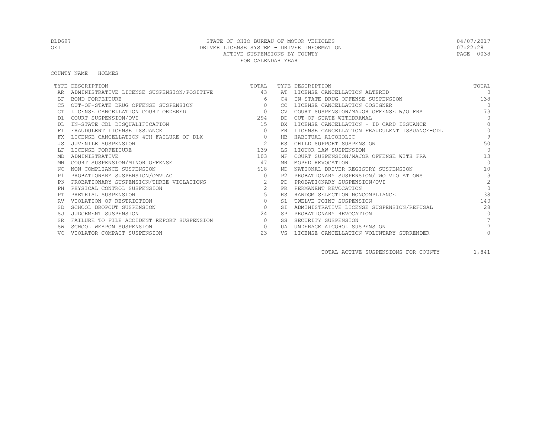COUNTY NAME HOLMES

|           | TYPE DESCRIPTION                           | TOTAL          |           | TYPE DESCRIPTION                             | TOTAL          |
|-----------|--------------------------------------------|----------------|-----------|----------------------------------------------|----------------|
|           | ADMINISTRATIVE LICENSE SUSPENSION/POSITIVE | 43             |           | AT LICENSE CANCELLATION ALTERED              | $\Omega$       |
| BF        | BOND FORFEITURE                            | 6              | C4        | IN-STATE DRUG OFFENSE SUSPENSION             | 138            |
|           | OUT-OF-STATE DRUG OFFENSE SUSPENSION       | $\Omega$       | CC.       | LICENSE CANCELLATION COSIGNER                | $\bigcap$      |
|           | LICENSE CANCELLATION COURT ORDERED         | $\overline{0}$ | <b>CV</b> | COURT SUSPENSION/MAJOR OFFENSE W/O FRA       | 73             |
| D1        | COURT SUSPENSION/OVI                       | 294            | DD        | OUT-OF-STATE WITHDRAWAL                      | $\Omega$       |
|           | IN-STATE CDL DISQUALIFICATION              | 15             | DX        | LICENSE CANCELLATION - ID CARD ISSUANCE      | $\Omega$       |
| FT.       | FRAUDULENT LICENSE ISSUANCE                | $\circ$        | FR.       | LICENSE CANCELLATION FRAUDULENT ISSUANCE-CDL | $\Omega$       |
|           | LICENSE CANCELLATION 4TH FAILURE OF DLX    | $\circ$        | HB        | HABITUAL ALCOHOLIC                           | 9              |
|           | JUVENILE SUSPENSION                        | 2              | КS        | CHILD SUPPORT SUSPENSION                     | 50             |
|           | LICENSE FORFEITURE                         | 139            | LS        | LIQUOR LAW SUSPENSION                        | $\Omega$       |
| MD        | ADMINISTRATIVE                             | 103            | МF        | COURT SUSPENSION/MAJOR OFFENSE WITH FRA      | 13             |
| ΜN        | COURT SUSPENSION/MINOR OFFENSE             | 47             | MR        | MOPED REVOCATION                             | $\Omega$       |
| NC.       | NON COMPLIANCE SUSPENSION                  | 618            | ND.       | NATIONAL DRIVER REGISTRY SUSPENSION          | 10             |
| P1        | PROBATIONARY SUSPENSION/OMVUAC             | $\circ$        | P2.       | PROBATIONARY SUSPENSION/TWO VIOLATIONS       | 3              |
| P3        | PROBATIONARY SUSPENSION/THREE VIOLATIONS   | 2              | <b>PD</b> | PROBATIONARY SUSPENSION/OVI                  | $\overline{2}$ |
| PH        | PHYSICAL CONTROL SUSPENSION                | $\overline{2}$ | <b>PR</b> | PERMANENT REVOCATION                         | $\Omega$       |
|           | PRETRIAL SUSPENSION                        | 5              | <b>RS</b> | RANDOM SELECTION NONCOMPLIANCE               | 38             |
|           | VIOLATION OF RESTRICTION                   | $\circ$        | S1        | TWELVE POINT SUSPENSION                      | 140            |
|           | SCHOOL DROPOUT SUSPENSION                  | $\circ$        | ST.       | ADMINISTRATIVE LICENSE SUSPENSION/REFUSAL    | 28             |
| SJ        | JUDGEMENT SUSPENSION                       | 24             |           | PROBATIONARY REVOCATION                      | $\bigcap$      |
| <b>SR</b> | FAILURE TO FILE ACCIDENT REPORT SUSPENSION | $\circ$        | SS.       | SECURITY SUSPENSION                          |                |
|           | SCHOOL WEAPON SUSPENSION                   | $\circ$        | UA        | UNDERAGE ALCOHOL SUSPENSION                  |                |
|           | VIOLATOR COMPACT SUSPENSION                | 23             | VS        | LICENSE CANCELLATION VOLUNTARY SURRENDER     |                |

TOTAL ACTIVE SUSPENSIONS FOR COUNTY 1,841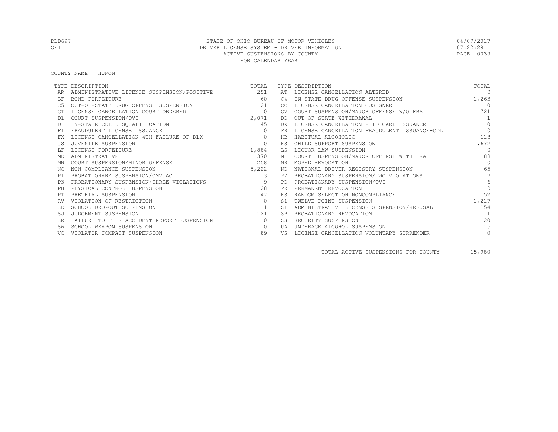COUNTY NAME HURON

|           | TYPE DESCRIPTION                               | TOTAL        |           | TYPE DESCRIPTION                             | TOTAL           |
|-----------|------------------------------------------------|--------------|-----------|----------------------------------------------|-----------------|
|           | ADMINISTRATIVE LICENSE SUSPENSION/POSITIVE 251 |              | AT        | LICENSE CANCELLATION ALTERED                 | $\Omega$        |
| ΒF        | <b>BOND FORFEITURE</b>                         | 60           | C4        | IN-STATE DRUG OFFENSE SUSPENSION             | 1,263           |
| C5        | OUT-OF-STATE DRUG OFFENSE SUSPENSION           | 21           | CC        | LICENSE CANCELLATION COSIGNER                | $\Omega$        |
|           | LICENSE CANCELLATION COURT ORDERED             | $\circ$      | CV.       | COURT SUSPENSION/MAJOR OFFENSE W/O FRA       | 721             |
| D1        | COURT SUSPENSION/OVI                           | 2,071        | DD        | OUT-OF-STATE WITHDRAWAL                      | 1               |
|           | IN-STATE CDL DISQUALIFICATION                  | 45           | DX.       | LICENSE CANCELLATION - ID CARD ISSUANCE      | $\Omega$        |
| FT.       | FRAUDULENT LICENSE ISSUANCE                    | $\mathbf{0}$ | FR        | LICENSE CANCELLATION FRAUDULENT ISSUANCE-CDL | $\Omega$        |
| FX        | LICENSE CANCELLATION 4TH FAILURE OF DLX        | $\circ$      | HB        | HABITUAL ALCOHOLIC                           | 118             |
|           | JUVENILE SUSPENSION                            | $\circ$      | КS        | CHILD SUPPORT SUSPENSION                     | 1,672           |
|           | LICENSE FORFEITURE                             | 1,884        | LS        | LIQUOR LAW SUSPENSION                        | $\Omega$        |
| MD        | ADMINISTRATIVE                                 | 370          | МF        | COURT SUSPENSION/MAJOR OFFENSE WITH FRA      | 88              |
| ΜN        | COURT SUSPENSION/MINOR OFFENSE                 | 258          | MR        | MOPED REVOCATION                             | $\bigcap$       |
| ΝC        | NON COMPLIANCE SUSPENSION                      | 5,222        |           | ND NATIONAL DRIVER REGISTRY SUSPENSION       | 65              |
| P1        | PROBATIONARY SUSPENSION/OMVUAC                 | 3            |           | P2 PROBATIONARY SUSPENSION/TWO VIOLATIONS    | $7\overline{ }$ |
| P.3       | PROBATIONARY SUSPENSION/THREE VIOLATIONS       | 9            | PD        | PROBATIONARY SUSPENSION/OVI                  | 6               |
| PH        | PHYSICAL CONTROL SUSPENSION                    | 2.8          | PR.       | PERMANENT REVOCATION                         | $\Omega$        |
|           | PRETRIAL SUSPENSION                            | 47           | <b>RS</b> | RANDOM SELECTION NONCOMPLIANCE               | 152             |
|           | VIOLATION OF RESTRICTION                       | $\circ$      | S1        | TWELVE POINT SUSPENSION                      | 1,217           |
|           | SCHOOL DROPOUT SUSPENSION                      | 1            | SI        | ADMINISTRATIVE LICENSE SUSPENSION/REFUSAL    | 154             |
| SJ        | JUDGEMENT SUSPENSION                           | 121          | <b>SP</b> | PROBATIONARY REVOCATION                      | $\overline{1}$  |
| <b>SR</b> | FAILURE TO FILE ACCIDENT REPORT SUSPENSION     | $\circ$      | SS        | SECURITY SUSPENSION                          | 20              |
|           | SCHOOL WEAPON SUSPENSION                       | $\circ$      | UA        | UNDERAGE ALCOHOL SUSPENSION                  | 15              |
|           | VIOLATOR COMPACT SUSPENSION                    | 89           | VS        | LICENSE CANCELLATION VOLUNTARY SURRENDER     | $\circ$         |

TOTAL ACTIVE SUSPENSIONS FOR COUNTY 15,980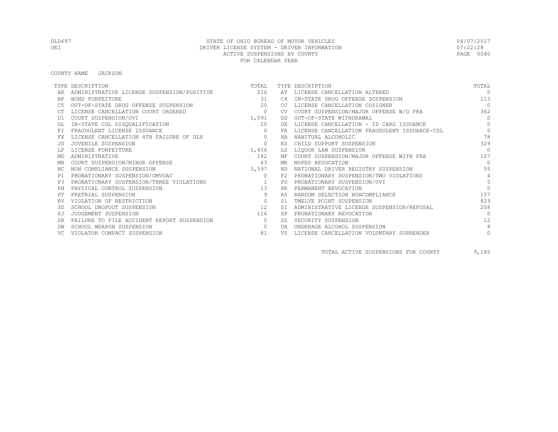COUNTY NAME JACKSON

|           | TYPE DESCRIPTION                           | TOTAL    |           | TYPE DESCRIPTION                             | TOTAL          |
|-----------|--------------------------------------------|----------|-----------|----------------------------------------------|----------------|
|           | ADMINISTRATIVE LICENSE SUSPENSION/POSITIVE | 216      | AT        | LICENSE CANCELLATION ALTERED                 | $\Omega$       |
| ΒF        | BOND FORFEITURE                            | 31       | C4        | IN-STATE DRUG OFFENSE SUSPENSION             | 113            |
| C5        | OUT-OF-STATE DRUG OFFENSE SUSPENSION       | 20       | CC        | LICENSE CANCELLATION COSIGNER                | $\bigcap$      |
|           | LICENSE CANCELLATION COURT ORDERED         | $\circ$  |           | COURT SUSPENSION/MAJOR OFFENSE W/O FRA       | 362            |
| D1        | COURT SUSPENSION/OVI                       | 1,091    | DD        | OUT-OF-STATE WITHDRAWAL                      | $\Omega$       |
|           | IN-STATE CDL DISQUALIFICATION              | 20       | DX.       | LICENSE CANCELLATION - ID CARD ISSUANCE      | $\Omega$       |
| FT        | FRAUDULENT LICENSE ISSUANCE                | $\Omega$ | <b>FR</b> | LICENSE CANCELLATION FRAUDULENT ISSUANCE-CDL | $\Omega$       |
| FX        | LICENSE CANCELLATION 4TH FAILURE OF DLX    | $\circ$  | HB        | HABITUAL ALCOHOLIC                           | 78             |
|           | JUVENILE SUSPENSION                        | $\Omega$ | ΚS        | CHILD SUPPORT SUSPENSION                     | 329            |
|           | LICENSE FORFEITURE                         | 1,456    | LS        | LIQUOR LAW SUSPENSION                        | $\Omega$       |
| MD        | ADMINISTRATIVE                             | 182      | МF        | COURT SUSPENSION/MAJOR OFFENSE WITH FRA      | 107            |
| MN        | COURT SUSPENSION/MINOR OFFENSE             | 63       | MR        | MOPED REVOCATION                             | $\Omega$       |
| NC.       | NON COMPLIANCE SUSPENSION                  | 3,597    | ND        | NATIONAL DRIVER REGISTRY SUSPENSION          | 55             |
| P1        | PROBATIONARY SUSPENSION/OMVUAC             | $\circ$  | P2.       | PROBATIONARY SUSPENSION/TWO VIOLATIONS       | $\overline{4}$ |
| P3        | PROBATIONARY SUSPENSION/THREE VIOLATIONS   |          | <b>PD</b> | PROBATIONARY SUSPENSION/OVI                  | 5              |
| PH        | PHYSICAL CONTROL SUSPENSION                | 13       | <b>PR</b> | PERMANENT REVOCATION                         | $\bigcap$      |
|           | PRETRIAL SUSPENSION                        | 9        | <b>RS</b> | RANDOM SELECTION NONCOMPLIANCE               | 157            |
| RV        | VIOLATION OF RESTRICTION                   | $\circ$  | S1        | TWELVE POINT SUSPENSION                      | 829            |
|           | SCHOOL DROPOUT SUSPENSION                  | 12       | <b>ST</b> | ADMINISTRATIVE LICENSE SUSPENSION/REFUSAL    | 208            |
| SJ        | JUDGEMENT SUSPENSION                       | 116      | <b>SP</b> | PROBATIONARY REVOCATION                      | $\bigcap$      |
| <b>SR</b> | FAILURE TO FILE ACCIDENT REPORT SUSPENSION | $\Omega$ | SS        | SECURITY SUSPENSION                          | 22             |
|           | SCHOOL WEAPON SUSPENSION                   | $\Omega$ | UA        | UNDERAGE ALCOHOL SUSPENSION                  | 8              |
|           | VIOLATOR COMPACT SUSPENSION                | 81       | VS        | LICENSE CANCELLATION VOLUNTARY SURRENDER     | $\circ$        |

TOTAL ACTIVE SUSPENSIONS FOR COUNTY 9,185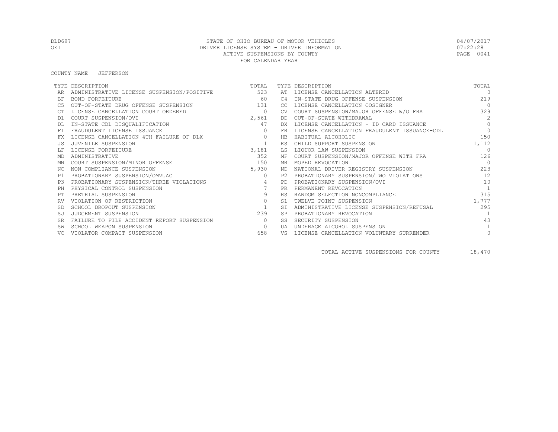#### COUNTY NAME JEFFERSON

|           | TYPE DESCRIPTION                           | TOTAL          |            | TYPE DESCRIPTION                             | TOTAL          |
|-----------|--------------------------------------------|----------------|------------|----------------------------------------------|----------------|
|           | ADMINISTRATIVE LICENSE SUSPENSION/POSITIVE | 523            | AТ         | LICENSE CANCELLATION ALTERED                 | $\Omega$       |
| <b>BF</b> | BOND FORFEITURE                            | 60             | C4         | IN-STATE DRUG OFFENSE SUSPENSION             | 219            |
|           | OUT-OF-STATE DRUG OFFENSE SUSPENSION       | 131            | CC.        | LICENSE CANCELLATION COSIGNER                | $\bigcirc$     |
|           | LICENSE CANCELLATION COURT ORDERED         | $\circ$        | CV.        | COURT SUSPENSION/MAJOR OFFENSE W/O FRA       | 329            |
| D1        | COURT SUSPENSION/OVI                       | 2,561          | DD         | OUT-OF-STATE WITHDRAWAL                      | 2              |
|           | IN-STATE CDL DISQUALIFICATION              | 47             | DX.        | LICENSE CANCELLATION - ID CARD ISSUANCE      | $\Omega$       |
|           | FRAUDULENT LICENSE ISSUANCE                | $\Omega$       | FR         | LICENSE CANCELLATION FRAUDULENT ISSUANCE-CDL | $\Omega$       |
|           | LICENSE CANCELLATION 4TH FAILURE OF DLX    | $\circ$        | <b>HB</b>  | HABITUAL ALCOHOLIC                           | 150            |
|           | JUVENILE SUSPENSION                        | $\mathbf{1}$   | KS         | CHILD SUPPORT SUSPENSION                     | 1,112          |
|           | LICENSE FORFEITURE                         | 3,181          | LS         | LIQUOR LAW SUSPENSION                        | $\cap$         |
| MD        | ADMINISTRATIVE                             | 352            | ΜF         | COURT SUSPENSION/MAJOR OFFENSE WITH FRA      | 126            |
| ΜN        | COURT SUSPENSION/MINOR OFFENSE             | 150            | MR         | MOPED REVOCATION                             | $\overline{0}$ |
| NC.       | NON COMPLIANCE SUSPENSION                  | 5,930          | ND.        | NATIONAL DRIVER REGISTRY SUSPENSION          | 223            |
| P1        | PROBATIONARY SUSPENSION/OMVUAC             | $\Omega$       | P2.        | PROBATIONARY SUSPENSION/TWO VIOLATIONS       | 12             |
| P3        | PROBATIONARY SUSPENSION/THREE VIOLATIONS   | $\overline{4}$ | PD.        | PROBATIONARY SUSPENSION/OVI                  | 10             |
| PH        | PHYSICAL CONTROL SUSPENSION                |                | <b>PR</b>  | PERMANENT REVOCATION                         | $\mathbf{1}$   |
|           | PRETRIAL SUSPENSION                        | 9              | <b>RS</b>  | RANDOM SELECTION NONCOMPLIANCE               | 315            |
|           | VIOLATION OF RESTRICTION                   | $\circ$        | S1         | TWELVE POINT SUSPENSION                      | 1,777          |
|           | SCHOOL DROPOUT SUSPENSION                  | $\overline{1}$ |            | ADMINISTRATIVE LICENSE SUSPENSION/REFUSAL    | 295            |
| SJ        | JUDGEMENT SUSPENSION                       | 239            |            | PROBATIONARY REVOCATION                      |                |
| <b>SR</b> | FAILURE TO FILE ACCIDENT REPORT SUSPENSION | $\circ$        | SS         | SECURITY SUSPENSION                          | 43             |
|           | SCHOOL WEAPON SUSPENSION                   | $\circ$        | <b>TJA</b> | UNDERAGE ALCOHOL SUSPENSION                  |                |
|           | VIOLATOR COMPACT SUSPENSION                | 658            | VS         | LICENSE CANCELLATION VOLUNTARY SURRENDER     | $\circ$        |

TOTAL ACTIVE SUSPENSIONS FOR COUNTY 18,470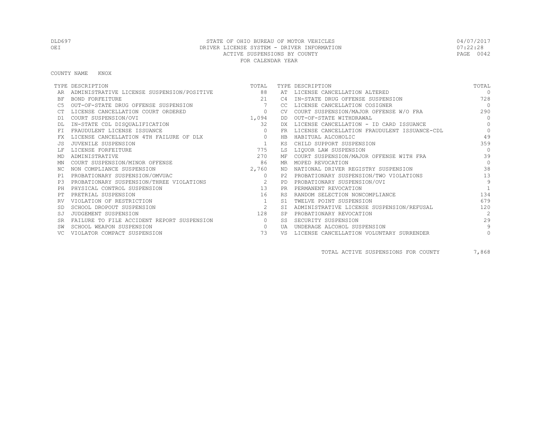COUNTY NAME KNOX

|           | TYPE DESCRIPTION                           | TOTAL                    |           | TYPE DESCRIPTION                             | TOTAL          |
|-----------|--------------------------------------------|--------------------------|-----------|----------------------------------------------|----------------|
|           | ADMINISTRATIVE LICENSE SUSPENSION/POSITIVE | 88                       | AT        | LICENSE CANCELLATION ALTERED                 | $\Omega$       |
| <b>BF</b> | BOND FORFEITURE                            | 2.1                      | C4        | IN-STATE DRUG OFFENSE SUSPENSION             | 728            |
|           | OUT-OF-STATE DRUG OFFENSE SUSPENSION       |                          | -CC.      | LICENSE CANCELLATION COSIGNER                | $\Omega$       |
|           | LICENSE CANCELLATION COURT ORDERED         | $\circ$                  |           | COURT SUSPENSION/MAJOR OFFENSE W/O FRA       | 290            |
| D1        | COURT SUSPENSION/OVI                       | 1,094                    | DD        | OUT-OF-STATE WITHDRAWAL                      | $\Omega$       |
|           | IN-STATE CDL DISQUALIFICATION              | 32                       | DX.       | LICENSE CANCELLATION - ID CARD ISSUANCE      | $\Omega$       |
|           | FRAUDULENT LICENSE ISSUANCE                | $\Omega$                 | FR.       | LICENSE CANCELLATION FRAUDULENT ISSUANCE-CDL | $\Omega$       |
|           | LICENSE CANCELLATION 4TH FAILURE OF DLX    | $\circ$                  | HB        | HABITUAL ALCOHOLIC                           | 49             |
|           | JUVENILE SUSPENSION                        |                          | ΚS        | CHILD SUPPORT SUSPENSION                     | 359            |
|           | LICENSE FORFEITURE                         | 775                      | LS        | LIQUOR LAW SUSPENSION                        | $\bigcap$      |
| MD        | ADMINISTRATIVE                             | 270                      | МF        | COURT SUSPENSION/MAJOR OFFENSE WITH FRA      | 39             |
| ΜN        | COURT SUSPENSION/MINOR OFFENSE             | 86                       | MR        | MOPED REVOCATION                             | $\Omega$       |
| ΝC        | NON COMPLIANCE SUSPENSION                  | 2,760                    | ND        | NATIONAL DRIVER REGISTRY SUSPENSION          | 38             |
| P1        | PROBATIONARY SUSPENSION/OMVUAC             | $\Omega$                 | P2.       | PROBATIONARY SUSPENSION/TWO VIOLATIONS       | 13             |
| P3        | PROBATIONARY SUSPENSION/THREE VIOLATIONS   | $\overline{\phantom{a}}$ | <b>PD</b> | PROBATIONARY SUSPENSION/OVI                  | $\overline{9}$ |
|           | PHYSICAL CONTROL SUSPENSION                | 13                       | <b>PR</b> | PERMANENT REVOCATION                         |                |
|           | PRETRIAL SUSPENSION                        | 16                       | <b>RS</b> | RANDOM SELECTION NONCOMPLIANCE               | 134            |
|           | VIOLATION OF RESTRICTION                   |                          | S1        | TWELVE POINT SUSPENSION                      | 679            |
|           | SCHOOL DROPOUT SUSPENSION                  | 2                        | -ST       | ADMINISTRATIVE LICENSE SUSPENSION/REFUSAL    | 120            |
| SJ        | JUDGEMENT SUSPENSION                       | 128                      | <b>SP</b> | PROBATIONARY REVOCATION                      | $\mathcal{L}$  |
| <b>SR</b> | FAILURE TO FILE ACCIDENT REPORT SUSPENSION | $\circ$                  | SS        | SECURITY SUSPENSION                          | 29             |
|           | SCHOOL WEAPON SUSPENSION                   | $\Omega$                 | UA        | UNDERAGE ALCOHOL SUSPENSION                  | 9              |
|           | VIOLATOR COMPACT SUSPENSION                | 73                       | VS        | LICENSE CANCELLATION VOLUNTARY SURRENDER     | 0              |

TOTAL ACTIVE SUSPENSIONS FOR COUNTY 7,868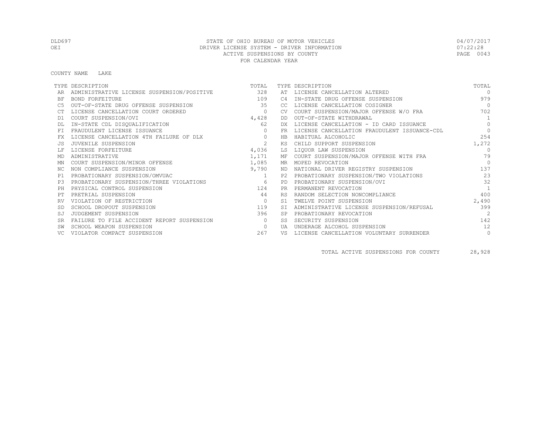COUNTY NAME LAKE

|           | TYPE DESCRIPTION                           | TOTAL          |           | TYPE DESCRIPTION                             | TOTAL          |
|-----------|--------------------------------------------|----------------|-----------|----------------------------------------------|----------------|
|           | ADMINISTRATIVE LICENSE SUSPENSION/POSITIVE | 328            | AT        | LICENSE CANCELLATION ALTERED                 | $\Omega$       |
| ΒF        | <b>BOND FORFEITURE</b>                     | 109            | C4        | IN-STATE DRUG OFFENSE SUSPENSION             | 979            |
| C5        | OUT-OF-STATE DRUG OFFENSE SUSPENSION       | 35             | CC.       | LICENSE CANCELLATION COSIGNER                | $\Omega$       |
|           | LICENSE CANCELLATION COURT ORDERED         | $\circ$        | CV.       | COURT SUSPENSION/MAJOR OFFENSE W/O FRA       | 702            |
| D1        | COURT SUSPENSION/OVI                       | 4,428          | DD        | OUT-OF-STATE WITHDRAWAL                      | 1              |
|           | IN-STATE CDL DISQUALIFICATION              | 62             | DX.       | LICENSE CANCELLATION - ID CARD ISSUANCE      | $\Omega$       |
| FT.       | FRAUDULENT LICENSE ISSUANCE                | $\circ$        | FR        | LICENSE CANCELLATION FRAUDULENT ISSUANCE-CDL | $\Omega$       |
| FX        | LICENSE CANCELLATION 4TH FAILURE OF DLX    | $\circ$        | HB        | HABITUAL ALCOHOLIC                           | 254            |
|           | JUVENILE SUSPENSION                        | 2              | КS        | CHILD SUPPORT SUSPENSION                     | 1,272          |
|           | LICENSE FORFEITURE                         | 4,036          | LS        | LIOUOR LAW SUSPENSION                        | $\Omega$       |
| MD        | ADMINISTRATIVE                             | 1,171          |           | MF COURT SUSPENSION/MAJOR OFFENSE WITH FRA   | 79             |
| ΜN        | COURT SUSPENSION/MINOR OFFENSE             | 1,085          |           | MR MOPED REVOCATION                          | $\Omega$       |
| ΝC        | NON COMPLIANCE SUSPENSION                  | 9,790          |           | ND NATIONAL DRIVER REGISTRY SUSPENSION       | 137            |
| P1        | PROBATIONARY SUSPENSION/OMVUAC             | $\overline{1}$ |           | P2 PROBATIONARY SUSPENSION/TWO VIOLATIONS    | 23             |
| P.3       | PROBATIONARY SUSPENSION/THREE VIOLATIONS   | 6              | <b>PD</b> | PROBATIONARY SUSPENSION/OVI                  | 32             |
| PH        | PHYSICAL CONTROL SUSPENSION                | 124            | <b>PR</b> | PERMANENT REVOCATION                         | $\overline{1}$ |
|           | PRETRIAL SUSPENSION                        | 44             | <b>RS</b> | RANDOM SELECTION NONCOMPLIANCE               | 400            |
|           | VIOLATION OF RESTRICTION                   | $\circ$        | S1        | TWELVE POINT SUSPENSION                      | 2,490          |
|           | SCHOOL DROPOUT SUSPENSION                  | 119            |           | ADMINISTRATIVE LICENSE SUSPENSION/REFUSAL    | 399            |
| SJ        | JUDGEMENT SUSPENSION                       | 396            |           | PROBATIONARY REVOCATION                      | $\mathfrak{D}$ |
| <b>SR</b> | FAILURE TO FILE ACCIDENT REPORT SUSPENSION | $\Omega$       | SS        | SECURITY SUSPENSION                          | 142            |
|           | SCHOOL WEAPON SUSPENSION                   | $\circ$        | UA        | UNDERAGE ALCOHOL SUSPENSION                  | 12             |
|           | VIOLATOR COMPACT SUSPENSION                | 267            | VS        | LICENSE CANCELLATION VOLUNTARY SURRENDER     | $\circ$        |

TOTAL ACTIVE SUSPENSIONS FOR COUNTY 28,928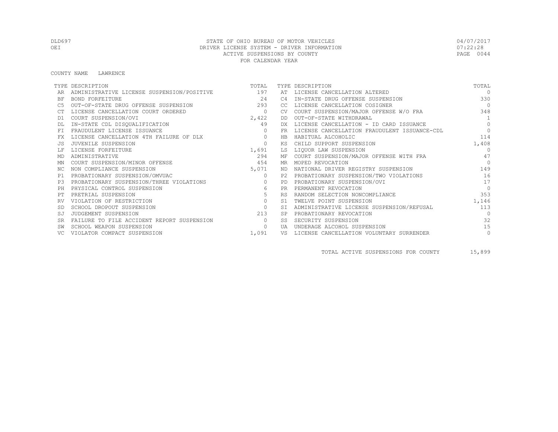#### COUNTY NAME LAWRENCE

|           | TYPE DESCRIPTION                               | TOTAL   |                | TYPE DESCRIPTION                             | TOTAL          |
|-----------|------------------------------------------------|---------|----------------|----------------------------------------------|----------------|
|           | ADMINISTRATIVE LICENSE SUSPENSION/POSITIVE 197 |         |                | AT LICENSE CANCELLATION ALTERED              | $\Omega$       |
| BF        | BOND FORFEITURE                                | 2.4     | C4             | IN-STATE DRUG OFFENSE SUSPENSION             | 330            |
|           | OUT-OF-STATE DRUG OFFENSE SUSPENSION           | 293     | CC.            | LICENSE CANCELLATION COSIGNER                | $\overline{0}$ |
|           | LICENSE CANCELLATION COURT ORDERED             | $\circ$ |                | COURT SUSPENSION/MAJOR OFFENSE W/O FRA       | 348            |
| D1        | COURT SUSPENSION/OVI                           | 2,422   | DD             | OUT-OF-STATE WITHDRAWAL                      | 1              |
|           | IN-STATE CDL DISQUALIFICATION                  | 49      | DX.            | LICENSE CANCELLATION - ID CARD ISSUANCE      | $\Omega$       |
| FT.       | FRAUDULENT LICENSE ISSUANCE                    | $\circ$ | <b>FR</b>      | LICENSE CANCELLATION FRAUDULENT ISSUANCE-CDL | $\Omega$       |
|           | LICENSE CANCELLATION 4TH FAILURE OF DLX        | $\circ$ | HB             | HABITUAL ALCOHOLIC                           | 114            |
|           | JUVENILE SUSPENSION                            | $\circ$ | ΚS             | CHILD SUPPORT SUSPENSION                     | 1,408          |
|           | LICENSE FORFEITURE                             | 1,691   | LS             | LIQUOR LAW SUSPENSION                        | $\Omega$       |
| MD        | ADMINISTRATIVE                                 | 294     | МF             | COURT SUSPENSION/MAJOR OFFENSE WITH FRA      | 47             |
| ΜN        | COURT SUSPENSION/MINOR OFFENSE                 | 454     | MR.            | MOPED REVOCATION                             | $\bigcap$      |
| ΝC        | NON COMPLIANCE SUSPENSION                      | 5,071   | ND             | NATIONAL DRIVER REGISTRY SUSPENSION          | 149            |
| P1        | PROBATIONARY SUSPENSION/OMVUAC                 | $\circ$ |                | PROBATIONARY SUSPENSION/TWO VIOLATIONS       | 16             |
| P3        | PROBATIONARY SUSPENSION/THREE VIOLATIONS       | $\circ$ | PD.            | PROBATIONARY SUSPENSION/OVI                  | 17             |
| PH        | PHYSICAL CONTROL SUSPENSION                    | 6       | <b>PR</b>      | PERMANENT REVOCATION                         | $\Omega$       |
|           | PRETRIAL SUSPENSION                            | 5       | <b>RS</b>      | RANDOM SELECTION NONCOMPLIANCE               | 353            |
| <b>RV</b> | VIOLATION OF RESTRICTION                       | $\circ$ | S <sub>1</sub> | TWELVE POINT SUSPENSION                      | 1,146          |
| -SD       | SCHOOL DROPOUT SUSPENSION                      | $\circ$ | <b>ST</b>      | ADMINISTRATIVE LICENSE SUSPENSION/REFUSAL    | 113            |
|           | JUDGEMENT SUSPENSION                           | 213     |                | PROBATIONARY REVOCATION                      | $\Omega$       |
|           | FAILURE TO FILE ACCIDENT REPORT SUSPENSION     | $\circ$ | SS             | SECURITY SUSPENSION                          | 32             |
|           | SCHOOL WEAPON SUSPENSION                       | $\circ$ | UA             | UNDERAGE ALCOHOL SUSPENSION                  | 15             |
|           | VIOLATOR COMPACT SUSPENSION                    | 1,091   | VS             | LICENSE CANCELLATION VOLUNTARY SURRENDER     | $\circ$        |

TOTAL ACTIVE SUSPENSIONS FOR COUNTY 15,899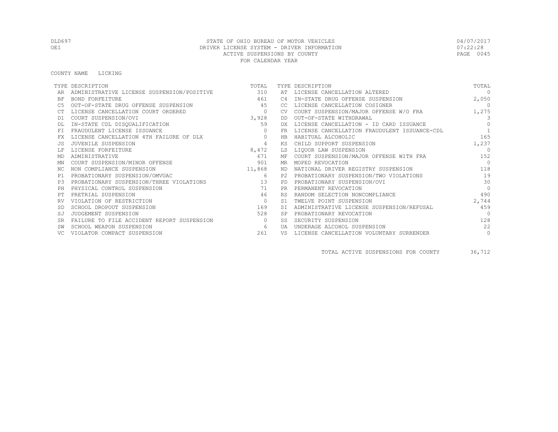COUNTY NAME LICKING

|           | TYPE DESCRIPTION                           | TOTAL     |           | TYPE DESCRIPTION                             | TOTAL          |
|-----------|--------------------------------------------|-----------|-----------|----------------------------------------------|----------------|
|           | ADMINISTRATIVE LICENSE SUSPENSION/POSITIVE | 310       | AT        | LICENSE CANCELLATION ALTERED                 | $\Omega$       |
| <b>BF</b> | BOND FORFEITURE                            | 461       | C4        | IN-STATE DRUG OFFENSE SUSPENSION             | 2,050          |
| C5        | OUT-OF-STATE DRUG OFFENSE SUSPENSION       | 45        | CC.       | LICENSE CANCELLATION COSIGNER                | $\overline{0}$ |
|           | LICENSE CANCELLATION COURT ORDERED         | $\circ$   | <b>CV</b> | COURT SUSPENSION/MAJOR OFFENSE W/O FRA       | 1,275          |
| D1        | COURT SUSPENSION/OVI                       | 3,928     | DD.       | OUT-OF-STATE WITHDRAWAL                      | $\mathbf{3}$   |
|           | IN-STATE CDL DISQUALIFICATION              | 59        | DX        | LICENSE CANCELLATION - ID CARD ISSUANCE      | $\Omega$       |
|           | FRAUDULENT LICENSE ISSUANCE                |           |           | LICENSE CANCELLATION FRAUDULENT ISSUANCE-CDL |                |
| FX        | LICENSE CANCELLATION 4TH FAILURE OF DLX    | $\circ$   | HB        | HABITUAL ALCOHOLIC                           | 165            |
| .JS       | JUVENILE SUSPENSION                        | 4         | ΚS        | CHILD SUPPORT SUSPENSION                     | 1,237          |
|           | LICENSE FORFEITURE                         | 8,472     | LS        | LIQUOR LAW SUSPENSION                        | $\Omega$       |
| MD        | ADMINISTRATIVE                             | 671       | МF        | COURT SUSPENSION/MAJOR OFFENSE WITH FRA      | 152            |
| ΜN        | COURT SUSPENSION/MINOR OFFENSE             | 901       | MR        | MOPED REVOCATION                             | $\bigcirc$     |
| NC.       | NON COMPLIANCE SUSPENSION                  | 11,868    | ND        | NATIONAL DRIVER REGISTRY SUSPENSION          | 118            |
| P1        | PROBATIONARY SUSPENSION/OMVUAC             | 6         | P2        | PROBATIONARY SUSPENSION/TWO VIOLATIONS       | 19             |
| P3        | PROBATIONARY SUSPENSION/THREE VIOLATIONS   | $\sim$ 13 | PD        | PROBATIONARY SUSPENSION/OVI                  | 30             |
| PH        | PHYSICAL CONTROL SUSPENSION                | 71        | PR.       | PERMANENT REVOCATION                         | $\Omega$       |
| PТ        | PRETRIAL SUSPENSION                        | 46        | <b>RS</b> | RANDOM SELECTION NONCOMPLIANCE               | 490            |
|           | VIOLATION OF RESTRICTION                   | $\circ$   | S1        | TWELVE POINT SUSPENSION                      | 2,744          |
| -SD       | SCHOOL DROPOUT SUSPENSION                  | 169       |           | ADMINISTRATIVE LICENSE SUSPENSION/REFUSAL    | 459            |
| SJ        | JUDGEMENT SUSPENSION                       | 528       |           | PROBATIONARY REVOCATION                      | $\bigcap$      |
| <b>SR</b> | FAILURE TO FILE ACCIDENT REPORT SUSPENSION | $\Omega$  | SS        | SECURITY SUSPENSION                          | 128            |
|           | SCHOOL WEAPON SUSPENSION                   | 6         | UA        | UNDERAGE ALCOHOL SUSPENSION                  | 22             |
| VC.       | VIOLATOR COMPACT SUSPENSION                | 261       | VS        | LICENSE CANCELLATION VOLUNTARY SURRENDER     | $\circ$        |

TOTAL ACTIVE SUSPENSIONS FOR COUNTY 36,712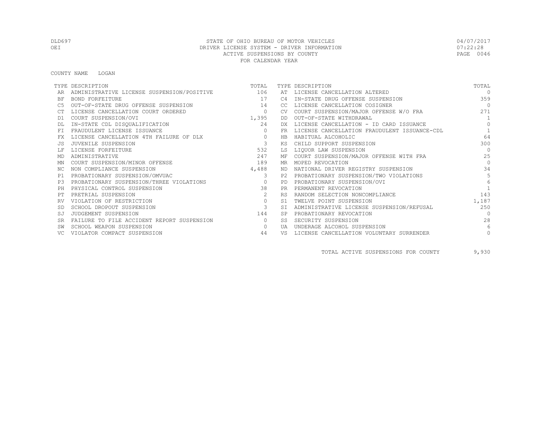COUNTY NAME LOGAN

|           | TYPE DESCRIPTION                                 | TOTAL                                                                                                                                                                                                                                                                          |                | TYPE DESCRIPTION                             | TOTAL          |
|-----------|--------------------------------------------------|--------------------------------------------------------------------------------------------------------------------------------------------------------------------------------------------------------------------------------------------------------------------------------|----------------|----------------------------------------------|----------------|
|           | ADMINISTRATIVE LICENSE SUSPENSION/POSITIVE $106$ |                                                                                                                                                                                                                                                                                |                | AT LICENSE CANCELLATION ALTERED              | $\Omega$       |
| ΒF        | BOND FORFEITURE                                  | 17                                                                                                                                                                                                                                                                             | C <sub>4</sub> | IN-STATE DRUG OFFENSE SUSPENSION             | 359            |
| C5        | OUT-OF-STATE DRUG OFFENSE SUSPENSION             | 14                                                                                                                                                                                                                                                                             | CC.            | LICENSE CANCELLATION COSIGNER                | $\bigcirc$     |
|           | LICENSE CANCELLATION COURT ORDERED               | $\overline{0}$                                                                                                                                                                                                                                                                 | <b>CV</b>      | COURT SUSPENSION/MAJOR OFFENSE W/O FRA       | 2.71           |
| D1        | COURT SUSPENSION/OVI                             | 1,395                                                                                                                                                                                                                                                                          | DD             | OUT-OF-STATE WITHDRAWAL                      | $\overline{1}$ |
|           | IN-STATE CDL DISQUALIFICATION                    | 24                                                                                                                                                                                                                                                                             | DX.            | LICENSE CANCELLATION - ID CARD ISSUANCE      | $\Omega$       |
| <b>FT</b> | FRAUDULENT LICENSE ISSUANCE                      | $\circ$                                                                                                                                                                                                                                                                        | <b>FR</b>      | LICENSE CANCELLATION FRAUDULENT ISSUANCE-CDL | 1              |
| FX        | LICENSE CANCELLATION 4TH FAILURE OF DLX          | $\circ$                                                                                                                                                                                                                                                                        | <b>HB</b>      | HABITUAL ALCOHOLIC                           | 64             |
| .JS       | JUVENILE SUSPENSION                              | $\mathbf{3}$                                                                                                                                                                                                                                                                   | ΚS             | CHILD SUPPORT SUSPENSION                     | 300            |
|           | LICENSE FORFEITURE                               | 532                                                                                                                                                                                                                                                                            | LS             | LIQUOR LAW SUSPENSION                        | $\Omega$       |
| MD        | ADMINISTRATIVE                                   | 247                                                                                                                                                                                                                                                                            | МF             | COURT SUSPENSION/MAJOR OFFENSE WITH FRA      | 25             |
| ΜN        | COURT SUSPENSION/MINOR OFFENSE                   | 189                                                                                                                                                                                                                                                                            | MR.            | MOPED REVOCATION                             | $\Omega$       |
| NC.       | NON COMPLIANCE SUSPENSION                        | 4,488                                                                                                                                                                                                                                                                          | ND.            | NATIONAL DRIVER REGISTRY SUSPENSION          | 34             |
| P1        | PROBATIONARY SUSPENSION/OMVUAC                   | 3                                                                                                                                                                                                                                                                              | P2.            | PROBATIONARY SUSPENSION/TWO VIOLATIONS       | 5              |
| P3        | PROBATIONARY SUSPENSION/THREE VIOLATIONS         | $\sim$ 000 $\sim$ 000 $\sim$ 000 $\sim$ 000 $\sim$ 000 $\sim$ 000 $\sim$ 000 $\sim$ 000 $\sim$ 000 $\sim$ 000 $\sim$ 000 $\sim$ 000 $\sim$ 000 $\sim$ 000 $\sim$ 000 $\sim$ 000 $\sim$ 000 $\sim$ 000 $\sim$ 000 $\sim$ 000 $\sim$ 000 $\sim$ 000 $\sim$ 000 $\sim$ 000 $\sim$ | <b>PD</b>      | PROBATIONARY SUSPENSION/OVI                  | 6              |
| PH        | PHYSICAL CONTROL SUSPENSION                      | 38                                                                                                                                                                                                                                                                             | <b>PR</b>      | PERMANENT REVOCATION                         |                |
| PТ        | PRETRIAL SUSPENSION                              | 2                                                                                                                                                                                                                                                                              | <b>RS</b>      | RANDOM SELECTION NONCOMPLIANCE               | 143            |
|           | VIOLATION OF RESTRICTION                         | $\circ$                                                                                                                                                                                                                                                                        | S1             | TWELVE POINT SUSPENSION                      | 1,187          |
| <b>SD</b> | SCHOOL DROPOUT SUSPENSION                        | $\mathbf{3}$                                                                                                                                                                                                                                                                   | <b>ST</b>      | ADMINISTRATIVE LICENSE SUSPENSION/REFUSAL    | 250            |
| SJ        | JUDGEMENT SUSPENSION                             | 144                                                                                                                                                                                                                                                                            | <b>SP</b>      | PROBATIONARY REVOCATION                      | $\Omega$       |
| <b>SR</b> | FAILURE TO FILE ACCIDENT REPORT SUSPENSION       | $\circ$                                                                                                                                                                                                                                                                        | SS             | SECURITY SUSPENSION                          | 28             |
|           | SCHOOL WEAPON SUSPENSION                         | $\circ$                                                                                                                                                                                                                                                                        | UA             | UNDERAGE ALCOHOL SUSPENSION                  | 6              |
|           | VIOLATOR COMPACT SUSPENSION                      | 44                                                                                                                                                                                                                                                                             | VS             | LICENSE CANCELLATION VOLUNTARY SURRENDER     | $\circ$        |

TOTAL ACTIVE SUSPENSIONS FOR COUNTY 9,930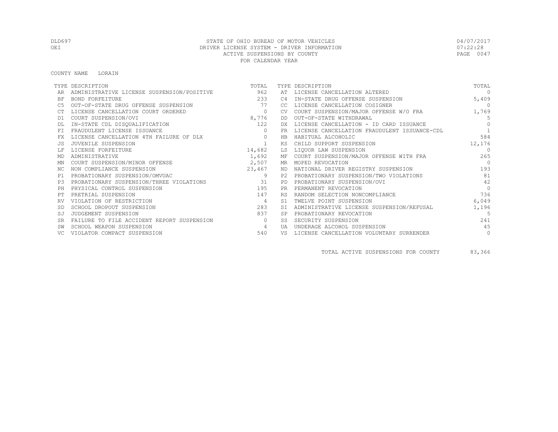COUNTY NAME LORAIN

|           | TYPE DESCRIPTION                           | TOTAL        |            | TYPE DESCRIPTION                             | TOTAL          |
|-----------|--------------------------------------------|--------------|------------|----------------------------------------------|----------------|
|           | ADMINISTRATIVE LICENSE SUSPENSION/POSITIVE | 962          | AΤ         | LICENSE CANCELLATION ALTERED                 | $\Omega$       |
| <b>BF</b> | BOND FORFEITURE                            | 233          | C4         | IN-STATE DRUG OFFENSE SUSPENSION             | 5,409          |
|           | OUT-OF-STATE DRUG OFFENSE SUSPENSION       | 77           | CC.        | LICENSE CANCELLATION COSIGNER                | $\overline{0}$ |
|           | LICENSE CANCELLATION COURT ORDERED         | $\circ$      | CV.        | COURT SUSPENSION/MAJOR OFFENSE W/O FRA       | 1,769          |
| D1        | COURT SUSPENSION/OVI                       | 8,776        | DD         | OUT-OF-STATE WITHDRAWAL                      | .5             |
|           | IN-STATE CDL DISQUALIFICATION              | 122          | DX.        | LICENSE CANCELLATION - ID CARD ISSUANCE      | $\cap$         |
|           | FRAUDULENT LICENSE ISSUANCE                | $\Omega$     | FR.        | LICENSE CANCELLATION FRAUDULENT ISSUANCE-CDL |                |
|           | LICENSE CANCELLATION 4TH FAILURE OF DLX    | $\circ$      | <b>HB</b>  | HABITUAL ALCOHOLIC                           | 584            |
|           | JUVENILE SUSPENSION                        | $\mathbf{1}$ | KS         | CHILD SUPPORT SUSPENSION                     | 12,176         |
|           | LICENSE FORFEITURE                         | 14,682       | LS         | LIOUOR LAW SUSPENSION                        | $\Omega$       |
| MD        | ADMINISTRATIVE                             | 1,692        |            | MF COURT SUSPENSION/MAJOR OFFENSE WITH FRA   | 265            |
| ΜN        | COURT SUSPENSION/MINOR OFFENSE             | 2,507        |            | MR MOPED REVOCATION                          | $\bigcap$      |
| ΝC        | NON COMPLIANCE SUSPENSION                  | 23,467       | ND.        | NATIONAL DRIVER REGISTRY SUSPENSION          | 193            |
| P1        | PROBATIONARY SUSPENSION/OMVUAC             | 9            | P2.        | PROBATIONARY SUSPENSION/TWO VIOLATIONS       | 81             |
| P3        | PROBATIONARY SUSPENSION/THREE VIOLATIONS   | 31           | <b>PD</b>  | PROBATIONARY SUSPENSION/OVI                  | 42             |
| PH        | PHYSICAL CONTROL SUSPENSION                | 195          | <b>PR</b>  | PERMANENT REVOCATION                         | $\Omega$       |
|           | PRETRIAL SUSPENSION                        | 147          | <b>RS</b>  | RANDOM SELECTION NONCOMPLIANCE               | 736            |
|           | VIOLATION OF RESTRICTION                   | 4            | S1         | TWELVE POINT SUSPENSION                      | 6,049          |
|           | SCHOOL DROPOUT SUSPENSION                  | 283          |            | ADMINISTRATIVE LICENSE SUSPENSION/REFUSAL    | 1,196          |
| SJ        | JUDGEMENT SUSPENSION                       | 837          |            | PROBATIONARY REVOCATION                      | 5              |
| <b>SR</b> | FAILURE TO FILE ACCIDENT REPORT SUSPENSION | $\circ$      | SS         | SECURITY SUSPENSION                          | 241            |
|           | SCHOOL WEAPON SUSPENSION                   | 4            | <b>TJA</b> | UNDERAGE ALCOHOL SUSPENSION                  | 45             |
|           | VIOLATOR COMPACT SUSPENSION                | 540          | VS         | LICENSE CANCELLATION VOLUNTARY SURRENDER     | $\circ$        |

TOTAL ACTIVE SUSPENSIONS FOR COUNTY 83,366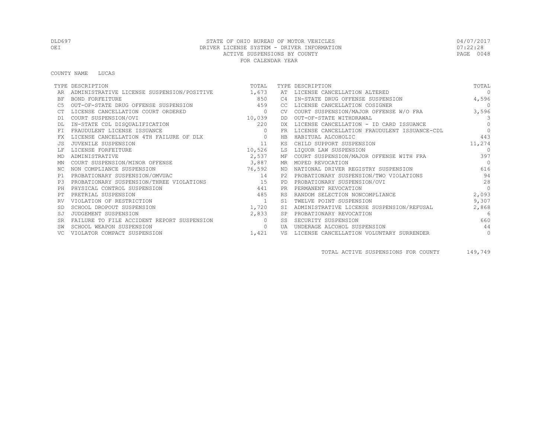COUNTY NAME LUCAS

|           | TYPE DESCRIPTION                                 | TOTAL          |           | TYPE DESCRIPTION                             | TOTAL          |
|-----------|--------------------------------------------------|----------------|-----------|----------------------------------------------|----------------|
|           | ADMINISTRATIVE LICENSE SUSPENSION/POSITIVE 1,673 |                | AT        | LICENSE CANCELLATION ALTERED                 | $\Omega$       |
| BF        | BOND FORFEITURE                                  | 850            | C4        | IN-STATE DRUG OFFENSE SUSPENSION             | 4,596          |
|           | OUT-OF-STATE DRUG OFFENSE SUSPENSION             | 459            | CC.       | LICENSE CANCELLATION COSIGNER                | $\overline{0}$ |
|           | LICENSE CANCELLATION COURT ORDERED               | $\overline{0}$ | CV        | COURT SUSPENSION/MAJOR OFFENSE W/O FRA       | 3,596          |
| D1        | COURT SUSPENSION/OVI                             | 10.039         | DD        | OUT-OF-STATE WITHDRAWAL                      | $\mathcal{B}$  |
|           | IN-STATE CDL DISQUALIFICATION                    | 220            | DX.       | LICENSE CANCELLATION - ID CARD ISSUANCE      | $\Omega$       |
| <b>FT</b> | FRAUDULENT LICENSE ISSUANCE                      |                | FR        | LICENSE CANCELLATION FRAUDULENT ISSUANCE-CDL | $\bigcap$      |
| FX        | LICENSE CANCELLATION 4TH FAILURE OF DLX          | $\circ$        | HB        | HABITUAL ALCOHOLIC                           | 443            |
| .JS       | JUVENILE SUSPENSION                              | 11             | ΚS        | CHILD SUPPORT SUSPENSION                     | 11,274         |
|           | LICENSE FORFEITURE                               | 10,526         | LS        | LIQUOR LAW SUSPENSION                        | $\Omega$       |
| MD        | ADMINISTRATIVE                                   | 2,537          | МF        | COURT SUSPENSION/MAJOR OFFENSE WITH FRA      | 397            |
| ΜN        | COURT SUSPENSION/MINOR OFFENSE                   | 3,887          | MR        | MOPED REVOCATION                             | $\Omega$       |
| NC.       | NON COMPLIANCE SUSPENSION                        | 76,592         | ND        | NATIONAL DRIVER REGISTRY SUSPENSION          | 616            |
| P1        | PROBATIONARY SUSPENSION/OMVUAC                   | 14             | P2.       | PROBATIONARY SUSPENSION/TWO VIOLATIONS       | 94             |
| P3        | PROBATIONARY SUSPENSION/THREE VIOLATIONS         | 15             | <b>PD</b> | PROBATIONARY SUSPENSION/OVI                  | 28             |
| PH        | PHYSICAL CONTROL SUSPENSION                      | 441            |           | PERMANENT REVOCATION                         | $\Omega$       |
|           | PRETRIAL SUSPENSION                              | 485            |           | RANDOM SELECTION NONCOMPLIANCE               | 2,093          |
| RV        | VIOLATION OF RESTRICTION                         | 1              | S1        | TWELVE POINT SUSPENSION                      | 9,307          |
|           | SCHOOL DROPOUT SUSPENSION                        | 1,720          | SI        | ADMINISTRATIVE LICENSE SUSPENSION/REFUSAL    | 2,868          |
| SJ        | JUDGEMENT SUSPENSION                             | 2,833          | SP        | PROBATIONARY REVOCATION                      | $6^{6}$        |
| SR        | FAILURE TO FILE ACCIDENT REPORT SUSPENSION       | $\bigcirc$     | SS        | SECURITY SUSPENSION                          | 660            |
| SW        | SCHOOL WEAPON SUSPENSION                         | $\circ$        | UA        | UNDERAGE ALCOHOL SUSPENSION                  | 44             |
| VC.       | VIOLATOR COMPACT SUSPENSION                      | 1,421          | VS        | LICENSE CANCELLATION VOLUNTARY SURRENDER     | $\circ$        |

TOTAL ACTIVE SUSPENSIONS FOR COUNTY 149,749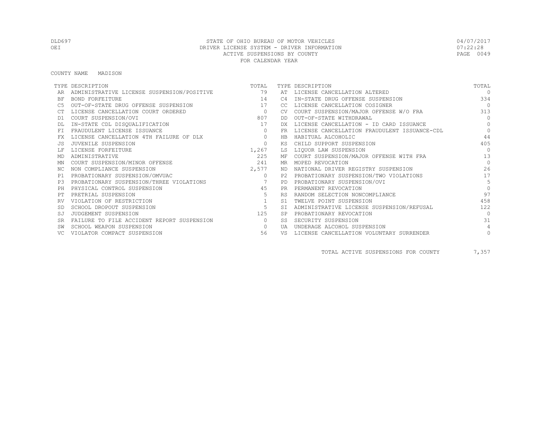COUNTY NAME MADISON

|           | TYPE DESCRIPTION                              | TOTAL          |                | TYPE DESCRIPTION                             | TOTAL      |
|-----------|-----------------------------------------------|----------------|----------------|----------------------------------------------|------------|
|           | ADMINISTRATIVE LICENSE SUSPENSION/POSITIVE 79 |                |                | AT LICENSE CANCELLATION ALTERED              | $\Omega$   |
| ΒF        | BOND FORFEITURE                               | 14             | C <sub>4</sub> | IN-STATE DRUG OFFENSE SUSPENSION             | 334        |
| C5        | OUT-OF-STATE DRUG OFFENSE SUSPENSION          | 17             | CC.            | LICENSE CANCELLATION COSIGNER                | $\bigcirc$ |
|           | LICENSE CANCELLATION COURT ORDERED            | $\overline{0}$ | <b>CV</b>      | COURT SUSPENSION/MAJOR OFFENSE W/O FRA       | 313        |
| D1        | COURT SUSPENSION/OVI                          | 807            | DD.            | OUT-OF-STATE WITHDRAWAL                      | $\Omega$   |
|           | IN-STATE CDL DISQUALIFICATION                 | 17             |                | LICENSE CANCELLATION - ID CARD ISSUANCE      | $\Omega$   |
| <b>FT</b> | FRAUDULENT LICENSE ISSUANCE                   | $\circ$        | FR             | LICENSE CANCELLATION FRAUDULENT ISSUANCE-CDL | $\Omega$   |
| FX        | LICENSE CANCELLATION 4TH FAILURE OF DLX       | $\circ$        | <b>HB</b>      | HABITUAL ALCOHOLIC                           | 44         |
| .JS       | JUVENILE SUSPENSION                           | $\Omega$       | ΚS             | CHILD SUPPORT SUSPENSION                     | 405        |
|           | LICENSE FORFEITURE                            | 1,267          | LS             | LIQUOR LAW SUSPENSION                        | $\Omega$   |
| MD        | ADMINISTRATIVE                                | 225            | МF             | COURT SUSPENSION/MAJOR OFFENSE WITH FRA      | 13         |
| ΜN        | COURT SUSPENSION/MINOR OFFENSE                | 241            | MR.            | MOPED REVOCATION                             | $\Omega$   |
| NC.       | NON COMPLIANCE SUSPENSION                     | 2,577          | ND.            | NATIONAL DRIVER REGISTRY SUSPENSION          | 26         |
| P1        | PROBATIONARY SUSPENSION/OMVUAC                | $\circ$        | P2.            | PROBATIONARY SUSPENSION/TWO VIOLATIONS       | 17         |
| P3        | PROBATIONARY SUSPENSION/THREE VIOLATIONS      | $\sim$ 7       | <b>PD</b>      | PROBATIONARY SUSPENSION/OVI                  | 5          |
| PH        | PHYSICAL CONTROL SUSPENSION                   | 45             | PR             | PERMANENT REVOCATION                         | $\Omega$   |
| PТ        | PRETRIAL SUSPENSION                           | 5              | <b>RS</b>      | RANDOM SELECTION NONCOMPLIANCE               | 97         |
|           | VIOLATION OF RESTRICTION                      | 1              | S1             | TWELVE POINT SUSPENSION                      | 458        |
| <b>SD</b> | SCHOOL DROPOUT SUSPENSION                     | - 5            | <b>ST</b>      | ADMINISTRATIVE LICENSE SUSPENSION/REFUSAL    | 122        |
| SJ        | JUDGEMENT SUSPENSION                          | 125            | <b>SP</b>      | PROBATIONARY REVOCATION                      | $\Omega$   |
| <b>SR</b> | FAILURE TO FILE ACCIDENT REPORT SUSPENSION    | $\circ$        | SS.            | SECURITY SUSPENSION                          | 31         |
|           | SCHOOL WEAPON SUSPENSION                      | $\circ$        | UA             | UNDERAGE ALCOHOL SUSPENSION                  | 4          |
|           | VIOLATOR COMPACT SUSPENSION                   | 56             | VS             | LICENSE CANCELLATION VOLUNTARY SURRENDER     | $\circ$    |

TOTAL ACTIVE SUSPENSIONS FOR COUNTY 7,357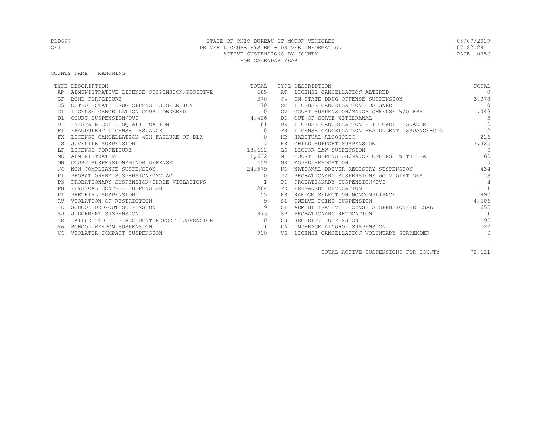#### COUNTY NAME MAHONING

|           | TYPE DESCRIPTION                           | TOTAL           |           | TYPE DESCRIPTION                             | TOTAL          |
|-----------|--------------------------------------------|-----------------|-----------|----------------------------------------------|----------------|
|           | ADMINISTRATIVE LICENSE SUSPENSION/POSITIVE | 685             | AT        | LICENSE CANCELLATION ALTERED                 | $\Omega$       |
| BF        | BOND FORFEITURE                            | 370             | C4        | IN-STATE DRUG OFFENSE SUSPENSION             | 3,378          |
|           | OUT-OF-STATE DRUG OFFENSE SUSPENSION       | 70              | CC.       | LICENSE CANCELLATION COSIGNER                | $\overline{0}$ |
|           | LICENSE CANCELLATION COURT ORDERED         | $\circ$         | <b>CV</b> | COURT SUSPENSION/MAJOR OFFENSE W/O FRA       | 1,043          |
| D1        | COURT SUSPENSION/OVI                       | 4,426           | DD        | OUT-OF-STATE WITHDRAWAL                      | $\mathcal{B}$  |
|           | IN-STATE CDL DISQUALIFICATION              | 81              | DX.       | LICENSE CANCELLATION - ID CARD ISSUANCE      | $\Omega$       |
| FT.       | FRAUDULENT LICENSE ISSUANCE                | $\Omega$        | FR        | LICENSE CANCELLATION FRAUDULENT ISSUANCE-CDL | $\overline{c}$ |
| FX        | LICENSE CANCELLATION 4TH FAILURE OF DLX    | $\circ$         | HB        | HABITUAL ALCOHOLIC                           | 216            |
| .JS       | JUVENILE SUSPENSION                        | $7\phantom{.0}$ | КS        | CHILD SUPPORT SUSPENSION                     | 7,325          |
|           | LICENSE FORFEITURE                         | 18,612          | LS        | LIQUOR LAW SUSPENSION                        | $\Omega$       |
| MD        | ADMINISTRATIVE                             | 1,632           |           | MF COURT SUSPENSION/MAJOR OFFENSE WITH FRA   | 160            |
| ΜN        | COURT SUSPENSION/MINOR OFFENSE             | 459             | MR        | MOPED REVOCATION                             | $\overline{0}$ |
| NC.       | NON COMPLIANCE SUSPENSION                  | 24,579          | ND.       | NATIONAL DRIVER REGISTRY SUSPENSION          | 434            |
| P1        | PROBATIONARY SUSPENSION/OMVUAC             | $\circ$         | P2.       | PROBATIONARY SUSPENSION/TWO VIOLATIONS       | 18             |
| P3        | PROBATIONARY SUSPENSION/THREE VIOLATIONS   | $\sim$ $\sim$ 1 | <b>PD</b> | PROBATIONARY SUSPENSION/OVI                  | $\overline{4}$ |
| PH        | PHYSICAL CONTROL SUSPENSION                | 284             | <b>PR</b> | PERMANENT REVOCATION                         |                |
| PТ        | PRETRIAL SUSPENSION                        | 55              | <b>RS</b> | RANDOM SELECTION NONCOMPLIANCE               | 890            |
| RV        | VIOLATION OF RESTRICTION                   | 9               | S1        | TWELVE POINT SUSPENSION                      | 4,606          |
|           | SCHOOL DROPOUT SUSPENSION                  | 9               | <b>ST</b> | ADMINISTRATIVE LICENSE SUSPENSION/REFUSAL    | 655            |
| SJ        | JUDGEMENT SUSPENSION                       | 973             |           | PROBATIONARY REVOCATION                      | $\overline{1}$ |
| <b>SR</b> | FAILURE TO FILE ACCIDENT REPORT SUSPENSION | $\Omega$        | SS.       | SECURITY SUSPENSION                          | 195            |
|           | SCHOOL WEAPON SUSPENSION                   |                 | UA        | UNDERAGE ALCOHOL SUSPENSION                  | 27             |
|           | VIOLATOR COMPACT SUSPENSION                | 910             | VS        | LICENSE CANCELLATION VOLUNTARY SURRENDER     | $\circ$        |

TOTAL ACTIVE SUSPENSIONS FOR COUNTY 72,121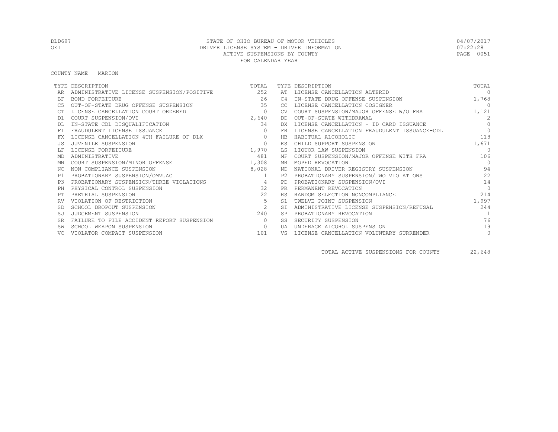COUNTY NAME MARION

|           | TYPE DESCRIPTION                               | TOTAL          |           | TYPE DESCRIPTION                             | TOTAL     |
|-----------|------------------------------------------------|----------------|-----------|----------------------------------------------|-----------|
|           | ADMINISTRATIVE LICENSE SUSPENSION/POSITIVE 252 |                | AT        | LICENSE CANCELLATION ALTERED                 | $\Omega$  |
| ΒF        | <b>BOND FORFEITURE</b>                         | 26             | C4        | IN-STATE DRUG OFFENSE SUSPENSION             | 1,768     |
| C5        | OUT-OF-STATE DRUG OFFENSE SUSPENSION           | 35             | CC        | LICENSE CANCELLATION COSIGNER                | $\Omega$  |
|           | LICENSE CANCELLATION COURT ORDERED             | $\circ$        |           | COURT SUSPENSION/MAJOR OFFENSE W/O FRA       | 1,121     |
| D1        | COURT SUSPENSION/OVI                           | 2,640          | DD        | OUT-OF-STATE WITHDRAWAL                      | 2         |
|           | IN-STATE CDL DISQUALIFICATION                  | 34             | DX        | LICENSE CANCELLATION - ID CARD ISSUANCE      | $\bigcap$ |
| FT.       | FRAUDULENT LICENSE ISSUANCE                    |                | FR.       | LICENSE CANCELLATION FRAUDULENT ISSUANCE-CDL | $\Omega$  |
| FX        | LICENSE CANCELLATION 4TH FAILURE OF DLX        | $\circ$        | HB        | HABITUAL ALCOHOLIC                           | 118       |
|           | JUVENILE SUSPENSION                            | $\circ$        | ΚS        | CHILD SUPPORT SUSPENSION                     | 1,671     |
|           | LICENSE FORFEITURE                             | 1,970          | LS        | LIQUOR LAW SUSPENSION                        | $\cap$    |
| MD        | ADMINISTRATIVE                                 | 481            |           | MF COURT SUSPENSION/MAJOR OFFENSE WITH FRA   | 106       |
| ΜN        | COURT SUSPENSION/MINOR OFFENSE                 | 1,308          |           | MR MOPED REVOCATION                          | $\bigcap$ |
| ΝC        | NON COMPLIANCE SUSPENSION                      | 8,028          | ND        | NATIONAL DRIVER REGISTRY SUSPENSION          | 94        |
| P1        | PROBATIONARY SUSPENSION/OMVUAC                 | $\overline{1}$ |           | P2 PROBATIONARY SUSPENSION/TWO VIOLATIONS    | 22        |
| P.3       | PROBATIONARY SUSPENSION/THREE VIOLATIONS       | $\overline{4}$ | PD        | PROBATIONARY SUSPENSION/OVI                  | 14        |
| PH        | PHYSICAL CONTROL SUSPENSION                    | 32             | <b>PR</b> | PERMANENT REVOCATION                         | $\Omega$  |
|           | PRETRIAL SUSPENSION                            | 22             | <b>RS</b> | RANDOM SELECTION NONCOMPLIANCE               | 214       |
|           | VIOLATION OF RESTRICTION                       | 5              | S1        | TWELVE POINT SUSPENSION                      | 1,997     |
|           | SCHOOL DROPOUT SUSPENSION                      | 2              | SI        | ADMINISTRATIVE LICENSE SUSPENSION/REFUSAL    | 244       |
| SJ        | JUDGEMENT SUSPENSION                           | 240            | <b>SP</b> | PROBATIONARY REVOCATION                      |           |
| <b>SR</b> | FAILURE TO FILE ACCIDENT REPORT SUSPENSION     | $\bigcirc$     | SS        | SECURITY SUSPENSION                          | 76        |
|           | SCHOOL WEAPON SUSPENSION                       | $\circ$        | UA        | UNDERAGE ALCOHOL SUSPENSION                  | 19        |
|           | VIOLATOR COMPACT SUSPENSION                    | 101            | VS        | LICENSE CANCELLATION VOLUNTARY SURRENDER     | 0         |

TOTAL ACTIVE SUSPENSIONS FOR COUNTY 22,648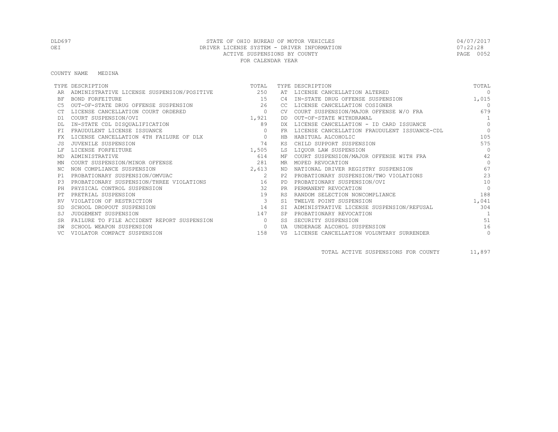COUNTY NAME MEDINA

|           | TYPE DESCRIPTION                           | TOTAL                   |           | TYPE DESCRIPTION                             | TOTAL          |
|-----------|--------------------------------------------|-------------------------|-----------|----------------------------------------------|----------------|
|           | ADMINISTRATIVE LICENSE SUSPENSION/POSITIVE | 250                     |           | AT LICENSE CANCELLATION ALTERED              | $\Omega$       |
| ΒF        | BOND FORFEITURE                            | 15                      | C4        | IN-STATE DRUG OFFENSE SUSPENSION             | 1,015          |
| C5        | OUT-OF-STATE DRUG OFFENSE SUSPENSION       | 26                      | CC.       | LICENSE CANCELLATION COSIGNER                | $\overline{0}$ |
|           | LICENSE CANCELLATION COURT ORDERED         | $\circ$                 | <b>CV</b> | COURT SUSPENSION/MAJOR OFFENSE W/O FRA       | 679            |
| D1        | COURT SUSPENSION/OVI                       | 1,921                   | DD        | OUT-OF-STATE WITHDRAWAL                      | $\overline{1}$ |
|           | IN-STATE CDL DISQUALIFICATION              | 89                      | DX.       | LICENSE CANCELLATION - ID CARD ISSUANCE      | $\Omega$       |
| <b>FT</b> | FRAUDULENT LICENSE ISSUANCE                | $\Omega$                | <b>FR</b> | LICENSE CANCELLATION FRAUDULENT ISSUANCE-CDL | $\Omega$       |
| FX        | LICENSE CANCELLATION 4TH FAILURE OF DLX    | $\circ$                 | HB        | HABITUAL ALCOHOLIC                           | 105            |
| .JS       | JUVENILE SUSPENSION                        | 74                      | ΚS        | CHILD SUPPORT SUSPENSION                     | 575            |
|           | LICENSE FORFEITURE                         | 1,505                   | LS        | LIQUOR LAW SUSPENSION                        | $\Omega$       |
| MD        | ADMINISTRATIVE                             | 614                     | МF        | COURT SUSPENSION/MAJOR OFFENSE WITH FRA      | 42             |
| ΜN        | COURT SUSPENSION/MINOR OFFENSE             | 281                     | MR.       | MOPED REVOCATION                             | $\Omega$       |
| NC.       | NON COMPLIANCE SUSPENSION                  | 2,613                   | ND.       | NATIONAL DRIVER REGISTRY SUSPENSION          | 67             |
| P1        | PROBATIONARY SUSPENSION/OMVUAC             | 2                       | P2.       | PROBATIONARY SUSPENSION/TWO VIOLATIONS       | 23             |
| P3        | PROBATIONARY SUSPENSION/THREE VIOLATIONS   | 16                      | <b>PD</b> | PROBATIONARY SUSPENSION/OVI                  | 10             |
| PH        | PHYSICAL CONTROL SUSPENSION                | 32                      | <b>PR</b> | PERMANENT REVOCATION                         | $\Omega$       |
| PТ        | PRETRIAL SUSPENSION                        | 19                      | <b>RS</b> | RANDOM SELECTION NONCOMPLIANCE               | 188            |
|           | VIOLATION OF RESTRICTION                   | $\overline{\mathbf{3}}$ | S1        | TWELVE POINT SUSPENSION                      | 1,041          |
| -SD       | SCHOOL DROPOUT SUSPENSION                  | 14                      | <b>ST</b> | ADMINISTRATIVE LICENSE SUSPENSION/REFUSAL    | 304            |
| SJ        | JUDGEMENT SUSPENSION                       | 147                     | <b>SP</b> | PROBATIONARY REVOCATION                      | $\overline{1}$ |
| <b>SR</b> | FAILURE TO FILE ACCIDENT REPORT SUSPENSION | $\Omega$                | SS.       | SECURITY SUSPENSION                          | 51             |
|           | SCHOOL WEAPON SUSPENSION                   | $\circ$                 | UA        | UNDERAGE ALCOHOL SUSPENSION                  | 16             |
|           | VIOLATOR COMPACT SUSPENSION                | 158                     | VS        | LICENSE CANCELLATION VOLUNTARY SURRENDER     | $\circ$        |

TOTAL ACTIVE SUSPENSIONS FOR COUNTY 11,897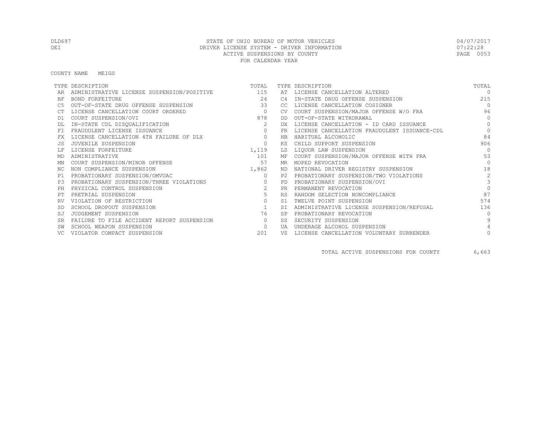COUNTY NAME MEIGS

|           | TYPE DESCRIPTION                               | TOTAL                                      |           | TYPE DESCRIPTION                             | TOTAL         |
|-----------|------------------------------------------------|--------------------------------------------|-----------|----------------------------------------------|---------------|
|           | ADMINISTRATIVE LICENSE SUSPENSION/POSITIVE 115 |                                            |           | AT LICENSE CANCELLATION ALTERED              | $\cap$        |
| ΒF        | BOND FORFEITURE                                | 24                                         | C4        | IN-STATE DRUG OFFENSE SUSPENSION             | 215           |
| C5        | OUT-OF-STATE DRUG OFFENSE SUSPENSION           | 33                                         | CC.       | LICENSE CANCELLATION COSIGNER                | $\bigcirc$    |
|           | LICENSE CANCELLATION COURT ORDERED             | $\sim$ 0 $\sim$ 0 $\sim$ 0 $\sim$ 0 $\sim$ | <b>CV</b> | COURT SUSPENSION/MAJOR OFFENSE W/O FRA       | 96            |
| D1        | COURT SUSPENSION/OVI                           | 878                                        | DD.       | OUT-OF-STATE WITHDRAWAL                      | $\Omega$      |
|           | IN-STATE CDL DISQUALIFICATION                  | 2                                          | DX        | LICENSE CANCELLATION - ID CARD ISSUANCE      | $\Omega$      |
| <b>FT</b> | FRAUDULENT LICENSE ISSUANCE                    | $\circ$                                    | <b>FR</b> | LICENSE CANCELLATION FRAUDULENT ISSUANCE-CDL | $\circ$       |
| FX        | LICENSE CANCELLATION 4TH FAILURE OF DLX        | $\circ$                                    | <b>HB</b> | HABITUAL ALCOHOLIC                           | 84            |
|           | JUVENILE SUSPENSION                            | $\circ$                                    | ΚS        | CHILD SUPPORT SUSPENSION                     | 906           |
|           | LICENSE FORFEITURE                             | 1,119                                      | LS        | LIQUOR LAW SUSPENSION                        | $\Omega$      |
| MD        | ADMINISTRATIVE                                 | 101                                        | МF        | COURT SUSPENSION/MAJOR OFFENSE WITH FRA      | 53            |
| ΜN        | COURT SUSPENSION/MINOR OFFENSE                 | 57                                         | MR.       | MOPED REVOCATION                             | $\Omega$      |
| NC.       | NON COMPLIANCE SUSPENSION                      | 1,862                                      | ND.       | NATIONAL DRIVER REGISTRY SUSPENSION          | 18            |
| P1        | PROBATIONARY SUSPENSION/OMVUAC                 | $\circ$                                    | P2.       | PROBATIONARY SUSPENSION/TWO VIOLATIONS       | 2             |
| P3        | PROBATIONARY SUSPENSION/THREE VIOLATIONS       | $\circ$                                    | PD        | PROBATIONARY SUSPENSION/OVI                  | $\mathcal{E}$ |
| PH        | PHYSICAL CONTROL SUSPENSION                    | 2                                          | <b>PR</b> | PERMANENT REVOCATION                         | $\Omega$      |
|           | PRETRIAL SUSPENSION                            | 5                                          | <b>RS</b> | RANDOM SELECTION NONCOMPLIANCE               | 87            |
|           | VIOLATION OF RESTRICTION                       | $\circ$                                    | S1        | TWELVE POINT SUSPENSION                      | 574           |
|           | SCHOOL DROPOUT SUSPENSION                      | 1                                          | <b>ST</b> | ADMINISTRATIVE LICENSE SUSPENSION/REFUSAL    | 136           |
| SJ        | JUDGEMENT SUSPENSION                           | 76                                         | <b>SP</b> | PROBATIONARY REVOCATION                      | $\Omega$      |
| <b>SR</b> | FAILURE TO FILE ACCIDENT REPORT SUSPENSION     | $\bigcirc$                                 | SS.       | SECURITY SUSPENSION                          | $\mathsf{Q}$  |
|           | SCHOOL WEAPON SUSPENSION                       | $\circ$                                    | UA        | UNDERAGE ALCOHOL SUSPENSION                  |               |
|           | VIOLATOR COMPACT SUSPENSION                    | 201                                        | VS        | LICENSE CANCELLATION VOLUNTARY SURRENDER     |               |

TOTAL ACTIVE SUSPENSIONS FOR COUNTY 6,663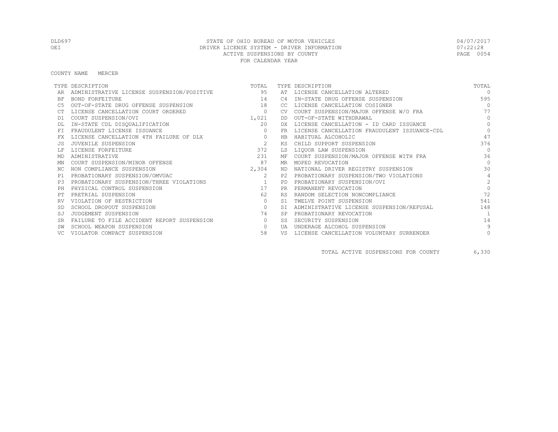COUNTY NAME MERCER

|           | TYPE DESCRIPTION                           | TOTAL          |           | TYPE DESCRIPTION                             | TOTAL          |
|-----------|--------------------------------------------|----------------|-----------|----------------------------------------------|----------------|
|           | ADMINISTRATIVE LICENSE SUSPENSION/POSITIVE | 95             | AT        | LICENSE CANCELLATION ALTERED                 | $\cap$         |
| ΒF        | BOND FORFEITURE                            | 14             | C4        | IN-STATE DRUG OFFENSE SUSPENSION             | 595            |
| C5        | OUT-OF-STATE DRUG OFFENSE SUSPENSION       | 18             | CC        | LICENSE CANCELLATION COSIGNER                | $\Omega$       |
|           | LICENSE CANCELLATION COURT ORDERED         | $\circ$        | CV.       | COURT SUSPENSION/MAJOR OFFENSE W/O FRA       | 77             |
| D1        | COURT SUSPENSION/OVI                       | 1,021          | DD        | OUT-OF-STATE WITHDRAWAL                      | $\Omega$       |
|           | IN-STATE CDL DISQUALIFICATION              | 20             | DX.       | LICENSE CANCELLATION - ID CARD ISSUANCE      | $\Omega$       |
| FT        | FRAUDULENT LICENSE ISSUANCE                | $\Omega$       | <b>FR</b> | LICENSE CANCELLATION FRAUDULENT ISSUANCE-CDL | $\Omega$       |
| FX        | LICENSE CANCELLATION 4TH FAILURE OF DLX    | $\circ$        | HB        | HABITUAL ALCOHOLIC                           | 47             |
|           | JUVENILE SUSPENSION                        | $\overline{c}$ | KS        | CHILD SUPPORT SUSPENSION                     | 376            |
|           | LICENSE FORFEITURE                         | 372            | LS        | LIQUOR LAW SUSPENSION                        | $\bigcap$      |
| MD        | ADMINISTRATIVE                             | 231            | МF        | COURT SUSPENSION/MAJOR OFFENSE WITH FRA      | 36             |
| MN        | COURT SUSPENSION/MINOR OFFENSE             | 87             | MR        | MOPED REVOCATION                             | $\bigcap$      |
| NC.       | NON COMPLIANCE SUSPENSION                  | 2,304          | ND        | NATIONAL DRIVER REGISTRY SUSPENSION          | 30             |
| P1        | PROBATIONARY SUSPENSION/OMVUAC             | 2              | P2.       | PROBATIONARY SUSPENSION/TWO VIOLATIONS       | $\overline{4}$ |
| P3        | PROBATIONARY SUSPENSION/THREE VIOLATIONS   | $\sim$ 1       | <b>PD</b> | PROBATIONARY SUSPENSION/OVI                  | $\mathfrak{D}$ |
| PH        | PHYSICAL CONTROL SUSPENSION                | 17             | <b>PR</b> | PERMANENT REVOCATION                         | $\Omega$       |
|           | PRETRIAL SUSPENSION                        | 62             | <b>RS</b> | RANDOM SELECTION NONCOMPLIANCE               | 72             |
| RV        | VIOLATION OF RESTRICTION                   | $\circ$        | S1        | TWELVE POINT SUSPENSION                      | 541            |
|           | SCHOOL DROPOUT SUSPENSION                  | $\circ$        | <b>ST</b> | ADMINISTRATIVE LICENSE SUSPENSION/REFUSAL    | 148            |
| SJ        | JUDGEMENT SUSPENSION                       | 74             | <b>SP</b> | PROBATIONARY REVOCATION                      |                |
| <b>SR</b> | FAILURE TO FILE ACCIDENT REPORT SUSPENSION | $\circ$        | SS        | SECURITY SUSPENSION                          | 14             |
|           | SCHOOL WEAPON SUSPENSION                   | $\Omega$       | UA        | UNDERAGE ALCOHOL SUSPENSION                  | 9              |
|           | VIOLATOR COMPACT SUSPENSION                | 58             | VS        | LICENSE CANCELLATION VOLUNTARY SURRENDER     | $\circ$        |

TOTAL ACTIVE SUSPENSIONS FOR COUNTY 6,330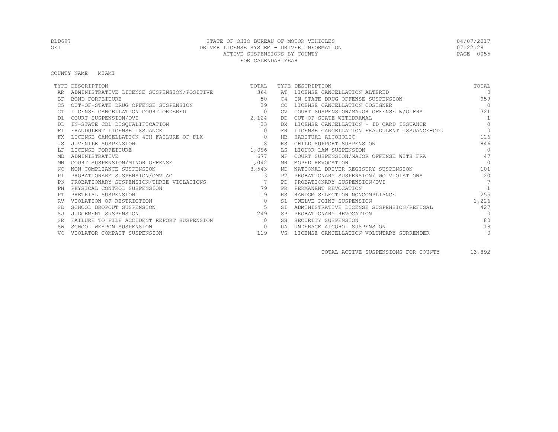COUNTY NAME MIAMI

|           | TYPE DESCRIPTION                               | TOTAL          |                | TYPE DESCRIPTION                             | TOTAL          |
|-----------|------------------------------------------------|----------------|----------------|----------------------------------------------|----------------|
|           | ADMINISTRATIVE LICENSE SUSPENSION/POSITIVE 364 |                |                | AT LICENSE CANCELLATION ALTERED              | $\cap$         |
| ΒF        | BOND FORFEITURE                                | 50             | C <sub>4</sub> | IN-STATE DRUG OFFENSE SUSPENSION             | 959            |
| C5        | OUT-OF-STATE DRUG OFFENSE SUSPENSION           | 39             | CC.            | LICENSE CANCELLATION COSIGNER                | $\bigcirc$     |
|           | LICENSE CANCELLATION COURT ORDERED             | $\circ$        | CV             | COURT SUSPENSION/MAJOR OFFENSE W/O FRA       | 321            |
| D1        | COURT SUSPENSION/OVI                           | 2,124          | DD             | OUT-OF-STATE WITHDRAWAL                      | $\overline{1}$ |
|           | IN-STATE CDL DISQUALIFICATION                  | 33             | DX             | LICENSE CANCELLATION - ID CARD ISSUANCE      | $\Omega$       |
| <b>FT</b> | FRAUDULENT LICENSE ISSUANCE                    | $\Omega$       | <b>FR</b>      | LICENSE CANCELLATION FRAUDULENT ISSUANCE-CDL | $\Omega$       |
| FX        | LICENSE CANCELLATION 4TH FAILURE OF DLX        | $\circ$        | <b>HB</b>      | HABITUAL ALCOHOLIC                           | 126            |
| .JS       | JUVENILE SUSPENSION                            | 8              | ΚS             | CHILD SUPPORT SUSPENSION                     | 846            |
|           | LICENSE FORFEITURE                             | 1,096          | LS             | LIQUOR LAW SUSPENSION                        | $\cap$         |
| MD        | ADMINISTRATIVE                                 | 677            | МF             | COURT SUSPENSION/MAJOR OFFENSE WITH FRA      | 47             |
| ΜN        | COURT SUSPENSION/MINOR OFFENSE                 | 1,042          | MR             | MOPED REVOCATION                             | $\bigcap$      |
| NC.       | NON COMPLIANCE SUSPENSION                      | 3,543          | ND             | NATIONAL DRIVER REGISTRY SUSPENSION          | 101            |
| P1        | PROBATIONARY SUSPENSION/OMVUAC                 | 3              | P2.            | PROBATIONARY SUSPENSION/TWO VIOLATIONS       | 20             |
| P3        | PROBATIONARY SUSPENSION/THREE VIOLATIONS       | $\overline{7}$ | <b>PD</b>      | PROBATIONARY SUSPENSION/OVI                  | $\overline{7}$ |
| PH        | PHYSICAL CONTROL SUSPENSION                    | 79             | <b>PR</b>      | PERMANENT REVOCATION                         |                |
| PТ        | PRETRIAL SUSPENSION                            | 19             | <b>RS</b>      | RANDOM SELECTION NONCOMPLIANCE               | 255            |
|           | VIOLATION OF RESTRICTION                       | $\circ$        | S1             | TWELVE POINT SUSPENSION                      | 1,226          |
| <b>SD</b> | SCHOOL DROPOUT SUSPENSION                      | -5             | <b>ST</b>      | ADMINISTRATIVE LICENSE SUSPENSION/REFUSAL    | 427            |
| SJ        | JUDGEMENT SUSPENSION                           | 249            |                | PROBATIONARY REVOCATION                      | $\Omega$       |
| <b>SR</b> | FAILURE TO FILE ACCIDENT REPORT SUSPENSION     | $\Omega$       | SS             | SECURITY SUSPENSION                          | 80             |
|           | SCHOOL WEAPON SUSPENSION                       | $\circ$        | UA             | UNDERAGE ALCOHOL SUSPENSION                  | 18             |
|           | VIOLATOR COMPACT SUSPENSION                    | 119            | VS             | LICENSE CANCELLATION VOLUNTARY SURRENDER     | $\circ$        |

TOTAL ACTIVE SUSPENSIONS FOR COUNTY 13,892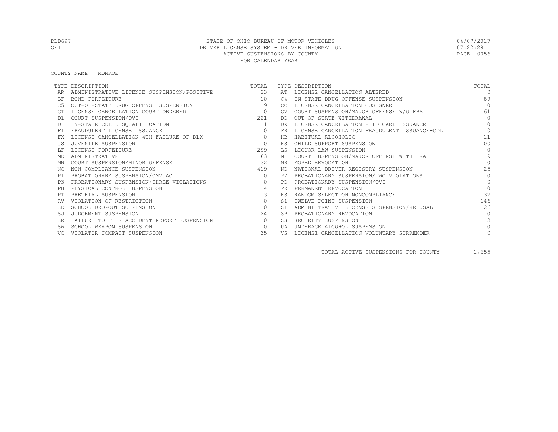COUNTY NAME MONROE

|           | TYPE DESCRIPTION                           | TOTAL          |                | TYPE DESCRIPTION                             | TOTAL         |
|-----------|--------------------------------------------|----------------|----------------|----------------------------------------------|---------------|
|           | ADMINISTRATIVE LICENSE SUSPENSION/POSITIVE | 23             |                | AT LICENSE CANCELLATION ALTERED              | $\cap$        |
| BF        | BOND FORFEITURE                            | 10             | C4             | IN-STATE DRUG OFFENSE SUSPENSION             | 89            |
|           | OUT-OF-STATE DRUG OFFENSE SUSPENSION       | 9              | CC.            | LICENSE CANCELLATION COSIGNER                | $\Omega$      |
|           | LICENSE CANCELLATION COURT ORDERED         | $\overline{0}$ | <b>CV</b>      | COURT SUSPENSION/MAJOR OFFENSE W/O FRA       | 61            |
| D1        | COURT SUSPENSION/OVI                       | 221            | DD.            | OUT-OF-STATE WITHDRAWAL                      | $\Omega$      |
|           | IN-STATE CDL DISQUALIFICATION              | 11             | DX.            | LICENSE CANCELLATION - ID CARD ISSUANCE      | $\Omega$      |
|           | FRAUDULENT LICENSE ISSUANCE                | $\circ$        | FR             | LICENSE CANCELLATION FRAUDULENT ISSUANCE-CDL | $\Omega$      |
| FX        | LICENSE CANCELLATION 4TH FAILURE OF DLX    | $\circ$        | HB             | HABITUAL ALCOHOLIC                           | 11            |
|           | JUVENILE SUSPENSION                        | $\Omega$       | ΚS             | CHILD SUPPORT SUSPENSION                     | 100           |
|           | LICENSE FORFEITURE                         | 299            | LS             | LIQUOR LAW SUSPENSION                        | $\Omega$      |
| MD        | ADMINISTRATIVE                             | 63             | МF             | COURT SUSPENSION/MAJOR OFFENSE WITH FRA      | $\mathsf{Q}$  |
| ΜN        | COURT SUSPENSION/MINOR OFFENSE             | 32             | MR             | MOPED REVOCATION                             | $\cap$        |
| NC.       | NON COMPLIANCE SUSPENSION                  | 419            | ND.            | NATIONAL DRIVER REGISTRY SUSPENSION          | 2.5           |
| P1        | PROBATIONARY SUSPENSION/OMVUAC             | $\circ$        | P2.            | PROBATIONARY SUSPENSION/TWO VIOLATIONS       | $\bigcap$     |
| P3        | PROBATIONARY SUSPENSION/THREE VIOLATIONS   | $\circ$        | PD             | PROBATIONARY SUSPENSION/OVI                  | $\Omega$      |
| PH        | PHYSICAL CONTROL SUSPENSION                | 4              | <b>PR</b>      | PERMANENT REVOCATION                         | $\Omega$      |
|           | PRETRIAL SUSPENSION                        | 3              | <b>RS</b>      | RANDOM SELECTION NONCOMPLIANCE               | 32            |
|           | VIOLATION OF RESTRICTION                   | $\circ$        | S <sub>1</sub> | TWELVE POINT SUSPENSION                      | 146           |
|           | SCHOOL DROPOUT SUSPENSION                  | $\circ$        | <b>ST</b>      | ADMINISTRATIVE LICENSE SUSPENSION/REFUSAL    | 26            |
|           | JUDGEMENT SUSPENSION                       | 24             | <b>SP</b>      | PROBATIONARY REVOCATION                      | $\bigcap$     |
| <b>SR</b> | FAILURE TO FILE ACCIDENT REPORT SUSPENSION | $\circ$        | SS             | SECURITY SUSPENSION                          | $\mathcal{L}$ |
|           | SCHOOL WEAPON SUSPENSION                   | $\Omega$       | TJ A           | UNDERAGE ALCOHOL SUSPENSION                  | $\Omega$      |
|           | VIOLATOR COMPACT SUSPENSION                | 35             | VS             | LICENSE CANCELLATION VOLUNTARY SURRENDER     |               |

TOTAL ACTIVE SUSPENSIONS FOR COUNTY 1,655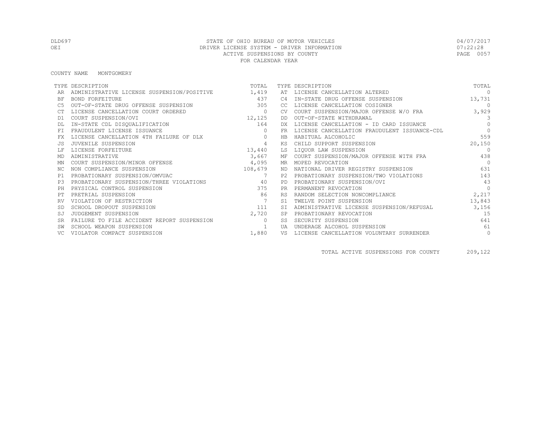COUNTY NAME MONTGOMERY

|           | TYPE DESCRIPTION                           | TOTAL          |           | TYPE DESCRIPTION                             | TOTAL          |
|-----------|--------------------------------------------|----------------|-----------|----------------------------------------------|----------------|
|           | ADMINISTRATIVE LICENSE SUSPENSION/POSITIVE | 1,419          | AT        | LICENSE CANCELLATION ALTERED                 | $\Omega$       |
| ΒF        | <b>BOND FORFEITURE</b>                     | 437            | C4        | IN-STATE DRUG OFFENSE SUSPENSION             | 13,731         |
| C5        | OUT-OF-STATE DRUG OFFENSE SUSPENSION       | 305            | CC        | LICENSE CANCELLATION COSIGNER                | $\bigcirc$     |
|           | LICENSE CANCELLATION COURT ORDERED         | $\circ$        | CV.       | COURT SUSPENSION/MAJOR OFFENSE W/O FRA       | 3,929          |
| D1        | COURT SUSPENSION/OVI                       | 12, 125        | DD        | OUT-OF-STATE WITHDRAWAL                      | $\mathcal{E}$  |
|           | IN-STATE CDL DISQUALIFICATION              | 164            | DX.       | LICENSE CANCELLATION - ID CARD ISSUANCE      | $\bigcap$      |
| FT.       | FRAUDULENT LICENSE ISSUANCE                | $\mathbf{0}$   | <b>FR</b> | LICENSE CANCELLATION FRAUDULENT ISSUANCE-CDL | $\bigcap$      |
| FX        | LICENSE CANCELLATION 4TH FAILURE OF DLX    | $\circ$        | HB        | HABITUAL ALCOHOLIC                           | 559            |
|           | JUVENILE SUSPENSION                        | 4              | ΚS        | CHILD SUPPORT SUSPENSION                     | 20,150         |
|           | LICENSE FORFEITURE                         | 13,440         | LS        | LIOUOR LAW SUSPENSION                        | $\bigcirc$     |
| MD        | ADMINISTRATIVE                             | 3,667          |           | MF COURT SUSPENSION/MAJOR OFFENSE WITH FRA   | 438            |
| ΜN        | COURT SUSPENSION/MINOR OFFENSE             | 4,095          |           | MR MOPED REVOCATION                          | $\overline{0}$ |
| ΝC        | NON COMPLIANCE SUSPENSION                  | 108,679        |           | ND NATIONAL DRIVER REGISTRY SUSPENSION       | 631            |
| P1        | PROBATIONARY SUSPENSION/OMVUAC             | $\overline{7}$ | P2.       | PROBATIONARY SUSPENSION/TWO VIOLATIONS       | 143            |
| P.3       | PROBATIONARY SUSPENSION/THREE VIOLATIONS   | 40             | <b>PD</b> | PROBATIONARY SUSPENSION/OVI                  | 43             |
| PH        | PHYSICAL CONTROL SUSPENSION                | 375            | <b>PR</b> | PERMANENT REVOCATION                         | $\Omega$       |
|           | PRETRIAL SUSPENSION                        | 86             | <b>RS</b> | RANDOM SELECTION NONCOMPLIANCE               | 2,217          |
| RV        | VIOLATION OF RESTRICTION                   |                | S1        | TWELVE POINT SUSPENSION                      | 13,843         |
|           | SCHOOL DROPOUT SUSPENSION                  | 111            |           | ADMINISTRATIVE LICENSE SUSPENSION/REFUSAL    | 3,156          |
| SJ        | JUDGEMENT SUSPENSION                       | 2,720          | SP        | PROBATIONARY REVOCATION                      | 1.5            |
| <b>SR</b> | FAILURE TO FILE ACCIDENT REPORT SUSPENSION | $\Omega$       | SS        | SECURITY SUSPENSION                          | 641            |
|           | SCHOOL WEAPON SUSPENSION                   |                | UA        | UNDERAGE ALCOHOL SUSPENSION                  | 61             |
| VC.       | VIOLATOR COMPACT SUSPENSION                | 1,880          | VS        | LICENSE CANCELLATION VOLUNTARY SURRENDER     | $\circ$        |

TOTAL ACTIVE SUSPENSIONS FOR COUNTY 209,122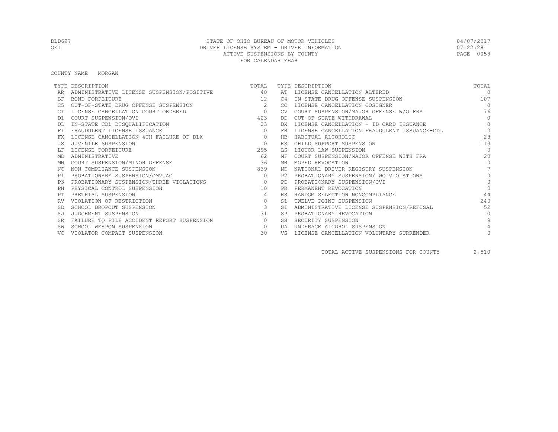COUNTY NAME MORGAN

|           | TYPE DESCRIPTION                           | TOTAL          |           | TYPE DESCRIPTION                             | TOTAL     |
|-----------|--------------------------------------------|----------------|-----------|----------------------------------------------|-----------|
|           | ADMINISTRATIVE LICENSE SUSPENSION/POSITIVE | 40             | AT        | LICENSE CANCELLATION ALTERED                 | $\Omega$  |
| BF        | BOND FORFEITURE                            | 12             | C4        | IN-STATE DRUG OFFENSE SUSPENSION             | 107       |
|           | OUT-OF-STATE DRUG OFFENSE SUSPENSION       | $2^{1}$        | CC.       | LICENSE CANCELLATION COSIGNER                | $\Omega$  |
|           | LICENSE CANCELLATION COURT ORDERED         | $\overline{0}$ | CV.       | COURT SUSPENSION/MAJOR OFFENSE W/O FRA       | 76        |
| D1        | COURT SUSPENSION/OVI                       | 423            | DD        | OUT-OF-STATE WITHDRAWAL                      | $\Omega$  |
|           | IN-STATE CDL DISQUALIFICATION              | 23             | DX        | LICENSE CANCELLATION - ID CARD ISSUANCE      | $\Omega$  |
| FT        | FRAUDULENT LICENSE ISSUANCE                | $\Omega$       | FR        | LICENSE CANCELLATION FRAUDULENT ISSUANCE-CDL | $\Omega$  |
|           | LICENSE CANCELLATION 4TH FAILURE OF DLX    | $\circ$        | HB        | HABITUAL ALCOHOLIC                           | 2.8       |
|           | JUVENILE SUSPENSION                        | $\Omega$       | ΚS        | CHILD SUPPORT SUSPENSION                     | 113       |
|           | LICENSE FORFEITURE                         | 295            | LS        | LIQUOR LAW SUSPENSION                        | $\bigcap$ |
| MD        | ADMINISTRATIVE                             | 62             | МF        | COURT SUSPENSION/MAJOR OFFENSE WITH FRA      | 20        |
| MN        | COURT SUSPENSION/MINOR OFFENSE             | 36             | MR        | MOPED REVOCATION                             | $\bigcap$ |
| NC.       | NON COMPLIANCE SUSPENSION                  | 839            | ND        | NATIONAL DRIVER REGISTRY SUSPENSION          |           |
| P1        | PROBATIONARY SUSPENSION/OMVUAC             | $\Omega$       | P2.       | PROBATIONARY SUSPENSION/TWO VIOLATIONS       | $\bigcap$ |
| P3        | PROBATIONARY SUSPENSION/THREE VIOLATIONS   | $\overline{0}$ | <b>PD</b> | PROBATIONARY SUSPENSION/OVI                  | $\Omega$  |
| PH        | PHYSICAL CONTROL SUSPENSION                | 10             | PR.       | PERMANENT REVOCATION                         | $\bigcap$ |
|           | PRETRIAL SUSPENSION                        | $\overline{4}$ | <b>RS</b> | RANDOM SELECTION NONCOMPLIANCE               | 44        |
|           | VIOLATION OF RESTRICTION                   | $\circ$        | S1        | TWELVE POINT SUSPENSION                      | 240       |
|           | SCHOOL DROPOUT SUSPENSION                  | $\mathbf{3}$   | <b>ST</b> | ADMINISTRATIVE LICENSE SUSPENSION/REFUSAL    | 52        |
| SJ        | JUDGEMENT SUSPENSION                       | 31             | <b>SP</b> | PROBATIONARY REVOCATION                      | $\bigcap$ |
| <b>SR</b> | FAILURE TO FILE ACCIDENT REPORT SUSPENSION | $\circ$        | SS        | SECURITY SUSPENSION                          |           |
|           | SCHOOL WEAPON SUSPENSION                   | $\Omega$       | UA        | UNDERAGE ALCOHOL SUSPENSION                  |           |
|           | VIOLATOR COMPACT SUSPENSION                | 30             | VS        | LICENSE CANCELLATION VOLUNTARY SURRENDER     |           |

TOTAL ACTIVE SUSPENSIONS FOR COUNTY 2,510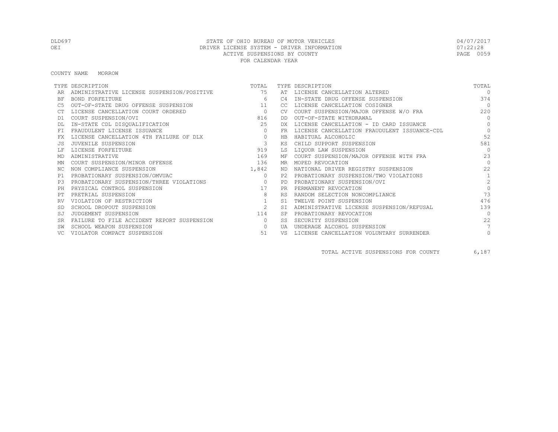COUNTY NAME MORROW

|           | TYPE DESCRIPTION                           | TOTAL          |           | TYPE DESCRIPTION                             | TOTAL          |
|-----------|--------------------------------------------|----------------|-----------|----------------------------------------------|----------------|
|           | ADMINISTRATIVE LICENSE SUSPENSION/POSITIVE | 75             |           | AT LICENSE CANCELLATION ALTERED              | $\cap$         |
| ΒF        | BOND FORFEITURE                            | 6              | C4        | IN-STATE DRUG OFFENSE SUSPENSION             | 374            |
| C5        | OUT-OF-STATE DRUG OFFENSE SUSPENSION       | 11             | CC        | LICENSE CANCELLATION COSIGNER                | $\bigcap$      |
|           | LICENSE CANCELLATION COURT ORDERED         | $\overline{0}$ | <b>CV</b> | COURT SUSPENSION/MAJOR OFFENSE W/O FRA       | 220            |
| D1        | COURT SUSPENSION/OVI                       | 816            | DD.       | OUT-OF-STATE WITHDRAWAL                      | $\Omega$       |
|           | IN-STATE CDL DISQUALIFICATION              | 25             | DX.       | LICENSE CANCELLATION - ID CARD ISSUANCE      | $\Omega$       |
| FT        | FRAUDULENT LICENSE ISSUANCE                | $\circ$        | FR        | LICENSE CANCELLATION FRAUDULENT ISSUANCE-CDL | $\Omega$       |
| FX        | LICENSE CANCELLATION 4TH FAILURE OF DLX    | $\circ$        | HB        | HABITUAL ALCOHOLIC                           | 52             |
|           | JUVENILE SUSPENSION                        | $\mathbf{3}$   | ΚS        | CHILD SUPPORT SUSPENSION                     | 581            |
|           | LICENSE FORFEITURE                         | 919            | LS        | LIQUOR LAW SUSPENSION                        | $\Omega$       |
| MD        | ADMINISTRATIVE                             | 169            | МF        | COURT SUSPENSION/MAJOR OFFENSE WITH FRA      | 23             |
| MN        | COURT SUSPENSION/MINOR OFFENSE             | 136            | MR        | MOPED REVOCATION                             | $\bigcap$      |
| NC.       | NON COMPLIANCE SUSPENSION                  | 1,842          | ND.       | NATIONAL DRIVER REGISTRY SUSPENSION          | 22.2           |
| P1        | PROBATIONARY SUSPENSION/OMVUAC             | $\circ$        | P2.       | PROBATIONARY SUSPENSION/TWO VIOLATIONS       | $\mathbf{1}$   |
| P3        | PROBATIONARY SUSPENSION/THREE VIOLATIONS   | $\sim$ 0       | PD        | PROBATIONARY SUSPENSION/OVI                  | $\overline{2}$ |
| PH        | PHYSICAL CONTROL SUSPENSION                | 17             | <b>PR</b> | PERMANENT REVOCATION                         | $\Omega$       |
|           | PRETRIAL SUSPENSION                        | 8              | <b>RS</b> | RANDOM SELECTION NONCOMPLIANCE               | 73             |
| RV        | VIOLATION OF RESTRICTION                   |                | S1        | TWELVE POINT SUSPENSION                      | 476            |
|           | SCHOOL DROPOUT SUSPENSION                  | 2              | <b>ST</b> | ADMINISTRATIVE LICENSE SUSPENSION/REFUSAL    | 139            |
|           | JUDGEMENT SUSPENSION                       | 114            | <b>SP</b> | PROBATIONARY REVOCATION                      | $\bigcap$      |
| <b>SR</b> | FAILURE TO FILE ACCIDENT REPORT SUSPENSION | $\circ$        | SS        | SECURITY SUSPENSION                          | 22             |
|           | SCHOOL WEAPON SUSPENSION                   | $\circ$        | UA        | UNDERAGE ALCOHOL SUSPENSION                  |                |
|           | VIOLATOR COMPACT SUSPENSION                | 51             | VS        | LICENSE CANCELLATION VOLUNTARY SURRENDER     | $\circ$        |

TOTAL ACTIVE SUSPENSIONS FOR COUNTY 6,187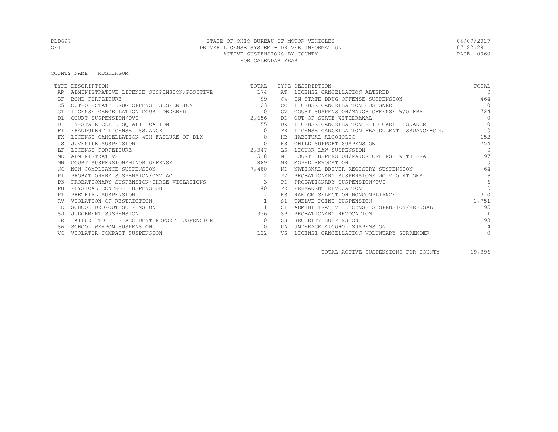COUNTY NAME MUSKINGUM

|           | TYPE DESCRIPTION                               | TOTAL          |                | TYPE DESCRIPTION                             | TOTAL          |
|-----------|------------------------------------------------|----------------|----------------|----------------------------------------------|----------------|
|           | ADMINISTRATIVE LICENSE SUSPENSION/POSITIVE 174 |                |                | AT LICENSE CANCELLATION ALTERED              | $\Omega$       |
| ΒF        | <b>BOND FORFEITURE</b>                         | 99             | C <sub>4</sub> | IN-STATE DRUG OFFENSE SUSPENSION             | 464            |
| C5        | OUT-OF-STATE DRUG OFFENSE SUSPENSION           | 23             | CC.            | LICENSE CANCELLATION COSIGNER                | $\overline{0}$ |
|           | LICENSE CANCELLATION COURT ORDERED             | $\circ$        | <b>CV</b>      | COURT SUSPENSION/MAJOR OFFENSE W/O FRA       | 724            |
| D1        | COURT SUSPENSION/OVI                           | 2,656          | DD             | OUT-OF-STATE WITHDRAWAL                      | $\Omega$       |
|           | IN-STATE CDL DISQUALIFICATION                  | 55             | DX             | LICENSE CANCELLATION - ID CARD ISSUANCE      | $\Omega$       |
| <b>FT</b> | FRAUDULENT LICENSE ISSUANCE                    | $\Omega$       | <b>FR</b>      | LICENSE CANCELLATION FRAUDULENT ISSUANCE-CDL | $\Omega$       |
| FX        | LICENSE CANCELLATION 4TH FAILURE OF DLX        | $\circ$        | <b>HB</b>      | HABITUAL ALCOHOLIC                           | 152            |
| .JS       | JUVENILE SUSPENSION                            | $\circ$        | ΚS             | CHILD SUPPORT SUSPENSION                     | 754            |
|           | LICENSE FORFEITURE                             | 2,347          | LS             | LIQUOR LAW SUSPENSION                        | $\Omega$       |
| MD        | ADMINISTRATIVE                                 | 518            | МF             | COURT SUSPENSION/MAJOR OFFENSE WITH FRA      | 97             |
| ΜN        | COURT SUSPENSION/MINOR OFFENSE                 | 889            | MR.            | MOPED REVOCATION                             | $\Omega$       |
| NC.       | NON COMPLIANCE SUSPENSION                      | 7,480          | ND.            | NATIONAL DRIVER REGISTRY SUSPENSION          | 64             |
| P1        | PROBATIONARY SUSPENSION/OMVUAC                 | 2              | P2.            | PROBATIONARY SUSPENSION/TWO VIOLATIONS       | 8              |
| P3        | PROBATIONARY SUSPENSION/THREE VIOLATIONS       | $\overline{3}$ | PD             | PROBATIONARY SUSPENSION/OVI                  | 6              |
| PH        | PHYSICAL CONTROL SUSPENSION                    | 40             | <b>PR</b>      | PERMANENT REVOCATION                         |                |
| PТ        | PRETRIAL SUSPENSION                            |                | <b>RS</b>      | RANDOM SELECTION NONCOMPLIANCE               | 310            |
|           | VIOLATION OF RESTRICTION                       | 1              | S1             | TWELVE POINT SUSPENSION                      | 1,751          |
| <b>SD</b> | SCHOOL DROPOUT SUSPENSION                      | 11             | <b>ST</b>      | ADMINISTRATIVE LICENSE SUSPENSION/REFUSAL    | 195            |
| SJ        | JUDGEMENT SUSPENSION                           | 336            | <b>SP</b>      | PROBATIONARY REVOCATION                      | $\overline{1}$ |
| <b>SR</b> | FAILURE TO FILE ACCIDENT REPORT SUSPENSION     | $\Omega$       | SS.            | SECURITY SUSPENSION                          | 93             |
|           | SCHOOL WEAPON SUSPENSION                       | $\circ$        | UA             | UNDERAGE ALCOHOL SUSPENSION                  | 14             |
|           | VIOLATOR COMPACT SUSPENSION                    | 122            | VS             | LICENSE CANCELLATION VOLUNTARY SURRENDER     | $\circ$        |

TOTAL ACTIVE SUSPENSIONS FOR COUNTY 19,396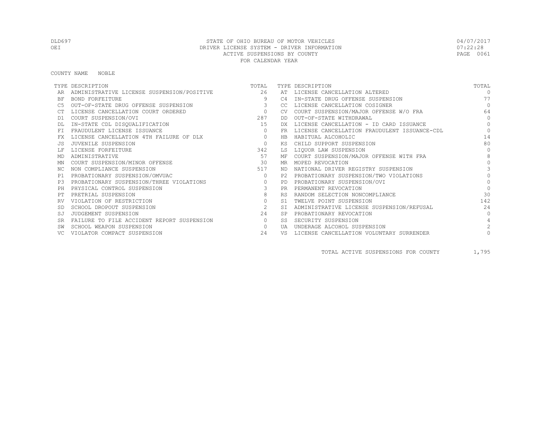COUNTY NAME NOBLE

|           | TYPE DESCRIPTION                           | TOTAL          |           | TYPE DESCRIPTION                             | TOTAL          |
|-----------|--------------------------------------------|----------------|-----------|----------------------------------------------|----------------|
|           | ADMINISTRATIVE LICENSE SUSPENSION/POSITIVE | 26             |           | AT LICENSE CANCELLATION ALTERED              | $\bigcap$      |
| BF        | BOND FORFEITURE                            | 9              | C4        | IN-STATE DRUG OFFENSE SUSPENSION             | 77             |
|           | OUT-OF-STATE DRUG OFFENSE SUSPENSION       | $\mathcal{E}$  | CC.       | LICENSE CANCELLATION COSIGNER                | $\bigcap$      |
|           | LICENSE CANCELLATION COURT ORDERED         | $\overline{0}$ | <b>CV</b> | COURT SUSPENSION/MAJOR OFFENSE W/O FRA       | 64             |
| D1        | COURT SUSPENSION/OVI                       | 287            | DD        | OUT-OF-STATE WITHDRAWAL                      | $\Omega$       |
|           | IN-STATE CDL DISQUALIFICATION              | 15             | DX        | LICENSE CANCELLATION - ID CARD ISSUANCE      | $\Omega$       |
|           | FRAUDULENT LICENSE ISSUANCE                | $\circ$        | FR        | LICENSE CANCELLATION FRAUDULENT ISSUANCE-CDL | $\Omega$       |
| FX        | LICENSE CANCELLATION 4TH FAILURE OF DLX    | $\circ$        | HB        | HABITUAL ALCOHOLIC                           | 14             |
|           | JUVENILE SUSPENSION                        | $\Omega$       | ΚS        | CHILD SUPPORT SUSPENSION                     | 80             |
|           | LICENSE FORFEITURE                         | 342            | LS        | LIQUOR LAW SUSPENSION                        | $\bigcap$      |
| MD        | ADMINISTRATIVE                             | 57             | МF        | COURT SUSPENSION/MAJOR OFFENSE WITH FRA      | 8              |
| MN        | COURT SUSPENSION/MINOR OFFENSE             | 30             | MR        | MOPED REVOCATION                             | $\cap$         |
| NC.       | NON COMPLIANCE SUSPENSION                  | 517            | ND.       | NATIONAL DRIVER REGISTRY SUSPENSION          | 3              |
| P1        | PROBATIONARY SUSPENSION/OMVUAC             | $\circ$        | P2.       | PROBATIONARY SUSPENSION/TWO VIOLATIONS       | $\cap$         |
| P3        | PROBATIONARY SUSPENSION/THREE VIOLATIONS   | $\circ$        | PD        | PROBATIONARY SUSPENSION/OVI                  | $\Omega$       |
| PH        | PHYSICAL CONTROL SUSPENSION                | 3              | PR.       | PERMANENT REVOCATION                         | $\Omega$       |
|           | PRETRIAL SUSPENSION                        | 8              | <b>RS</b> | RANDOM SELECTION NONCOMPLIANCE               | 30             |
|           | VIOLATION OF RESTRICTION                   | $\circ$        | S1        | TWELVE POINT SUSPENSION                      | 142            |
|           | SCHOOL DROPOUT SUSPENSION                  | 2              | <b>ST</b> | ADMINISTRATIVE LICENSE SUSPENSION/REFUSAL    | 2.4            |
|           | JUDGEMENT SUSPENSION                       | 24             | <b>SP</b> | PROBATIONARY REVOCATION                      | $\bigcap$      |
| <b>SR</b> | FAILURE TO FILE ACCIDENT REPORT SUSPENSION | $\circ$        | SS        | SECURITY SUSPENSION                          |                |
|           | SCHOOL WEAPON SUSPENSION                   | $\Omega$       | UA        | UNDERAGE ALCOHOL SUSPENSION                  | $\mathfrak{D}$ |
|           | VIOLATOR COMPACT SUSPENSION                | 24             | VS        | LICENSE CANCELLATION VOLUNTARY SURRENDER     |                |

TOTAL ACTIVE SUSPENSIONS FOR COUNTY 1,795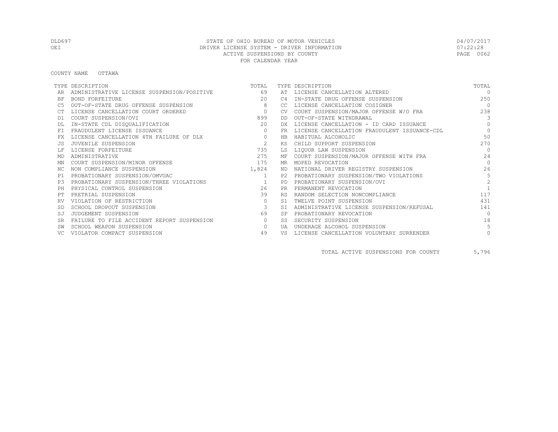COUNTY NAME OTTAWA

|           | TYPE DESCRIPTION                           | TOTAL          |                | TYPE DESCRIPTION                             | TOTAL          |
|-----------|--------------------------------------------|----------------|----------------|----------------------------------------------|----------------|
|           | ADMINISTRATIVE LICENSE SUSPENSION/POSITIVE | 69             | AT             | LICENSE CANCELLATION ALTERED                 | $\Omega$       |
| BF        | <b>BOND FORFEITURE</b>                     | 20             | C <sub>4</sub> | IN-STATE DRUG OFFENSE SUSPENSION             | 250            |
|           | OUT-OF-STATE DRUG OFFENSE SUSPENSION       | 8              | CC.            | LICENSE CANCELLATION COSIGNER                | $\bigcap$      |
|           | LICENSE CANCELLATION COURT ORDERED         | $\overline{0}$ | <b>CV</b>      | COURT SUSPENSION/MAJOR OFFENSE W/O FRA       | 238            |
| D1        | COURT SUSPENSION/OVI                       | 899            | DD             | OUT-OF-STATE WITHDRAWAL                      | 3              |
|           | IN-STATE CDL DISQUALIFICATION              | 20             | DX             | LICENSE CANCELLATION - ID CARD ISSUANCE      | $\Omega$       |
| FT.       | FRAUDULENT LICENSE ISSUANCE                | $\circ$        | FR.            | LICENSE CANCELLATION FRAUDULENT ISSUANCE-CDL | $\Omega$       |
|           | LICENSE CANCELLATION 4TH FAILURE OF DLX    | $\circ$        | HB             | HABITUAL ALCOHOLIC                           | 50             |
|           | JUVENILE SUSPENSION                        | 2              | КS             | CHILD SUPPORT SUSPENSION                     | 270            |
|           | LICENSE FORFEITURE                         | 735            | LS             | LIQUOR LAW SUSPENSION                        | $\Omega$       |
| MD        | ADMINISTRATIVE                             | 275            | МF             | COURT SUSPENSION/MAJOR OFFENSE WITH FRA      | 24             |
| ΜN        | COURT SUSPENSION/MINOR OFFENSE             | 175            | MR.            | MOPED REVOCATION                             | $\Omega$       |
| NC.       | NON COMPLIANCE SUSPENSION                  | 1,824          | ND.            | NATIONAL DRIVER REGISTRY SUSPENSION          | 26             |
| P1        | PROBATIONARY SUSPENSION/OMVUAC             | 1              | P2.            | PROBATIONARY SUSPENSION/TWO VIOLATIONS       | 5              |
| P3        | PROBATIONARY SUSPENSION/THREE VIOLATIONS   | $\sim$ 1       | <b>PD</b>      | PROBATIONARY SUSPENSION/OVI                  | $\mathfrak{D}$ |
| PH        | PHYSICAL CONTROL SUSPENSION                | 26             | <b>PR</b>      | PERMANENT REVOCATION                         |                |
|           | PRETRIAL SUSPENSION                        | 39             | <b>RS</b>      | RANDOM SELECTION NONCOMPLIANCE               | 117            |
|           | VIOLATION OF RESTRICTION                   | $\circ$        | S1             | TWELVE POINT SUSPENSION                      | 431            |
|           | SCHOOL DROPOUT SUSPENSION                  | 3              | <b>ST</b>      | ADMINISTRATIVE LICENSE SUSPENSION/REFUSAL    | 141            |
| SJ        | JUDGEMENT SUSPENSION                       | 69             | <b>SP</b>      | PROBATIONARY REVOCATION                      | $\bigcap$      |
| <b>SR</b> | FAILURE TO FILE ACCIDENT REPORT SUSPENSION | $\circ$        | SS.            | SECURITY SUSPENSION                          | 18             |
|           | SCHOOL WEAPON SUSPENSION                   | $\circ$        | UA             | UNDERAGE ALCOHOL SUSPENSION                  | 5              |
|           | VIOLATOR COMPACT SUSPENSION                | 49             | VS             | LICENSE CANCELLATION VOLUNTARY SURRENDER     | $\circ$        |

TOTAL ACTIVE SUSPENSIONS FOR COUNTY 5,796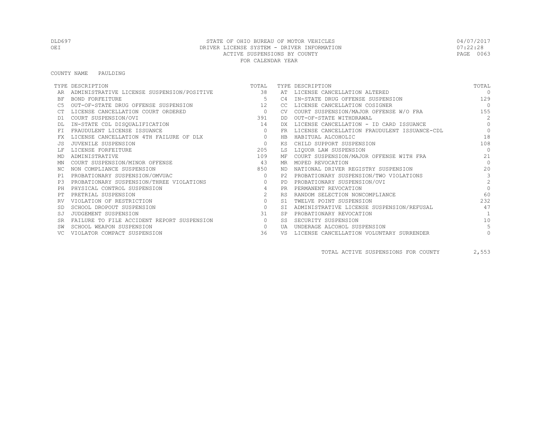COUNTY NAME PAULDING

|           | TYPE DESCRIPTION                              | TOTAL          |           | TYPE DESCRIPTION                             | TOTAL          |
|-----------|-----------------------------------------------|----------------|-----------|----------------------------------------------|----------------|
|           | ADMINISTRATIVE LICENSE SUSPENSION/POSITIVE 38 |                |           | AT LICENSE CANCELLATION ALTERED              | $\Omega$       |
| BF        | <b>BOND FORFEITURE</b>                        | -5             | C4        | IN-STATE DRUG OFFENSE SUSPENSION             | 129            |
|           | OUT-OF-STATE DRUG OFFENSE SUSPENSION          | 12             | CC.       | LICENSE CANCELLATION COSIGNER                | $\bigcap$      |
|           | LICENSE CANCELLATION COURT ORDERED            | $\overline{0}$ | CV.       | COURT SUSPENSION/MAJOR OFFENSE W/O FRA       | 155            |
| D1        | COURT SUSPENSION/OVI                          | 391            | DD        | OUT-OF-STATE WITHDRAWAL                      | $\mathfrak{D}$ |
|           | IN-STATE CDL DISQUALIFICATION                 | 14             | DX        | LICENSE CANCELLATION - ID CARD ISSUANCE      | $\Omega$       |
| FT.       | FRAUDULENT LICENSE ISSUANCE                   | $\Omega$       | FR.       | LICENSE CANCELLATION FRAUDULENT ISSUANCE-CDL | $\Omega$       |
|           | LICENSE CANCELLATION 4TH FAILURE OF DLX       | $\circ$        | HB        | HABITUAL ALCOHOLIC                           | 18             |
|           | JUVENILE SUSPENSION                           | $\Omega$       | ΚS        | CHILD SUPPORT SUSPENSION                     | 108            |
|           | LICENSE FORFEITURE                            | 205            | LS        | LIQUOR LAW SUSPENSION                        | $\bigcap$      |
| MD        | ADMINISTRATIVE                                | 109            | МF        | COURT SUSPENSION/MAJOR OFFENSE WITH FRA      | 21             |
| ΜN        | COURT SUSPENSION/MINOR OFFENSE                | 43             | MR        | MOPED REVOCATION                             | $\Omega$       |
| NC.       | NON COMPLIANCE SUSPENSION                     | 850            | ND.       | NATIONAL DRIVER REGISTRY SUSPENSION          | 20             |
| P1        | PROBATIONARY SUSPENSION/OMVUAC                | $\Omega$       | P2.       | PROBATIONARY SUSPENSION/TWO VIOLATIONS       | 3              |
| P3        | PROBATIONARY SUSPENSION/THREE VIOLATIONS      | $\circ$        | <b>PD</b> | PROBATIONARY SUSPENSION/OVI                  | $\mathfrak{D}$ |
| PH        | PHYSICAL CONTROL SUSPENSION                   |                | <b>PR</b> | PERMANENT REVOCATION                         | $\Omega$       |
|           | PRETRIAL SUSPENSION                           | $\overline{2}$ | <b>RS</b> | RANDOM SELECTION NONCOMPLIANCE               | 60             |
|           | VIOLATION OF RESTRICTION                      | $\circ$        | S1.       | TWELVE POINT SUSPENSION                      | 232            |
|           | SCHOOL DROPOUT SUSPENSION                     | $\circ$        | ST.       | ADMINISTRATIVE LICENSE SUSPENSION/REFUSAL    | 47             |
| SJ        | JUDGEMENT SUSPENSION                          | 31             | <b>SP</b> | PROBATIONARY REVOCATION                      | $\overline{1}$ |
| <b>SR</b> | FAILURE TO FILE ACCIDENT REPORT SUSPENSION    | $\circ$        | SS        | SECURITY SUSPENSION                          | 10             |
|           | SCHOOL WEAPON SUSPENSION                      | $\circ$        | UA        | UNDERAGE ALCOHOL SUSPENSION                  |                |
|           | VIOLATOR COMPACT SUSPENSION                   | 36             | VS        | LICENSE CANCELLATION VOLUNTARY SURRENDER     |                |

TOTAL ACTIVE SUSPENSIONS FOR COUNTY 2,553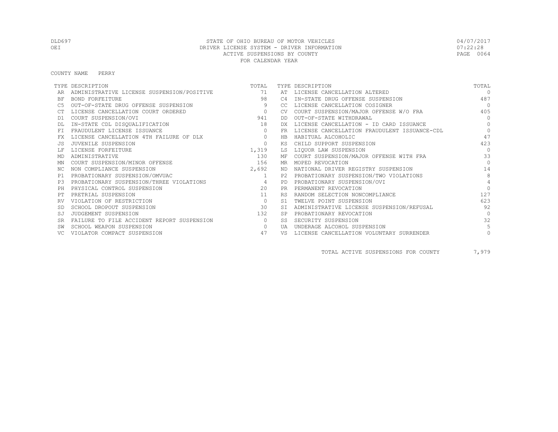COUNTY NAME PERRY

|           | TYPE DESCRIPTION                           | TOTAL          |           | TYPE DESCRIPTION                             | TOTAL          |
|-----------|--------------------------------------------|----------------|-----------|----------------------------------------------|----------------|
|           | ADMINISTRATIVE LICENSE SUSPENSION/POSITIVE | 71             | AT        | LICENSE CANCELLATION ALTERED                 | $\Omega$       |
| <b>BF</b> | BOND FORFEITURE                            | 98             | C4        | IN-STATE DRUG OFFENSE SUSPENSION             | 487            |
|           | OUT-OF-STATE DRUG OFFENSE SUSPENSION       | 9              | -CC.      | LICENSE CANCELLATION COSIGNER                | $\Omega$       |
|           | LICENSE CANCELLATION COURT ORDERED         | $\circ$        | CV.       | COURT SUSPENSION/MAJOR OFFENSE W/O FRA       | 405            |
| D1        | COURT SUSPENSION/OVI                       | 941            | DD.       | OUT-OF-STATE WITHDRAWAL                      | $\Omega$       |
|           | IN-STATE CDL DISQUALIFICATION              | 18             | DX.       | LICENSE CANCELLATION - ID CARD ISSUANCE      | $\Omega$       |
|           | FRAUDULENT LICENSE ISSUANCE                | $\Omega$       | FR.       | LICENSE CANCELLATION FRAUDULENT ISSUANCE-CDL | $\Omega$       |
|           | LICENSE CANCELLATION 4TH FAILURE OF DLX    | $\circ$        | HB        | HABITUAL ALCOHOLIC                           | 47             |
|           | JUVENILE SUSPENSION                        | $\circ$        | KS        | CHILD SUPPORT SUSPENSION                     | 423            |
|           | LICENSE FORFEITURE                         | 1,319          | LS        | LIOUOR LAW SUSPENSION                        | $\Omega$       |
| MD        | ADMINISTRATIVE                             | 130            | ΜF        | COURT SUSPENSION/MAJOR OFFENSE WITH FRA      | 33             |
| ΜN        | COURT SUSPENSION/MINOR OFFENSE             | 156            | MR        | MOPED REVOCATION                             | $\Omega$       |
| ΝC        | NON COMPLIANCE SUSPENSION                  | 2,692          | ND        | NATIONAL DRIVER REGISTRY SUSPENSION          | 14             |
| P1        | PROBATIONARY SUSPENSION/OMVUAC             | 1              | P2.       | PROBATIONARY SUSPENSION/TWO VIOLATIONS       | 8              |
| P3        | PROBATIONARY SUSPENSION/THREE VIOLATIONS   | $\overline{4}$ | <b>PD</b> | PROBATIONARY SUSPENSION/OVI                  | $\overline{4}$ |
|           | PHYSICAL CONTROL SUSPENSION                | 20             | <b>PR</b> | PERMANENT REVOCATION                         | $\bigcap$      |
|           | PRETRIAL SUSPENSION                        | 11             | <b>RS</b> | RANDOM SELECTION NONCOMPLIANCE               | 127            |
|           | VIOLATION OF RESTRICTION                   | $\circ$        | S1        | TWELVE POINT SUSPENSION                      | 623            |
|           | SCHOOL DROPOUT SUSPENSION                  | 30             | <b>ST</b> | ADMINISTRATIVE LICENSE SUSPENSION/REFUSAL    | 92             |
| SJ        | JUDGEMENT SUSPENSION                       | 132            | <b>SP</b> | PROBATIONARY REVOCATION                      | $\bigcap$      |
| <b>SR</b> | FAILURE TO FILE ACCIDENT REPORT SUSPENSION | $\circ$        | SS        | SECURITY SUSPENSION                          | 32             |
|           | SCHOOL WEAPON SUSPENSION                   | $\Omega$       | UA        | UNDERAGE ALCOHOL SUSPENSION                  | 5              |
|           | VIOLATOR COMPACT SUSPENSION                | 47             | VS        | LICENSE CANCELLATION VOLUNTARY SURRENDER     | 0              |

TOTAL ACTIVE SUSPENSIONS FOR COUNTY 7,979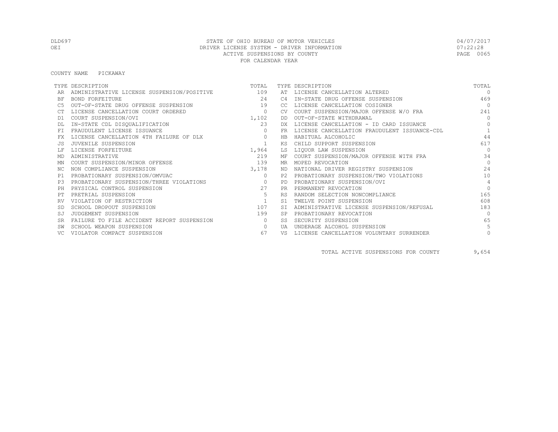#### COUNTY NAME PICKAWAY

|           | TYPE DESCRIPTION                           | TOTAL          |           | TYPE DESCRIPTION                             | TOTAL          |
|-----------|--------------------------------------------|----------------|-----------|----------------------------------------------|----------------|
|           | ADMINISTRATIVE LICENSE SUSPENSION/POSITIVE | 109            | AT        | LICENSE CANCELLATION ALTERED                 | $\Omega$       |
| BF        | BOND FORFEITURE                            | 2.4            | C4        | IN-STATE DRUG OFFENSE SUSPENSION             | 469            |
|           | OUT-OF-STATE DRUG OFFENSE SUSPENSION       | 19             | CC.       | LICENSE CANCELLATION COSIGNER                | $\bigcap$      |
|           | LICENSE CANCELLATION COURT ORDERED         | $\circ$        |           | COURT SUSPENSION/MAJOR OFFENSE W/O FRA       | 241            |
| D1        | COURT SUSPENSION/OVI                       | 1,102          | DD        | OUT-OF-STATE WITHDRAWAL                      | $\bigcap$      |
|           | IN-STATE CDL DISQUALIFICATION              | 23             | DX        | LICENSE CANCELLATION - ID CARD ISSUANCE      | $\bigcap$      |
|           | FRAUDULENT LICENSE ISSUANCE                | $\Omega$       | FR        | LICENSE CANCELLATION FRAUDULENT ISSUANCE-CDL |                |
| FX        | LICENSE CANCELLATION 4TH FAILURE OF DLX    | $\Omega$       | HB        | HABITUAL ALCOHOLIC                           | 44             |
| JS.       | JUVENILE SUSPENSION                        |                | KS.       | CHILD SUPPORT SUSPENSION                     | 617            |
|           | LICENSE FORFEITURE                         | 1,964          | LS        | LIQUOR LAW SUSPENSION                        | $\Omega$       |
| MD        | ADMINISTRATIVE                             | 219            | МF        | COURT SUSPENSION/MAJOR OFFENSE WITH FRA      | 34             |
| ΜN        | COURT SUSPENSION/MINOR OFFENSE             | 139            | MR.       | MOPED REVOCATION                             | $\bigcap$      |
| NC.       | NON COMPLIANCE SUSPENSION                  | 3,178          | ND.       | NATIONAL DRIVER REGISTRY SUSPENSION          | 2.4            |
| P1        | PROBATIONARY SUSPENSION/OMVUAC             | $\circ$        | P2.       | PROBATIONARY SUSPENSION/TWO VIOLATIONS       | 10             |
| P3        | PROBATIONARY SUSPENSION/THREE VIOLATIONS   | $\overline{0}$ | PD        | PROBATIONARY SUSPENSION/OVI                  | $\overline{4}$ |
| PH        | PHYSICAL CONTROL SUSPENSION                | 27             | PR        | PERMANENT REVOCATION                         | $\bigcap$      |
|           | PRETRIAL SUSPENSION                        | 5              | <b>RS</b> | RANDOM SELECTION NONCOMPLIANCE               | 165            |
| RV        | VIOLATION OF RESTRICTION                   | $\overline{1}$ | S1        | TWELVE POINT SUSPENSION                      | 608            |
| <b>SD</b> | SCHOOL DROPOUT SUSPENSION                  | 107            | <b>ST</b> | ADMINISTRATIVE LICENSE SUSPENSION/REFUSAL    | 183            |
|           | JUDGEMENT SUSPENSION                       | 199            | <b>SP</b> | PROBATIONARY REVOCATION                      | $\cap$         |
| SR        | FAILURE TO FILE ACCIDENT REPORT SUSPENSION | $\circ$        | SS        | SECURITY SUSPENSION                          | 65             |
|           | SCHOOL WEAPON SUSPENSION                   | $\circ$        | UA        | UNDERAGE ALCOHOL SUSPENSION                  |                |
|           | VIOLATOR COMPACT SUSPENSION                | 67             | VS        | LICENSE CANCELLATION VOLUNTARY SURRENDER     |                |

TOTAL ACTIVE SUSPENSIONS FOR COUNTY 9,654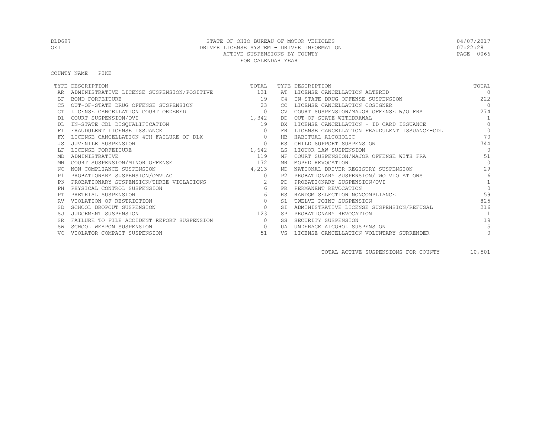#### COUNTY NAME PIKE

|           | TYPE DESCRIPTION                               | TOTAL    |           | TYPE DESCRIPTION                             | TOTAL           |
|-----------|------------------------------------------------|----------|-----------|----------------------------------------------|-----------------|
|           | ADMINISTRATIVE LICENSE SUSPENSION/POSITIVE 131 |          | AT        | LICENSE CANCELLATION ALTERED                 | $\Omega$        |
| <b>BF</b> | BOND FORFEITURE                                | 19       | C4        | IN-STATE DRUG OFFENSE SUSPENSION             | 2.2.2           |
|           | OUT-OF-STATE DRUG OFFENSE SUSPENSION           | 23       | CC.       | LICENSE CANCELLATION COSIGNER                | $\bigcap$       |
|           | LICENSE CANCELLATION COURT ORDERED             | $\circ$  |           | COURT SUSPENSION/MAJOR OFFENSE W/O FRA       | 274             |
| D1        | COURT SUSPENSION/OVI                           | 1,342    | DD        | OUT-OF-STATE WITHDRAWAL                      | $\overline{1}$  |
|           | IN-STATE CDL DISQUALIFICATION                  | 19       | DX.       | LICENSE CANCELLATION - ID CARD ISSUANCE      | $\Omega$        |
|           | FRAUDULENT LICENSE ISSUANCE                    | $\Omega$ | FR        | LICENSE CANCELLATION FRAUDULENT ISSUANCE-CDL | $\circ$         |
|           | LICENSE CANCELLATION 4TH FAILURE OF DLX        | $\circ$  | HB        | HABITUAL ALCOHOLIC                           | 70              |
|           | JUVENILE SUSPENSION                            | $\circ$  | KS        | CHILD SUPPORT SUSPENSION                     | 744             |
|           | LICENSE FORFEITURE                             | 1,642    | LS        | LIOUOR LAW SUSPENSION                        | $\Omega$        |
| MD        | ADMINISTRATIVE                                 | 119      | ΜF        | COURT SUSPENSION/MAJOR OFFENSE WITH FRA      | 51              |
| ΜN        | COURT SUSPENSION/MINOR OFFENSE                 | 172      | MR        | MOPED REVOCATION                             | $\bigcap$       |
| NC.       | NON COMPLIANCE SUSPENSION                      | 4,213    | ND        | NATIONAL DRIVER REGISTRY SUSPENSION          | 29              |
| P1        | PROBATIONARY SUSPENSION/OMVUAC                 | $\Omega$ | P2.       | PROBATIONARY SUSPENSION/TWO VIOLATIONS       | $6\overline{6}$ |
| P3        | PROBATIONARY SUSPENSION/THREE VIOLATIONS       | 2        | <b>PD</b> | PROBATIONARY SUSPENSION/OVI                  | $\mathbf{1}$    |
|           | PHYSICAL CONTROL SUSPENSION                    | 6        | <b>PR</b> | PERMANENT REVOCATION                         | $\bigcap$       |
|           | PRETRIAL SUSPENSION                            | 16       | <b>RS</b> | RANDOM SELECTION NONCOMPLIANCE               | 159             |
|           | VIOLATION OF RESTRICTION                       | $\circ$  | S1        | TWELVE POINT SUSPENSION                      | 825             |
|           | SCHOOL DROPOUT SUSPENSION                      | $\circ$  | <b>ST</b> | ADMINISTRATIVE LICENSE SUSPENSION/REFUSAL    | 216             |
| SJ        | JUDGEMENT SUSPENSION                           | 123      | <b>SP</b> | PROBATIONARY REVOCATION                      |                 |
| <b>SR</b> | FAILURE TO FILE ACCIDENT REPORT SUSPENSION     | $\circ$  | SS        | SECURITY SUSPENSION                          | 19              |
|           | SCHOOL WEAPON SUSPENSION                       | $\Omega$ | UA        | UNDERAGE ALCOHOL SUSPENSION                  | 5               |
|           | VIOLATOR COMPACT SUSPENSION                    | 51       | VS        | LICENSE CANCELLATION VOLUNTARY SURRENDER     | 0               |

TOTAL ACTIVE SUSPENSIONS FOR COUNTY 10,501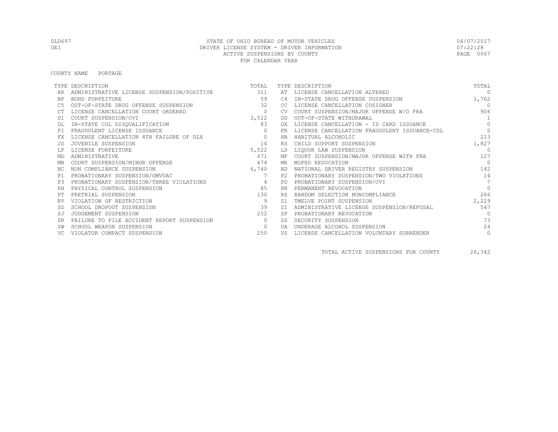COUNTY NAME PORTAGE

|           | TYPE DESCRIPTION                           | TOTAL          |           | TYPE DESCRIPTION                             | TOTAL           |
|-----------|--------------------------------------------|----------------|-----------|----------------------------------------------|-----------------|
|           | ADMINISTRATIVE LICENSE SUSPENSION/POSITIVE | 311            |           | AT LICENSE CANCELLATION ALTERED              | $\Omega$        |
| ΒF        | <b>BOND FORFEITURE</b>                     | 59             | C4        | IN-STATE DRUG OFFENSE SUSPENSION             | 1,762           |
|           | OUT-OF-STATE DRUG OFFENSE SUSPENSION       | 32             | CC.       | LICENSE CANCELLATION COSIGNER                | $\bigcirc$      |
|           | LICENSE CANCELLATION COURT ORDERED         | $\circ$        | <b>CV</b> | COURT SUSPENSION/MAJOR OFFENSE W/O FRA       | 906             |
| D1        | COURT SUSPENSION/OVI                       | 3,522          | DD        | OUT-OF-STATE WITHDRAWAL                      | 1               |
|           | IN-STATE CDL DISQUALIFICATION              | 83             | DX        | LICENSE CANCELLATION - ID CARD ISSUANCE      | $\Omega$        |
| FT.       | FRAUDULENT LICENSE ISSUANCE                |                | FR.       | LICENSE CANCELLATION FRAUDULENT ISSUANCE-CDL | $\Omega$        |
| FX        | LICENSE CANCELLATION 4TH FAILURE OF DLX    | $\circ$        | HB        | HABITUAL ALCOHOLIC                           | 213             |
| .JS       | JUVENILE SUSPENSION                        | 14             | ΚS        | CHILD SUPPORT SUSPENSION                     | 1,827           |
|           | LICENSE FORFEITURE                         | 5,522          | LS        | LIQUOR LAW SUSPENSION                        | $\cap$          |
| MD        | ADMINISTRATIVE                             | 671            | МF        | COURT SUSPENSION/MAJOR OFFENSE WITH FRA      | 127             |
| ΜN        | COURT SUSPENSION/MINOR OFFENSE             | 474            | MR        | MOPED REVOCATION                             | $\bigcap$       |
| NC.       | NON COMPLIANCE SUSPENSION                  | 6,740          | ND        | NATIONAL DRIVER REGISTRY SUSPENSION          | 142             |
| P1        | PROBATIONARY SUSPENSION/OMVUAC             | 7              | P2.       | PROBATIONARY SUSPENSION/TWO VIOLATIONS       | 14              |
| P3        | PROBATIONARY SUSPENSION/THREE VIOLATIONS   | $\overline{4}$ | <b>PD</b> | PROBATIONARY SUSPENSION/OVI                  | $7\overline{ }$ |
| PH        | PHYSICAL CONTROL SUSPENSION                | 85             | <b>PR</b> | PERMANENT REVOCATION                         | $\Omega$        |
| PT        | PRETRIAL SUSPENSION                        | 130            | <b>RS</b> | RANDOM SELECTION NONCOMPLIANCE               | 266             |
|           | VIOLATION OF RESTRICTION                   | 9              | S1        | TWELVE POINT SUSPENSION                      | 2,229           |
|           | SCHOOL DROPOUT SUSPENSION                  | 39             |           | ADMINISTRATIVE LICENSE SUSPENSION/REFUSAL    | 547             |
| SJ        | JUDGEMENT SUSPENSION                       | 252            |           | PROBATIONARY REVOCATION                      | $\bigcap$       |
| <b>SR</b> | FAILURE TO FILE ACCIDENT REPORT SUSPENSION | $\Omega$       | SS        | SECURITY SUSPENSION                          | 73              |
|           | SCHOOL WEAPON SUSPENSION                   | $\circ$        | UA        | UNDERAGE ALCOHOL SUSPENSION                  | 24              |
|           | VIOLATOR COMPACT SUSPENSION                | 250            | VS        | LICENSE CANCELLATION VOLUNTARY SURRENDER     | $\circ$         |

TOTAL ACTIVE SUSPENSIONS FOR COUNTY 26,342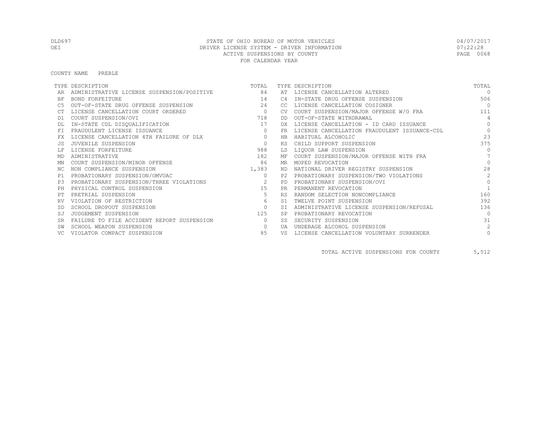COUNTY NAME PREBLE

|           | TYPE DESCRIPTION                           | TOTAL          |                | TYPE DESCRIPTION                             | TOTAL          |
|-----------|--------------------------------------------|----------------|----------------|----------------------------------------------|----------------|
|           | ADMINISTRATIVE LICENSE SUSPENSION/POSITIVE | 84             |                | AT LICENSE CANCELLATION ALTERED              | $\Omega$       |
| ΒF        | BOND FORFEITURE                            | 14             | C <sub>4</sub> | IN-STATE DRUG OFFENSE SUSPENSION             | 506            |
| C5        | OUT-OF-STATE DRUG OFFENSE SUSPENSION       | 24             | CC.            | LICENSE CANCELLATION COSIGNER                | $\overline{0}$ |
|           | LICENSE CANCELLATION COURT ORDERED         | $\overline{0}$ | <b>CV</b>      | COURT SUSPENSION/MAJOR OFFENSE W/O FRA       | 111            |
| D1        | COURT SUSPENSION/OVI                       | 718            | DD.            | OUT-OF-STATE WITHDRAWAL                      | $\overline{4}$ |
|           | IN-STATE CDL DISQUALIFICATION              | 17             |                | LICENSE CANCELLATION - ID CARD ISSUANCE      | $\Omega$       |
| <b>FT</b> | FRAUDULENT LICENSE ISSUANCE                | $\circ$        | FR             | LICENSE CANCELLATION FRAUDULENT ISSUANCE-CDL | $\circ$        |
| FX        | LICENSE CANCELLATION 4TH FAILURE OF DLX    | $\circ$        | <b>HB</b>      | HABITUAL ALCOHOLIC                           | 23             |
| .JS       | JUVENILE SUSPENSION                        | $\Omega$       | KS             | CHILD SUPPORT SUSPENSION                     | 375            |
|           | LICENSE FORFEITURE                         | 988            | LS             | LIQUOR LAW SUSPENSION                        | $\Omega$       |
| MD        | ADMINISTRATIVE                             | 182            | МF             | COURT SUSPENSION/MAJOR OFFENSE WITH FRA      |                |
| ΜN        | COURT SUSPENSION/MINOR OFFENSE             | 86             | MR             | MOPED REVOCATION                             | $\bigcap$      |
| NC.       | NON COMPLIANCE SUSPENSION                  | 1,383          | ND.            | NATIONAL DRIVER REGISTRY SUSPENSION          | 28             |
| P1        | PROBATIONARY SUSPENSION/OMVUAC             | $\circ$        | P2.            | PROBATIONARY SUSPENSION/TWO VIOLATIONS       | 2              |
| P3        | PROBATIONARY SUSPENSION/THREE VIOLATIONS   | $\sim$ 2       | PD             | PROBATIONARY SUSPENSION/OVI                  | $\Omega$       |
| PH        | PHYSICAL CONTROL SUSPENSION                | 15             | <b>PR</b>      | PERMANENT REVOCATION                         |                |
| PТ        | PRETRIAL SUSPENSION                        | 5              | <b>RS</b>      | RANDOM SELECTION NONCOMPLIANCE               | 160            |
|           | VIOLATION OF RESTRICTION                   | 6              | S1             | TWELVE POINT SUSPENSION                      | 392            |
| <b>SD</b> | SCHOOL DROPOUT SUSPENSION                  | $\circ$        | <b>ST</b>      | ADMINISTRATIVE LICENSE SUSPENSION/REFUSAL    | 136            |
| SJ        | JUDGEMENT SUSPENSION                       | 125            |                | PROBATIONARY REVOCATION                      | $\Omega$       |
| <b>SR</b> | FAILURE TO FILE ACCIDENT REPORT SUSPENSION | $\circ$        | SS             | SECURITY SUSPENSION                          | 31             |
|           | SCHOOL WEAPON SUSPENSION                   | $\circ$        | UA             | UNDERAGE ALCOHOL SUSPENSION                  | $\overline{2}$ |
|           | VIOLATOR COMPACT SUSPENSION                | 85             | VS             | LICENSE CANCELLATION VOLUNTARY SURRENDER     | $\circ$        |

TOTAL ACTIVE SUSPENSIONS FOR COUNTY 5,512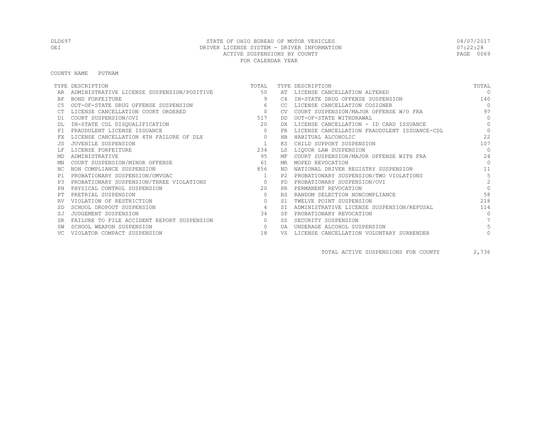COUNTY NAME PUTNAM

|           | TYPE DESCRIPTION                           | TOTAL          |             | TYPE DESCRIPTION                             | TOTAL         |
|-----------|--------------------------------------------|----------------|-------------|----------------------------------------------|---------------|
|           | ADMINISTRATIVE LICENSE SUSPENSION/POSITIVE | 50             | AT          | LICENSE CANCELLATION ALTERED                 | $\Omega$      |
| BF        | BOND FORFEITURE                            | 9              | C4          | IN-STATE DRUG OFFENSE SUSPENSION             | 140           |
|           | OUT-OF-STATE DRUG OFFENSE SUSPENSION       | 6              | -CC.        | LICENSE CANCELLATION COSIGNER                | $\Omega$      |
|           | LICENSE CANCELLATION COURT ORDERED         | $\overline{0}$ | CV.         | COURT SUSPENSION/MAJOR OFFENSE W/O FRA       | 97            |
| D1        | COURT SUSPENSION/OVI                       | 517            | DD          | OUT-OF-STATE WITHDRAWAL                      | $\Omega$      |
|           | IN-STATE CDL DISQUALIFICATION              | 20             | DX          | LICENSE CANCELLATION - ID CARD ISSUANCE      | $\Omega$      |
| FT        | FRAUDULENT LICENSE ISSUANCE                | $\Omega$       | FR          | LICENSE CANCELLATION FRAUDULENT ISSUANCE-CDL | $\Omega$      |
|           | LICENSE CANCELLATION 4TH FAILURE OF DLX    | $\circ$        | $_{\rm HB}$ | HABITUAL ALCOHOLIC                           | 22            |
|           | JUVENILE SUSPENSION                        |                | ΚS          | CHILD SUPPORT SUSPENSION                     | 107           |
|           | LICENSE FORFEITURE                         | 234            | LS          | LIQUOR LAW SUSPENSION                        | $\bigcap$     |
| MD        | ADMINISTRATIVE                             | 95             | МF          | COURT SUSPENSION/MAJOR OFFENSE WITH FRA      | 24            |
| MN        | COURT SUSPENSION/MINOR OFFENSE             | 61             | MR          | MOPED REVOCATION                             | $\bigcap$     |
| NC.       | NON COMPLIANCE SUSPENSION                  | 856            | ND.         | NATIONAL DRIVER REGISTRY SUSPENSION          | 11            |
| P1        | PROBATIONARY SUSPENSION/OMVUAC             | 1              | P2.         | PROBATIONARY SUSPENSION/TWO VIOLATIONS       | 5             |
| P3        | PROBATIONARY SUSPENSION/THREE VIOLATIONS   | $\overline{0}$ | PD          | PROBATIONARY SUSPENSION/OVI                  | $\mathcal{P}$ |
| PH        | PHYSICAL CONTROL SUSPENSION                | 2.0            | PR.         | PERMANENT REVOCATION                         | $\Omega$      |
|           | PRETRIAL SUSPENSION                        | $\Omega$       | <b>RS</b>   | RANDOM SELECTION NONCOMPLIANCE               | 58            |
|           | VIOLATION OF RESTRICTION                   | $\mathbf{0}$   | S1          | TWELVE POINT SUSPENSION                      | 218           |
|           | SCHOOL DROPOUT SUSPENSION                  | $\overline{4}$ | <b>ST</b>   | ADMINISTRATIVE LICENSE SUSPENSION/REFUSAL    | 114           |
| SJ        | JUDGEMENT SUSPENSION                       | 34             | SP          | PROBATIONARY REVOCATION                      | $\bigcap$     |
| <b>SR</b> | FAILURE TO FILE ACCIDENT REPORT SUSPENSION | $\circ$        | SS          | SECURITY SUSPENSION                          |               |
|           | SCHOOL WEAPON SUSPENSION                   | $\Omega$       | UA          | UNDERAGE ALCOHOL SUSPENSION                  |               |
|           | VIOLATOR COMPACT SUSPENSION                | 18             | VS          | LICENSE CANCELLATION VOLUNTARY SURRENDER     |               |

TOTAL ACTIVE SUSPENSIONS FOR COUNTY 2,736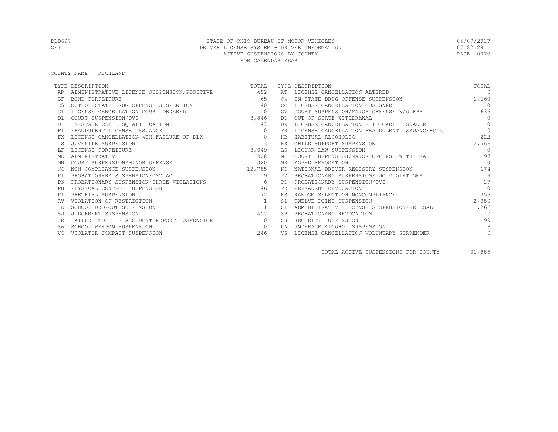#### COUNTY NAME RICHLAND

|           | TYPE DESCRIPTION                           | TOTAL          |                | TYPE DESCRIPTION                             | TOTAL      |
|-----------|--------------------------------------------|----------------|----------------|----------------------------------------------|------------|
|           | ADMINISTRATIVE LICENSE SUSPENSION/POSITIVE | 452            | AT             | LICENSE CANCELLATION ALTERED                 | $\Omega$   |
| BF        | <b>BOND FORFEITURE</b>                     | 65             | C <sub>4</sub> | IN-STATE DRUG OFFENSE SUSPENSION             | 1,660      |
|           | OUT-OF-STATE DRUG OFFENSE SUSPENSION       | 40             | CC.            | LICENSE CANCELLATION COSIGNER                | $\bigcirc$ |
|           | LICENSE CANCELLATION COURT ORDERED         | $\overline{0}$ | <b>CV</b>      | COURT SUSPENSION/MAJOR OFFENSE W/O FRA       | 636        |
| D1        | COURT SUSPENSION/OVI                       | 3,846          | DD             | OUT-OF-STATE WITHDRAWAL                      | $\Omega$   |
|           | IN-STATE CDL DISQUALIFICATION              | 47             | DX.            | LICENSE CANCELLATION - ID CARD ISSUANCE      | $\Omega$   |
| FT.       | FRAUDULENT LICENSE ISSUANCE                | $\Omega$       | FR             | LICENSE CANCELLATION FRAUDULENT ISSUANCE-CDL | $\Omega$   |
|           | LICENSE CANCELLATION 4TH FAILURE OF DLX    | $\circ$        | HB             | HABITUAL ALCOHOLIC                           | 222        |
|           | JUVENILE SUSPENSION                        | 3              | КS             | CHILD SUPPORT SUSPENSION                     | 2,566      |
|           | LICENSE FORFEITURE                         | 3,049          | LS             | LIQUOR LAW SUSPENSION                        | $\Omega$   |
| MD        | ADMINISTRATIVE                             | 928            | МF             | COURT SUSPENSION/MAJOR OFFENSE WITH FRA      | 97         |
| ΜN        | COURT SUSPENSION/MINOR OFFENSE             | 320            | MR.            | MOPED REVOCATION                             | $\bigcap$  |
| NC.       | NON COMPLIANCE SUSPENSION                  | 12,785         | ND.            | NATIONAL DRIVER REGISTRY SUSPENSION          | 174        |
| P1        | PROBATIONARY SUSPENSION/OMVUAC             | 9              | P2             | PROBATIONARY SUSPENSION/TWO VIOLATIONS       | 19         |
| P3        | PROBATIONARY SUSPENSION/THREE VIOLATIONS   | 6              | <b>PD</b>      | PROBATIONARY SUSPENSION/OVI                  | 17         |
| PH        | PHYSICAL CONTROL SUSPENSION                | 46             | <b>PR</b>      | PERMANENT REVOCATION                         | $\Omega$   |
| PТ        | PRETRIAL SUSPENSION                        | 72             | <b>RS</b>      | RANDOM SELECTION NONCOMPLIANCE               | 353        |
|           | VIOLATION OF RESTRICTION                   | 1              | S1             | TWELVE POINT SUSPENSION                      | 2,380      |
|           | SCHOOL DROPOUT SUSPENSION                  | 11             | <b>ST</b>      | ADMINISTRATIVE LICENSE SUSPENSION/REFUSAL    | 1,266      |
| SJ        | JUDGEMENT SUSPENSION                       | 452            | <b>SP</b>      | PROBATIONARY REVOCATION                      | $\Omega$   |
| <b>SR</b> | FAILURE TO FILE ACCIDENT REPORT SUSPENSION | $\bigcirc$     | SS.            | SECURITY SUSPENSION                          | 99         |
|           | SCHOOL WEAPON SUSPENSION                   | $\circ$        | UA             | UNDERAGE ALCOHOL SUSPENSION                  | 18         |
|           | VIOLATOR COMPACT SUSPENSION                | 246            | VS             | LICENSE CANCELLATION VOLUNTARY SURRENDER     | $\circ$    |

TOTAL ACTIVE SUSPENSIONS FOR COUNTY 31,885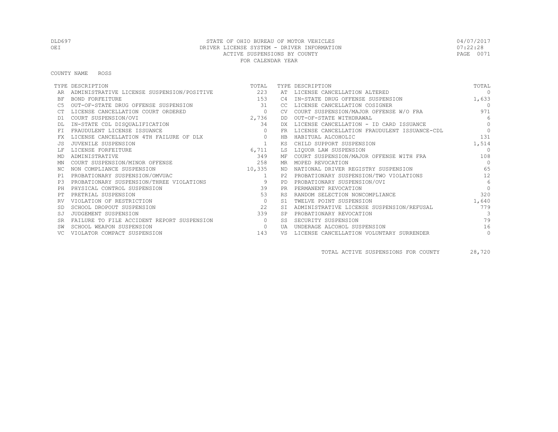#### COUNTY NAME ROSS

|           | TYPE DESCRIPTION                           | TOTAL        |           | TYPE DESCRIPTION                             | TOTAL         |
|-----------|--------------------------------------------|--------------|-----------|----------------------------------------------|---------------|
|           | ADMINISTRATIVE LICENSE SUSPENSION/POSITIVE | 223          | AT        | LICENSE CANCELLATION ALTERED                 | $\Omega$      |
| ΒF        | <b>BOND FORFEITURE</b>                     | 153          | C4        | IN-STATE DRUG OFFENSE SUSPENSION             | 1,633         |
| C5        | OUT-OF-STATE DRUG OFFENSE SUSPENSION       | 31           | CC.       | LICENSE CANCELLATION COSIGNER                | $\Omega$      |
|           | LICENSE CANCELLATION COURT ORDERED         | $\circ$      | CV.       | COURT SUSPENSION/MAJOR OFFENSE W/O FRA       | 971           |
| D1        | COURT SUSPENSION/OVI                       | 2,736        | DD        | OUT-OF-STATE WITHDRAWAL                      | 6             |
|           | IN-STATE CDL DISQUALIFICATION              | 34           | DX.       | LICENSE CANCELLATION - ID CARD ISSUANCE      | $\Omega$      |
| FT.       | FRAUDULENT LICENSE ISSUANCE                | $\mathbf{0}$ | FR        | LICENSE CANCELLATION FRAUDULENT ISSUANCE-CDL | $\Omega$      |
| FX        | LICENSE CANCELLATION 4TH FAILURE OF DLX    | $\circ$      | HB        | HABITUAL ALCOHOLIC                           | 131           |
|           | JUVENILE SUSPENSION                        |              | ΚS        | CHILD SUPPORT SUSPENSION                     | 1,514         |
|           | LICENSE FORFEITURE                         | 6,711        | LS        | LIOUOR LAW SUSPENSION                        | $\cap$        |
| MD        | ADMINISTRATIVE                             | 349          |           | MF COURT SUSPENSION/MAJOR OFFENSE WITH FRA   | 108           |
| ΜN        | COURT SUSPENSION/MINOR OFFENSE             | 258          |           | MR MOPED REVOCATION                          | $\bigcap$     |
| ΝC        | NON COMPLIANCE SUSPENSION                  | 10,335       |           | ND NATIONAL DRIVER REGISTRY SUSPENSION       | 65            |
| P1        | PROBATIONARY SUSPENSION/OMVUAC             | 1            |           | P2 PROBATIONARY SUSPENSION/TWO VIOLATIONS    | 12            |
| P.3       | PROBATIONARY SUSPENSION/THREE VIOLATIONS   | 9            | PD        | PROBATIONARY SUSPENSION/OVI                  | 6             |
| PH        | PHYSICAL CONTROL SUSPENSION                | 39           | <b>PR</b> | PERMANENT REVOCATION                         | $\Omega$      |
|           | PRETRIAL SUSPENSION                        | 53           | <b>RS</b> | RANDOM SELECTION NONCOMPLIANCE               | 320           |
|           | VIOLATION OF RESTRICTION                   | $\circ$      | S1        | TWELVE POINT SUSPENSION                      | 1,640         |
|           | SCHOOL DROPOUT SUSPENSION                  | 22           |           | ADMINISTRATIVE LICENSE SUSPENSION/REFUSAL    | 779           |
| SJ        | JUDGEMENT SUSPENSION                       | 339          | <b>SP</b> | PROBATIONARY REVOCATION                      | $\mathcal{S}$ |
| <b>SR</b> | FAILURE TO FILE ACCIDENT REPORT SUSPENSION | $\circ$      | SS        | SECURITY SUSPENSION                          | 79            |
|           | SCHOOL WEAPON SUSPENSION                   | $\circ$      | UA        | UNDERAGE ALCOHOL SUSPENSION                  | 16            |
|           | VIOLATOR COMPACT SUSPENSION                | 143          | VS        | LICENSE CANCELLATION VOLUNTARY SURRENDER     | $\circ$       |

TOTAL ACTIVE SUSPENSIONS FOR COUNTY 28,720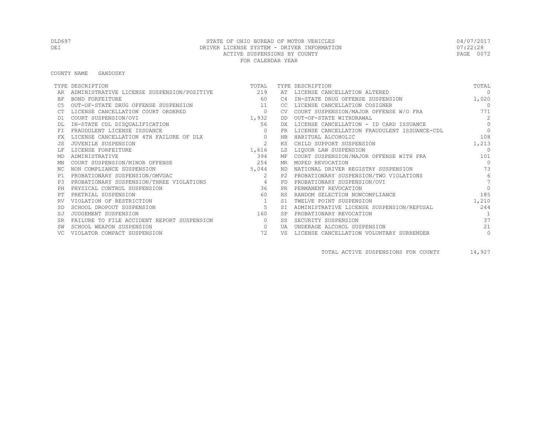# DLD697 STATE OF OHIO BUREAU OF MOTOR VEHICLES 04/07/2017 OEI DRIVER LICENSE SYSTEM - DRIVER INFORMATION DEL SOLO DE DE 122:28<br>ACTIVE SUSPENSIONS BY COUNTY ACTIVE SUSPENSIONS BY COUNTY FOR CALENDAR YEAR

#### COUNTY NAME SANDUSKY

|           | TYPE DESCRIPTION                           | TOTAL          |           | TYPE DESCRIPTION                             | TOTAL          |
|-----------|--------------------------------------------|----------------|-----------|----------------------------------------------|----------------|
|           | ADMINISTRATIVE LICENSE SUSPENSION/POSITIVE | 219            | AT        | LICENSE CANCELLATION ALTERED                 | $\Omega$       |
| ΒF        | BOND FORFEITURE                            | 60             | C4        | IN-STATE DRUG OFFENSE SUSPENSION             | 1,020          |
| C5        | OUT-OF-STATE DRUG OFFENSE SUSPENSION       | 11             | CC        | LICENSE CANCELLATION COSIGNER                | $\Omega$       |
|           | LICENSE CANCELLATION COURT ORDERED         | $\circ$        | CV.       | COURT SUSPENSION/MAJOR OFFENSE W/O FRA       | 771            |
| D1        | COURT SUSPENSION/OVI                       | 1,932          | DD        | OUT-OF-STATE WITHDRAWAL                      | 2              |
|           | IN-STATE CDL DISQUALIFICATION              | 56             | DX.       | LICENSE CANCELLATION - ID CARD ISSUANCE      | $\Omega$       |
| FT.       | FRAUDULENT LICENSE ISSUANCE                | $\mathbf{0}$   | <b>FR</b> | LICENSE CANCELLATION FRAUDULENT ISSUANCE-CDL | $\Omega$       |
| FX        | LICENSE CANCELLATION 4TH FAILURE OF DLX    | $\circ$        | HB        | HABITUAL ALCOHOLIC                           | 108            |
|           | JUVENILE SUSPENSION                        | 2              | КS        | CHILD SUPPORT SUSPENSION                     | 1,213          |
|           | LICENSE FORFEITURE                         | 1,616          | LS        | LIOUOR LAW SUSPENSION                        | $\Omega$       |
| MD        | ADMINISTRATIVE                             | 394            |           | MF COURT SUSPENSION/MAJOR OFFENSE WITH FRA   | 101            |
| ΜN        | COURT SUSPENSION/MINOR OFFENSE             | 254            | MR.       | MOPED REVOCATION                             | $\Omega$       |
| ΝC        | NON COMPLIANCE SUSPENSION                  | 5,044          |           | ND NATIONAL DRIVER REGISTRY SUSPENSION       | 73             |
| P1        | PROBATIONARY SUSPENSION/OMVUAC             | 2              |           | P2 PROBATIONARY SUSPENSION/TWO VIOLATIONS    | 6              |
| P.3       | PROBATIONARY SUSPENSION/THREE VIOLATIONS   | $\overline{4}$ | <b>PD</b> | PROBATIONARY SUSPENSION/OVI                  |                |
| PH        | PHYSICAL CONTROL SUSPENSION                | 36             | <b>PR</b> | PERMANENT REVOCATION                         | $\Omega$       |
|           | PRETRIAL SUSPENSION                        | 60             | <b>RS</b> | RANDOM SELECTION NONCOMPLIANCE               | 185            |
|           | VIOLATION OF RESTRICTION                   | $\mathbf{1}$   | S1        | TWELVE POINT SUSPENSION                      | 1,210          |
|           | SCHOOL DROPOUT SUSPENSION                  | 5              | <b>ST</b> | ADMINISTRATIVE LICENSE SUSPENSION/REFUSAL    | 244            |
| SJ        | JUDGEMENT SUSPENSION                       | 160            | <b>SP</b> | PROBATIONARY REVOCATION                      | $\overline{1}$ |
| <b>SR</b> | FAILURE TO FILE ACCIDENT REPORT SUSPENSION | $\circ$        | SS        | SECURITY SUSPENSION                          | 37             |
|           | SCHOOL WEAPON SUSPENSION                   | $\circ$        | UA        | UNDERAGE ALCOHOL SUSPENSION                  | 21             |
|           | VIOLATOR COMPACT SUSPENSION                | 72             | VS        | LICENSE CANCELLATION VOLUNTARY SURRENDER     | $\circ$        |

TOTAL ACTIVE SUSPENSIONS FOR COUNTY 14,927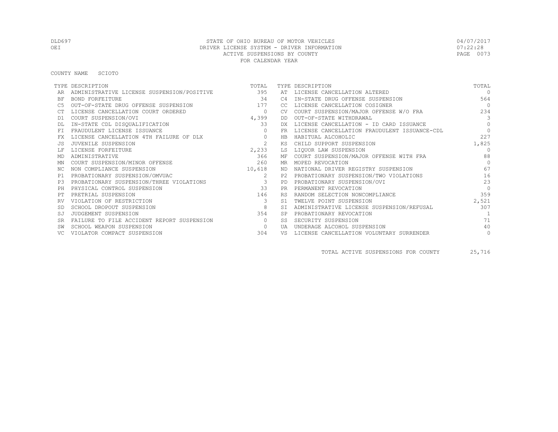# DLD697 STATE OF OHIO BUREAU OF MOTOR VEHICLES 04/07/2017 OEI DRIVER LICENSE SYSTEM - DRIVER INFORMATION DEL SOLO DE DE 122:28<br>ACTIVE SUSPENSIONS BY COUNTY ACTIVE SUSPENSIONS BY COUNTY FOR CALENDAR YEAR

COUNTY NAME SCIOTO

|           | TYPE DESCRIPTION                           | TOTAL          |           | TYPE DESCRIPTION                             | TOTAL          |
|-----------|--------------------------------------------|----------------|-----------|----------------------------------------------|----------------|
|           | ADMINISTRATIVE LICENSE SUSPENSION/POSITIVE | 395            |           | AT LICENSE CANCELLATION ALTERED              | $\Omega$       |
| ΒF        | <b>BOND FORFEITURE</b>                     | 34             | C4        | IN-STATE DRUG OFFENSE SUSPENSION             | 564            |
| C5        | OUT-OF-STATE DRUG OFFENSE SUSPENSION       | 177            | CC.       | LICENSE CANCELLATION COSIGNER                | $\overline{0}$ |
|           | LICENSE CANCELLATION COURT ORDERED         | $\overline{0}$ | <b>CV</b> | COURT SUSPENSION/MAJOR OFFENSE W/O FRA       | 234            |
| D1        | COURT SUSPENSION/OVI                       | 4,399          | DD        | OUT-OF-STATE WITHDRAWAL                      | $\mathbf{3}$   |
|           | IN-STATE CDL DISQUALIFICATION              | 33             | DX        | LICENSE CANCELLATION - ID CARD ISSUANCE      | $\Omega$       |
| <b>FT</b> | FRAUDULENT LICENSE ISSUANCE                | $\Omega$       | <b>FR</b> | LICENSE CANCELLATION FRAUDULENT ISSUANCE-CDL | $\mathbf{0}$   |
| FX        | LICENSE CANCELLATION 4TH FAILURE OF DLX    | $\circ$        | <b>HB</b> | HABITUAL ALCOHOLIC                           | 227            |
| .JS       | JUVENILE SUSPENSION                        | 2              | КS        | CHILD SUPPORT SUSPENSION                     | 1,825          |
|           | LICENSE FORFEITURE                         | 2,233          | LS        | LIQUOR LAW SUSPENSION                        | $\Omega$       |
| MD        | ADMINISTRATIVE                             | 366            | МF        | COURT SUSPENSION/MAJOR OFFENSE WITH FRA      | 88             |
| ΜN        | COURT SUSPENSION/MINOR OFFENSE             | 260            | MR.       | MOPED REVOCATION                             | $\bigcap$      |
| NC.       | NON COMPLIANCE SUSPENSION                  | 10,618         | ND        | NATIONAL DRIVER REGISTRY SUSPENSION          | 67             |
| P1        | PROBATIONARY SUSPENSION/OMVUAC             | 2              | P2.       | PROBATIONARY SUSPENSION/TWO VIOLATIONS       | 16             |
| P3        | PROBATIONARY SUSPENSION/THREE VIOLATIONS   |                | PD        | PROBATIONARY SUSPENSION/OVI                  | 23             |
| PH        | PHYSICAL CONTROL SUSPENSION                | 33             | <b>PR</b> | PERMANENT REVOCATION                         | $\Omega$       |
| PТ        | PRETRIAL SUSPENSION                        | 146            | <b>RS</b> | RANDOM SELECTION NONCOMPLIANCE               | 359            |
|           | VIOLATION OF RESTRICTION                   | 3              | S1        | TWELVE POINT SUSPENSION                      | 2,521          |
| -SD       | SCHOOL DROPOUT SUSPENSION                  | 8              | <b>ST</b> | ADMINISTRATIVE LICENSE SUSPENSION/REFUSAL    | 307            |
| SJ        | JUDGEMENT SUSPENSION                       | 354            |           | PROBATIONARY REVOCATION                      | $\overline{1}$ |
| <b>SR</b> | FAILURE TO FILE ACCIDENT REPORT SUSPENSION | $\Omega$       | SS        | SECURITY SUSPENSION                          | 71             |
|           | SCHOOL WEAPON SUSPENSION                   | $\circ$        | UA        | UNDERAGE ALCOHOL SUSPENSION                  | 40             |
|           | VIOLATOR COMPACT SUSPENSION                | 304            | VS        | LICENSE CANCELLATION VOLUNTARY SURRENDER     | $\circ$        |

TOTAL ACTIVE SUSPENSIONS FOR COUNTY 25,716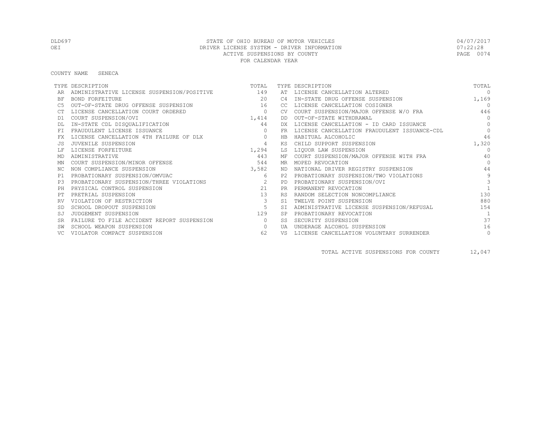# DLD697 STATE OF OHIO BUREAU OF MOTOR VEHICLES 04/07/2017 OEI DRIVER LICENSE SYSTEM - DRIVER INFORMATION DEL SOLO DE 122:28<br>ACTIVE SUSPENSIONS BY COUNTY ACTIVE SUSPENSIONS BY COUNTY FOR CALENDAR YEAR

#### COUNTY NAME SENECA

|           | TYPE DESCRIPTION                               | TOTAL          |           | TYPE DESCRIPTION                             | TOTAL      |
|-----------|------------------------------------------------|----------------|-----------|----------------------------------------------|------------|
|           | ADMINISTRATIVE LICENSE SUSPENSION/POSITIVE 149 |                | AT        | LICENSE CANCELLATION ALTERED                 | $\Omega$   |
| <b>BF</b> | BOND FORFEITURE                                | 2.0            | C4        | IN-STATE DRUG OFFENSE SUSPENSION             | 1,169      |
|           | OUT-OF-STATE DRUG OFFENSE SUSPENSION           | 16             | CC.       | LICENSE CANCELLATION COSIGNER                | $\bigcirc$ |
|           | LICENSE CANCELLATION COURT ORDERED             | $\circ$        | <b>CV</b> | COURT SUSPENSION/MAJOR OFFENSE W/O FRA       | 446        |
| D1        | COURT SUSPENSION/OVI                           | 1,414          | DD        | OUT-OF-STATE WITHDRAWAL                      | $\Omega$   |
|           | IN-STATE CDL DISQUALIFICATION                  | 44             | DX.       | LICENSE CANCELLATION - ID CARD ISSUANCE      | $\bigcap$  |
|           | FRAUDULENT LICENSE ISSUANCE                    | $\Omega$       | FR        | LICENSE CANCELLATION FRAUDULENT ISSUANCE-CDL | $\Omega$   |
|           | LICENSE CANCELLATION 4TH FAILURE OF DLX        | $\circ$        | HB        | HABITUAL ALCOHOLIC                           | 46         |
|           | JUVENILE SUSPENSION                            | $\overline{4}$ | KS        | CHILD SUPPORT SUSPENSION                     | 1,320      |
|           | LICENSE FORFEITURE                             | 1,294          | LS        | LIOUOR LAW SUSPENSION                        | $\Omega$   |
| MD        | ADMINISTRATIVE                                 | 443            | ΜF        | COURT SUSPENSION/MAJOR OFFENSE WITH FRA      | 40         |
| ΜN        | COURT SUSPENSION/MINOR OFFENSE                 | 544            | MR        | MOPED REVOCATION                             | $\Omega$   |
| NC.       | NON COMPLIANCE SUSPENSION                      | 3,582          | ND        | NATIONAL DRIVER REGISTRY SUSPENSION          | 44         |
| P1        | PROBATIONARY SUSPENSION/OMVUAC                 | 6              | P2.       | PROBATIONARY SUSPENSION/TWO VIOLATIONS       | 9          |
| P3        | PROBATIONARY SUSPENSION/THREE VIOLATIONS       | $\sim$ 2       | <b>PD</b> | PROBATIONARY SUSPENSION/OVI                  | 3          |
|           | PHYSICAL CONTROL SUSPENSION                    | 21             | <b>PR</b> | PERMANENT REVOCATION                         |            |
|           | PRETRIAL SUSPENSION                            | 13             | <b>RS</b> | RANDOM SELECTION NONCOMPLIANCE               | 130        |
|           | VIOLATION OF RESTRICTION                       | $\mathbf{3}$   | S1        | TWELVE POINT SUSPENSION                      | 880        |
|           | SCHOOL DROPOUT SUSPENSION                      | 5              | ST.       | ADMINISTRATIVE LICENSE SUSPENSION/REFUSAL    | 154        |
| SJ        | JUDGEMENT SUSPENSION                           | 129            | <b>SP</b> | PROBATIONARY REVOCATION                      |            |
| <b>SR</b> | FAILURE TO FILE ACCIDENT REPORT SUSPENSION     | $\circ$        | SS        | SECURITY SUSPENSION                          | 37         |
|           | SCHOOL WEAPON SUSPENSION                       | $\Omega$       | UA        | UNDERAGE ALCOHOL SUSPENSION                  | 16         |
|           | VIOLATOR COMPACT SUSPENSION                    | 62             | VS        | LICENSE CANCELLATION VOLUNTARY SURRENDER     | $\circ$    |

TOTAL ACTIVE SUSPENSIONS FOR COUNTY 12,047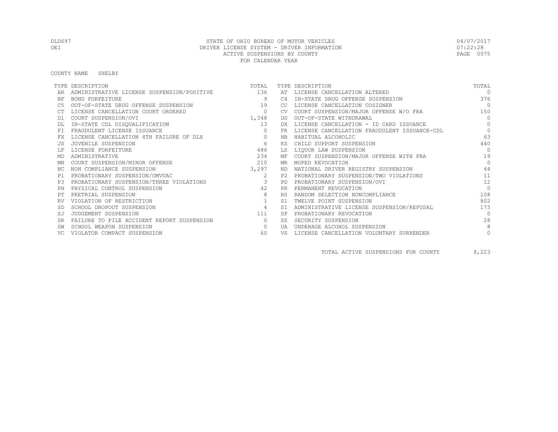#### COUNTY NAME SHELBY

|           | TYPE DESCRIPTION                               | TOTAL          |           | TYPE DESCRIPTION                             | TOTAL        |
|-----------|------------------------------------------------|----------------|-----------|----------------------------------------------|--------------|
|           | ADMINISTRATIVE LICENSE SUSPENSION/POSITIVE 136 |                | AT        | LICENSE CANCELLATION ALTERED                 | $\bigcap$    |
| ΒF        | BOND FORFEITURE                                | 9              | C4        | IN-STATE DRUG OFFENSE SUSPENSION             | 376          |
| C5        | OUT-OF-STATE DRUG OFFENSE SUSPENSION           | 19             | CC        | LICENSE CANCELLATION COSIGNER                | $\bigcirc$   |
|           | LICENSE CANCELLATION COURT ORDERED             | $\circ$        | CV.       | COURT SUSPENSION/MAJOR OFFENSE W/O FRA       | 150          |
| D1        | COURT SUSPENSION/OVI                           | 1,348          | DD        | OUT-OF-STATE WITHDRAWAL                      | $\Omega$     |
|           | IN-STATE CDL DISQUALIFICATION                  | 13             | DX.       | LICENSE CANCELLATION - ID CARD ISSUANCE      | $\Omega$     |
| FT        | FRAUDULENT LICENSE ISSUANCE                    | $\Omega$       | <b>FR</b> | LICENSE CANCELLATION FRAUDULENT ISSUANCE-CDL | $\Omega$     |
| FX        | LICENSE CANCELLATION 4TH FAILURE OF DLX        | $\circ$        | HB        | HABITUAL ALCOHOLIC                           | 63           |
|           | JUVENILE SUSPENSION                            | 6              | ΚS        | CHILD SUPPORT SUSPENSION                     | 440          |
|           | LICENSE FORFEITURE                             | 486            | LS        | LIQUOR LAW SUSPENSION                        | $\Omega$     |
| MD        | ADMINISTRATIVE                                 | 234            | МF        | COURT SUSPENSION/MAJOR OFFENSE WITH FRA      | 19           |
| MN        | COURT SUSPENSION/MINOR OFFENSE                 | 210            | MR.       | MOPED REVOCATION                             | $\bigcap$    |
| NC        | NON COMPLIANCE SUSPENSION                      | 3,297          | ND        | NATIONAL DRIVER REGISTRY SUSPENSION          | 44           |
| P1        | PROBATIONARY SUSPENSION/OMVUAC                 | 2              | P2.       | PROBATIONARY SUSPENSION/TWO VIOLATIONS       | 11           |
| P3        | PROBATIONARY SUSPENSION/THREE VIOLATIONS       |                | PD        | PROBATIONARY SUSPENSION/OVI                  | 12           |
| PH        | PHYSICAL CONTROL SUSPENSION                    | 42             | <b>PR</b> | PERMANENT REVOCATION                         | $\bigcap$    |
|           | PRETRIAL SUSPENSION                            | 8              | <b>RS</b> | RANDOM SELECTION NONCOMPLIANCE               | 108          |
| RV        | VIOLATION OF RESTRICTION                       |                | S1        | TWELVE POINT SUSPENSION                      | 802          |
|           | SCHOOL DROPOUT SUSPENSION                      | $\overline{4}$ | <b>ST</b> | ADMINISTRATIVE LICENSE SUSPENSION/REFUSAL    | 173          |
| SJ        | JUDGEMENT SUSPENSION                           | 111            | <b>SP</b> | PROBATIONARY REVOCATION                      | $\bigcap$    |
| <b>SR</b> | FAILURE TO FILE ACCIDENT REPORT SUSPENSION     | $\circ$        | SS        | SECURITY SUSPENSION                          | 28           |
|           | SCHOOL WEAPON SUSPENSION                       | $\Omega$       | UA        | UNDERAGE ALCOHOL SUSPENSION                  | 8            |
|           | VIOLATOR COMPACT SUSPENSION                    | 60             | VS        | LICENSE CANCELLATION VOLUNTARY SURRENDER     | $\mathbf{0}$ |

TOTAL ACTIVE SUSPENSIONS FOR COUNTY 8,223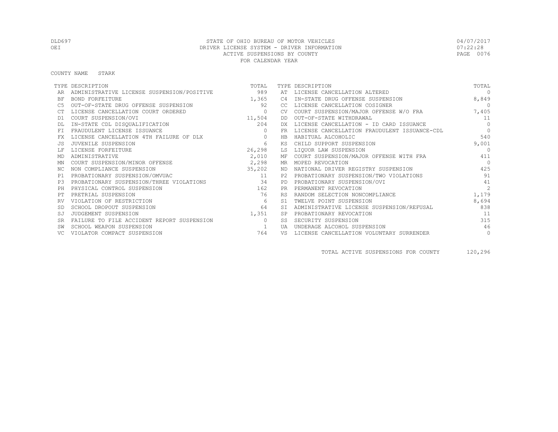COUNTY NAME STARK

|           | TYPE DESCRIPTION                           | TOTAL     |                | TYPE DESCRIPTION                             | TOTAL          |
|-----------|--------------------------------------------|-----------|----------------|----------------------------------------------|----------------|
|           | ADMINISTRATIVE LICENSE SUSPENSION/POSITIVE | 989       |                | AT LICENSE CANCELLATION ALTERED              | $\Omega$       |
| ΒF        | <b>BOND FORFEITURE</b>                     | 1,365     | C <sub>4</sub> | IN-STATE DRUG OFFENSE SUSPENSION             | 8,849          |
| C5        | OUT-OF-STATE DRUG OFFENSE SUSPENSION       | 92        | CC             | LICENSE CANCELLATION COSIGNER                | $\overline{0}$ |
|           | LICENSE CANCELLATION COURT ORDERED         | $\circ$   | <b>CV</b>      | COURT SUSPENSION/MAJOR OFFENSE W/O FRA       | 7,405          |
| D1        | COURT SUSPENSION/OVI                       | 11,504    | DD             | OUT-OF-STATE WITHDRAWAL                      | 11             |
|           | IN-STATE CDL DISQUALIFICATION              | 204       | DX.            | LICENSE CANCELLATION - ID CARD ISSUANCE      | $\Omega$       |
| <b>FT</b> | FRAUDULENT LICENSE ISSUANCE                | $\Omega$  | FR             | LICENSE CANCELLATION FRAUDULENT ISSUANCE-CDL | $\Omega$       |
| FX        | LICENSE CANCELLATION 4TH FAILURE OF DLX    | $\circ$   | <b>HB</b>      | HABITUAL ALCOHOLIC                           | 540            |
| .JS       | JUVENILE SUSPENSION                        | 6         | ΚS             | CHILD SUPPORT SUSPENSION                     | 9,001          |
|           | LICENSE FORFEITURE                         | 26,298    | LS             | LIQUOR LAW SUSPENSION                        | $\bigcirc$     |
| MD        | ADMINISTRATIVE                             | 2,010     | MF             | COURT SUSPENSION/MAJOR OFFENSE WITH FRA      | 411            |
| ΜN        | COURT SUSPENSION/MINOR OFFENSE             | 2, 298    | MR             | MOPED REVOCATION                             | $\bigcap$      |
| NC.       | NON COMPLIANCE SUSPENSION                  | 35,202    | ND             | NATIONAL DRIVER REGISTRY SUSPENSION          | 425            |
| P1        | PROBATIONARY SUSPENSION/OMVUAC             | $\sim$ 11 |                | PROBATIONARY SUSPENSION/TWO VIOLATIONS       | 91             |
| P3        | PROBATIONARY SUSPENSION/THREE VIOLATIONS   | 34        | <b>PD</b>      | PROBATIONARY SUSPENSION/OVI                  | 41             |
| PH        | PHYSICAL CONTROL SUSPENSION                | 162       | <b>PR</b>      | PERMANENT REVOCATION                         | 2              |
| PТ        | PRETRIAL SUSPENSION                        | 76        | <b>RS</b>      | RANDOM SELECTION NONCOMPLIANCE               | 1,179          |
| RV        | VIOLATION OF RESTRICTION                   | 6         | S1             | TWELVE POINT SUSPENSION                      | 8,694          |
| <b>SD</b> | SCHOOL DROPOUT SUSPENSION                  | 64        | <b>ST</b>      | ADMINISTRATIVE LICENSE SUSPENSION/REFUSAL    | 838            |
| SJ        | JUDGEMENT SUSPENSION                       | 1,351     | SP             | PROBATIONARY REVOCATION                      | 11             |
| <b>SR</b> | FAILURE TO FILE ACCIDENT REPORT SUSPENSION | $\Omega$  | SS.            | SECURITY SUSPENSION                          | 315            |
|           | SCHOOL WEAPON SUSPENSION                   |           | <b>TJA</b>     | UNDERAGE ALCOHOL SUSPENSION                  | 46             |
|           | VIOLATOR COMPACT SUSPENSION                | 764       | VS             | LICENSE CANCELLATION VOLUNTARY SURRENDER     | $\circ$        |

TOTAL ACTIVE SUSPENSIONS FOR COUNTY 120,296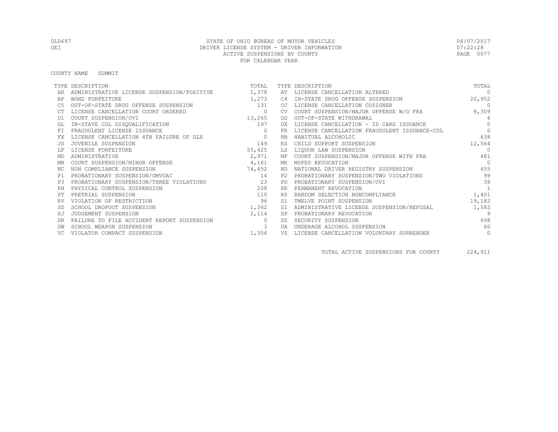COUNTY NAME SUMMIT

|           | TYPE DESCRIPTION                           | TOTAL          |            | TYPE DESCRIPTION                             | TOTAL          |
|-----------|--------------------------------------------|----------------|------------|----------------------------------------------|----------------|
|           | ADMINISTRATIVE LICENSE SUSPENSION/POSITIVE | 1,378          | AT         | LICENSE CANCELLATION ALTERED                 | $\Omega$       |
| <b>BF</b> | <b>BOND FORFEITURE</b>                     | 1,273          | C4         | IN-STATE DRUG OFFENSE SUSPENSION             | 20,952         |
|           | OUT-OF-STATE DRUG OFFENSE SUSPENSION       | 131            | CC.        | LICENSE CANCELLATION COSIGNER                | $\overline{0}$ |
|           | LICENSE CANCELLATION COURT ORDERED         | $\overline{0}$ | CV.        | COURT SUSPENSION/MAJOR OFFENSE W/O FRA       | 8,309          |
| D1        | COURT SUSPENSION/OVI                       | 13,265         | DD         | OUT-OF-STATE WITHDRAWAL                      | $\overline{4}$ |
|           | IN-STATE CDL DISQUALIFICATION              | 197            | DX         | LICENSE CANCELLATION - ID CARD ISSUANCE      | $\Omega$       |
| <b>FT</b> | FRAUDULENT LICENSE ISSUANCE                | $\Omega$       | FR         | LICENSE CANCELLATION FRAUDULENT ISSUANCE-CDL | $\bigcap$      |
|           | LICENSE CANCELLATION 4TH FAILURE OF DLX    | $\overline{0}$ | <b>HB</b>  | HABITUAL ALCOHOLIC                           | 638            |
|           | JUVENILE SUSPENSION                        | 149            | ΚS         | CHILD SUPPORT SUSPENSION                     | 12,564         |
|           | LICENSE FORFEITURE                         | 55,425         | LS         | LIQUOR LAW SUSPENSION                        | $\Omega$       |
| MD        | ADMINISTRATIVE                             | 2,971          | MF         | COURT SUSPENSION/MAJOR OFFENSE WITH FRA      | 481            |
| ΜN        | COURT SUSPENSION/MINOR OFFENSE             | 4,161          | MR         | MOPED REVOCATION                             | $\overline{0}$ |
| ΝC        | NON COMPLIANCE SUSPENSION                  | 74,452         | ND.        | NATIONAL DRIVER REGISTRY SUSPENSION          | 455            |
| P1        | PROBATIONARY SUSPENSION/OMVUAC             | 14             | P2.        | PROBATIONARY SUSPENSION/TWO VIOLATIONS       | 99             |
| P3        | PROBATIONARY SUSPENSION/THREE VIOLATIONS   | 23             | <b>PD</b>  | PROBATIONARY SUSPENSION/OVI                  | 38             |
| PH        | PHYSICAL CONTROL SUSPENSION                | 208            | <b>PR</b>  | PERMANENT REVOCATION                         |                |
|           | PRETRIAL SUSPENSION                        | 110            | <b>RS</b>  | RANDOM SELECTION NONCOMPLIANCE               | 1,401          |
|           | VIOLATION OF RESTRICTION                   | 96             |            | TWELVE POINT SUSPENSION                      | 19,182         |
|           | SCHOOL DROPOUT SUSPENSION                  | 1,362          | SI         | ADMINISTRATIVE LICENSE SUSPENSION/REFUSAL    | 1,582          |
|           | JUDGEMENT SUSPENSION                       | 2,114          | SP         | PROBATIONARY REVOCATION                      | 9              |
| SR        | FAILURE TO FILE ACCIDENT REPORT SUSPENSION | $\bigcirc$     | SS         | SECURITY SUSPENSION                          | 498            |
| SW        | SCHOOL WEAPON SUSPENSION                   | 3              | <b>TJA</b> | UNDERAGE ALCOHOL SUSPENSION                  | 60             |
|           | VIOLATOR COMPACT SUSPENSION                | 1,306          | VS         | LICENSE CANCELLATION VOLUNTARY SURRENDER     | $\circ$        |

TOTAL ACTIVE SUSPENSIONS FOR COUNTY 224,911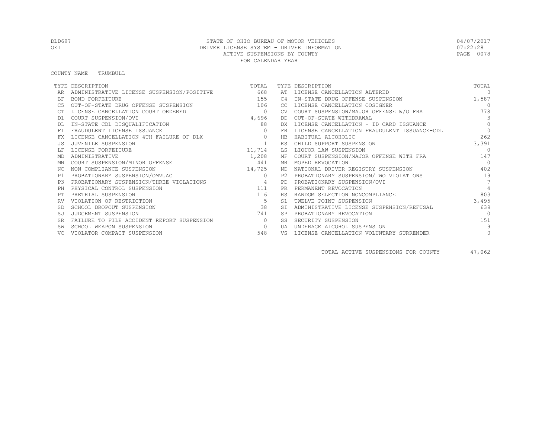#### COUNTY NAME TRUMBULL

|           | TYPE DESCRIPTION                           | TOTAL        |           | TYPE DESCRIPTION                             | TOTAL           |
|-----------|--------------------------------------------|--------------|-----------|----------------------------------------------|-----------------|
|           | ADMINISTRATIVE LICENSE SUSPENSION/POSITIVE | 668          | AT        | LICENSE CANCELLATION ALTERED                 | $\Omega$        |
| ΒF        | BOND FORFEITURE                            | 155          | C4        | IN-STATE DRUG OFFENSE SUSPENSION             | 1,587           |
| C5        | OUT-OF-STATE DRUG OFFENSE SUSPENSION       | 106          | CC        | LICENSE CANCELLATION COSIGNER                | $\Omega$        |
|           | LICENSE CANCELLATION COURT ORDERED         | $\circ$      |           | COURT SUSPENSION/MAJOR OFFENSE W/O FRA       | 778             |
| D1        | COURT SUSPENSION/OVI                       | 4,696        | DD        | OUT-OF-STATE WITHDRAWAL                      | $\mathcal{E}$   |
|           | IN-STATE CDL DISQUALIFICATION              | 88           | DX.       | LICENSE CANCELLATION - ID CARD ISSUANCE      | $\Omega$        |
| FT.       | FRAUDULENT LICENSE ISSUANCE                |              | <b>FR</b> | LICENSE CANCELLATION FRAUDULENT ISSUANCE-CDL | $\Omega$        |
| FX        | LICENSE CANCELLATION 4TH FAILURE OF DLX    | $\mathbf{0}$ | HB        | HABITUAL ALCOHOLIC                           | 262             |
|           | JUVENILE SUSPENSION                        |              | KS        | CHILD SUPPORT SUSPENSION                     | 3,391           |
|           | LICENSE FORFEITURE                         | 11,714       | LS        | LIQUOR LAW SUSPENSION                        | $\cap$          |
| MD        | ADMINISTRATIVE                             | 1,208        |           | MF COURT SUSPENSION/MAJOR OFFENSE WITH FRA   | 147             |
| ΜN        | COURT SUSPENSION/MINOR OFFENSE             | 441          |           | MR MOPED REVOCATION                          | $\Omega$        |
| ΝC        | NON COMPLIANCE SUSPENSION                  | 14,725       |           | ND NATIONAL DRIVER REGISTRY SUSPENSION       | 402             |
| P1        | PROBATIONARY SUSPENSION/OMVUAC             | $\Omega$     | P2.       | PROBATIONARY SUSPENSION/TWO VIOLATIONS       | 19              |
| P.3       | PROBATIONARY SUSPENSION/THREE VIOLATIONS   | $\sim$ 4     | <b>PD</b> | PROBATIONARY SUSPENSION/OVI                  | $7\phantom{.0}$ |
| PH        | PHYSICAL CONTROL SUSPENSION                | 111          |           | PERMANENT REVOCATION                         | $\overline{4}$  |
|           | PRETRIAL SUSPENSION                        | 116          | <b>RS</b> | RANDOM SELECTION NONCOMPLIANCE               | 803             |
|           | VIOLATION OF RESTRICTION                   | 5            | S1        | TWELVE POINT SUSPENSION                      | 3,495           |
|           | SCHOOL DROPOUT SUSPENSION                  | 38           | SI        | ADMINISTRATIVE LICENSE SUSPENSION/REFUSAL    | 639             |
| SJ        | JUDGEMENT SUSPENSION                       | 741          | <b>SP</b> | PROBATIONARY REVOCATION                      | $\Omega$        |
| <b>SR</b> | FAILURE TO FILE ACCIDENT REPORT SUSPENSION | $\bigcirc$   | SS        | SECURITY SUSPENSION                          | 151             |
|           | SCHOOL WEAPON SUSPENSION                   | $\circ$      | UA        | UNDERAGE ALCOHOL SUSPENSION                  | 9               |
| VC.       | VIOLATOR COMPACT SUSPENSION                | 548          | VS        | LICENSE CANCELLATION VOLUNTARY SURRENDER     | 0               |

TOTAL ACTIVE SUSPENSIONS FOR COUNTY 47,062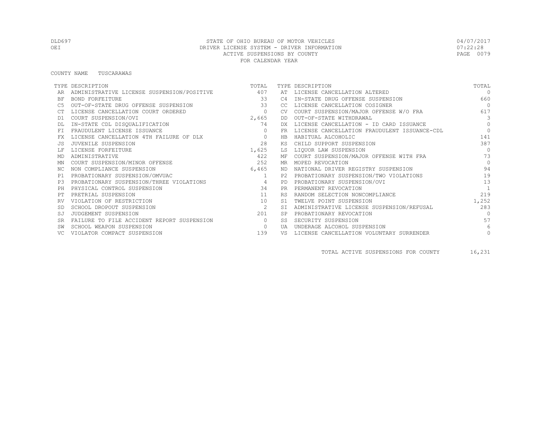#### COUNTY NAME TUSCARAWAS

|           | TYPE DESCRIPTION                               | TOTAL    |                | TYPE DESCRIPTION                             | TOTAL          |
|-----------|------------------------------------------------|----------|----------------|----------------------------------------------|----------------|
|           | ADMINISTRATIVE LICENSE SUSPENSION/POSITIVE 407 |          |                | AT LICENSE CANCELLATION ALTERED              | $\Omega$       |
| BF        | <b>BOND FORFEITURE</b>                         | 33       | C4             | IN-STATE DRUG OFFENSE SUSPENSION             | 660            |
|           | OUT-OF-STATE DRUG OFFENSE SUSPENSION           | 33       | CC.            | LICENSE CANCELLATION COSIGNER                | $\bigcap$      |
|           | LICENSE CANCELLATION COURT ORDERED             | $\circ$  | <b>CV</b>      | COURT SUSPENSION/MAJOR OFFENSE W/O FRA       | 617            |
| D1        | COURT SUSPENSION/OVI                           | 2,665    | DD             | OUT-OF-STATE WITHDRAWAL                      | 3              |
|           | IN-STATE CDL DISQUALIFICATION                  | 74       | DX.            | LICENSE CANCELLATION - ID CARD ISSUANCE      | $\Omega$       |
| FT.       | FRAUDULENT LICENSE ISSUANCE                    | $\Omega$ | FR.            | LICENSE CANCELLATION FRAUDULENT ISSUANCE-CDL | $\Omega$       |
|           | LICENSE CANCELLATION 4TH FAILURE OF DLX        | $\circ$  | HB             | HABITUAL ALCOHOLIC                           | 141            |
|           | JUVENILE SUSPENSION                            | 2.8      | ΚS             | CHILD SUPPORT SUSPENSION                     | 387            |
|           | LICENSE FORFEITURE                             | 1,625    | LS             | LIQUOR LAW SUSPENSION                        | $\Omega$       |
| MD        | ADMINISTRATIVE                                 | 422      | МF             | COURT SUSPENSION/MAJOR OFFENSE WITH FRA      | 73             |
| ΜN        | COURT SUSPENSION/MINOR OFFENSE                 | 252      | MR.            | MOPED REVOCATION                             | $\Omega$       |
| NC.       | NON COMPLIANCE SUSPENSION                      | 6,465    | ND.            | NATIONAL DRIVER REGISTRY SUSPENSION          | 94             |
| P1        | PROBATIONARY SUSPENSION/OMVUAC                 | 1        | P2             | PROBATIONARY SUSPENSION/TWO VIOLATIONS       | 19             |
| P3        | PROBATIONARY SUSPENSION/THREE VIOLATIONS       | $\sim$ 4 | PD             | PROBATIONARY SUSPENSION/OVI                  | 13             |
| PH        | PHYSICAL CONTROL SUSPENSION                    | 34       | <b>PR</b>      | PERMANENT REVOCATION                         | $\overline{1}$ |
|           | PRETRIAL SUSPENSION                            | 11       | <b>RS</b>      | RANDOM SELECTION NONCOMPLIANCE               | 219            |
|           | VIOLATION OF RESTRICTION                       | 10       | S <sub>1</sub> | TWELVE POINT SUSPENSION                      | 1,252          |
|           | SCHOOL DROPOUT SUSPENSION                      | 2        | <b>ST</b>      | ADMINISTRATIVE LICENSE SUSPENSION/REFUSAL    | 283            |
| SJ        | JUDGEMENT SUSPENSION                           | 201      |                | PROBATIONARY REVOCATION                      | $\Omega$       |
| <b>SR</b> | FAILURE TO FILE ACCIDENT REPORT SUSPENSION     | $\Omega$ | SS.            | SECURITY SUSPENSION                          | 57             |
|           | SCHOOL WEAPON SUSPENSION                       | $\circ$  | <b>UA</b>      | UNDERAGE ALCOHOL SUSPENSION                  | 6              |
|           | VIOLATOR COMPACT SUSPENSION                    | 139      | VS             | LICENSE CANCELLATION VOLUNTARY SURRENDER     | $\circ$        |

TOTAL ACTIVE SUSPENSIONS FOR COUNTY 16,231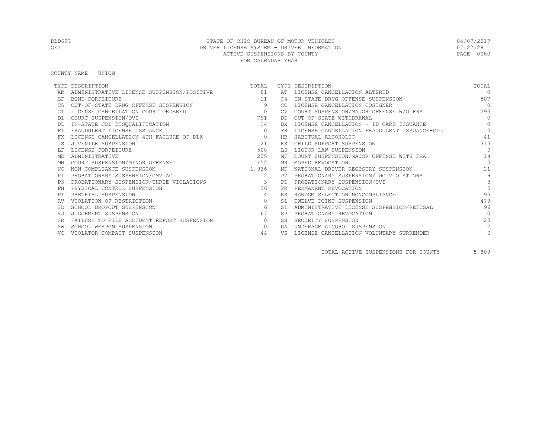COUNTY NAME UNION

|           | TYPE DESCRIPTION                           | TOTAL                   |           | TYPE DESCRIPTION                             | TOTAL          |
|-----------|--------------------------------------------|-------------------------|-----------|----------------------------------------------|----------------|
|           | ADMINISTRATIVE LICENSE SUSPENSION/POSITIVE | 81                      |           | AT LICENSE CANCELLATION ALTERED              | $\Omega$       |
| ΒF        | BOND FORFEITURE                            | 11                      | C4        | IN-STATE DRUG OFFENSE SUSPENSION             | 507            |
| C5        | OUT-OF-STATE DRUG OFFENSE SUSPENSION       | 9                       | CC.       | LICENSE CANCELLATION COSIGNER                | $\bigcirc$     |
|           | LICENSE CANCELLATION COURT ORDERED         | $\sim$ 0                | <b>CV</b> | COURT SUSPENSION/MAJOR OFFENSE W/O FRA       | 293            |
| D1        | COURT SUSPENSION/OVI                       | 791                     | DD.       | OUT-OF-STATE WITHDRAWAL                      | $\bigcap$      |
|           | IN-STATE CDL DISQUALIFICATION              | 14                      | DX        | LICENSE CANCELLATION - ID CARD ISSUANCE      | $\Omega$       |
| <b>FT</b> | FRAUDULENT LICENSE ISSUANCE                | $\circ$                 | <b>FR</b> | LICENSE CANCELLATION FRAUDULENT ISSUANCE-CDL | $\Omega$       |
| FX        | LICENSE CANCELLATION 4TH FAILURE OF DLX    | $\overline{0}$          | HB        | HABITUAL ALCOHOLIC                           | 41             |
| .JS       | JUVENILE SUSPENSION                        | 2.1                     | ΚS        | CHILD SUPPORT SUSPENSION                     | 313            |
|           | LICENSE FORFEITURE                         | 508                     | LS        | LIQUOR LAW SUSPENSION                        | $\Omega$       |
| MD        | ADMINISTRATIVE                             | 225                     | МF        | COURT SUSPENSION/MAJOR OFFENSE WITH FRA      | 14             |
| ΜN        | COURT SUSPENSION/MINOR OFFENSE             | 152                     | MR.       | MOPED REVOCATION                             | $\bigcap$      |
| NC.       | NON COMPLIANCE SUSPENSION                  | 1,936                   | ND.       | NATIONAL DRIVER REGISTRY SUSPENSION          | 21             |
| P1        | PROBATIONARY SUSPENSION/OMVUAC             | 2                       | P2.       | PROBATIONARY SUSPENSION/TWO VIOLATIONS       | 9              |
| P3        | PROBATIONARY SUSPENSION/THREE VIOLATIONS   | $\overline{\mathbf{3}}$ | PD        | PROBATIONARY SUSPENSION/OVI                  | $\overline{3}$ |
| PH        | PHYSICAL CONTROL SUSPENSION                | 36                      | <b>PR</b> | PERMANENT REVOCATION                         | $\Omega$       |
| PТ        | PRETRIAL SUSPENSION                        | $\overline{4}$          | <b>RS</b> | RANDOM SELECTION NONCOMPLIANCE               | 93             |
|           | VIOLATION OF RESTRICTION                   | $\circ$                 | S1        | TWELVE POINT SUSPENSION                      | 479            |
| <b>SD</b> | SCHOOL DROPOUT SUSPENSION                  | 6                       | <b>ST</b> | ADMINISTRATIVE LICENSE SUSPENSION/REFUSAL    | 96             |
| SJ        | JUDGEMENT SUSPENSION                       | 67                      | <b>SP</b> | PROBATIONARY REVOCATION                      | $\Omega$       |
| <b>SR</b> | FAILURE TO FILE ACCIDENT REPORT SUSPENSION | $\circ$                 | SS.       | SECURITY SUSPENSION                          | 23             |
|           | SCHOOL WEAPON SUSPENSION                   | $\circ$                 | UA        | UNDERAGE ALCOHOL SUSPENSION                  |                |
|           | VIOLATOR COMPACT SUSPENSION                | 44                      | VS        | LICENSE CANCELLATION VOLUNTARY SURRENDER     | $\circ$        |

TOTAL ACTIVE SUSPENSIONS FOR COUNTY 5,809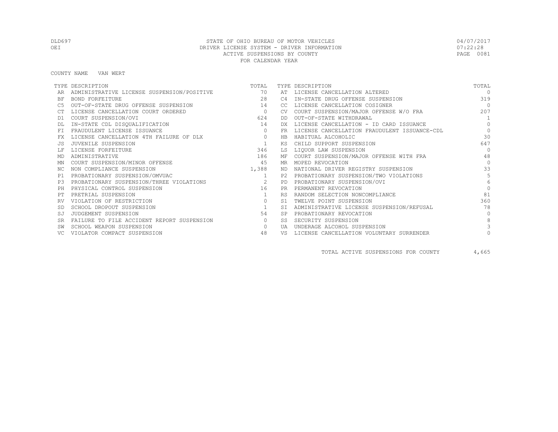COUNTY NAME VAN WERT

|           | TYPE DESCRIPTION                              | TOTAL          |                | TYPE DESCRIPTION                             | TOTAL           |
|-----------|-----------------------------------------------|----------------|----------------|----------------------------------------------|-----------------|
|           | ADMINISTRATIVE LICENSE SUSPENSION/POSITIVE 70 |                |                | AT LICENSE CANCELLATION ALTERED              | $\Omega$        |
| ΒF        | BOND FORFEITURE                               | 28             | C <sub>4</sub> | IN-STATE DRUG OFFENSE SUSPENSION             | 319             |
| C5        | OUT-OF-STATE DRUG OFFENSE SUSPENSION          | 14             | CC.            | LICENSE CANCELLATION COSIGNER                | $\bigcirc$      |
|           | LICENSE CANCELLATION COURT ORDERED            | $\overline{0}$ | <b>CV</b>      | COURT SUSPENSION/MAJOR OFFENSE W/O FRA       | 207             |
| D1        | COURT SUSPENSION/OVI                          | 624            | DD.            | OUT-OF-STATE WITHDRAWAL                      | $\overline{1}$  |
|           | IN-STATE CDL DISQUALIFICATION                 | 14             | DX.            | LICENSE CANCELLATION - ID CARD ISSUANCE      | $\Omega$        |
| <b>FT</b> | FRAUDULENT LICENSE ISSUANCE                   | $\circ$        | <b>FR</b>      | LICENSE CANCELLATION FRAUDULENT ISSUANCE-CDL | $\circ$         |
| FX        | LICENSE CANCELLATION 4TH FAILURE OF DLX       | $\circ$        | <b>HB</b>      | HABITUAL ALCOHOLIC                           | 30              |
| .JS       | JUVENILE SUSPENSION                           | $\mathbf{1}$   | ΚS             | CHILD SUPPORT SUSPENSION                     | 647             |
|           | LICENSE FORFEITURE                            | 346            | LS             | LIQUOR LAW SUSPENSION                        | $\Omega$        |
| MD        | ADMINISTRATIVE                                | 186            | МF             | COURT SUSPENSION/MAJOR OFFENSE WITH FRA      | 48              |
| ΜN        | COURT SUSPENSION/MINOR OFFENSE                | 45             | MR             | MOPED REVOCATION                             | $\Omega$        |
| NC.       | NON COMPLIANCE SUSPENSION                     | 1,388          | ND.            | NATIONAL DRIVER REGISTRY SUSPENSION          | 33              |
| P1        | PROBATIONARY SUSPENSION/OMVUAC                | 1              | P2.            | PROBATIONARY SUSPENSION/TWO VIOLATIONS       | 5               |
| P3        | PROBATIONARY SUSPENSION/THREE VIOLATIONS      | $\sim$ 2       | PD             | PROBATIONARY SUSPENSION/OVI                  | $6\overline{6}$ |
| PH        | PHYSICAL CONTROL SUSPENSION                   | 16             | <b>PR</b>      | PERMANENT REVOCATION                         |                 |
|           | PRETRIAL SUSPENSION                           | $\mathbf{1}$   | <b>RS</b>      | RANDOM SELECTION NONCOMPLIANCE               | 81              |
|           | VIOLATION OF RESTRICTION                      | $\circ$        | S1             | TWELVE POINT SUSPENSION                      | 360             |
|           | SCHOOL DROPOUT SUSPENSION                     | <sup>1</sup>   | <b>ST</b>      | ADMINISTRATIVE LICENSE SUSPENSION/REFUSAL    | 78              |
| SJ        | JUDGEMENT SUSPENSION                          | 54             | <b>SP</b>      | PROBATIONARY REVOCATION                      | $\Omega$        |
| <b>SR</b> | FAILURE TO FILE ACCIDENT REPORT SUSPENSION    | $\circ$        | SS.            | SECURITY SUSPENSION                          | 8               |
|           | SCHOOL WEAPON SUSPENSION                      | $\circ$        | UA             | UNDERAGE ALCOHOL SUSPENSION                  |                 |
|           | VIOLATOR COMPACT SUSPENSION                   | 48             | VS             | LICENSE CANCELLATION VOLUNTARY SURRENDER     |                 |

TOTAL ACTIVE SUSPENSIONS FOR COUNTY 4,665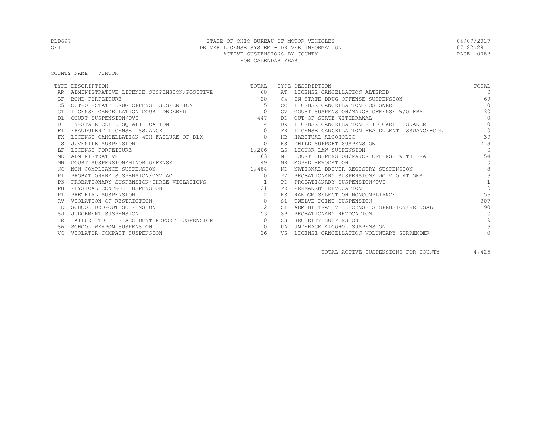COUNTY NAME VINTON

|           | TYPE DESCRIPTION                           | TOTAL                             |           | TYPE DESCRIPTION                             | TOTAL        |
|-----------|--------------------------------------------|-----------------------------------|-----------|----------------------------------------------|--------------|
|           | ADMINISTRATIVE LICENSE SUSPENSION/POSITIVE | 60                                |           | AT LICENSE CANCELLATION ALTERED              | $\Omega$     |
| ΒF        | <b>BOND FORFEITURE</b>                     | 20                                | C4        | IN-STATE DRUG OFFENSE SUSPENSION             | 69           |
| C5        | OUT-OF-STATE DRUG OFFENSE SUSPENSION       | -5                                | CC.       | LICENSE CANCELLATION COSIGNER                | $\Omega$     |
|           | LICENSE CANCELLATION COURT ORDERED         | $\sim$ 0 $\sim$ 0 $\sim$ 0 $\sim$ | <b>CV</b> | COURT SUSPENSION/MAJOR OFFENSE W/O FRA       | 130          |
| D1        | COURT SUSPENSION/OVI                       | 447                               | DD.       | OUT-OF-STATE WITHDRAWAL                      | $\Omega$     |
|           | IN-STATE CDL DISQUALIFICATION              | 4                                 | <b>DX</b> | LICENSE CANCELLATION - ID CARD ISSUANCE      | $\Omega$     |
| <b>FT</b> | FRAUDULENT LICENSE ISSUANCE                | $\circ$                           | <b>FR</b> | LICENSE CANCELLATION FRAUDULENT ISSUANCE-CDL | $\circ$      |
| FX        | LICENSE CANCELLATION 4TH FAILURE OF DLX    | $\circ$                           | <b>HB</b> | HABITUAL ALCOHOLIC                           | 39           |
|           | JUVENILE SUSPENSION                        | $\Omega$                          | ΚS        | CHILD SUPPORT SUSPENSION                     | 213          |
|           | LICENSE FORFEITURE                         | 1,206                             | LS        | LIQUOR LAW SUSPENSION                        | $\Omega$     |
| MD        | ADMINISTRATIVE                             | 63                                | МF        | COURT SUSPENSION/MAJOR OFFENSE WITH FRA      | 54           |
| ΜN        | COURT SUSPENSION/MINOR OFFENSE             | 49                                | MR.       | MOPED REVOCATION                             | $\bigcap$    |
| NC.       | NON COMPLIANCE SUSPENSION                  | 1,484                             | ND.       | NATIONAL DRIVER REGISTRY SUSPENSION          | 8            |
| P1        | PROBATIONARY SUSPENSION/OMVUAC             | $\circ$                           | P2.       | PROBATIONARY SUSPENSION/TWO VIOLATIONS       |              |
| P3        | PROBATIONARY SUSPENSION/THREE VIOLATIONS   | $\sim$ $\sim$ $\sim$ 1            | <b>PD</b> | PROBATIONARY SUSPENSION/OVI                  |              |
| PH        | PHYSICAL CONTROL SUSPENSION                | 21                                | <b>PR</b> | PERMANENT REVOCATION                         | $\Omega$     |
|           | PRETRIAL SUSPENSION                        | 2                                 | <b>RS</b> | RANDOM SELECTION NONCOMPLIANCE               | 56           |
|           | VIOLATION OF RESTRICTION                   | $\circ$                           | S1        | TWELVE POINT SUSPENSION                      | 307          |
|           | SCHOOL DROPOUT SUSPENSION                  | 2                                 | <b>ST</b> | ADMINISTRATIVE LICENSE SUSPENSION/REFUSAL    | 90           |
| SJ        | JUDGEMENT SUSPENSION                       | 53                                |           | PROBATIONARY REVOCATION                      | $\bigcap$    |
| <b>SR</b> | FAILURE TO FILE ACCIDENT REPORT SUSPENSION | $\circ$                           | SS.       | SECURITY SUSPENSION                          | $\mathsf{Q}$ |
|           | SCHOOL WEAPON SUSPENSION                   | $\circ$                           | UA        | UNDERAGE ALCOHOL SUSPENSION                  |              |
|           | VIOLATOR COMPACT SUSPENSION                | 26                                | VS        | LICENSE CANCELLATION VOLUNTARY SURRENDER     |              |

TOTAL ACTIVE SUSPENSIONS FOR COUNTY 4,425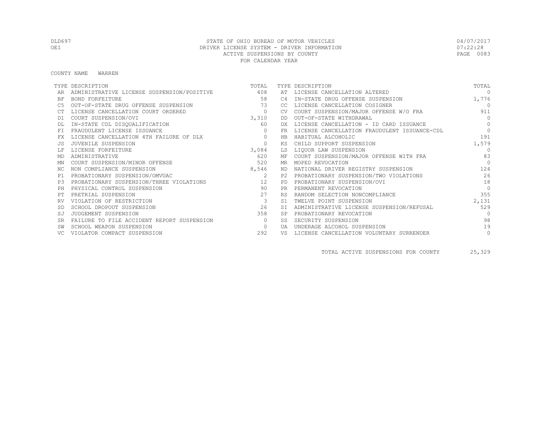#### COUNTY NAME WARREN

|           | TYPE DESCRIPTION                           | TOTAL         |           | TYPE DESCRIPTION                             | TOTAL      |
|-----------|--------------------------------------------|---------------|-----------|----------------------------------------------|------------|
|           | ADMINISTRATIVE LICENSE SUSPENSION/POSITIVE | 408           | AT        | LICENSE CANCELLATION ALTERED                 | $\cap$     |
| <b>BF</b> | BOND FORFEITURE                            | 58            | C4        | IN-STATE DRUG OFFENSE SUSPENSION             | 1,776      |
|           | OUT-OF-STATE DRUG OFFENSE SUSPENSION       | 73            | CC.       | LICENSE CANCELLATION COSIGNER                | $\bigcirc$ |
|           | LICENSE CANCELLATION COURT ORDERED         | $\circ$       |           | COURT SUSPENSION/MAJOR OFFENSE W/O FRA       | 911        |
| D1        | COURT SUSPENSION/OVI                       | 3,310         | DD.       | OUT-OF-STATE WITHDRAWAL                      | $\bigcap$  |
|           | IN-STATE CDL DISQUALIFICATION              | 60            | DX        | LICENSE CANCELLATION - ID CARD ISSUANCE      | $\circ$    |
|           | FRAUDULENT LICENSE ISSUANCE                | $\Omega$      | FR        | LICENSE CANCELLATION FRAUDULENT ISSUANCE-CDL | $\bigcap$  |
|           | LICENSE CANCELLATION 4TH FAILURE OF DLX    | $\circ$       | HB.       | HABITUAL ALCOHOLIC                           | 191        |
|           | JUVENILE SUSPENSION                        | $\circ$       | KS        | CHILD SUPPORT SUSPENSION                     | 1,579      |
|           | LICENSE FORFEITURE                         | 3,084         | LS        | LIOUOR LAW SUSPENSION                        | $\Omega$   |
| MD        | ADMINISTRATIVE                             | 620           | МF        | COURT SUSPENSION/MAJOR OFFENSE WITH FRA      | 83         |
| ΜN        | COURT SUSPENSION/MINOR OFFENSE             | 520           | MR        | MOPED REVOCATION                             | $\cap$     |
| ΝC        | NON COMPLIANCE SUSPENSION                  | 8,546         | ND.       | NATIONAL DRIVER REGISTRY SUSPENSION          | 124        |
| P1        | PROBATIONARY SUSPENSION/OMVUAC             | $\mathcal{L}$ | P2.       | PROBATIONARY SUSPENSION/TWO VIOLATIONS       | 26         |
| P3        | PROBATIONARY SUSPENSION/THREE VIOLATIONS   | 12            | PD        | PROBATIONARY SUSPENSION/OVI                  | 18         |
|           | PHYSICAL CONTROL SUSPENSION                | 90            | <b>PR</b> | PERMANENT REVOCATION                         | $\Omega$   |
|           | PRETRIAL SUSPENSION                        | 27            | <b>RS</b> | RANDOM SELECTION NONCOMPLIANCE               | 355        |
|           | VIOLATION OF RESTRICTION                   | $\mathbf{3}$  | S1        | TWELVE POINT SUSPENSION                      | 2,131      |
|           | SCHOOL DROPOUT SUSPENSION                  | 26            | <b>ST</b> | ADMINISTRATIVE LICENSE SUSPENSION/REFUSAL    | 529        |
| SJ        | JUDGEMENT SUSPENSION                       | 358           | <b>SP</b> | PROBATIONARY REVOCATION                      | $\Omega$   |
| <b>SR</b> | FAILURE TO FILE ACCIDENT REPORT SUSPENSION | $\circ$       | SS        | SECURITY SUSPENSION                          | 98         |
|           | SCHOOL WEAPON SUSPENSION                   | $\circ$       | UA        | UNDERAGE ALCOHOL SUSPENSION                  | 19         |
|           | VIOLATOR COMPACT SUSPENSION                | 292           | VS        | LICENSE CANCELLATION VOLUNTARY SURRENDER     | $\circ$    |

TOTAL ACTIVE SUSPENSIONS FOR COUNTY 25,329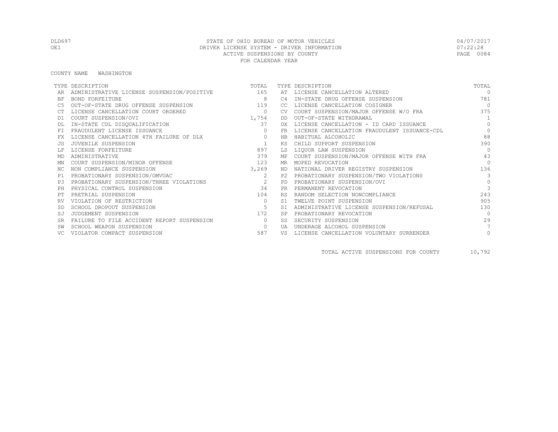### DLD697 STATE OF OHIO BUREAU OF MOTOR VEHICLES 04/07/2017 OEI DRIVER LICENSE SYSTEM - DRIVER INFORMATION DEL SOLO DE 122:28<br>ACTIVE SUSPENSIONS BY COUNTY ACTIVE SUSPENSIONS BY COUNTY FOR CALENDAR YEAR

#### COUNTY NAME WASHINGTON

|           | TYPE DESCRIPTION                               | TOTAL          |                | TYPE DESCRIPTION                             | TOTAL          |
|-----------|------------------------------------------------|----------------|----------------|----------------------------------------------|----------------|
|           | ADMINISTRATIVE LICENSE SUSPENSION/POSITIVE 165 |                |                | AT LICENSE CANCELLATION ALTERED              | $\Omega$       |
| ΒF        | BOND FORFEITURE                                | -8             | C <sub>4</sub> | IN-STATE DRUG OFFENSE SUSPENSION             | 781            |
| C5        | OUT-OF-STATE DRUG OFFENSE SUSPENSION           | 119            | CC             | LICENSE CANCELLATION COSIGNER                | $\bigcirc$     |
|           | LICENSE CANCELLATION COURT ORDERED             | $\overline{0}$ | <b>CV</b>      | COURT SUSPENSION/MAJOR OFFENSE W/O FRA       | 375            |
| D1        | COURT SUSPENSION/OVI                           | 1,754          | DD             | OUT-OF-STATE WITHDRAWAL                      | $\overline{1}$ |
|           | IN-STATE CDL DISQUALIFICATION                  | 37             | DX             | LICENSE CANCELLATION - ID CARD ISSUANCE      | $\Omega$       |
| <b>FT</b> | FRAUDULENT LICENSE ISSUANCE                    | $\circ$        | FR             | LICENSE CANCELLATION FRAUDULENT ISSUANCE-CDL | $\circ$        |
| FX        | LICENSE CANCELLATION 4TH FAILURE OF DLX        | $\circ$        | <b>HB</b>      | HABITUAL ALCOHOLIC                           | 88             |
| .JS       | JUVENILE SUSPENSION                            | $\mathbf{1}$   | ΚS             | CHILD SUPPORT SUSPENSION                     | 390            |
|           | LICENSE FORFEITURE                             | 897            | LS             | LIQUOR LAW SUSPENSION                        | $\Omega$       |
| MD        | ADMINISTRATIVE                                 | 379            | МF             | COURT SUSPENSION/MAJOR OFFENSE WITH FRA      | 43             |
| ΜN        | COURT SUSPENSION/MINOR OFFENSE                 | 123            | MR             | MOPED REVOCATION                             | $\bigcap$      |
| NC.       | NON COMPLIANCE SUSPENSION                      | 3,269          | ND             | NATIONAL DRIVER REGISTRY SUSPENSION          | 136            |
| P1        | PROBATIONARY SUSPENSION/OMVUAC                 | 2              | P2.            | PROBATIONARY SUSPENSION/TWO VIOLATIONS       | $\mathcal{B}$  |
| P3        | PROBATIONARY SUSPENSION/THREE VIOLATIONS       | $\sim$ 2       | PD             | PROBATIONARY SUSPENSION/OVI                  | $\circ$        |
| PH        | PHYSICAL CONTROL SUSPENSION                    | 34             | <b>PR</b>      | PERMANENT REVOCATION                         | $\mathcal{E}$  |
| PТ        | PRETRIAL SUSPENSION                            | 104            | <b>RS</b>      | RANDOM SELECTION NONCOMPLIANCE               | 243            |
|           | VIOLATION OF RESTRICTION                       | $\circ$        | S1             | TWELVE POINT SUSPENSION                      | 905            |
| -SD       | SCHOOL DROPOUT SUSPENSION                      | 5              | <b>ST</b>      | ADMINISTRATIVE LICENSE SUSPENSION/REFUSAL    | 130            |
| SJ        | JUDGEMENT SUSPENSION                           | 172            | <b>SP</b>      | PROBATIONARY REVOCATION                      | $\Omega$       |
| <b>SR</b> | FAILURE TO FILE ACCIDENT REPORT SUSPENSION     | $\bigcirc$     | SS.            | SECURITY SUSPENSION                          | 29             |
|           | SCHOOL WEAPON SUSPENSION                       | $\circ$        | UA             | UNDERAGE ALCOHOL SUSPENSION                  |                |
|           | VIOLATOR COMPACT SUSPENSION                    | 587            | VS             | LICENSE CANCELLATION VOLUNTARY SURRENDER     | $\circ$        |

TOTAL ACTIVE SUSPENSIONS FOR COUNTY 10,792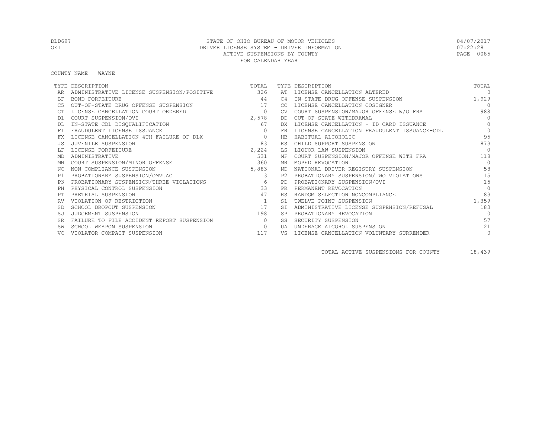COUNTY NAME WAYNE

|           | TYPE DESCRIPTION                           | TOTAL    |           | TYPE DESCRIPTION                             | TOTAL      |
|-----------|--------------------------------------------|----------|-----------|----------------------------------------------|------------|
|           | ADMINISTRATIVE LICENSE SUSPENSION/POSITIVE | 326      | AT        | LICENSE CANCELLATION ALTERED                 | $\Omega$   |
| ΒF        | BOND FORFEITURE                            | 44       | C4        | IN-STATE DRUG OFFENSE SUSPENSION             | 1,929      |
|           | OUT-OF-STATE DRUG OFFENSE SUSPENSION       | 17       | -CC.      | LICENSE CANCELLATION COSIGNER                | $\Omega$   |
|           | LICENSE CANCELLATION COURT ORDERED         | $\circ$  | CV.       | COURT SUSPENSION/MAJOR OFFENSE W/O FRA       | 988        |
| D1        | COURT SUSPENSION/OVI                       | 2,578    | DD        | OUT-OF-STATE WITHDRAWAL                      | $\bigcap$  |
|           | IN-STATE CDL DISQUALIFICATION              | 67       | DX        | LICENSE CANCELLATION - ID CARD ISSUANCE      | $\bigcirc$ |
| FT.       | FRAUDULENT LICENSE ISSUANCE                | $\Omega$ | FR.       | LICENSE CANCELLATION FRAUDULENT ISSUANCE-CDL | $\Omega$   |
| FX        | LICENSE CANCELLATION 4TH FAILURE OF DLX    | $\circ$  | HB        | HABITUAL ALCOHOLIC                           | 95         |
|           | JUVENILE SUSPENSION                        | 83       | KS        | CHILD SUPPORT SUSPENSION                     | 873        |
|           | LICENSE FORFEITURE                         | 2,224    | LS        | LIOUOR LAW SUSPENSION                        |            |
| MD        | ADMINISTRATIVE                             | 531      | MF        | COURT SUSPENSION/MAJOR OFFENSE WITH FRA      | 118        |
| MN        | COURT SUSPENSION/MINOR OFFENSE             | 360      | MR        | MOPED REVOCATION                             | $\Omega$   |
| ΝC        | NON COMPLIANCE SUSPENSION                  | 5,883    | ND.       | NATIONAL DRIVER REGISTRY SUSPENSION          | 58         |
| P1        | PROBATIONARY SUSPENSION/OMVUAC             | 13       | P2.       | PROBATIONARY SUSPENSION/TWO VIOLATIONS       | 15         |
| P3        | PROBATIONARY SUSPENSION/THREE VIOLATIONS   | 6        | PD.       | PROBATIONARY SUSPENSION/OVI                  | 15         |
| PH.       | PHYSICAL CONTROL SUSPENSION                | 33       | PR.       | PERMANENT REVOCATION                         | $\Omega$   |
|           | PRETRIAL SUSPENSION                        | 47       | <b>RS</b> | RANDOM SELECTION NONCOMPLIANCE               | 183        |
|           | VIOLATION OF RESTRICTION                   | 1        | S1        | TWELVE POINT SUSPENSION                      | 1,359      |
|           | SCHOOL DROPOUT SUSPENSION                  | 17       | <b>ST</b> | ADMINISTRATIVE LICENSE SUSPENSION/REFUSAL    | 183        |
| SJ        | JUDGEMENT SUSPENSION                       | 198      | <b>SP</b> | PROBATIONARY REVOCATION                      | $\Omega$   |
| <b>SR</b> | FAILURE TO FILE ACCIDENT REPORT SUSPENSION | $\Omega$ | SS        | SECURITY SUSPENSION                          | 57         |
|           | SCHOOL WEAPON SUSPENSION                   | $\Omega$ | UA        | UNDERAGE ALCOHOL SUSPENSION                  | 21         |
|           | VIOLATOR COMPACT SUSPENSION                | 117      | VS        | LICENSE CANCELLATION VOLUNTARY SURRENDER     | $\circ$    |

TOTAL ACTIVE SUSPENSIONS FOR COUNTY 18,439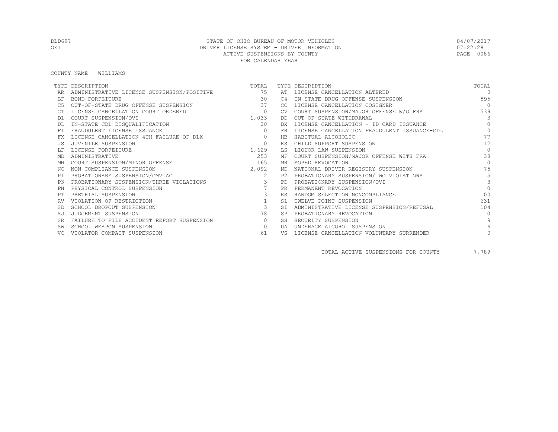COUNTY NAME WILLIAMS

|           | TYPE DESCRIPTION                              | TOTAL                   |                | TYPE DESCRIPTION                             | TOTAL        |
|-----------|-----------------------------------------------|-------------------------|----------------|----------------------------------------------|--------------|
|           | ADMINISTRATIVE LICENSE SUSPENSION/POSITIVE 75 |                         | AT             | LICENSE CANCELLATION ALTERED                 | $\Omega$     |
| BF        | <b>BOND FORFEITURE</b>                        | 30                      | C4             | IN-STATE DRUG OFFENSE SUSPENSION             | 595          |
|           | OUT-OF-STATE DRUG OFFENSE SUSPENSION          | 37                      | CC.            | LICENSE CANCELLATION COSIGNER                | $\bigcap$    |
|           | LICENSE CANCELLATION COURT ORDERED            | $\circ$                 |                | COURT SUSPENSION/MAJOR OFFENSE W/O FRA       | 539          |
| D1        | COURT SUSPENSION/OVI                          | 1,033                   | DD             | OUT-OF-STATE WITHDRAWAL                      | 3            |
|           | IN-STATE CDL DISQUALIFICATION                 | 20                      | DX             | LICENSE CANCELLATION - ID CARD ISSUANCE      | $\Omega$     |
| FT.       | FRAUDULENT LICENSE ISSUANCE                   | $\Omega$                | FR.            | LICENSE CANCELLATION FRAUDULENT ISSUANCE-CDL | $\Omega$     |
|           | LICENSE CANCELLATION 4TH FAILURE OF DLX       | $\circ$                 | HB             | HABITUAL ALCOHOLIC                           | 77           |
|           | JUVENILE SUSPENSION                           | $\circ$                 | КS             | CHILD SUPPORT SUSPENSION                     | 112          |
|           | LICENSE FORFEITURE                            | 1,629                   | LS             | LIQUOR LAW SUSPENSION                        | $\Omega$     |
| MD        | ADMINISTRATIVE                                | 253                     | МF             | COURT SUSPENSION/MAJOR OFFENSE WITH FRA      | 38           |
| ΜN        | COURT SUSPENSION/MINOR OFFENSE                | 165                     | MR.            | MOPED REVOCATION                             | $\Omega$     |
| NC.       | NON COMPLIANCE SUSPENSION                     | 2,092                   | ND.            | NATIONAL DRIVER REGISTRY SUSPENSION          | 75           |
| P1        | PROBATIONARY SUSPENSION/OMVUAC                | 2                       | P2.            | PROBATIONARY SUSPENSION/TWO VIOLATIONS       | 5            |
| P3        | PROBATIONARY SUSPENSION/THREE VIOLATIONS      | $\mathbf{3}$            | PD.            | PROBATIONARY SUSPENSION/OVI                  | 3            |
| PH        | PHYSICAL CONTROL SUSPENSION                   |                         | <b>PR</b>      | PERMANENT REVOCATION                         | $\Omega$     |
|           | PRETRIAL SUSPENSION                           | 3                       | <b>RS</b>      | RANDOM SELECTION NONCOMPLIANCE               | 100          |
|           | VIOLATION OF RESTRICTION                      |                         | S <sub>1</sub> | TWELVE POINT SUSPENSION                      | 631          |
|           | SCHOOL DROPOUT SUSPENSION                     | $\overline{\mathbf{3}}$ | <b>ST</b>      | ADMINISTRATIVE LICENSE SUSPENSION/REFUSAL    | 104          |
| SJ        | JUDGEMENT SUSPENSION                          | 78                      | <b>SP</b>      | PROBATIONARY REVOCATION                      | $\Omega$     |
| <b>SR</b> | FAILURE TO FILE ACCIDENT REPORT SUSPENSION    | $\circ$                 | SS.            | SECURITY SUSPENSION                          | $\mathsf{Q}$ |
|           | SCHOOL WEAPON SUSPENSION                      | $\circ$                 | UA             | UNDERAGE ALCOHOL SUSPENSION                  |              |
|           | VIOLATOR COMPACT SUSPENSION                   | 61                      | VS             | LICENSE CANCELLATION VOLUNTARY SURRENDER     |              |

TOTAL ACTIVE SUSPENSIONS FOR COUNTY 7,789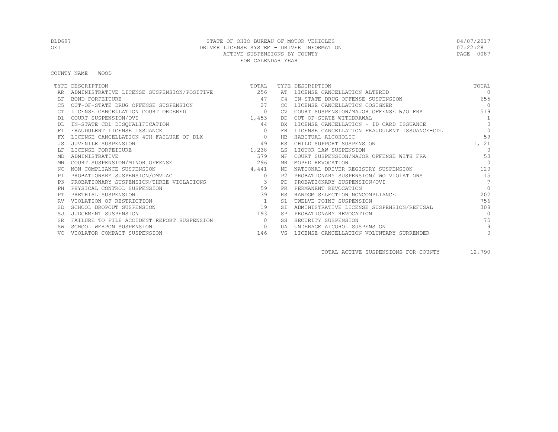COUNTY NAME WOOD

|           | TYPE DESCRIPTION                               | TOTAL                   |           | TYPE DESCRIPTION                             | TOTAL           |
|-----------|------------------------------------------------|-------------------------|-----------|----------------------------------------------|-----------------|
|           | ADMINISTRATIVE LICENSE SUSPENSION/POSITIVE 256 |                         | AT        | LICENSE CANCELLATION ALTERED                 | $\Omega$        |
| ΒF        | BOND FORFEITURE                                | 47                      | C4        | IN-STATE DRUG OFFENSE SUSPENSION             | 655             |
| C5        | OUT-OF-STATE DRUG OFFENSE SUSPENSION           | 27                      | CC        | LICENSE CANCELLATION COSIGNER                | $\bigcirc$      |
|           | LICENSE CANCELLATION COURT ORDERED             | $\circ$                 | CV.       | COURT SUSPENSION/MAJOR OFFENSE W/O FRA       | 519             |
| D1        | COURT SUSPENSION/OVI                           | 1,453                   | DD        | OUT-OF-STATE WITHDRAWAL                      | 1               |
|           | IN-STATE CDL DISQUALIFICATION                  | 44                      | DX        | LICENSE CANCELLATION - ID CARD ISSUANCE      | $\bigcap$       |
| FT.       | FRAUDULENT LICENSE ISSUANCE                    |                         | FR.       | LICENSE CANCELLATION FRAUDULENT ISSUANCE-CDL | $\Omega$        |
| FX        | LICENSE CANCELLATION 4TH FAILURE OF DLX        | $\circ$                 | HB        | HABITUAL ALCOHOLIC                           | 59              |
|           | JUVENILE SUSPENSION                            | 49                      | ΚS        | CHILD SUPPORT SUSPENSION                     | 1,121           |
|           | LICENSE FORFEITURE                             | 1,238                   | LS        | LIQUOR LAW SUSPENSION                        | $\cap$          |
| MD        | ADMINISTRATIVE                                 | 579                     | МF        | COURT SUSPENSION/MAJOR OFFENSE WITH FRA      | 53              |
| ΜN        | COURT SUSPENSION/MINOR OFFENSE                 | 296                     | MR        | MOPED REVOCATION                             | $\Omega$        |
| ΝC        | NON COMPLIANCE SUSPENSION                      | 4,441                   | ND        | NATIONAL DRIVER REGISTRY SUSPENSION          | 120             |
| P1        | PROBATIONARY SUSPENSION/OMVUAC                 | $\Omega$                | P2.       | PROBATIONARY SUSPENSION/TWO VIOLATIONS       | 15              |
| P.3       | PROBATIONARY SUSPENSION/THREE VIOLATIONS       | $\overline{\mathbf{3}}$ | PD        | PROBATIONARY SUSPENSION/OVI                  | $7\phantom{.0}$ |
| PH        | PHYSICAL CONTROL SUSPENSION                    | 59                      | <b>PR</b> | PERMANENT REVOCATION                         | $\Omega$        |
|           | PRETRIAL SUSPENSION                            | 39                      | <b>RS</b> | RANDOM SELECTION NONCOMPLIANCE               | 202             |
|           | VIOLATION OF RESTRICTION                       | $\mathbf{1}$            | S1        | TWELVE POINT SUSPENSION                      | 756             |
|           | SCHOOL DROPOUT SUSPENSION                      | 19                      | SI        | ADMINISTRATIVE LICENSE SUSPENSION/REFUSAL    | 308             |
| SJ        | JUDGEMENT SUSPENSION                           | 193                     | <b>SP</b> | PROBATIONARY REVOCATION                      | $\bigcap$       |
| <b>SR</b> | FAILURE TO FILE ACCIDENT REPORT SUSPENSION     | $\bigcirc$              | SS        | SECURITY SUSPENSION                          | 75              |
|           | SCHOOL WEAPON SUSPENSION                       | $\circ$                 | UA        | UNDERAGE ALCOHOL SUSPENSION                  | 9               |
|           | VIOLATOR COMPACT SUSPENSION                    | 146                     | VS        | LICENSE CANCELLATION VOLUNTARY SURRENDER     | $\mathbf{0}$    |

TOTAL ACTIVE SUSPENSIONS FOR COUNTY 12,790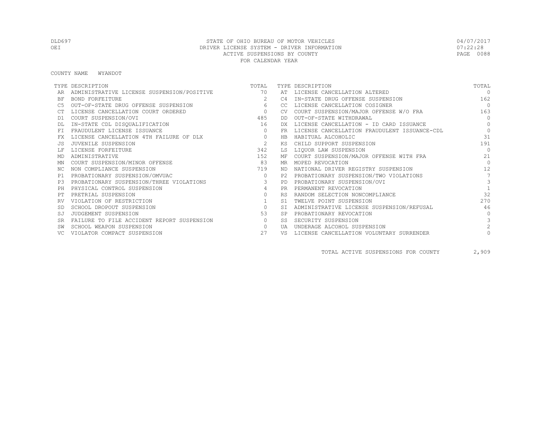COUNTY NAME WYANDOT

|           | TYPE DESCRIPTION                              | TOTAL          |           | TYPE DESCRIPTION                             | TOTAL          |
|-----------|-----------------------------------------------|----------------|-----------|----------------------------------------------|----------------|
|           | ADMINISTRATIVE LICENSE SUSPENSION/POSITIVE 70 |                |           | AT LICENSE CANCELLATION ALTERED              | $\Omega$       |
| BF        | <b>BOND FORFEITURE</b>                        | $\overline{2}$ | C4        | IN-STATE DRUG OFFENSE SUSPENSION             | 162            |
|           | OUT-OF-STATE DRUG OFFENSE SUSPENSION          | 6              | CC.       | LICENSE CANCELLATION COSIGNER                | $\bigcap$      |
|           | LICENSE CANCELLATION COURT ORDERED            | $\sim$ 0       | <b>CV</b> | COURT SUSPENSION/MAJOR OFFENSE W/O FRA       | 163            |
| D1        | COURT SUSPENSION/OVI                          | 485            | DD        | OUT-OF-STATE WITHDRAWAL                      | $\Omega$       |
|           | IN-STATE CDL DISQUALIFICATION                 | 16             | DX.       | LICENSE CANCELLATION - ID CARD ISSUANCE      | $\Omega$       |
| FT.       | FRAUDULENT LICENSE ISSUANCE                   | $\Omega$       | FR.       | LICENSE CANCELLATION FRAUDULENT ISSUANCE-CDL | $\Omega$       |
|           | LICENSE CANCELLATION 4TH FAILURE OF DLX       | $\circ$        | HB        | HABITUAL ALCOHOLIC                           | 31             |
|           | JUVENILE SUSPENSION                           | 2              | КS        | CHILD SUPPORT SUSPENSION                     | 191            |
|           | LICENSE FORFEITURE                            | 342            | LS        | LIQUOR LAW SUSPENSION                        | $\bigcap$      |
| MD        | ADMINISTRATIVE                                | 152            | МF        | COURT SUSPENSION/MAJOR OFFENSE WITH FRA      | 21             |
| ΜN        | COURT SUSPENSION/MINOR OFFENSE                | 83             | MR.       | MOPED REVOCATION                             | $\bigcap$      |
| NC.       | NON COMPLIANCE SUSPENSION                     | 719            | ND.       | NATIONAL DRIVER REGISTRY SUSPENSION          | 12             |
| P1        | PROBATIONARY SUSPENSION/OMVUAC                | $\circ$        | P2.       | PROBATIONARY SUSPENSION/TWO VIOLATIONS       | $\overline{7}$ |
| P3        | PROBATIONARY SUSPENSION/THREE VIOLATIONS      | $\mathbf{3}$   | PD.       | PROBATIONARY SUSPENSION/OVI                  | 3              |
| PH        | PHYSICAL CONTROL SUSPENSION                   | $\overline{4}$ | <b>PR</b> | PERMANENT REVOCATION                         |                |
|           | PRETRIAL SUSPENSION                           | $\Omega$       | <b>RS</b> | RANDOM SELECTION NONCOMPLIANCE               | 32             |
|           | VIOLATION OF RESTRICTION                      |                | S1        | TWELVE POINT SUSPENSION                      | 270            |
|           | SCHOOL DROPOUT SUSPENSION                     | $\circ$        | <b>ST</b> | ADMINISTRATIVE LICENSE SUSPENSION/REFUSAL    | 46             |
| SJ        | JUDGEMENT SUSPENSION                          | 53             |           | PROBATIONARY REVOCATION                      | $\Omega$       |
| <b>SR</b> | FAILURE TO FILE ACCIDENT REPORT SUSPENSION    | $\circ$        | SS.       | SECURITY SUSPENSION                          |                |
|           | SCHOOL WEAPON SUSPENSION                      | $\circ$        | UA        | UNDERAGE ALCOHOL SUSPENSION                  | $\mathfrak{D}$ |
|           | VIOLATOR COMPACT SUSPENSION                   | 27             | VS        | LICENSE CANCELLATION VOLUNTARY SURRENDER     |                |

TOTAL ACTIVE SUSPENSIONS FOR COUNTY 2,909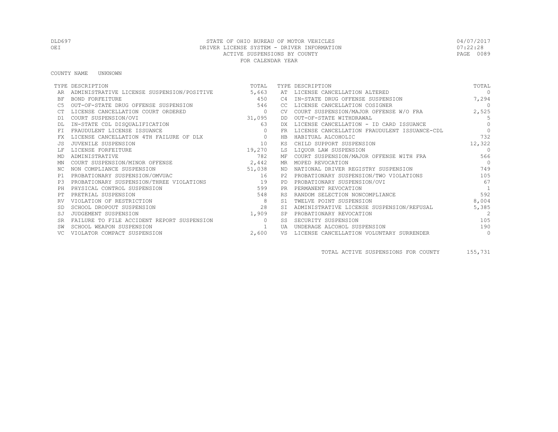COUNTY NAME UNKNOWN

|           | TYPE DESCRIPTION                           | TOTAL        |            | TYPE DESCRIPTION                             | TOTAL          |
|-----------|--------------------------------------------|--------------|------------|----------------------------------------------|----------------|
|           | ADMINISTRATIVE LICENSE SUSPENSION/POSITIVE | 5,663        | AT         | LICENSE CANCELLATION ALTERED                 | $\Omega$       |
| <b>BF</b> | BOND FORFEITURE                            | 450          | C4         | IN-STATE DRUG OFFENSE SUSPENSION             | 7,294          |
| C5        | OUT-OF-STATE DRUG OFFENSE SUSPENSION       | 546          | CC         | LICENSE CANCELLATION COSIGNER                | $\bigcirc$     |
|           | LICENSE CANCELLATION COURT ORDERED         | $\circ$      | CV.        | COURT SUSPENSION/MAJOR OFFENSE W/O FRA       | 2,525          |
| D1        | COURT SUSPENSION/OVI                       | 31,095       | DD         | OUT-OF-STATE WITHDRAWAL                      | - 5            |
|           | IN-STATE CDL DISQUALIFICATION              | 63           | DX         | LICENSE CANCELLATION - ID CARD ISSUANCE      | $\Omega$       |
| FT.       | FRAUDULENT LICENSE ISSUANCE                |              | FR         | LICENSE CANCELLATION FRAUDULENT ISSUANCE-CDL | $\Omega$       |
| FX        | LICENSE CANCELLATION 4TH FAILURE OF DLX    | 0            | HB         | HABITUAL ALCOHOLIC                           | 732            |
|           | JUVENILE SUSPENSION                        | 10           | ΚS         | CHILD SUPPORT SUSPENSION                     | 12,322         |
|           | LICENSE FORFEITURE                         | 19,270       | LS         | LIOUOR LAW SUSPENSION                        | $\Omega$       |
| MD        | ADMINISTRATIVE                             | 782          |            | MF COURT SUSPENSION/MAJOR OFFENSE WITH FRA   | 566            |
| ΜN        | COURT SUSPENSION/MINOR OFFENSE             | 2,442        | MR         | MOPED REVOCATION                             | $\bigcirc$     |
| NC.       | NON COMPLIANCE SUSPENSION                  | 51,038       | ND         | NATIONAL DRIVER REGISTRY SUSPENSION          | 749            |
| P1        | PROBATIONARY SUSPENSION/OMVUAC             | 16           |            | PROBATIONARY SUSPENSION/TWO VIOLATIONS       | 105            |
| P.3       | PROBATIONARY SUSPENSION/THREE VIOLATIONS   | 19           | PD.        | PROBATIONARY SUSPENSION/OVI                  | 67             |
| PH        | PHYSICAL CONTROL SUSPENSION                | 599          | PR.        | PERMANENT REVOCATION                         | $\overline{1}$ |
|           | PRETRIAL SUSPENSION                        | 548          |            | RANDOM SELECTION NONCOMPLIANCE               | 592            |
|           | VIOLATION OF RESTRICTION                   |              | S1         | TWELVE POINT SUSPENSION                      | 8,004          |
|           | SCHOOL DROPOUT SUSPENSION                  | 28           | SI         | ADMINISTRATIVE LICENSE SUSPENSION/REFUSAL    | 5,385          |
|           | JUDGEMENT SUSPENSION                       | 1,909        | SP         | PROBATIONARY REVOCATION                      | 2              |
|           | FAILURE TO FILE ACCIDENT REPORT SUSPENSION | $\Omega$     | SS         | SECURITY SUSPENSION                          | 105            |
| SW        | SCHOOL WEAPON SUSPENSION                   | $\mathbf{1}$ | <b>TJA</b> | UNDERAGE ALCOHOL SUSPENSION                  | 190            |
|           | VIOLATOR COMPACT SUSPENSION                | 2,600        | VS         | LICENSE CANCELLATION VOLUNTARY SURRENDER     | $\circ$        |

TOTAL ACTIVE SUSPENSIONS FOR COUNTY 155,731